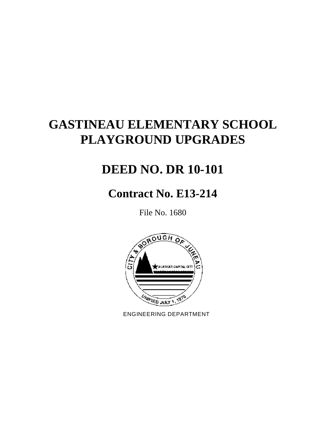# **GASTINEAU ELEMENTARY SCHOOL PLAYGROUND UPGRADES**

# **DEED NO. DR 10-101**

# **Contract No. E13-214**

File No. 1680



ENGINEERING DEPARTMENT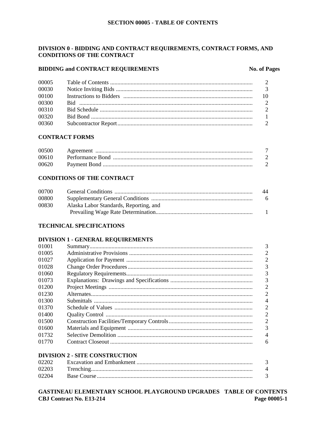## DIVISION 0 - BIDDING AND CONTRACT REQUIREMENTS, CONTRACT FORMS, AND **CONDITIONS OF THE CONTRACT**

## **BIDDING and CONTRACT REQUIREMENTS**

#### **No. of Pages**

| 00030<br>00100<br>00300<br>00310<br>00320<br>00360 | 00005 |  |
|----------------------------------------------------|-------|--|
|                                                    |       |  |
|                                                    |       |  |
|                                                    |       |  |
|                                                    |       |  |
|                                                    |       |  |
|                                                    |       |  |

## **CONTRACT FORMS**

| 00500 |  |
|-------|--|
| 00610 |  |
| 00620 |  |

## **CONDITIONS OF THE CONTRACT**

| 00700 |                                        | 44             |
|-------|----------------------------------------|----------------|
| 00800 |                                        | - 6            |
| 00830 | Alaska Labor Standards, Reporting, and |                |
|       |                                        | $\blacksquare$ |

## **TECHNICAL SPECIFICATIONS**

## **DIVISION 1 - GENERAL REQUIREMENTS**

| 01001 |                                       | 3              |
|-------|---------------------------------------|----------------|
| 01005 |                                       | $\overline{2}$ |
| 01027 |                                       | $\overline{2}$ |
| 01028 |                                       | 3              |
| 01060 |                                       | 3              |
| 01073 |                                       | 3              |
| 01200 |                                       | 2              |
| 01230 |                                       | $\overline{2}$ |
| 01300 |                                       | $\overline{4}$ |
| 01370 |                                       | 2              |
| 01400 |                                       | 2              |
| 01500 |                                       | $\overline{2}$ |
| 01600 |                                       | 3              |
| 01732 |                                       | $\overline{4}$ |
| 01770 |                                       | 6              |
|       | <b>DIVISION 2 - SITE CONSTRUCTION</b> |                |

| 02202 |  |
|-------|--|
| 02203 |  |
| 02204 |  |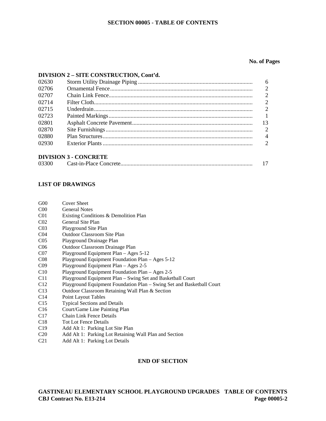#### **SECTION 00005 - TABLE OF CONTENTS**

#### **No. of Pages**

#### **DIVISION 2 – SITE CONSTRUCTION, Cont'd.**

| 02630 |                              | 6  |
|-------|------------------------------|----|
| 02706 |                              |    |
| 02707 |                              |    |
| 02714 |                              |    |
| 02715 |                              | ⌒  |
| 02723 |                              |    |
| 02801 |                              | 13 |
| 02870 |                              |    |
| 02880 |                              |    |
| 02930 |                              |    |
|       |                              |    |
|       | <b>DIVISION 3 - CONCRETE</b> |    |

#### **LIST OF DRAWINGS**

| G <sub>00</sub> | <b>Cover Sheet</b> |
|-----------------|--------------------|
|-----------------|--------------------|

- C00 General Notes
- C01 Existing Conditions & Demolition Plan
- C02 General Site Plan
- C03 Playground Site Plan
- C04 Outdoor Classroom Site Plan
- C05 Playground Drainage Plan
- C06 Outdoor Classroom Drainage Plan
- C07 Playground Equipment Plan Ages 5-12
- C08 Playground Equipment Foundation Plan Ages 5-12
- C09 Playground Equipment Plan Ages 2-5
- C10 Playground Equipment Foundation Plan Ages 2-5
- C11 Playground Equipment Plan Swing Set and Basketball Court
- C12 Playground Equipment Foundation Plan Swing Set and Basketball Court
- C13 Outdoor Classroom Retaining Wall Plan & Section
- C14 Point Layout Tables
- C15 Typical Sections and Details
- C16 Court/Game Line Painting Plan
- C17 Chain Link Fence Details
- C18 Tot Lot Fence Details
- C19 Add Alt 1: Parking Lot Site Plan
- C20 Add Alt 1: Parking Lot Retaining Wall Plan and Section
- C21 Add Alt 1: Parking Lot Details

#### **END OF SECTION**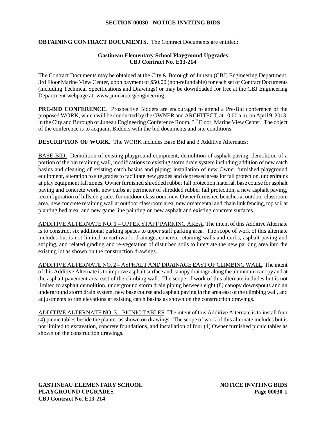#### **SECTION 00030 - NOTICE INVITING BIDS**

## **OBTAINING CONTRACT DOCUMENTS.** The Contract Documents are entitled:

#### **Gastineau Elementary School Playground Upgrades CBJ Contract No. E13-214**

The Contract Documents may be obtained at the City & Borough of Juneau (CBJ) Engineering Department, 3rd Floor Marine View Center, upon payment of \$50.00 (non-refundable) for each set of Contract Documents (including Technical Specifications and Drawings) or may be downloaded for free at the CBJ Engineering Department webpage at: www.juneau.org/engineering

**PRE-BID CONFERENCE.** Prospective Bidders are encouraged to attend a Pre-Bid conference of the proposed WORK, which will be conducted by the OWNER and ARCHITECT, at 10:00 a.m. on April 9, 2013, in the City and Borough of Juneau Engineering Conference Room, 3<sup>rd</sup> Floor, Marine View Center. The object of the conference is to acquaint Bidders with the bid documents and site conditions.

**DESCRIPTION OF WORK.** The WORK includes Base Bid and 3 Additive Alternates:

BASE BID. Demolition of existing playground equipment, demolition of asphalt paving, demolition of a portion of the bin retaining wall, modifications to existing storm drain system including addition of new catch basins and cleaning of existing catch basins and piping; installation of new Owner furnished playground equipment, alteration to site grades to facilitate new grades and depressed areas for fall protection, underdrains at play equipment fall zones, Owner furnished shredded rubber fall protection material, base course for asphalt paving and concrete work, new curbs at perimeter of shredded rubber fall protection, a new asphalt paving, reconfiguration of hillside grades for outdoor classroom, new Owner furnished benches at outdoor classroom area, new concrete retaining wall at outdoor classroom area, new ornamental and chain link fencing, top soil at planting bed area, and new game line painting on new asphalt and existing concrete surfaces.

ADDITIVE ALTERNATE NO. 1 – UPPER STAFF PARKING AREA. The intent of this Additive Alternate is to construct six additional parking spaces to upper staff parking area. The scope of work of this alternate includes but is not limited to earthwork, drainage, concrete retaining walls and curbs, asphalt paving and striping, and related grading and re-vegetation of disturbed soils to integrate the new parking area into the existing lot as shown on the construction drawings.

ADDITIVE ALTERNATE NO. 2 – ASPHALT AND DRAINAGE EAST OF CLIMBING WALL. The intent of this Additive Alternate is to improve asphalt surface and canopy drainage along the aluminum canopy and at the asphalt pavement area east of the climbing wall. The scope of work of this alternate includes but is not limited to asphalt demolition, underground storm drain piping between eight (8) canopy downspouts and an underground storm drain system, new base course and asphalt paving in the area east of the climbing wall, and adjustments to rim elevations at existing catch basins as shown on the construction drawings.

ADDITIVE ALTERNATE NO. 3 – PICNIC TABLES. The intent of this Additive Alternate is to install four (4) picnic tables beside the planter as shown on drawings. The scope of work of this alternate includes but is not limited to excavation, concrete foundations, and installation of four (4) Owner furnished picnic tables as shown on the construction drawings.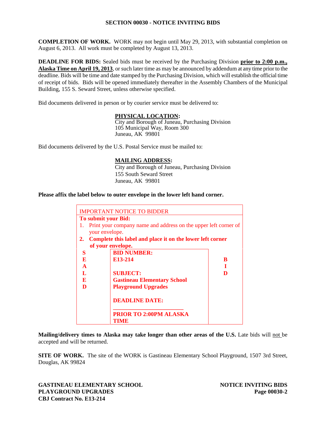## **SECTION 00030 - NOTICE INVITING BIDS**

**COMPLETION OF WORK.** WORK may not begin until May 29, 2013, with substantial completion on August 6, 2013. All work must be completed by August 13, 2013.

**DEADLINE FOR BIDS:** Sealed bids must be received by the Purchasing Division **prior to 2:00 p.m., Alaska Time on April 19, 2013**, or such later time as may be announced by addendum at any time prior to the deadline. Bids will be time and date stamped by the Purchasing Division, which will establish the official time of receipt of bids. Bids will be opened immediately thereafter in the Assembly Chambers of the Municipal Building, 155 S. Seward Street, unless otherwise specified.

Bid documents delivered in person or by courier service must be delivered to:

## **PHYSICAL LOCATION:**

City and Borough of Juneau, Purchasing Division 105 Municipal Way, Room 300 Juneau, AK 99801

Bid documents delivered by the U.S. Postal Service must be mailed to:

## **MAILING ADDRESS:**

City and Borough of Juneau, Purchasing Division 155 South Seward Street Juneau, AK 99801

#### **Please affix the label below to outer envelope in the lower left hand corner.**

|              | <b>IMPORTANT NOTICE TO BIDDER</b>                               |   |
|--------------|-----------------------------------------------------------------|---|
|              | <b>To submit your Bid:</b>                                      |   |
| 1.           | Print your company name and address on the upper left corner of |   |
|              | your envelope.                                                  |   |
| 2.           | Complete this label and place it on the lower left corner       |   |
|              | of your envelope.                                               |   |
| S            | <b>BID NUMBER:</b>                                              |   |
| E            | E <sub>13</sub> -214                                            | B |
| $\mathbf{A}$ |                                                                 |   |
|              | <b>SUBJECT:</b>                                                 | D |
| E.           | <b>Gastineau Elementary School</b>                              |   |
| D            | <b>Playground Upgrades</b>                                      |   |
|              | <b>DEADLINE DATE:</b>                                           |   |
|              | <b>PRIOR TO 2:00PM ALASKA</b><br>TIME                           |   |

**Mailing/delivery times to Alaska may take longer than other areas of the U.S.** Late bids will not be accepted and will be returned.

**SITE OF WORK.** The site of the WORK is Gastineau Elementary School Playground, 1507 3rd Street, Douglas, AK 99824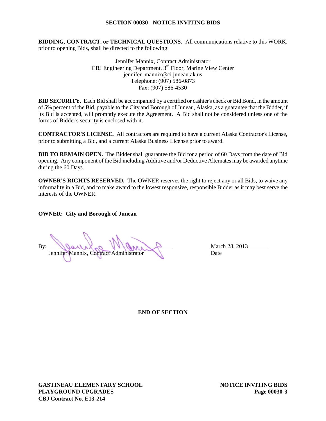#### **SECTION 00030 - NOTICE INVITING BIDS**

**BIDDING, CONTRACT, or TECHNICAL QUESTIONS.** All communications relative to this WORK, prior to opening Bids, shall be directed to the following:

> Jennifer Mannix, Contract Administrator CBJ Engineering Department, 3rd Floor, Marine View Center jennifer\_mannix@ci.juneau.ak.us Telephone: (907) 586-0873 Fax: (907) 586-4530

**BID SECURITY.** Each Bid shall be accompanied by a certified or cashier's check or Bid Bond, in the amount of 5% percent of the Bid, payable to the City and Borough of Juneau, Alaska, as a guarantee that the Bidder, if its Bid is accepted, will promptly execute the Agreement. A Bid shall not be considered unless one of the forms of Bidder's security is enclosed with it.

**CONTRACTOR'S LICENSE.** All contractors are required to have a current Alaska Contractor's License, prior to submitting a Bid, and a current Alaska Business License prior to award.

**BID TO REMAIN OPEN.** The Bidder shall guarantee the Bid for a period of 60 Days from the date of Bid opening. Any component of the Bid including Additive and/or Deductive Alternates may be awarded anytime during the 60 Days.

**OWNER'S RIGHTS RESERVED.** The OWNER reserves the right to reject any or all Bids, to waive any informality in a Bid, and to make award to the lowest responsive, responsible Bidder as it may best serve the interests of the OWNER.

**OWNER: City and Borough of Juneau**

By: Weather WILLIAM P Jennifer Mannix, Contract Administrator Date

**END OF SECTION**

**GASTINEAU ELEMENTARY SCHOOL NOTICE INVITING BIDS PLAYGROUND UPGRADES Page 00030-3 CBJ Contract No. E13-214**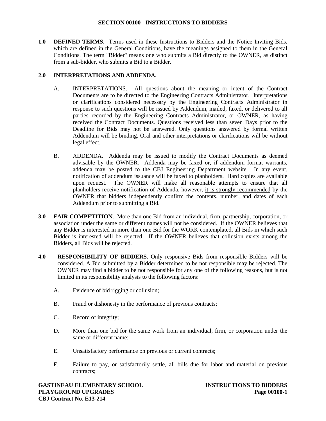**1.0 DEFINED TERMS**. Terms used in these Instructions to Bidders and the Notice Inviting Bids, which are defined in the General Conditions, have the meanings assigned to them in the General Conditions. The term "Bidder" means one who submits a Bid directly to the OWNER, as distinct from a sub-bidder, who submits a Bid to a Bidder.

## **2.0 INTERPRETATIONS AND ADDENDA.**

- A. INTERPRETATIONS. All questions about the meaning or intent of the Contract Documents are to be directed to the Engineering Contracts Administrator. Interpretations or clarifications considered necessary by the Engineering Contracts Administrator in response to such questions will be issued by Addendum, mailed, faxed, or delivered to all parties recorded by the Engineering Contracts Administrator, or OWNER, as having received the Contract Documents. Questions received less than seven Days prior to the Deadline for Bids may not be answered. Only questions answered by formal written Addendum will be binding. Oral and other interpretations or clarifications will be without legal effect.
- B. ADDENDA. Addenda may be issued to modify the Contract Documents as deemed advisable by the OWNER. Addenda may be faxed or, if addendum format warrants, addenda may be posted to the CBJ Engineering Department website. In any event, notification of addendum issuance will be faxed to planholders. Hard copies are available upon request. The OWNER will make all reasonable attempts to ensure that all planholders receive notification of Addenda, however, it is strongly recommended by the OWNER that bidders independently confirm the contents, number, and dates of each Addendum prior to submitting a Bid.
- **3.0 FAIR COMPETITION**. More than one Bid from an individual, firm, partnership, corporation, or association under the same or different names will not be considered. If the OWNER believes that any Bidder is interested in more than one Bid for the WORK contemplated, all Bids in which such Bidder is interested will be rejected. If the OWNER believes that collusion exists among the Bidders, all Bids will be rejected.
- **4.0 RESPONSIBILITY OF BIDDERS.** Only responsive Bids from responsible Bidders will be considered. A Bid submitted by a Bidder determined to be not responsible may be rejected. The OWNER may find a bidder to be not responsible for any one of the following reasons, but is not limited in its responsibility analysis to the following factors:
	- A. Evidence of bid rigging or collusion;
	- B. Fraud or dishonesty in the performance of previous contracts;
	- C. Record of integrity;
	- D. More than one bid for the same work from an individual, firm, or corporation under the same or different name;
	- E. Unsatisfactory performance on previous or current contracts;
	- F. Failure to pay, or satisfactorily settle, all bills due for labor and material on previous contracts;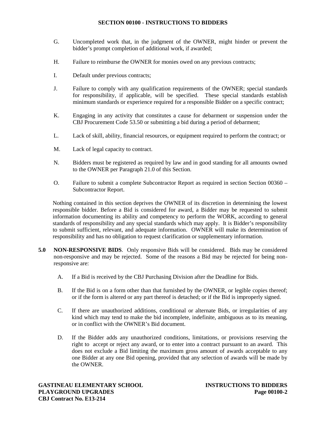- G. Uncompleted work that, in the judgment of the OWNER, might hinder or prevent the bidder's prompt completion of additional work, if awarded;
- H. Failure to reimburse the OWNER for monies owed on any previous contracts;
- I. Default under previous contracts;
- J. Failure to comply with any qualification requirements of the OWNER; special standards for responsibility, if applicable, will be specified. These special standards establish minimum standards or experience required for a responsible Bidder on a specific contract;
- K. Engaging in any activity that constitutes a cause for debarment or suspension under the CBJ Procurement Code 53.50 or submitting a bid during a period of debarment;
- L. Lack of skill, ability, financial resources, or equipment required to perform the contract; or
- M. Lack of legal capacity to contract.
- N. Bidders must be registered as required by law and in good standing for all amounts owned to the OWNER per Paragraph 21.0 of this Section.
- O. Failure to submit a complete Subcontractor Report as required in section Section 00360 Subcontractor Report.

Nothing contained in this section deprives the OWNER of its discretion in determining the lowest responsible bidder. Before a Bid is considered for award, a Bidder may be requested to submit information documenting its ability and competency to perform the WORK, according to general standards of responsibility and any special standards which may apply. It is Bidder's responsibility to submit sufficient, relevant, and adequate information. OWNER will make its determination of responsibility and has no obligation to request clarification or supplementary information.

- **5.0 NON-RESPONSIVE BIDS**. Only responsive Bids will be considered. Bids may be considered non-responsive and may be rejected. Some of the reasons a Bid may be rejected for being nonresponsive are:
	- A. If a Bid is received by the CBJ Purchasing Division after the Deadline for Bids.
	- B. If the Bid is on a form other than that furnished by the OWNER, or legible copies thereof; or if the form is altered or any part thereof is detached; or if the Bid is improperly signed.
	- C. If there are unauthorized additions, conditional or alternate Bids, or irregularities of any kind which may tend to make the bid incomplete, indefinite, ambiguous as to its meaning, or in conflict with the OWNER's Bid document.
	- D. If the Bidder adds any unauthorized conditions, limitations, or provisions reserving the right to accept or reject any award, or to enter into a contract pursuant to an award. This does not exclude a Bid limiting the maximum gross amount of awards acceptable to any one Bidder at any one Bid opening, provided that any selection of awards will be made by the OWNER.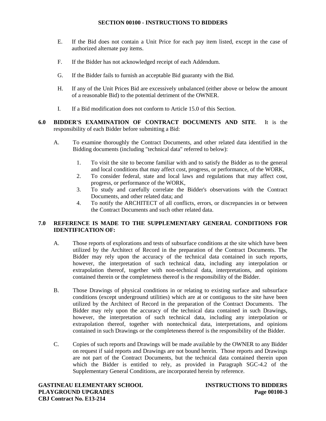- E. If the Bid does not contain a Unit Price for each pay item listed, except in the case of authorized alternate pay items.
- F. If the Bidder has not acknowledged receipt of each Addendum.
- G. If the Bidder fails to furnish an acceptable Bid guaranty with the Bid.
- H. If any of the Unit Prices Bid are excessively unbalanced (either above or below the amount of a reasonable Bid) to the potential detriment of the OWNER.
- I. If a Bid modification does not conform to Article 15.0 of this Section.
- **6.0 BIDDER'S EXAMINATION OF CONTRACT DOCUMENTS AND SITE**. It is the responsibility of each Bidder before submitting a Bid:
	- A. To examine thoroughly the Contract Documents, and other related data identified in the Bidding documents (including "technical data" referred to below):
		- 1. To visit the site to become familiar with and to satisfy the Bidder as to the general and local conditions that may affect cost, progress, or performance, of the WORK,
		- 2. To consider federal, state and local laws and regulations that may affect cost, progress, or performance of the WORK,
		- 3. To study and carefully correlate the Bidder's observations with the Contract Documents, and other related data; and
		- 4. To notify the ARCHITECT of all conflicts, errors, or discrepancies in or between the Contract Documents and such other related data.

## **7.0 REFERENCE IS MADE TO THE SUPPLEMENTARY GENERAL CONDITIONS FOR IDENTIFICATION OF:**

- A. Those reports of explorations and tests of subsurface conditions at the site which have been utilized by the Architect of Record in the preparation of the Contract Documents. The Bidder may rely upon the accuracy of the technical data contained in such reports, however, the interpretation of such technical data, including any interpolation or extrapolation thereof, together with non-technical data, interpretations, and opinions contained therein or the completeness thereof is the responsibility of the Bidder.
- B. Those Drawings of physical conditions in or relating to existing surface and subsurface conditions (except underground utilities) which are at or contiguous to the site have been utilized by the Architect of Record in the preparation of the Contract Documents. The Bidder may rely upon the accuracy of the technical data contained in such Drawings, however, the interpretation of such technical data, including any interpolation or extrapolation thereof, together with nontechnical data, interpretations, and opinions contained in such Drawings or the completeness thereof is the responsibility of the Bidder.
- C. Copies of such reports and Drawings will be made available by the OWNER to any Bidder on request if said reports and Drawings are not bound herein. Those reports and Drawings are not part of the Contract Documents, but the technical data contained therein upon which the Bidder is entitled to rely, as provided in Paragraph SGC-4.2 of the Supplementary General Conditions, are incorporated herein by reference.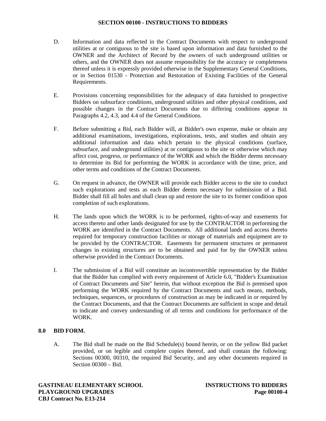- D. Information and data reflected in the Contract Documents with respect to underground utilities at or contiguous to the site is based upon information and data furnished to the OWNER and the Architect of Record by the owners of such underground utilities or others, and the OWNER does not assume responsibility for the accuracy or completeness thereof unless it is expressly provided otherwise in the Supplementary General Conditions, or in Section 01530 - Protection and Restoration of Existing Facilities of the General Requirements.
- E. Provisions concerning responsibilities for the adequacy of data furnished to prospective Bidders on subsurface conditions, underground utilities and other physical conditions, and possible changes in the Contract Documents due to differing conditions appear in Paragraphs 4.2, 4.3, and 4.4 of the General Conditions.
- F. Before submitting a Bid, each Bidder will, at Bidder's own expense, make or obtain any additional examinations, investigations, explorations, tests, and studies and obtain any additional information and data which pertain to the physical conditions (surface, subsurface, and underground utilities) at or contiguous to the site or otherwise which may affect cost, progress, or performance of the WORK and which the Bidder deems necessary to determine its Bid for performing the WORK in accordance with the time, price, and other terms and conditions of the Contract Documents.
- G. On request in advance, the OWNER will provide each Bidder access to the site to conduct such explorations and tests as each Bidder deems necessary for submission of a Bid. Bidder shall fill all holes and shall clean up and restore the site to its former condition upon completion of such explorations.
- H. The lands upon which the WORK is to be performed, rights-of-way and easements for access thereto and other lands designated for use by the CONTRACTOR in performing the WORK are identified in the Contract Documents. All additional lands and access thereto required for temporary construction facilities or storage of materials and equipment are to be provided by the CONTRACTOR. Easements for permanent structures or permanent changes in existing structures are to be obtained and paid for by the OWNER unless otherwise provided in the Contract Documents.
- I. The submission of a Bid will constitute an incontrovertible representation by the Bidder that the Bidder has complied with every requirement of Article 6.0, "Bidder's Examination of Contract Documents and Site" herein, that without exception the Bid is premised upon performing the WORK required by the Contract Documents and such means, methods, techniques, sequences, or procedures of construction as may be indicated in or required by the Contract Documents, and that the Contract Documents are sufficient in scope and detail to indicate and convey understanding of all terms and conditions for performance of the WORK.

#### **8.0 BID FORM.**

A. The Bid shall be made on the Bid Schedule(s) bound herein, or on the yellow Bid packet provided, or on legible and complete copies thereof, and shall contain the following: Sections 00300, 00310, the required Bid Security, and any other documents required in Section 00300 – Bid.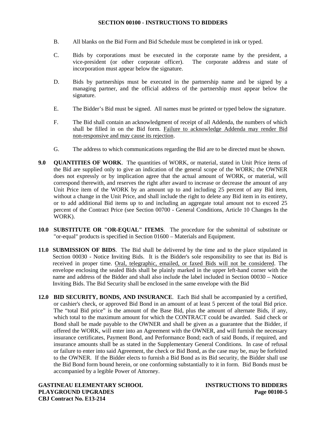- B. All blanks on the Bid Form and Bid Schedule must be completed in ink or typed.
- C. Bids by corporations must be executed in the corporate name by the president, a vice-president (or other corporate officer). The corporate address and state of vice-president (or other corporate officer). incorporation must appear below the signature.
- D. Bids by partnerships must be executed in the partnership name and be signed by a managing partner, and the official address of the partnership must appear below the signature.
- E. The Bidder's Bid must be signed. All names must be printed or typed below the signature.
- F. The Bid shall contain an acknowledgment of receipt of all Addenda, the numbers of which shall be filled in on the Bid form. Failure to acknowledge Addenda may render Bid non-responsive and may cause its rejection.
- G. The address to which communications regarding the Bid are to be directed must be shown.
- **9.0 QUANTITIES OF WORK**. The quantities of WORK, or material, stated in Unit Price items of the Bid are supplied only to give an indication of the general scope of the WORK; the OWNER does not expressly or by implication agree that the actual amount of WORK, or material, will correspond therewith, and reserves the right after award to increase or decrease the amount of any Unit Price item of the WORK by an amount up to and including 25 percent of any Bid item, without a change in the Unit Price, and shall include the right to delete any Bid item in its entirety, or to add additional Bid items up to and including an aggregate total amount not to exceed 25 percent of the Contract Price (see Section 00700 - General Conditions, Article 10 Changes In the WORK).
- **10.0 SUBSTITUTE OR "OR-EQUAL" ITEMS**. The procedure for the submittal of substitute or "or-equal" products is specified in Section 01600 – Materials and Equipment.
- **11.0 SUBMISSION OF BIDS**. The Bid shall be delivered by the time and to the place stipulated in Section 00030 - Notice Inviting Bids. It is the Bidder's sole responsibility to see that its Bid is received in proper time. Oral, telegraphic, emailed, or faxed Bids will not be considered. The envelope enclosing the sealed Bids shall be plainly marked in the upper left-hand corner with the name and address of the Bidder and shall also include the label included in Section 00030 – Notice Inviting Bids. The Bid Security shall be enclosed in the same envelope with the Bid
- **12.0 BID SECURITY, BONDS, AND INSURANCE**. Each Bid shall be accompanied by a certified, or cashier's check, or approved Bid Bond in an amount of at least 5 percent of the total Bid price. The "total Bid price" is the amount of the Base Bid, plus the amount of alternate Bids, if any, which total to the maximum amount for which the CONTRACT could be awarded. Said check or Bond shall be made payable to the OWNER and shall be given as a guarantee that the Bidder, if offered the WORK, will enter into an Agreement with the OWNER, and will furnish the necessary insurance certificates, Payment Bond, and Performance Bond; each of said Bonds, if required, and insurance amounts shall be as stated in the Supplementary General Conditions. In case of refusal or failure to enter into said Agreement, the check or Bid Bond, as the case may be, may be forfeited to the OWNER. If the Bidder elects to furnish a Bid Bond as its Bid security, the Bidder shall use the Bid Bond form bound herein, or one conforming substantially to it in form. Bid Bonds must be accompanied by a legible Power of Attorney.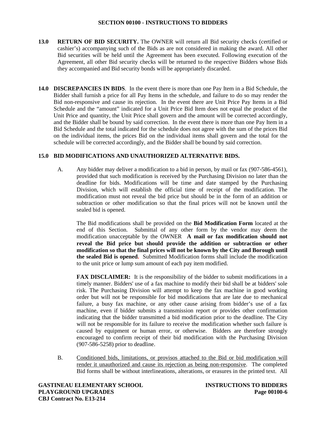- **13.0 RETURN OF BID SECURITY.** The OWNER will return all Bid security checks (certified or cashier's) accompanying such of the Bids as are not considered in making the award. All other Bid securities will be held until the Agreement has been executed. Following execution of the Agreement, all other Bid security checks will be returned to the respective Bidders whose Bids they accompanied and Bid security bonds will be appropriately discarded.
- **14.0 DISCREPANCIES IN BIDS**. In the event there is more than one Pay Item in a Bid Schedule, the Bidder shall furnish a price for all Pay Items in the schedule, and failure to do so may render the Bid non-responsive and cause its rejection. In the event there are Unit Price Pay Items in a Bid Schedule and the "amount" indicated for a Unit Price Bid Item does not equal the product of the Unit Price and quantity, the Unit Price shall govern and the amount will be corrected accordingly, and the Bidder shall be bound by said correction. In the event there is more than one Pay Item in a Bid Schedule and the total indicated for the schedule does not agree with the sum of the prices Bid on the individual items, the prices Bid on the individual items shall govern and the total for the schedule will be corrected accordingly, and the Bidder shall be bound by said correction.

## **15.0 BID MODIFICATIONS AND UNAUTHORIZED ALTERNATIVE BIDS.**

A. Any bidder may deliver a modification to a bid in person, by mail or fax (907-586-4561), provided that such modification is received by the Purchasing Division no later than the deadline for bids. Modifications will be time and date stamped by the Purchasing Division, which will establish the official time of receipt of the modification. The modification must not reveal the bid price but should be in the form of an addition or subtraction or other modification so that the final prices will not be known until the sealed bid is opened.

The Bid modifications shall be provided on the **Bid Modification Form** located at the end of this Section. Submittal of any other form by the vendor may deem the modification unacceptable by the OWNER **A mail or fax modification should not reveal the Bid price but should provide the addition or subtraction or other modification so that the final prices will not be known by the City and Borough until the sealed Bid is opened.** Submitted Modification forms shall include the modification to the unit price or lump sum amount of each pay item modified.

**FAX DISCLAIMER:** It is the responsibility of the bidder to submit modifications in a timely manner. Bidders' use of a fax machine to modify their bid shall be at bidders' sole risk. The Purchasing Division will attempt to keep the fax machine in good working order but will not be responsible for bid modifications that are late due to mechanical failure, a busy fax machine, or any other cause arising from bidder's use of a fax machine, even if bidder submits a transmission report or provides other confirmation indicating that the bidder transmitted a bid modification prior to the deadline. The City will not be responsible for its failure to receive the modification whether such failure is caused by equipment or human error, or otherwise. Bidders are therefore strongly encouraged to confirm receipt of their bid modification with the Purchasing Division (907-586-5258) prior to deadline.

B. Conditioned bids, limitations, or provisos attached to the Bid or bid modification will render it unauthorized and cause its rejection as being non-responsive. The completed Bid forms shall be without interlineations, alterations, or erasures in the printed text. All

**GASTINEAU ELEMENTARY SCHOOL INSTRUCTIONS TO BIDDERS PLAYGROUND UPGRADES Page 00100-6 CBJ Contract No. E13-214**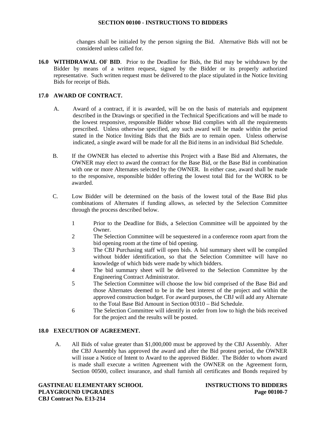changes shall be initialed by the person signing the Bid. Alternative Bids will not be considered unless called for.

**16.0 WITHDRAWAL OF BID**. Prior to the Deadline for Bids, the Bid may be withdrawn by the Bidder by means of a written request, signed by the Bidder or its properly authorized representative. Such written request must be delivered to the place stipulated in the Notice Inviting Bids for receipt of Bids.

## **17.0 AWARD OF CONTRACT.**

- A. Award of a contract, if it is awarded, will be on the basis of materials and equipment described in the Drawings or specified in the Technical Specifications and will be made to the lowest responsive, responsible Bidder whose Bid complies with all the requirements prescribed. Unless otherwise specified, any such award will be made within the period stated in the Notice Inviting Bids that the Bids are to remain open. Unless otherwise indicated, a single award will be made for all the Bid items in an individual Bid Schedule.
- B. If the OWNER has elected to advertise this Project with a Base Bid and Alternates, the OWNER may elect to award the contract for the Base Bid, or the Base Bid in combination with one or more Alternates selected by the OWNER. In either case, award shall be made to the responsive, responsible bidder offering the lowest total Bid for the WORK to be awarded.
- C. Low Bidder will be determined on the basis of the lowest total of the Base Bid plus combinations of Alternates if funding allows, as selected by the Selection Committee through the process described below.
	- 1 Prior to the Deadline for Bids, a Selection Committee will be appointed by the **Owner**
	- 2 The Selection Committee will be sequestered in a conference room apart from the bid opening room at the time of bid opening.
	- 3 The CBJ Purchasing staff will open bids. A bid summary sheet will be compiled without bidder identification, so that the Selection Committee will have no knowledge of which bids were made by which bidders.
	- 4 The bid summary sheet will be delivered to the Selection Committee by the Engineering Contract Administrator.
	- 5 The Selection Committee will choose the low bid comprised of the Base Bid and those Alternates deemed to be in the best interest of the project and within the approved construction budget. For award purposes, the CBJ will add any Alternate to the Total Base Bid Amount in Section 00310 – Bid Schedule.
	- 6 The Selection Committee will identify in order from low to high the bids received for the project and the results will be posted.

## **18.0 EXECUTION OF AGREEMENT.**

A. All Bids of value greater than \$1,000,000 must be approved by the CBJ Assembly. After the CBJ Assembly has approved the award and after the Bid protest period, the OWNER will issue a Notice of Intent to Award to the approved Bidder. The Bidder to whom award is made shall execute a written Agreement with the OWNER on the Agreement form, Section 00500, collect insurance, and shall furnish all certificates and Bonds required by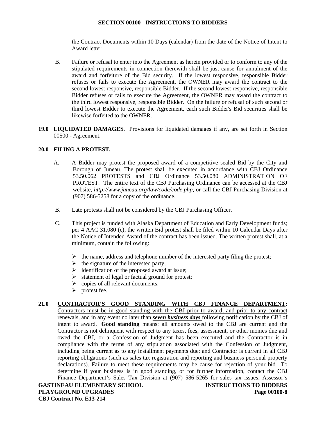the Contract Documents within 10 Days (calendar) from the date of the Notice of Intent to Award letter.

- B. Failure or refusal to enter into the Agreement as herein provided or to conform to any of the stipulated requirements in connection therewith shall be just cause for annulment of the award and forfeiture of the Bid security. If the lowest responsive, responsible Bidder refuses or fails to execute the Agreement, the OWNER may award the contract to the second lowest responsive, responsible Bidder. If the second lowest responsive, responsible Bidder refuses or fails to execute the Agreement, the OWNER may award the contract to the third lowest responsive, responsible Bidder. On the failure or refusal of such second or third lowest Bidder to execute the Agreement, each such Bidder's Bid securities shall be likewise forfeited to the OWNER.
- **19.0 LIQUIDATED DAMAGES**. Provisions for liquidated damages if any, are set forth in Section 00500 - Agreement.

## **20.0 FILING A PROTEST.**

- A. A Bidder may protest the proposed award of a competitive sealed Bid by the City and Borough of Juneau. The protest shall be executed in accordance with CBJ Ordinance 53.50.062 PROTESTS and CBJ Ordinance 53.50.080 ADMINISTRATION OF PROTEST. The entire text of the CBJ Purchasing Ordinance can be accessed at the CBJ website, *http://www.juneau.org/law/code/code.php*, or call the CBJ Purchasing Division at (907) 586-5258 for a copy of the ordinance.
- B. Late protests shall not be considered by the CBJ Purchasing Officer.
- C. This project is funded with Alaska Department of Education and Early Development funds; per 4 AAC 31.080 (c), the written Bid protest shall be filed within 10 Calendar Days after the Notice of Intended Award of the contract has been issued. The written protest shall, at a minimum, contain the following:
	- $\triangleright$  the name, address and telephone number of the interested party filing the protest;
	- $\triangleright$  the signature of the interested party;
	- $\triangleright$  identification of the proposed award at issue;
	- $\triangleright$  statement of legal or factual ground for protest;
	- $\triangleright$  copies of all relevant documents;
	- $\triangleright$  protest fee.

## **21.0 CONTRACTOR'S GOOD STANDING WITH CBJ FINANCE DEPARTMENT:**

Contractors must be in good standing with the CBJ prior to award, and prior to any contract renewals, and in any event no later than *seven business days* following notification by the CBJ of intent to award. **Good standing** means: all amounts owed to the CBJ are current and the Contractor is not delinquent with respect to any taxes, fees, assessment, or other monies due and owed the CBJ, or a Confession of Judgment has been executed and the Contractor is in compliance with the terms of any stipulation associated with the Confession of Judgment, including being current as to any installment payments due; and Contractor is current in all CBJ reporting obligations (such as sales tax registration and reporting and business personal property declarations). Failure to meet these requirements may be cause for rejection of your bid. To determine if your business is in good standing, or for further information, contact the CBJ Finance Department's Sales Tax Division at (907) 586-5265 for sales tax issues, Assessor's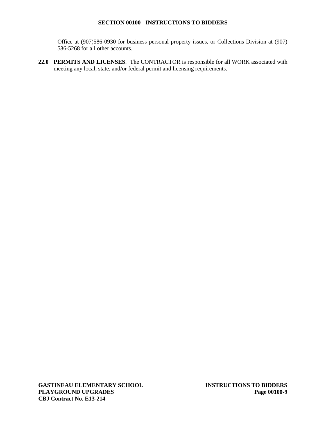Office at (907)586-0930 for business personal property issues, or Collections Division at (907) 586-5268 for all other accounts.

**22.0 PERMITS AND LICENSES**. The CONTRACTOR is responsible for all WORK associated with meeting any local, state, and/or federal permit and licensing requirements.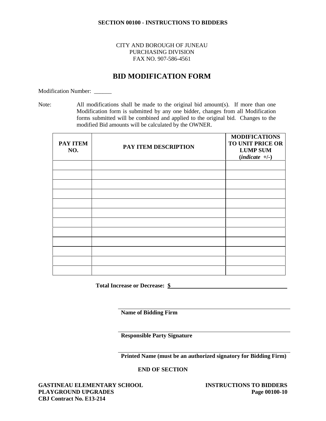## CITY AND BOROUGH OF JUNEAU PURCHASING DIVISION FAX NO. 907-586-4561

# **BID MODIFICATION FORM**

Modification Number:

Note: All modifications shall be made to the original bid amount(s). If more than one Modification form is submitted by any one bidder, changes from all Modification forms submitted will be combined and applied to the original bid. Changes to the modified Bid amounts will be calculated by the OWNER.

| PAY ITEM<br>NO. | PAY ITEM DESCRIPTION | <b>MODIFICATIONS</b><br>TO UNIT PRICE OR<br><b>LUMP SUM</b><br>$(indicte +/-)$ |
|-----------------|----------------------|--------------------------------------------------------------------------------|
|                 |                      |                                                                                |
|                 |                      |                                                                                |
|                 |                      |                                                                                |
|                 |                      |                                                                                |
|                 |                      |                                                                                |
|                 |                      |                                                                                |
|                 |                      |                                                                                |
|                 |                      |                                                                                |
|                 |                      |                                                                                |
|                 |                      |                                                                                |

**Total Increase or Decrease: \$**

**Name of Bidding Firm**

**Responsible Party Signature**

**Printed Name (must be an authorized signatory for Bidding Firm)**

**END OF SECTION**

**GASTINEAU ELEMENTARY SCHOOL INSTRUCTIONS TO BIDDERS PLAYGROUND UPGRADES Page 00100-10 CBJ Contract No. E13-214**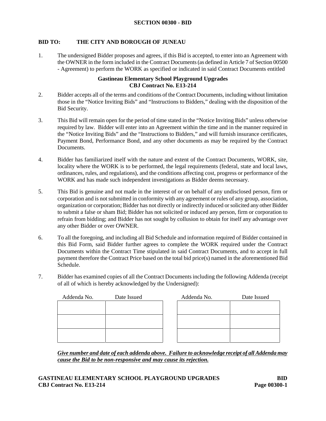#### **BID TO: THE CITY AND BOROUGH OF JUNEAU**

1. The undersigned Bidder proposes and agrees, if this Bid is accepted, to enter into an Agreement with the OWNER in the form included in the Contract Documents (as defined in Article 7 of Section 00500 - Agreement) to perform the WORK as specified or indicated in said Contract Documents entitled

#### **Gastineau Elementary School Playground Upgrades CBJ Contract No. E13-214**

- 2. Bidder accepts all of the terms and conditions of the Contract Documents, including without limitation those in the "Notice Inviting Bids" and "Instructions to Bidders," dealing with the disposition of the Bid Security.
- 3. This Bid will remain open for the period of time stated in the "Notice Inviting Bids" unless otherwise required by law. Bidder will enter into an Agreement within the time and in the manner required in the "Notice Inviting Bids" and the "Instructions to Bidders," and will furnish insurance certificates, Payment Bond, Performance Bond, and any other documents as may be required by the Contract Documents.
- 4. Bidder has familiarized itself with the nature and extent of the Contract Documents, WORK, site, locality where the WORK is to be performed, the legal requirements (federal, state and local laws, ordinances, rules, and regulations), and the conditions affecting cost, progress or performance of the WORK and has made such independent investigations as Bidder deems necessary.
- 5. This Bid is genuine and not made in the interest of or on behalf of any undisclosed person, firm or corporation and is not submitted in conformity with any agreement or rules of any group, association, organization or corporation; Bidder has not directly or indirectly induced or solicited any other Bidder to submit a false or sham Bid; Bidder has not solicited or induced any person, firm or corporation to refrain from bidding; and Bidder has not sought by collusion to obtain for itself any advantage over any other Bidder or over OWNER.
- 6. To all the foregoing, and including all Bid Schedule and information required of Bidder contained in this Bid Form, said Bidder further agrees to complete the WORK required under the Contract Documents within the Contract Time stipulated in said Contract Documents, and to accept in full payment therefore the Contract Price based on the total bid price(s) named in the aforementioned Bid Schedule.
- 7. Bidder has examined copies of all the Contract Documents including the following Addenda (receipt of all of which is hereby acknowledged by the Undersigned):

| Addenda No. | Date Issued | Addenda No. | Date Issued |  |
|-------------|-------------|-------------|-------------|--|
|             |             |             |             |  |
|             |             |             |             |  |
|             |             |             |             |  |
|             |             |             |             |  |
|             |             |             |             |  |
|             |             |             |             |  |

*Give number and date of each addenda above. Failure to acknowledge receipt of all Addenda may cause the Bid to be non-responsive and may cause its rejection.*

## **GASTINEAU ELEMENTARY SCHOOL PLAYGROUND UPGRADES BID CBJ Contract No. E13-214 Page 00300-1**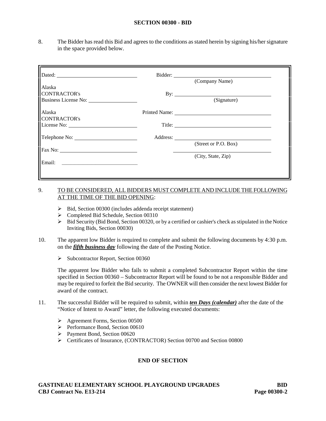#### **SECTION 00300 - BID**

8. The Bidder has read this Bid and agrees to the conditions as stated herein by signing his/her signature in the space provided below.

|                      | (Company Name)       |  |
|----------------------|----------------------|--|
| Alaska               |                      |  |
| <b>CONTRACTOR's</b>  | By: $\qquad \qquad$  |  |
| Business License No: | (Signature)          |  |
| Alaska               |                      |  |
| <b>CONTRACTOR's</b>  |                      |  |
| License No:          | Title:               |  |
|                      |                      |  |
|                      | (Street or P.O. Box) |  |
|                      |                      |  |
|                      | (City, State, Zip)   |  |
| Email:               |                      |  |
|                      |                      |  |
|                      |                      |  |

## 9. TO BE CONSIDERED, ALL BIDDERS MUST COMPLETE AND INCLUDE THE FOLLOWING AT THE TIME OF THE BID OPENING:

- $\triangleright$  Bid, Section 00300 (includes addenda receipt statement)
- Completed Bid Schedule, Section 00310
- Bid Security (Bid Bond, Section 00320, or by a certified or cashier's check as stipulated in the Notice Inviting Bids, Section 00030)
- 10. The apparent low Bidder is required to complete and submit the following documents by 4:30 p.m. on the *fifth business day* following the date of the Posting Notice.
	- $\triangleright$  Subcontractor Report, Section 00360

The apparent low Bidder who fails to submit a completed Subcontractor Report within the time specified in Section 00360 – Subcontractor Report will be found to be not a responsible Bidder and may be required to forfeit the Bid security. The OWNER will then consider the next lowest Bidder for award of the contract.

- 11. The successful Bidder will be required to submit, within *ten Days (calendar)* after the date of the "Notice of Intent to Award" letter, the following executed documents:
	- Agreement Forms, Section 00500
	- $\triangleright$  Performance Bond, Section 00610
	- Payment Bond, Section 00620
	- Certificates of Insurance, (CONTRACTOR) Section 00700 and Section 00800

#### **END OF SECTION**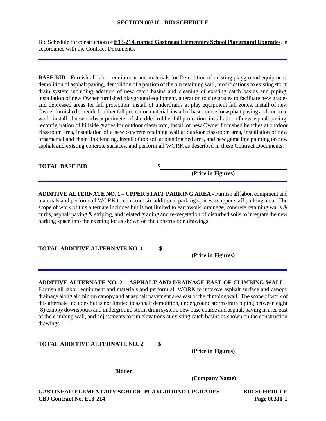#### **SECTION 00310 - BID SCHEDULE**

Bid Schedule for construction of **E13-214, named Gastineau Elementary School Playground Upgrades**, in accordance with the Contract Documents.

**BASE BID** - Furnish all labor, equipment and materials for Demolition of existing playground equipment, demolition of asphalt paving, demolition of a portion of the bin retaining wall, modifications to existing storm drain system including addition of new catch basins and cleaning of existing catch basins and piping, installation of new Owner furnished playground equipment, alteration to site grades to facilitate new grades and depressed areas for fall protection, install of underdrains at play equipment fall zones, install of new Owner furnished shredded rubber fall protection material, install of base course for asphalt paving and concrete work, install of new curbs at perimeter of shredded rubber fall protection, installation of new asphalt paving, reconfiguration of hillside grades for outdoor classroom, install of new Owner furnished benches at outdoor classroom area, installation of a new concrete retaining wall at outdoor classroom area, installation of new ornamental and chain link fencing, install of top soil at planting bed area, and new game line painting on new asphalt and existing concrete surfaces, and perform all WORK as described in these Contract Documents.

**TOTAL BASE BID \$**

**(Price in Figures)**

**ADDITIVE ALTERNATE NO. 1** – **UPPER STAFF PARKING AREA** - Furnish all labor, equipment and materials and perform all WORK to construct six additional parking spaces to upper staff parking area. The scope of work of this alternate includes but is not limited to earthwork, drainage, concrete retaining walls & curbs, asphalt paving & striping, and related grading and re-vegetation of disturbed soils to integrate the new parking space into the existing lot as shown on the construction drawings.

**TOTAL ADDITIVE ALTERNATE NO. 1 \$**

**(Price in Figures)**

**ADDITIVE ALTERNATE NO. 2 – ASPHALT AND DRAINAGE EAST OF CLIMBING WALL -** Furnish all labor, equipment and materials and perform all WORK to improve asphalt surface and canopy drainage along aluminum canopy and at asphalt pavement area east of the climbing wall. The scope of work of this alternate includes but is not limited to asphalt demolition, underground storm drain piping between eight (8) canopy downspouts and underground storm drain system, new base course and asphalt paving in area east of the climbing wall, and adjustments to rim elevations at existing catch basins as shown on the construction drawings.

**TOTAL ADDITIVE ALTERNATE NO. 2 \$**

**(Price in Figures)**

**Bidder:**

**(Company Name)**

**GASTINEAU ELEMENTARY SCHOOL PLAYGROUND UPGRADES BID SCHEDULE CBJ Contract No. E13-214 Page 00310-1**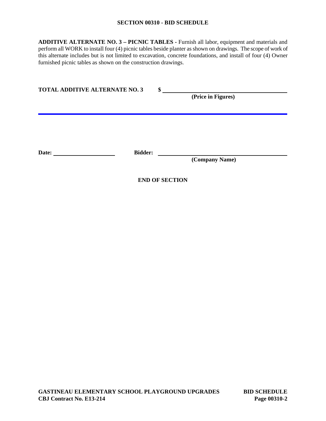#### **SECTION 00310 - BID SCHEDULE**

**ADDITIVE ALTERNATE NO. 3 – PICNIC TABLES -** Furnish all labor, equipment and materials and perform all WORK to install four (4) picnic tables beside planter as shown on drawings. The scope of work of this alternate includes but is not limited to excavation, concrete foundations, and install of four (4) Owner furnished picnic tables as shown on the construction drawings.

| <b>TOTAL ADDITIVE ALTERNATE NO. 3</b> |                | \$<br>(Price in Figures) |  |
|---------------------------------------|----------------|--------------------------|--|
| Date:                                 | <b>Bidder:</b> | (Company Name)           |  |
|                                       |                | <b>END OF SECTION</b>    |  |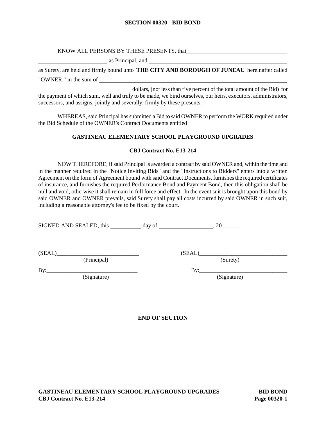#### **SECTION 00320 - BID BOND**

#### KNOW ALL PERSONS BY THESE PRESENTS, that

as Principal, and

as Surety, are held and firmly bound unto **THE CITY AND BOROUGH OF JUNEAU** hereinafter called "OWNER," in the sum of

dollars, (not less than five percent of the total amount of the Bid) for the payment of which sum, well and truly to be made, we bind ourselves, our heirs, executors, administrators, successors, and assigns, jointly and severally, firmly by these presents.

WHEREAS, said Principal has submitted a Bid to said OWNER to perform the WORK required under the Bid Schedule of the OWNER's Contract Documents entitled

#### **GASTINEAU ELEMENTARY SCHOOL PLAYGROUND UPGRADES**

## **CBJ Contract No. E13-214**

NOW THEREFORE, if said Principal is awarded a contract by said OWNER and, within the time and in the manner required in the "Notice Inviting Bids" and the "Instructions to Bidders" enters into a written Agreement on the form of Agreement bound with said Contract Documents, furnishes the required certificates of insurance, and furnishes the required Performance Bond and Payment Bond, then this obligation shall be null and void, otherwise it shall remain in full force and effect. In the event suit is brought upon this bond by said OWNER and OWNER prevails, said Surety shall pay all costs incurred by said OWNER in such suit, including a reasonable attorney's fee to be fixed by the court.

SIGNED AND SEALED, this day of , 20\_\_\_\_\_\_.

(SEAL)\_\_\_\_\_\_\_\_\_\_\_\_\_\_\_\_\_\_\_\_\_\_\_\_\_\_\_\_ (SEAL)\_\_\_\_\_\_\_\_\_\_\_\_\_\_\_\_\_\_\_\_\_\_\_\_\_\_\_\_\_\_

(Principal) (Surety)

(Signature) (Signature)

By:\_\_\_\_\_\_\_\_\_\_\_\_\_\_\_\_\_\_\_\_\_\_\_\_\_\_\_\_\_\_\_ By:\_\_\_\_\_\_\_\_\_\_\_\_\_\_\_\_\_\_\_\_\_\_\_\_\_\_\_\_\_\_

**END OF SECTION**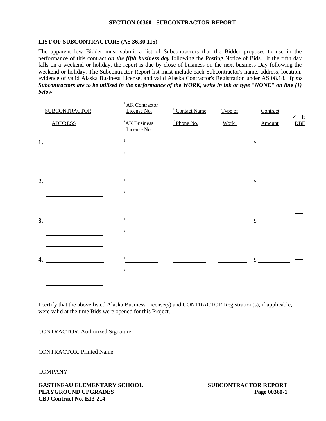#### **SECTION 00360 - SUBCONTRACTOR REPORT**

#### **LIST OF SUBCONTRACTORS (AS 36.30.115)**

The apparent low Bidder must submit a list of Subcontractors that the Bidder proposes to use in the performance of this contract *on the fifth business day* following the Posting Notice of Bids. If the fifth day falls on a weekend or holiday, the report is due by close of business on the next business Day following the weekend or holiday. The Subcontractor Report list must include each Subcontractor's name, address, location, evidence of valid Alaska Business License, and valid Alaska Contractor's Registration under AS 08.18. *If no Subcontractors are to be utilized in the performance of the WORK, write in ink or type "NONE" on line (1) below*

| <b>SUBCONTRACTOR</b> | <sup>1</sup> AK Contractor<br>License No. | $\frac{1}{2}$ Contact Name                        | Type of                                                             | Contract                    | $\checkmark$ if |
|----------------------|-------------------------------------------|---------------------------------------------------|---------------------------------------------------------------------|-----------------------------|-----------------|
| <b>ADDRESS</b>       | ${}^{2}AK$ Business<br>License No.        | $\frac{2 \text{ Phone No.}}{2 \text{$             | Work                                                                | Amount                      | <b>DBE</b>      |
| 1. $\qquad \qquad$   | 1                                         |                                                   | $\frac{1}{2}$ and $\frac{1}{2}$ and $\frac{1}{2}$ and $\frac{1}{2}$ | $\frac{\text{S}}{\text{S}}$ |                 |
|                      | 2 $\qquad \qquad \qquad$                  |                                                   |                                                                     |                             |                 |
| 2. $\qquad \qquad$   | $\mathbf{1}$                              |                                                   |                                                                     | $\mathbb{S}$                |                 |
|                      | and the company of the company            |                                                   |                                                                     |                             |                 |
|                      |                                           |                                                   |                                                                     |                             |                 |
| 3.                   | $\mathbf{1}$                              | <u> 1989 - John Stone, amerikansk politiker (</u> |                                                                     | $\mathbb{S}$                |                 |
|                      | $\mathfrak{D}$                            |                                                   |                                                                     |                             |                 |
|                      | $\mathbf{1}$                              |                                                   |                                                                     |                             |                 |
| 4.                   | $\mathcal{D}$                             |                                                   |                                                                     | $\mathbb{S}$                |                 |
|                      |                                           |                                                   |                                                                     |                             |                 |

I certify that the above listed Alaska Business License(s) and CONTRACTOR Registration(s), if applicable, were valid at the time Bids were opened for this Project.

CONTRACTOR, Authorized Signature

CONTRACTOR, Printed Name

COMPANY

**GASTINEAU ELEMENTARY SCHOOL SUBCONTRACTOR REPORT PLAYGROUND UPGRADES Page 00360-1 CBJ Contract No. E13-214**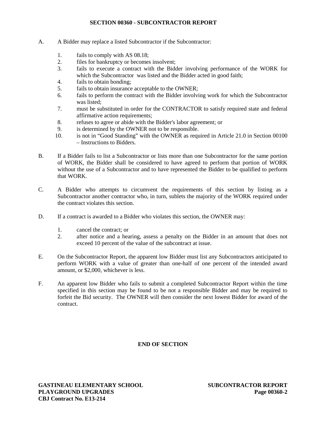#### **SECTION 00360 - SUBCONTRACTOR REPORT**

- A. A Bidder may replace a listed Subcontractor if the Subcontractor:
	- 1. fails to comply with AS 08.18;
	- 2. files for bankruptcy or becomes insolvent;
	- 3. fails to execute a contract with the Bidder involving performance of the WORK for which the Subcontractor was listed and the Bidder acted in good faith;
	- 4. fails to obtain bonding;
	- 5. fails to obtain insurance acceptable to the OWNER;
	- 6. fails to perform the contract with the Bidder involving work for which the Subcontractor was listed;
	- 7. must be substituted in order for the CONTRACTOR to satisfy required state and federal affirmative action requirements;
	- 8. refuses to agree or abide with the Bidder's labor agreement; or
	- 9. is determined by the OWNER not to be responsible.
	- 10. is not in "Good Standing" with the OWNER as required in Article 21.0 in Section 00100 – Instructions to Bidders.
- B. If a Bidder fails to list a Subcontractor or lists more than one Subcontractor for the same portion of WORK, the Bidder shall be considered to have agreed to perform that portion of WORK without the use of a Subcontractor and to have represented the Bidder to be qualified to perform that WORK.
- C. A Bidder who attempts to circumvent the requirements of this section by listing as a Subcontractor another contractor who, in turn, sublets the majority of the WORK required under the contract violates this section.
- D. If a contract is awarded to a Bidder who violates this section, the OWNER may:
	- 1. cancel the contract; or
	- 2. after notice and a hearing, assess a penalty on the Bidder in an amount that does not exceed 10 percent of the value of the subcontract at issue.
- E. On the Subcontractor Report, the apparent low Bidder must list any Subcontractors anticipated to perform WORK with a value of greater than one-half of one percent of the intended award amount, or \$2,000, whichever is less.
- F. An apparent low Bidder who fails to submit a completed Subcontractor Report within the time specified in this section may be found to be not a responsible Bidder and may be required to forfeit the Bid security. The OWNER will then consider the next lowest Bidder for award of the contract.

## **END OF SECTION**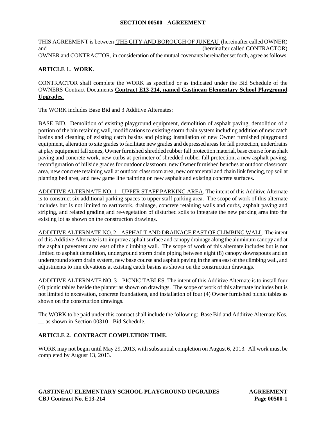THIS AGREEMENT is between THE CITY AND BOROUGH OF JUNEAU (hereinafter called OWNER) and (hereinafter called CONTRACTOR) OWNER and CONTRACTOR, in consideration of the mutual covenants hereinafter set forth, agree as follows:

## **ARTICLE 1. WORK**.

CONTRACTOR shall complete the WORK as specified or as indicated under the Bid Schedule of the OWNERS Contract Documents **Contract E13-214, named Gastineau Elementary School Playground Upgrades.**

The WORK includes Base Bid and 3 Additive Alternates:

BASE BID. Demolition of existing playground equipment, demolition of asphalt paving, demolition of a portion of the bin retaining wall, modifications to existing storm drain system including addition of new catch basins and cleaning of existing catch basins and piping; installation of new Owner furnished playground equipment, alteration to site grades to facilitate new grades and depressed areas for fall protection, underdrains at play equipment fall zones, Owner furnished shredded rubber fall protection material, base course for asphalt paving and concrete work, new curbs at perimeter of shredded rubber fall protection, a new asphalt paving, reconfiguration of hillside grades for outdoor classroom, new Owner furnished benches at outdoor classroom area, new concrete retaining wall at outdoor classroom area, new ornamental and chain link fencing, top soil at planting bed area, and new game line painting on new asphalt and existing concrete surfaces.

ADDITIVE ALTERNATE NO. 1 – UPPER STAFF PARKING AREA. The intent of this Additive Alternate is to construct six additional parking spaces to upper staff parking area. The scope of work of this alternate includes but is not limited to earthwork, drainage, concrete retaining walls and curbs, asphalt paving and striping, and related grading and re-vegetation of disturbed soils to integrate the new parking area into the existing lot as shown on the construction drawings.

ADDITIVE ALTERNATE NO. 2 – ASPHALT AND DRAINAGE EAST OF CLIMBING WALL. The intent of this Additive Alternate is to improve asphalt surface and canopy drainage along the aluminum canopy and at the asphalt pavement area east of the climbing wall. The scope of work of this alternate includes but is not limited to asphalt demolition, underground storm drain piping between eight (8) canopy downspouts and an underground storm drain system, new base course and asphalt paving in the area east of the climbing wall, and adjustments to rim elevations at existing catch basins as shown on the construction drawings.

ADDITIVE ALTERNATE NO. 3 – PICNIC TABLES. The intent of this Additive Alternate is to install four (4) picnic tables beside the planter as shown on drawings. The scope of work of this alternate includes but is not limited to excavation, concrete foundations, and installation of four (4) Owner furnished picnic tables as shown on the construction drawings.

The WORK to be paid under this contract shall include the following: Base Bid and Additive Alternate Nos. \_\_ as shown in Section 00310 - Bid Schedule.

## **ARTICLE 2. CONTRACT COMPLETION TIME**.

WORK may not begin until May 29, 2013, with substantial completion on August 6, 2013. All work must be completed by August 13, 2013.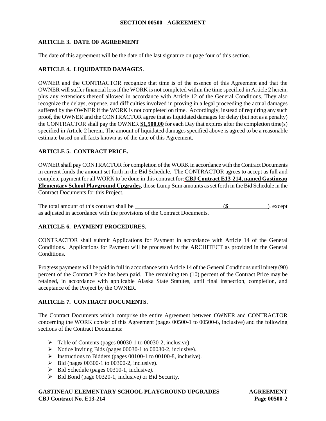## **ARTICLE 3. DATE OF AGREEMENT**

The date of this agreement will be the date of the last signature on page four of this section.

## **ARTICLE 4. LIQUIDATED DAMAGES**.

OWNER and the CONTRACTOR recognize that time is of the essence of this Agreement and that the OWNER will suffer financial loss if the WORK is not completed within the time specified in Article 2 herein, plus any extensions thereof allowed in accordance with Article 12 of the General Conditions. They also recognize the delays, expense, and difficulties involved in proving in a legal proceeding the actual damages suffered by the OWNER if the WORK is not completed on time. Accordingly, instead of requiring any such proof, the OWNER and the CONTRACTOR agree that as liquidated damages for delay (but not as a penalty) the CONTRACTOR shall pay the OWNER **\$1,500.00** for each Day that expires after the completion time(s) specified in Article 2 herein. The amount of liquidated damages specified above is agreed to be a reasonable estimate based on all facts known as of the date of this Agreement.

## **ARTICLE 5. CONTRACT PRICE.**

OWNER shall pay CONTRACTOR for completion of the WORK in accordance with the Contract Documents in current funds the amount set forth in the Bid Schedule. The CONTRACTOR agrees to accept as full and complete payment for all WORK to be done in this contract for: **CBJ Contract E13-214, named Gastineau Elementary School Playground Upgrades,** those Lump Sum amounts as set forth in the Bid Schedule in the Contract Documents for this Project.

The total amount of this contract shall be (\$ ), except as adjusted in accordance with the provisions of the Contract Documents.

## **ARTICLE 6. PAYMENT PROCEDURES.**

CONTRACTOR shall submit Applications for Payment in accordance with Article 14 of the General Conditions. Applications for Payment will be processed by the ARCHITECT as provided in the General Conditions.

Progress payments will be paid in full in accordance with Article 14 of the General Conditions until ninety (90) percent of the Contract Price has been paid. The remaining ten (10) percent of the Contract Price may be retained, in accordance with applicable Alaska State Statutes, until final inspection, completion, and acceptance of the Project by the OWNER.

## **ARTICLE 7. CONTRACT DOCUMENTS.**

The Contract Documents which comprise the entire Agreement between OWNER and CONTRACTOR concerning the WORK consist of this Agreement (pages 00500-1 to 00500-6, inclusive) and the following sections of the Contract Documents:

- Table of Contents (pages 00030-1 to 00030-2, inclusive).
- Notice Inviting Bids (pages 00030-1 to 00030-2, inclusive).
- $\triangleright$  Instructions to Bidders (pages 00100-1 to 00100-8, inclusive).
- $\triangleright$  Bid (pages 00300-1 to 00300-2, inclusive).
- $\triangleright$  Bid Schedule (pages 00310-1, inclusive).
- $\triangleright$  Bid Bond (page 00320-1, inclusive) or Bid Security.

## **GASTINEAU ELEMENTARY SCHOOL PLAYGROUND UPGRADES AGREEMENT CBJ Contract No. E13-214 Page 00500-2**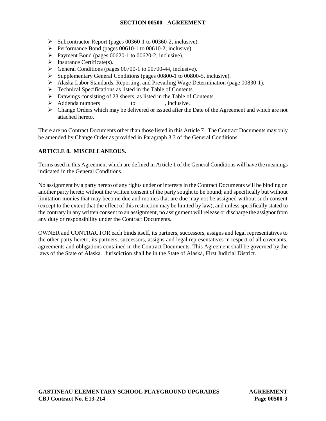- $\triangleright$  Subcontractor Report (pages 00360-1 to 00360-2, inclusive).
- $\triangleright$  Performance Bond (pages 00610-1 to 00610-2, inclusive).
- Payment Bond (pages  $00620-1$  to  $00620-2$ , inclusive).
- $\triangleright$  Insurance Certificate(s).
- $\triangleright$  General Conditions (pages 00700-1 to 00700-44, inclusive).
- Supplementary General Conditions (pages 00800-1 to 00800-5, inclusive).
- Alaska Labor Standards, Reporting, and Prevailing Wage Determination (page 00830-1).
- > Technical Specifications as listed in the Table of Contents.
- > Drawings consisting of 23 sheets, as listed in the Table of Contents.
- > Addenda numbers to , inclusive.
- $\triangleright$  Change Orders which may be delivered or issued after the Date of the Agreement and which are not attached hereto.

There are no Contract Documents other than those listed in this Article 7. The Contract Documents may only be amended by Change Order as provided in Paragraph 3.3 of the General Conditions.

## **ARTICLE 8. MISCELLANEOUS.**

Terms used in this Agreement which are defined in Article 1 of the General Conditions will have the meanings indicated in the General Conditions.

No assignment by a party hereto of any rights under or interests in the Contract Documents will be binding on another party hereto without the written consent of the party sought to be bound; and specifically but without limitation monies that may become due and monies that are due may not be assigned without such consent (except to the extent that the effect of this restriction may be limited by law), and unless specifically stated to the contrary in any written consent to an assignment, no assignment will release or discharge the assignor from any duty or responsibility under the Contract Documents.

OWNER and CONTRACTOR each binds itself, its partners, successors, assigns and legal representatives to the other party hereto, its partners, successors, assigns and legal representatives in respect of all covenants, agreements and obligations contained in the Contract Documents. This Agreement shall be governed by the laws of the State of Alaska. Jurisdiction shall be in the State of Alaska, First Judicial District.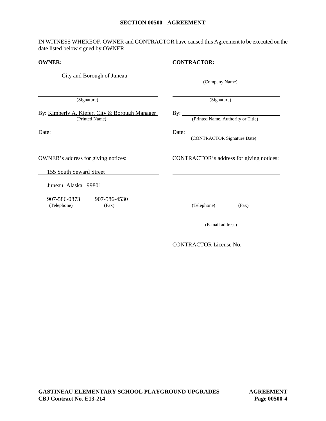IN WITNESS WHEREOF, OWNER and CONTRACTOR have caused this Agreement to be executed on the date listed below signed by OWNER.

| <b>OWNER:</b>                                                          | <b>CONTRACTOR:</b>                             |
|------------------------------------------------------------------------|------------------------------------------------|
| City and Borough of Juneau                                             | (Company Name)                                 |
| (Signature)                                                            | (Signature)                                    |
| By: Kimberly A. Kiefer, City & Borough Manager<br>(Printed Name)       | By: <u>(Printed Name</u> , Authority or Title) |
|                                                                        | Date: (CONTRACTOR Signature Date)              |
| OWNER's address for giving notices:                                    | CONTRACTOR's address for giving notices:       |
| 155 South Seward Street<br><u> 1986 - Johann Barnett, fransk konge</u> |                                                |
| Juneau, Alaska 99801                                                   |                                                |
| 907-586-0873 907-586-4530                                              |                                                |
| (Telephone)<br>(Fax)                                                   | (Telephone)<br>(Fax)                           |
|                                                                        | (E-mail address)                               |

CONTRACTOR License No.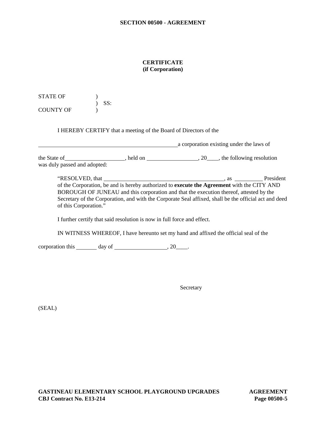## **CERTIFICATE (if Corporation)**

STATE OF  $\qquad$  ) ) SS: COUNTY OF )

I HEREBY CERTIFY that a meeting of the Board of Directors of the

a corporation existing under the laws of the State of , held on , held on , 20 , the following resolution was duly passed and adopted:

"RESOLVED, that https://www.facebook.com/en/community/en/community/en/community/en/community/en/community/en/community/en/community/en/community/en/community/en/community/en/community/en/community/en/community/en/community of the Corporation, be and is hereby authorized to **execute the Agreement** with the CITY AND BOROUGH OF JUNEAU and this corporation and that the execution thereof, attested by the Secretary of the Corporation, and with the Corporate Seal affixed, shall be the official act and deed of this Corporation."

I further certify that said resolution is now in full force and effect.

IN WITNESS WHEREOF, I have hereunto set my hand and affixed the official seal of the

corporation this  $\_\_\_\_\$  day of  $\_\_\_\_\_\_\$ , 20 $\_\_\_\_\$ .

Secretary

(SEAL)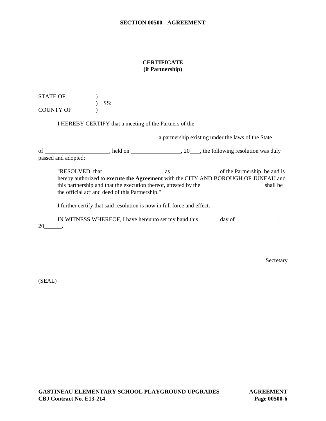#### **CERTIFICATE (if Partnership)**

STATE OF  $\qquad$  ) ) SS: COUNTY OF (1)

I HEREBY CERTIFY that a meeting of the Partners of the

**a** partnership existing under the laws of the State of \_\_\_\_\_\_\_\_\_\_\_\_\_\_\_\_\_, held on \_\_\_\_\_\_\_\_\_\_\_\_\_\_, 20\_\_\_, the following resolution was duly passed and adopted:

"RESOLVED, that , as of the Partnership, be and is hereby authorized to **execute the Agreement** with the CITY AND BOROUGH OF JUNEAU and this partnership and that the execution thereof, attested by the shall be the official act and deed of this Partnership."

I further certify that said resolution is now in full force and effect.

IN WITNESS WHEREOF, I have hereunto set my hand this \_\_\_\_\_\_, day of \_\_\_\_\_\_\_\_\_\_\_\_,

20\_\_\_\_\_\_.

Secretary

(SEAL)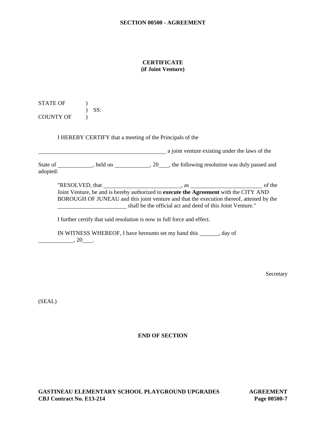#### **CERTIFICATE (if Joint Venture)**

STATE OF ) ) SS: COUNTY OF  $\qquad$  )

I HEREBY CERTIFY that a meeting of the Principals of the

**a** joint venture existing under the laws of the State of \_\_\_\_\_\_\_\_\_\_\_, held on \_\_\_\_\_\_\_\_\_\_\_\_, 20\_\_\_\_, the following resolution was duly passed and adopted:

"RESOLVED, that , as of the Joint Venture, be and is hereby authorized to **execute the Agreement** with the CITY AND BOROUGH OF JUNEAU and this joint venture and that the execution thereof, attested by the shall be the official act and deed of this Joint Venture."

I further certify that said resolution is now in full force and effect.

IN WITNESS WHEREOF, I have hereunto set my hand this , day of  $\overline{\phantom{a}}$ , 20

Secretary

(SEAL)

## **END OF SECTION**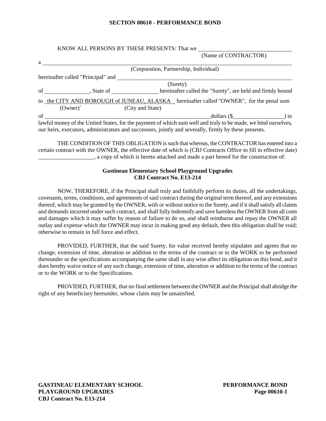#### **SECTION 00610 - PERFORMANCE BOND**

#### KNOW ALL PERSONS BY THESE PRESENTS: That we (Name of CONTRACTOR)

|                     |                                    |                  | (Corporation, Partnership, Individual)                                                                                                                                                                                                                                                                                                    |  |
|---------------------|------------------------------------|------------------|-------------------------------------------------------------------------------------------------------------------------------------------------------------------------------------------------------------------------------------------------------------------------------------------------------------------------------------------|--|
|                     | hereinafter called "Principal" and |                  |                                                                                                                                                                                                                                                                                                                                           |  |
|                     |                                    |                  | (Surety)                                                                                                                                                                                                                                                                                                                                  |  |
|                     | of State of                        |                  | hereinafter called the "Surety", are held and firmly bound                                                                                                                                                                                                                                                                                |  |
|                     |                                    |                  | to the CITY AND BOROUGH of JUNEAU, ALASKA hereinafter called "OWNER", for the penal sum                                                                                                                                                                                                                                                   |  |
| $(Owner)^{\hat{ }}$ |                                    | (City and State) |                                                                                                                                                                                                                                                                                                                                           |  |
| of                  |                                    |                  | dollars $(\$ $\qquad \qquad$ $\qquad$ $\qquad$ $\qquad$ $\qquad$ $\qquad$ $\qquad$ $\qquad$ $\qquad$ $\qquad$ $\qquad$ $\qquad$ $\qquad$ $\qquad$ $\qquad$ $\qquad$ $\qquad$ $\qquad$ $\qquad$ $\qquad$ $\qquad$ $\qquad$ $\qquad$ $\qquad$ $\qquad$ $\qquad$ $\qquad$ $\qquad$ $\qquad$ $\qquad$ $\qquad$ $\qquad$ $\qquad$ $\qquad$ $\$ |  |

THE CONDITION OF THIS OBLIGATION is such that whereas, the CONTRACTOR has entered into a certain contract with the OWNER, the effective date of which is (CBJ Contracts Office to fill in effective date) \_\_\_\_\_\_\_\_\_\_\_\_\_\_\_\_\_\_\_, a copy of which is hereto attached and made a part hereof for the construction of:

#### **Gastineau Elementary School Playground Upgrades CBJ Contract No. E13-214**

NOW, THEREFORE, if the Principal shall truly and faithfully perform its duties, all the undertakings, covenants, terms, conditions, and agreements of said contract during the original term thereof, and any extensions thereof, which may be granted by the OWNER, with or without notice to the Surety, and if it shall satisfy all claims and demands incurred under such contract, and shall fully indemnify and save harmless the OWNER from all costs and damages which it may suffer by reason of failure to do so, and shall reimburse and repay the OWNER all outlay and expense which the OWNER may incur in making good any default, then this obligation shall be void; otherwise to remain in full force and effect.

PROVIDED, FURTHER, that the said Surety, for value received hereby stipulates and agrees that no change, extension of time, alteration or addition to the terms of the contract or to the WORK to be performed thereunder or the specifications accompanying the same shall in any wise affect its obligation on this bond, and it does hereby waive notice of any such change, extension of time, alteration or addition to the terms of the contract or to the WORK or to the Specifications.

PROVIDED, FURTHER, that no final settlement between the OWNER and the Principal shall abridge the right of any beneficiary hereunder, whose claim may be unsatisfied.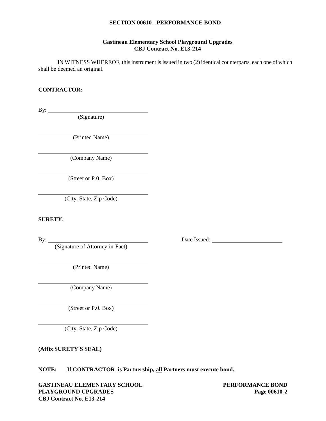#### **SECTION 00610 - PERFORMANCE BOND**

#### **Gastineau Elementary School Playground Upgrades CBJ Contract No. E13-214**

IN WITNESS WHEREOF, this instrument is issued in two (2) identical counterparts, each one of which shall be deemed an original.

#### **CONTRACTOR:**

By:  $\qquad \qquad$ 

(Signature)

(Printed Name)

(Company Name)

(Street or P.0. Box)

(City, State, Zip Code)

**SURETY:**

(Signature of Attorney-in-Fact)

(Printed Name)

(Company Name)

(Street or P.0. Box)

(City, State, Zip Code)

**(Affix SURETY'S SEAL)**

**NOTE: If CONTRACTOR is Partnership, all Partners must execute bond.**

**GASTINEAU ELEMENTARY SCHOOL PERFORMANCE BOND PLAYGROUND UPGRADES Page 00610-2 CBJ Contract No. E13-214**

By: <u>Date Issued:</u>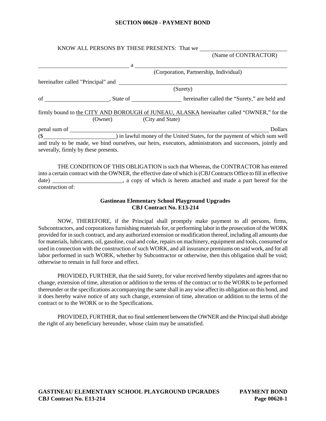#### **SECTION 00620 - PAYMENT BOND**

|                          | (Name of CONTRACTOR)                                                                                                                                                                                                                                                                             |
|--------------------------|--------------------------------------------------------------------------------------------------------------------------------------------------------------------------------------------------------------------------------------------------------------------------------------------------|
|                          | $\mathbf{a}$ and $\mathbf{a}$ and $\mathbf{a}$ and $\mathbf{a}$ and $\mathbf{a}$ and $\mathbf{a}$ and $\mathbf{a}$ and $\mathbf{a}$ and $\mathbf{a}$ and $\mathbf{a}$ and $\mathbf{a}$ and $\mathbf{a}$ and $\mathbf{a}$ and $\mathbf{a}$ and $\mathbf{a}$ and $\mathbf{a}$ and $\mathbf{a}$ and |
|                          | (Corporation, Partnership, Individual)                                                                                                                                                                                                                                                           |
|                          |                                                                                                                                                                                                                                                                                                  |
|                          | (Surety)                                                                                                                                                                                                                                                                                         |
|                          |                                                                                                                                                                                                                                                                                                  |
|                          |                                                                                                                                                                                                                                                                                                  |
| (Owner) (City and State) | firmly bound to the CITY AND BOROUGH of JUNEAU, ALASKA hereinafter called "OWNER," for the                                                                                                                                                                                                       |
|                          | <b>Dollars</b>                                                                                                                                                                                                                                                                                   |
|                          |                                                                                                                                                                                                                                                                                                  |

into a certain contract with the OWNER, the effective date of which is (CBJContracts Office to fill in effective date) \_\_\_\_\_\_\_\_\_\_\_\_\_\_\_\_\_\_\_\_\_\_\_\_, a copy of which is hereto attached and made a part hereof for the construction of:

#### **Gastineau Elementary School Playground Upgrades CBJ Contract No. E13-214**

NOW, THEREFORE, if the Principal shall promptly make payment to all persons, firms, Subcontractors, and corporations furnishing materials for, or performing labor in the prosecution of the WORK provided for in such contract, and any authorized extension or modification thereof, including all amounts due for materials, lubricants, oil, gasoline, coal and coke, repairs on machinery, equipment and tools, consumed or used in connection with the construction of such WORK, and all insurance premiums on said work, and for all labor performed in such WORK, whether by Subcontractor or otherwise, then this obligation shall be void; otherwise to remain in full force and effect.

PROVIDED, FURTHER, that the said Surety, for value received hereby stipulates and agrees that no change, extension of time, alteration or addition to the terms of the contract or to the WORK to be performed thereunder or the specifications accompanying the same shall in any wise affect its obligation on this bond, and it does hereby waive notice of any such change, extension of time, alteration or addition to the terms of the contract or to the WORK or to the Specifications.

PROVIDED, FURTHER, that no final settlement between the OWNER and the Principal shall abridge the right of any beneficiary hereunder, whose claim may be unsatisfied.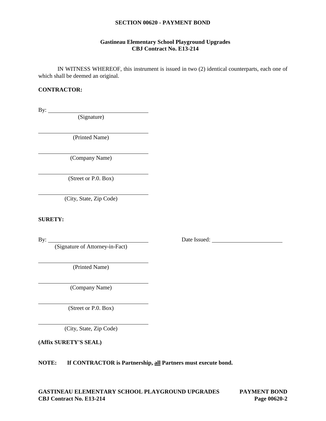#### **SECTION 00620 - PAYMENT BOND**

#### **Gastineau Elementary School Playground Upgrades CBJ Contract No. E13-214**

IN WITNESS WHEREOF, this instrument is issued in two (2) identical counterparts, each one of which shall be deemed an original.

#### **CONTRACTOR:**

By:  $\qquad \qquad$ 

(Signature)

(Printed Name)

(Company Name)

(Street or P.0. Box)

(City, State, Zip Code)

**SURETY:**

By: <u>Date Issued:</u> Date Issued: (Signature of Attorney-in-Fact)

(Printed Name)

(Company Name)

(Street or P.0. Box)

(City, State, Zip Code)

**(Affix SURETY'S SEAL)**

**NOTE: If CONTRACTOR is Partnership, all Partners must execute bond.**

**GASTINEAU ELEMENTARY SCHOOL PLAYGROUND UPGRADES PAYMENT BOND CBJ Contract No. E13-214 Page 00620-2**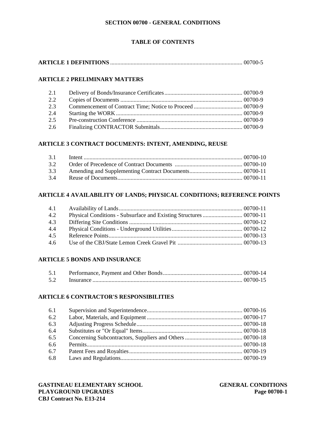#### **SECTION 00700 - GENERAL CONDITIONS**

## **TABLE OF CONTENTS**

## **ARTICLE 2 PRELIMINARY MATTERS**

| 2.1 |  |
|-----|--|
| 2.2 |  |
| 2.3 |  |
| 2.4 |  |
| 2.5 |  |
| 2.6 |  |

## **ARTICLE 3 CONTRACT DOCUMENTS: INTENT, AMENDING, REUSE**

| 3.1 |  |
|-----|--|
| 3.2 |  |
| 3.3 |  |
| 34  |  |

#### **ARTICLE 4 AVAILABILITY OF LANDS; PHYSICAL CONDITIONS; REFERENCE POINTS**

| 4.1           |  |
|---------------|--|
| 4.2           |  |
| 4.3           |  |
| 4.4           |  |
| 4.5           |  |
| $4.6^{\circ}$ |  |

#### **ARTICLE 5 BONDS AND INSURANCE**

| 5.2 |  |
|-----|--|

#### **ARTICLE 6 CONTRACTOR'S RESPONSIBILITIES**

| 6.1 |  |
|-----|--|
| 6.2 |  |
| 6.3 |  |
| 6.4 |  |
| 6.5 |  |
| 6.6 |  |
| 6.7 |  |
| 6.8 |  |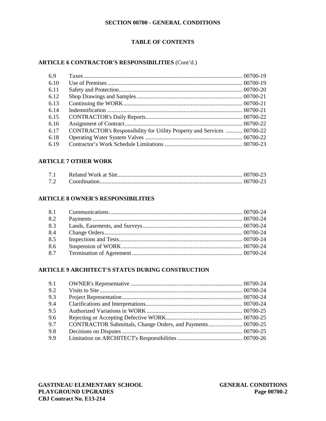#### **SECTION 00700 - GENERAL CONDITIONS**

## **TABLE OF CONTENTS**

## **ARTICLE 6 CONTRACTOR'S RESPONSIBILITIES** (Cont'd.)

| 6.9  |                                                                         |  |
|------|-------------------------------------------------------------------------|--|
| 6.10 |                                                                         |  |
| 6.11 |                                                                         |  |
| 6.12 |                                                                         |  |
| 6.13 |                                                                         |  |
| 6.14 |                                                                         |  |
| 6.15 |                                                                         |  |
| 6.16 |                                                                         |  |
| 6.17 | CONTRACTOR's Responsibility for Utility Property and Services  00700-22 |  |
| 6.18 |                                                                         |  |
| 6.19 |                                                                         |  |

## **ARTICLE 7 OTHER WORK**

## **ARTICLE 8 OWNER'S RESPONSIBILITIES**

| 8.2 |  |
|-----|--|
| 8.3 |  |
| 8.4 |  |
| 8.5 |  |
| 8.6 |  |
| 8.7 |  |

#### **ARTICLE 9 ARCHITECT'S STATUS DURING CONSTRUCTION**

| 9.1 |                                                             |  |
|-----|-------------------------------------------------------------|--|
| 9.2 |                                                             |  |
| 9.3 |                                                             |  |
| 9.4 |                                                             |  |
| 9.5 |                                                             |  |
| 9.6 |                                                             |  |
| 9.7 | CONTRACTOR Submittals, Change Orders, and Payments 00700-25 |  |
| 9.8 |                                                             |  |
| 9.9 |                                                             |  |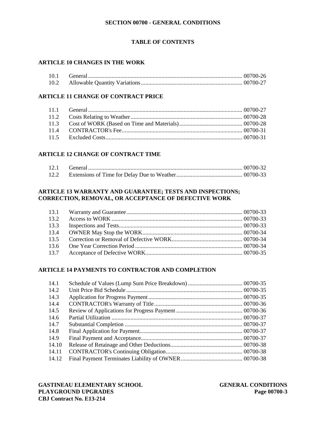## **TABLE OF CONTENTS**

## **ARTICLE 10 CHANGES IN THE WORK**

| 10.1 |  |
|------|--|
| 10.2 |  |

## **ARTICLE 11 CHANGE OF CONTRACT PRICE**

## **ARTICLE 12 CHANGE OF CONTRACT TIME**

| 12.1 |  |
|------|--|
| 12.2 |  |

## **ARTICLE 13 WARRANTY AND GUARANTEE; TESTS AND INSPECTIONS; CORRECTION, REMOVAL, OR ACCEPTANCE OF DEFECTIVE WORK**

| 13.2 |  |
|------|--|
| 13.3 |  |
|      |  |
| 135  |  |
|      |  |
| 13.7 |  |

## **ARTICLE 14 PAYMENTS TO CONTRACTOR AND COMPLETION**

| 14.1  |  |
|-------|--|
| 14.2  |  |
| 14.3  |  |
| 14.4  |  |
| 14.5  |  |
| 14.6  |  |
| 14.7  |  |
| 14.8  |  |
| 14.9  |  |
| 14.10 |  |
| 14.11 |  |
| 14.12 |  |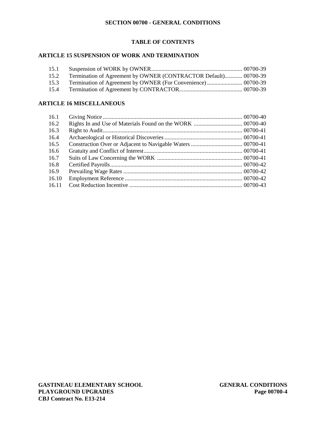## **TABLE OF CONTENTS**

## **ARTICLE 15 SUSPENSION OF WORK AND TERMINATION**

| 15.1 |                                                                      |  |
|------|----------------------------------------------------------------------|--|
|      | 15.2 Termination of Agreement by OWNER (CONTRACTOR Default) 00700-39 |  |
|      |                                                                      |  |
| 15.4 |                                                                      |  |

## **ARTICLE 16 MISCELLANEOUS**

| 16.1  |  |
|-------|--|
| 16.2  |  |
| 16.3  |  |
| 16.4  |  |
| 16.5  |  |
| 16.6  |  |
| 16.7  |  |
| 16.8  |  |
| 16.9  |  |
| 16.10 |  |
| 16.11 |  |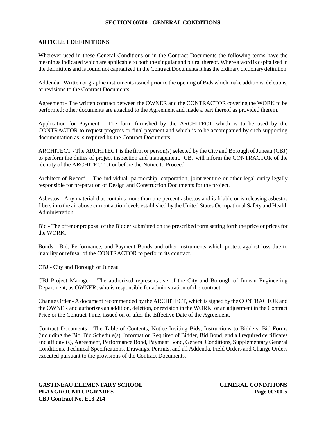## **ARTICLE 1 DEFINITIONS**

Wherever used in these General Conditions or in the Contract Documents the following terms have the meanings indicated which are applicable to both the singular and plural thereof. Where a word is capitalized in the definitions and is found not capitalized in the Contract Documents it has the ordinary dictionary definition.

Addenda - Written or graphic instruments issued prior to the opening of Bids which make additions, deletions, or revisions to the Contract Documents.

Agreement - The written contract between the OWNER and the CONTRACTOR covering the WORK to be performed; other documents are attached to the Agreement and made a part thereof as provided therein.

Application for Payment - The form furnished by the ARCHITECT which is to be used by the CONTRACTOR to request progress or final payment and which is to be accompanied by such supporting documentation as is required by the Contract Documents.

ARCHITECT - The ARCHITECT is the firm or person(s) selected by the City and Borough of Juneau (CBJ) to perform the duties of project inspection and management. CBJ will inform the CONTRACTOR of the identity of the ARCHITECT at or before the Notice to Proceed.

Architect of Record – The individual, partnership, corporation, joint-venture or other legal entity legally responsible for preparation of Design and Construction Documents for the project.

Asbestos - Any material that contains more than one percent asbestos and is friable or is releasing asbestos fibers into the air above current action levels established by the United States Occupational Safety and Health Administration.

Bid - The offer or proposal of the Bidder submitted on the prescribed form setting forth the price or prices for the WORK.

Bonds - Bid, Performance, and Payment Bonds and other instruments which protect against loss due to inability or refusal of the CONTRACTOR to perform its contract.

CBJ - City and Borough of Juneau

CBJ Project Manager - The authorized representative of the City and Borough of Juneau Engineering Department, as OWNER, who is responsible for administration of the contract.

Change Order - A document recommended by the ARCHITECT, which is signed by the CONTRACTOR and the OWNER and authorizes an addition, deletion, or revision in the WORK, or an adjustment in the Contract Price or the Contract Time, issued on or after the Effective Date of the Agreement.

Contract Documents - The Table of Contents, Notice Inviting Bids, Instructions to Bidders, Bid Forms (including the Bid, Bid Schedule(s), Information Required of Bidder, Bid Bond, and all required certificates and affidavits), Agreement, Performance Bond, Payment Bond, General Conditions, Supplementary General Conditions, Technical Specifications, Drawings, Permits, and all Addenda, Field Orders and Change Orders executed pursuant to the provisions of the Contract Documents.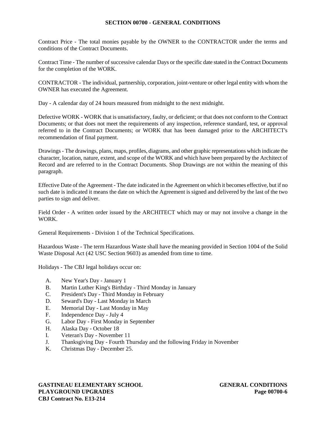Contract Price - The total monies payable by the OWNER to the CONTRACTOR under the terms and conditions of the Contract Documents.

Contract Time - The number of successive calendar Days or the specific date stated in the Contract Documents for the completion of the WORK.

CONTRACTOR - The individual, partnership, corporation, joint-venture or other legal entity with whom the OWNER has executed the Agreement.

Day - A calendar day of 24 hours measured from midnight to the next midnight.

Defective WORK - WORK that is unsatisfactory, faulty, or deficient; or that does not conform to the Contract Documents; or that does not meet the requirements of any inspection, reference standard, test, or approval referred to in the Contract Documents; or WORK that has been damaged prior to the ARCHITECT's recommendation of final payment.

Drawings- The drawings, plans, maps, profiles, diagrams, and other graphic representations which indicate the character, location, nature, extent, and scope of the WORK and which have been prepared by the Architect of Record and are referred to in the Contract Documents. Shop Drawings are not within the meaning of this paragraph.

Effective Date of the Agreement - The date indicated in the Agreement on which it becomes effective, but if no such date is indicated it means the date on which the Agreement is signed and delivered by the last of the two parties to sign and deliver.

Field Order - A written order issued by the ARCHITECT which may or may not involve a change in the WORK.

General Requirements - Division 1 of the Technical Specifications.

Hazardous Waste - The term Hazardous Waste shall have the meaning provided in Section 1004 of the Solid Waste Disposal Act (42 USC Section 9603) as amended from time to time.

Holidays - The CBJ legal holidays occur on:

- A. New Year's Day January 1
- B. Martin Luther King's Birthday Third Monday in January
- C. President's Day Third Monday in February
- D. Seward's Day Last Monday in March
- E. Memorial Day Last Monday in May
- F. Independence Day July 4
- G. Labor Day First Monday in September
- H. Alaska Day October 18
- I. Veteran's Day November 11
- J. Thanksgiving Day Fourth Thursday and the following Friday in November
- K. Christmas Day December 25.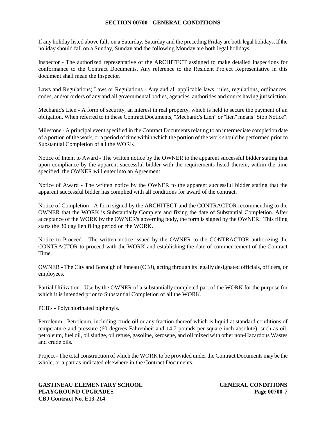If any holiday listed above falls on a Saturday, Saturday and the preceding Friday are both legal holidays. If the holiday should fall on a Sunday, Sunday and the following Monday are both legal holidays.

Inspector - The authorized representative of the ARCHITECT assigned to make detailed inspections for conformance to the Contract Documents. Any reference to the Resident Project Representative in this document shall mean the Inspector.

Laws and Regulations; Laws or Regulations - Any and all applicable laws, rules, regulations, ordinances, codes, and/or orders of any and all governmental bodies, agencies, authorities and courts having jurisdiction.

Mechanic's Lien - A form of security, an interest in real property, which is held to secure the payment of an obligation. When referred to in these Contract Documents, "Mechanic's Lien" or "lien" means "Stop Notice".

Milestone - A principal event specified in the Contract Documents relating to an intermediate completion date of a portion of the work, or a period of time within which the portion of the work should be performed prior to Substantial Completion of all the WORK.

Notice of Intent to Award - The written notice by the OWNER to the apparent successful bidder stating that upon compliance by the apparent successful bidder with the requirements listed therein, within the time specified, the OWNER will enter into an Agreement.

Notice of Award - The written notice by the OWNER to the apparent successful bidder stating that the apparent successful bidder has complied with all conditions for award of the contract.

Notice of Completion - A form signed by the ARCHITECT and the CONTRACTOR recommending to the OWNER that the WORK is Substantially Complete and fixing the date of Substantial Completion. After acceptance of the WORK by the OWNER's governing body, the form is signed by the OWNER. This filing starts the 30 day lien filing period on the WORK.

Notice to Proceed - The written notice issued by the OWNER to the CONTRACTOR authorizing the CONTRACTOR to proceed with the WORK and establishing the date of commencement of the Contract Time.

OWNER - The City and Borough of Juneau (CBJ), acting through its legally designated officials, officers, or employees.

Partial Utilization - Use by the OWNER of a substantially completed part of the WORK for the purpose for which it is intended prior to Substantial Completion of all the WORK.

PCB's - Polychlorinated biphenyls.

Petroleum - Petroleum, including crude oil or any fraction thereof which is liquid at standard conditions of temperature and pressure (60 degrees Fahrenheit and 14.7 pounds per square inch absolute), such as oil, petroleum, fuel oil, oil sludge, oil refuse, gasoline, kerosene, and oil mixed with other non-Hazardous Wastes and crude oils.

Project - The total construction of which the WORK to be provided under the Contract Documents may be the whole, or a part as indicated elsewhere in the Contract Documents.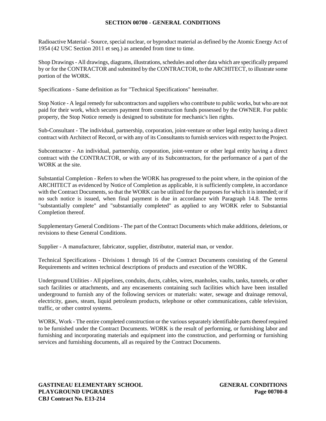Radioactive Material - Source, special nuclear, or byproduct material as defined by the Atomic Energy Act of 1954 (42 USC Section 2011 et seq.) as amended from time to time.

Shop Drawings- All drawings, diagrams, illustrations, schedules and other data which are specifically prepared by or for the CONTRACTOR and submitted by the CONTRACTOR, to the ARCHITECT, to illustrate some portion of the WORK.

Specifications - Same definition as for "Technical Specifications" hereinafter.

Stop Notice - A legal remedy for subcontractors and suppliers who contribute to public works, but who are not paid for their work, which secures payment from construction funds possessed by the OWNER. For public property, the Stop Notice remedy is designed to substitute for mechanic's lien rights.

Sub-Consultant - The individual, partnership, corporation, joint-venture or other legal entity having a direct contract with Architect of Record, or with any of its Consultants to furnish services with respect to the Project.

Subcontractor - An individual, partnership, corporation, joint-venture or other legal entity having a direct contract with the CONTRACTOR, or with any of its Subcontractors, for the performance of a part of the WORK at the site.

Substantial Completion - Refers to when the WORK has progressed to the point where, in the opinion of the ARCHITECT as evidenced by Notice of Completion as applicable, it is sufficiently complete, in accordance with the Contract Documents, so that the WORK can be utilized for the purposes for which it is intended; or if no such notice is issued, when final payment is due in accordance with Paragraph 14.8. The terms "substantially complete" and "substantially completed" as applied to any WORK refer to Substantial Completion thereof.

Supplementary General Conditions- The part of the Contract Documents which make additions, deletions, or revisions to these General Conditions.

Supplier - A manufacturer, fabricator, supplier, distributor, material man, or vendor.

Technical Specifications - Divisions 1 through 16 of the Contract Documents consisting of the General Requirements and written technical descriptions of products and execution of the WORK.

Underground Utilities- All pipelines, conduits, ducts, cables, wires, manholes, vaults, tanks, tunnels, or other such facilities or attachments, and any encasements containing such facilities which have been installed underground to furnish any of the following services or materials: water, sewage and drainage removal, electricity, gases, steam, liquid petroleum products, telephone or other communications, cable television, traffic, or other control systems.

WORK, Work - The entire completed construction or the various separately identifiable parts thereof required to be furnished under the Contract Documents. WORK is the result of performing, or furnishing labor and furnishing and incorporating materials and equipment into the construction, and performing or furnishing services and furnishing documents, all as required by the Contract Documents.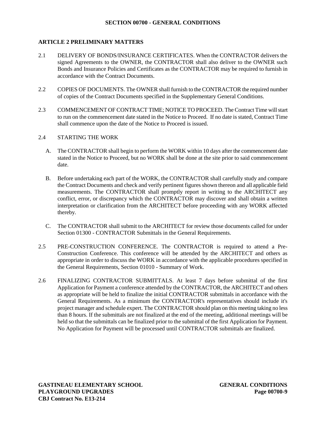## **ARTICLE 2 PRELIMINARY MATTERS**

- 2.1 DELIVERY OF BONDS/INSURANCE CERTIFICATES. When the CONTRACTOR delivers the signed Agreements to the OWNER, the CONTRACTOR shall also deliver to the OWNER such Bonds and Insurance Policies and Certificates as the CONTRACTOR may be required to furnish in accordance with the Contract Documents.
- 2.2 COPIES OF DOCUMENTS. The OWNER shall furnish to the CONTRACTOR the required number of copies of the Contract Documents specified in the Supplementary General Conditions.
- 2.3 COMMENCEMENT OF CONTRACT TIME; NOTICE TO PROCEED. The Contract Time will start to run on the commencement date stated in the Notice to Proceed. If no date is stated, Contract Time shall commence upon the date of the Notice to Proceed is issued.
- 2.4 STARTING THE WORK
	- A. The CONTRACTOR shall begin to perform the WORK within 10 days after the commencement date stated in the Notice to Proceed, but no WORK shall be done at the site prior to said commencement date.
	- B. Before undertaking each part of the WORK, the CONTRACTOR shall carefully study and compare the Contract Documents and check and verify pertinent figures shown thereon and all applicable field measurements. The CONTRACTOR shall promptly report in writing to the ARCHITECT any conflict, error, or discrepancy which the CONTRACTOR may discover and shall obtain a written interpretation or clarification from the ARCHITECT before proceeding with any WORK affected thereby.
	- C. The CONTRACTOR shall submit to the ARCHITECT for review those documents called for under Section 01300 - CONTRACTOR Submittals in the General Requirements.
- 2.5 PRE-CONSTRUCTION CONFERENCE. The CONTRACTOR is required to attend a Pre- Construction Conference. This conference will be attended by the ARCHITECT and others as appropriate in order to discuss the WORK in accordance with the applicable procedures specified in the General Requirements, Section 01010 - Summary of Work.
- 2.6 FINALIZING CONTRACTOR SUBMITTALS. At least 7 days before submittal of the first Application for Payment a conference attended by the CONTRACTOR, the ARCHITECT and others as appropriate will be held to finalize the initial CONTRACTOR submittals in accordance with the General Requirements. As a minimum the CONTRACTOR's representatives should include it's project manager and schedule expert. The CONTRACTOR should plan on this meeting taking no less than 8 hours. If the submittals are not finalized at the end of the meeting, additional meetings will be held so that the submittals can be finalized prior to the submittal of the first Application for Payment. No Application for Payment will be processed until CONTRACTOR submittals are finalized.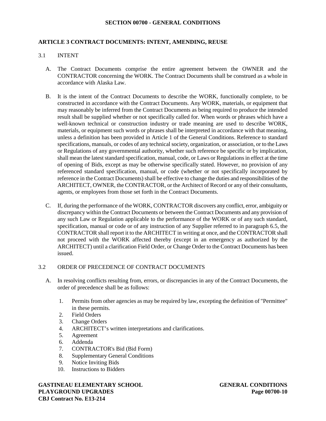### **ARTICLE 3 CONTRACT DOCUMENTS: INTENT, AMENDING, REUSE**

## 3.1 INTENT

- A. The Contract Documents comprise the entire agreement between the OWNER and the CONTRACTOR concerning the WORK. The Contract Documents shall be construed as a whole in accordance with Alaska Law.
- B. It is the intent of the Contract Documents to describe the WORK, functionally complete, to be constructed in accordance with the Contract Documents. Any WORK, materials, or equipment that may reasonably be inferred from the Contract Documents as being required to produce the intended result shall be supplied whether or not specifically called for. When words or phrases which have a well-known technical or construction industry or trade meaning are used to describe WORK, materials, or equipment such words or phrases shall be interpreted in accordance with that meaning, unless a definition has been provided in Article 1 of the General Conditions. Reference to standard specifications, manuals, or codes of any technical society, organization, or association, or to the Laws or Regulations of any governmental authority, whether such reference be specific or by implication, shall mean the latest standard specification, manual, code, or Laws or Regulations in effect at the time of opening of Bids, except as may be otherwise specifically stated. However, no provision of any referenced standard specification, manual, or code (whether or not specifically incorporated by reference in the Contract Documents) shall be effective to change the duties and responsibilities of the ARCHITECT, OWNER, the CONTRACTOR, or the Architect of Record or any of their consultants, agents, or employees from those set forth in the Contract Documents.
- C. If, during the performance of the WORK, CONTRACTOR discovers any conflict, error, ambiguity or discrepancy within the Contract Documents or between the Contract Documents and any provision of any such Law or Regulation applicable to the performance of the WORK or of any such standard, specification, manual or code or of any instruction of any Supplier referred to in paragraph 6.5, the CONTRACTOR shall report it to the ARCHITECT in writing at once, and the CONTRACTOR shall not proceed with the WORK affected thereby (except in an emergency as authorized by the ARCHITECT) until a clarification Field Order, or Change Order to the Contract Documents has been issued.

### 3.2 ORDER OF PRECEDENCE OF CONTRACT DOCUMENTS

- A. In resolving conflicts resulting from, errors, or discrepancies in any of the Contract Documents, the order of precedence shall be as follows:
	- 1. Permits from other agencies as may be required by law, excepting the definition of "Permittee" in these permits.
	- 2. Field Orders
	- 3. Change Orders
	- 4. ARCHITECT's written interpretations and clarifications.
	- 5. Agreement
	- 6. Addenda
	- 7. CONTRACTOR's Bid (Bid Form)
	- 8. Supplementary General Conditions
	- 9. Notice Inviting Bids
	- 10. Instructions to Bidders

**GASTINEAU ELEMENTARY SCHOOL GENERAL CONDITIONS PLAYGROUND UPGRADES Page 00700-10 CBJ Contract No. E13-214**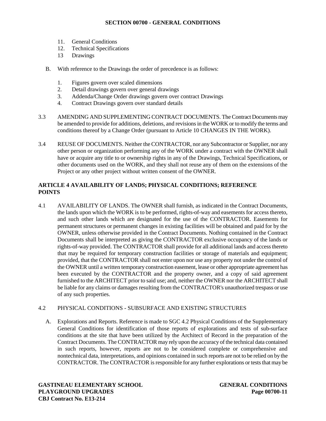- 11. General Conditions
- 12. Technical Specifications
- 13 Drawings
- B. With reference to the Drawings the order of precedence is as follows:
	- 1. Figures govern over scaled dimensions
	- 2. Detail drawings govern over general drawings
	- 3. Addenda/Change Order drawings govern over contract Drawings
	- 4. Contract Drawings govern over standard details
- 3.3 AMENDING AND SUPPLEMENTING CONTRACT DOCUMENTS. The Contract Documents may be amended to provide for additions, deletions, and revisions in the WORK or to modify the terms and conditions thereof by a Change Order (pursuant to Article 10 CHANGES IN THE WORK).
- 3.4 REUSE OF DOCUMENTS. Neither the CONTRACTOR, nor any Subcontractor or Supplier, nor any other person or organization performing any of the WORK under a contract with the OWNER shall have or acquire any title to or ownership rights in any of the Drawings, Technical Specifications, or other documents used on the WORK, and they shall not reuse any of them on the extensions of the Project or any other project without written consent of the OWNER.

## **ARTICLE 4 AVAILABILITY OF LANDS; PHYSICAL CONDITIONS; REFERENCE POINTS**

4.1 AVAILABILITY OF LANDS. The OWNER shall furnish, as indicated in the Contract Documents, the lands upon which the WORK is to be performed, rights-of-way and easements for access thereto, and such other lands which are designated for the use of the CONTRACTOR. Easements for permanent structures or permanent changes in existing facilities will be obtained and paid for by the OWNER, unless otherwise provided in the Contract Documents. Nothing contained in the Contract Documents shall be interpreted as giving the CONTRACTOR exclusive occupancy of the lands or rights-of-way provided. The CONTRACTOR shall provide for all additional lands and access thereto that may be required for temporary construction facilities or storage of materials and equipment; provided, that the CONTRACTOR shall not enter upon nor use any property not under the control of the OWNER until a written temporary construction easement, lease or other appropriate agreement has been executed by the CONTRACTOR and the property owner, and a copy of said agreement furnished to the ARCHITECT prior to said use; and, neither the OWNER nor the ARCHITECT shall be liable for any claims or damages resulting from the CONTRACTOR's unauthorized trespass or use of any such properties.

## 4.2 PHYSICAL CONDITIONS - SUBSURFACE AND EXISTING STRUCTURES

A. Explorations and Reports. Reference is made to SGC 4.2 Physical Conditions of the Supplementary General Conditions for identification of those reports of explorations and tests of sub-surface conditions at the site that have been utilized by the Architect of Record in the preparation of the Contract Documents. The CONTRACTOR may rely upon the accuracy of the technical data contained in such reports, however, reports are not to be considered complete or comprehensive and nontechnical data, interpretations, and opinions contained in such reports are not to be relied on by the CONTRACTOR. The CONTRACTOR is responsible for any further explorations or tests that may be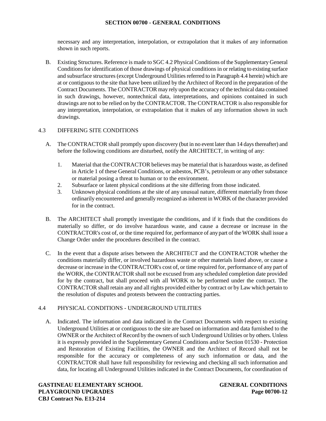necessary and any interpretation, interpolation, or extrapolation that it makes of any information shown in such reports.

B. Existing Structures. Reference is made to SGC 4.2 Physical Conditions of the Supplementary General Conditions for identification of those drawings of physical conditions in or relating to existing surface and subsurface structures (except Underground Utilities referred to in Paragraph 4.4 herein) which are at or contiguous to the site that have been utilized by the Architect of Record in the preparation of the Contract Documents. The CONTRACTOR may rely upon the accuracy of the technical data contained in such drawings, however, nontechnical data, interpretations, and opinions contained in such drawings are not to be relied on by the CONTRACTOR. The CONTRACTOR is also responsible for any interpretation, interpolation, or extrapolation that it makes of any information shown in such drawings.

# 4.3 DIFFERING SITE CONDITIONS

- A. The CONTRACTOR shall promptly upon discovery (but in no event later than 14 days thereafter) and before the following conditions are disturbed, notify the ARCHITECT, in writing of any:
	- 1. Material that the CONTRACTOR believes may be material that is hazardous waste, as defined in Article 1 of these General Conditions, or asbestos, PCB's, petroleum or any other substance or material posing a threat to human or to the environment.
	- 2. Subsurface or latent physical conditions at the site differing from those indicated.
	- 3. Unknown physical conditions at the site of any unusual nature, different materially from those ordinarily encountered and generally recognized as inherent in WORK of the character provided for in the contract.
- B. The ARCHITECT shall promptly investigate the conditions, and if it finds that the conditions do materially so differ, or do involve hazardous waste, and cause a decrease or increase in the CONTRACTOR's cost of, or the time required for, performance of anypart of the WORK shall issue a Change Order under the procedures described in the contract.
- C. In the event that a dispute arises between the ARCHITECT and the CONTRACTOR whether the conditions materially differ, or involved hazardous waste or other materials listed above, or cause a decrease or increase in the CONTRACTOR's cost of, or time required for, performance of any part of the WORK, the CONTRACTOR shall not be excused from any scheduled completion date provided for by the contract, but shall proceed with all WORK to be performed under the contract. The CONTRACTOR shall retain any and all rights provided either by contract or by Law which pertain to the resolution of disputes and protests between the contracting parties.

## 4.4 PHYSICAL CONDITIONS - UNDERGROUND UTILITIES

A. Indicated. The information and data indicated in the Contract Documents with respect to existing Underground Utilities at or contiguous to the site are based on information and data furnished to the OWNER or the Architect of Record by the owners of such Underground Utilities or by others. Unless it is expressly provided in the Supplementary General Conditions and/or Section 01530 - Protection and Restoration of Existing Facilities, the OWNER and the Architect of Record shall not be responsible for the accuracy or completeness of any such information or data, and the CONTRACTOR shall have full responsibility for reviewing and checking all such information and data, for locating all Underground Utilities indicated in the Contract Documents, for coordination of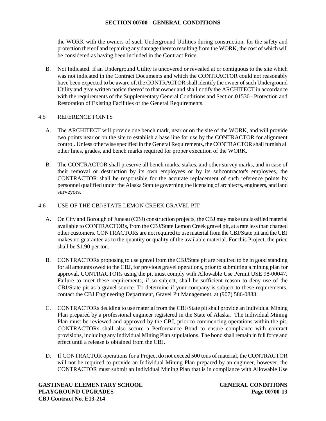the WORK with the owners of such Underground Utilities during construction, for the safety and protection thereof and repairing any damage thereto resulting from the WORK, the cost of which will be considered as having been included in the Contract Price.

B. Not Indicated. If an Underground Utility is uncovered or revealed at or contiguous to the site which was not indicated in the Contract Documents and which the CONTRACTOR could not reasonably have been expected to be aware of, the CONTRACTOR shall identify the owner of such Underground Utility and give written notice thereof to that owner and shall notify the ARCHITECT in accordance with the requirements of the Supplementary General Conditions and Section 01530 - Protection and Restoration of Existing Facilities of the General Requirements.

## 4.5 REFERENCE POINTS

- A. The ARCHITECT will provide one bench mark, near or on the site of the WORK, and will provide two points near or on the site to establish a base line for use by the CONTRACTOR for alignment control. Unless otherwise specified in the General Requirements, the CONTRACTOR shall furnish all other lines, grades, and bench marks required for proper execution of the WORK.
- B. The CONTRACTOR shall preserve all bench marks, stakes, and other survey marks, and in case of their removal or destruction by its own employees or by its subcontractor's employees, the CONTRACTOR shall be responsible for the accurate replacement of such reference points by personnel qualified under the Alaska Statute governing the licensing of architects, engineers, and land surveyors.

## 4.6 USE OF THE CBJ/STATE LEMON CREEK GRAVEL PIT

- A. On City and Borough of Juneau (CBJ) construction projects, the CBJ may make unclassified material available to CONTRACTORs, from the CBJ/State Lemon Creek gravel pit, at a rate less than charged other customers. CONTRACTORs are not required to use material from the CBJ/State pit and the CBJ makes no guarantee as to the quantity or quality of the available material. For this Project, the price shall be \$1.90 per ton.
- B. CONTRACTORs proposing to use gravel from the CBJ/State pit are required to be in good standing for all amounts owed to the CBJ, for previous gravel operations, prior to submitting a mining plan for approval. CONTRACTORs using the pit must comply with Allowable Use Permit USE 98-00047. Failure to meet these requirements, if so subject, shall be sufficient reason to deny use of the CBJ/State pit as a gravel source. To determine if your company is subject to these requirements, contact the CBJ Engineering Department, Gravel Pit Management, at (907) 586-0883.
- C. CONTRACTORs deciding to use material from the CBJ/State pit shall provide an Individual Mining Plan prepared by a professional engineer registered in the State of Alaska. The Individual Mining Plan must be reviewed and approved by the CBJ, prior to commencing operations within the pit. CONTRACTORs shall also secure a Performance Bond to ensure compliance with contract provisions, including any Individual Mining Plan stipulations. The bond shall remain in full force and effect until a release is obtained from the CBJ.
- D. If CONTRACTOR operations for a Project do not exceed 500 tons of material, the CONTRACTOR will not be required to provide an Individual Mining Plan prepared by an engineer, however, the CONTRACTOR must submit an Individual Mining Plan that is in compliance with Allowable Use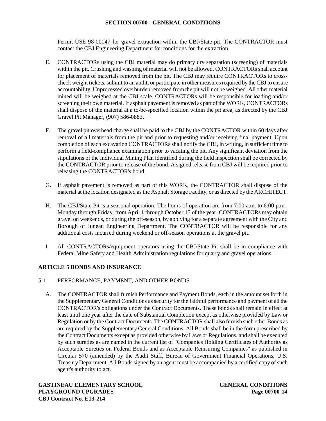Permit USE 98-00047 for gravel extraction within the CBJ/State pit. The CONTRACTOR must contact the CBJ Engineering Department for conditions for the extraction.

- E. CONTRACTORs using the CBJ material may do primary dry separation (screening) of materials within the pit. Crushing and washing of material will not be allowed. CONTRACTORs shall account for placement of materials removed from the pit. The CBJ may require CONTRACTORs to cross check weight tickets, submit to an audit, or participate in other measures required by the CBJ to ensure accountability. Unprocessed overburden removed from the pit will not be weighed. All other material mined will be weighed at the CBJ scale. CONTRACTORs will be responsible for loading and/or screening their own material. If asphalt pavement is removed as part of the WORK, CONTRACTORs shall dispose of the material at a to-be-specified location within the pit area, as directed by the CBJ Gravel Pit Manager, (907) 586-0883.
- F. The gravel pit overhead charge shall be paid to the CBJ by the CONTRACTOR within 60 days after removal of all materials from the pit and prior to requesting and/or receiving final payment. Upon completion of each excavation CONTRACTORs shall notify the CBJ, in writing, in sufficient time to perform a field-compliance examination prior to vacating the pit. Any significant deviation from the stipulations of the Individual Mining Plan identified during the field inspection shall be corrected by the CONTRACTOR prior to release of the bond. A signed release from CBJ will be required prior to releasing the CONTRACTOR's bond.
- G. If asphalt pavement is removed as part of this WORK, the CONTRACTOR shall dispose of the material at the location designated as the Asphalt Storage Facility, or as directed by the ARCHITECT.
- H. The CBJ/State Pit is a seasonal operation. The hours of operation are from 7:00 a.m. to 6:00 p.m., Monday through Friday, from April 1 through October 15 of the year. CONTRACTORs may obtain gravel on weekends, or during the off-season, by applying for a separate agreement with the City and Borough of Juneau Engineering Department. The CONTRACTOR will be responsible for any additional costs incurred during weekend or off-season operations at the gravel pit.
- I. All CONTRACTORs/equipment operators using the CBJ/State Pit shall be in compliance with Federal Mine Safety and Health Administration regulations for quarry and gravel operations.

# **ARTICLE 5 BONDS AND INSURANCE**

## 5.1 PERFORMANCE, PAYMENT, AND OTHER BONDS

A. The CONTRACTOR shall furnish Performance and Payment Bonds, each in the amount set forth in the Supplementary General Conditions as security for the faithful performance and payment of all the CONTRACTOR's obligations under the Contract Documents. These bonds shall remain in effect at least until one year after the date of Substantial Completion except as otherwise provided by Law or Regulation or by the Contract Documents. The CONTRACTOR shall also furnish such other Bonds as are required by the Supplementary General Conditions. All Bonds shall be in the form prescribed by the Contract Documents except as provided otherwise by Laws or Regulations, and shall be executed by such sureties as are named in the current list of "Companies Holding Certificates of Authority as Acceptable Sureties on Federal Bonds and as Acceptable Reinsuring Companies" as published in Circular 570 (amended) by the Audit Staff, Bureau of Government Financial Operations, U.S. Treasury Department. All Bonds signed by an agent must be accompanied by a certified copy of such agent's authority to act.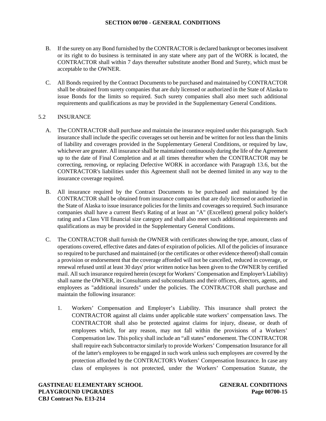- B. If the surety on any Bond furnished by the CONTRACTOR is declared bankrupt or becomes insolvent or its right to do business is terminated in any state where any part of the WORK is located, the CONTRACTOR shall within 7 days thereafter substitute another Bond and Surety, which must be acceptable to the OWNER.
- C. All Bonds required by the Contract Documents to be purchased and maintained by CONTRACTOR shall be obtained from surety companies that are duly licensed or authorized in the State of Alaska to issue Bonds for the limits so required. Such surety companies shall also meet such additional requirements and qualifications as may be provided in the Supplementary General Conditions.

# 5.2 INSURANCE

- A. The CONTRACTOR shall purchase and maintain the insurance required under this paragraph. Such insurance shall include the specific coverages set out herein and be written for not less than the limits of liability and coverages provided in the Supplementary General Conditions, or required by law, whichever are greater. All insurance shall be maintained continuously during the life of the Agreement up to the date of Final Completion and at all times thereafter when the CONTRACTOR may be correcting, removing, or replacing Defective WORK in accordance with Paragraph 13.6, but the CONTRACTOR's liabilities under this Agreement shall not be deemed limited in any way to the insurance coverage required.
- B. All insurance required by the Contract Documents to be purchased and maintained by the CONTRACTOR shall be obtained from insurance companies that are duly licensed or authorized in the State of Alaska to issue insurance policies for the limits and coverages so required. Such insurance companies shall have a current Best's Rating of at least an "A" (Excellent) general policy holder's rating and a Class VII financial size category and shall also meet such additional requirements and qualifications as may be provided in the Supplementary General Conditions.
- C. The CONTRACTOR shall furnish the OWNER with certificates showing the type, amount, class of operations covered, effective dates and dates of expiration of policies. All of the policies of insurance so required to be purchased and maintained (or the certificates or other evidence thereof) shall contain a provision or endorsement that the coverage afforded will not be cancelled, reduced in coverage, or renewal refused until at least 30 days' prior written notice has been given to the OWNER by certified mail. All such insurance required herein (except for Workers' Compensation and Employer's Liability) shall name the OWNER, its Consultants and subconsultants and their officers, directors, agents, and employees as "additional insureds" under the policies. The CONTRACTOR shall purchase and maintain the following insurance:
	- 1. Workers' Compensation and Employer's Liability. This insurance shall protect the CONTRACTOR against all claims under applicable state workers' compensation laws. The CONTRACTOR shall also be protected against claims for injury, disease, or death of employees which, for any reason, may not fall within the provisions of a Workers' Compensation law. This policy shall include an "all states" endorsement. The CONTRACTOR shall require each Subcontractor similarly to provide Workers' Compensation Insurance for all of the latter's employees to be engaged in such work unless such employees are covered by the protection afforded by the CONTRACTOR's Workers' Compensation Insurance. In case any class of employees is not protected, under the Workers' Compensation Statute, the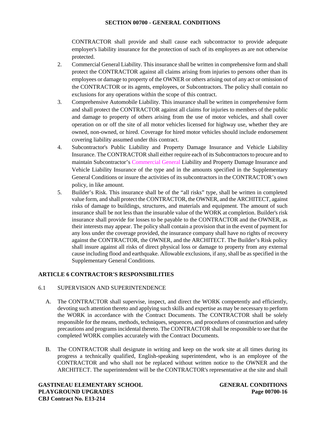CONTRACTOR shall provide and shall cause each subcontractor to provide adequate employer's liability insurance for the protection of such of its employees as are not otherwise protected.

- 2. Commercial General Liability. This insurance shall be written in comprehensive form and shall protect the CONTRACTOR against all claims arising from injuries to persons other than its employees or damage to property of the OWNER or others arising out of any act or omission of the CONTRACTOR or its agents, employees, or Subcontractors. The policy shall contain no exclusions for any operations within the scope of this contract.
- 3. Comprehensive Automobile Liability. This insurance shall be written in comprehensive form and shall protect the CONTRACTOR against all claims for injuries to members of the public and damage to property of others arising from the use of motor vehicles, and shall cover operation on or off the site of all motor vehicles licensed for highway use, whether they are owned, non-owned, or hired. Coverage for hired motor vehicles should include endorsement covering liability assumed under this contract.
- 4. Subcontractor's Public Liability and Property Damage Insurance and Vehicle Liability Insurance. The CONTRACTOR shall either require each of its Subcontractors to procure and to maintain Subcontractor's Commercial General Liability and Property Damage Insurance and Vehicle Liability Insurance of the type and in the amounts specified in the Supplementary General Conditions or insure the activities of its subcontractors in the CONTRACTOR's own policy, in like amount.
- 5. Builder's Risk. This insurance shall be of the "all risks" type, shall be written in completed value form, and shall protect the CONTRACTOR, the OWNER, and the ARCHITECT, against risks of damage to buildings, structures, and materials and equipment. The amount of such insurance shall be not less than the insurable value of the WORK at completion. Builder's risk insurance shall provide for losses to be payable to the CONTRACTOR and the OWNER, as their interests may appear. The policy shall contain a provision that in the event of payment for any loss under the coverage provided, the insurance company shall have no rights of recovery against the CONTRACTOR, the OWNER, and the ARCHITECT. The Builder's Risk policy shall insure against all risks of direct physical loss or damage to property from any external cause including flood and earthquake. Allowable exclusions, if any, shall be as specified in the Supplementary General Conditions.

## **ARTICLE 6 CONTRACTOR'S RESPONSIBILITIES**

## 6.1 SUPERVISION AND SUPERINTENDENCE

- A. The CONTRACTOR shall supervise, inspect, and direct the WORK competently and efficiently, devoting such attention thereto and applying such skills and expertise as may be necessary to perform the WORK in accordance with the Contract Documents. The CONTRACTOR shall be solely responsible for the means, methods, techniques, sequences, and procedures of construction and safety precautions and programs incidental thereto. The CONTRACTOR shall be responsible to see that the completed WORK complies accurately with the Contract Documents.
- B. The CONTRACTOR shall designate in writing and keep on the work site at all times during its progress a technically qualified, English-speaking superintendent, who is an employee of the CONTRACTOR and who shall not be replaced without written notice to the OWNER and the ARCHITECT. The superintendent will be the CONTRACTOR's representative at the site and shall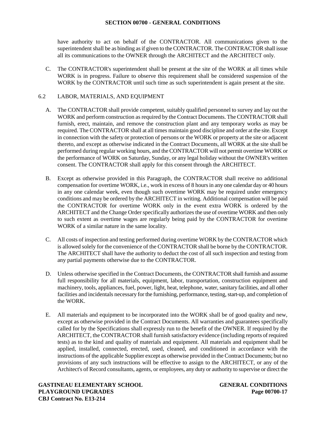have authority to act on behalf of the CONTRACTOR. All communications given to the superintendent shall be as binding as if given to the CONTRACTOR. The CONTRACTOR shall issue all its communications to the OWNER through the ARCHITECT and the ARCHITECT only.

C. The CONTRACTOR's superintendent shall be present at the site of the WORK at all times while WORK is in progress. Failure to observe this requirement shall be considered suspension of the WORK by the CONTRACTOR until such time as such superintendent is again present at the site.

## 6.2 LABOR, MATERIALS, AND EQUIPMENT

- A. The CONTRACTOR shall provide competent, suitably qualified personnel to survey and lay out the WORK and perform construction as required by the Contract Documents. The CONTRACTOR shall furnish, erect, maintain, and remove the construction plant and any temporary works as may be required. The CONTRACTOR shall at all times maintain good discipline and order at the site. Except in connection with the safety or protection of persons or the WORK or property at the site or adjacent thereto, and except as otherwise indicated in the Contract Documents, all WORK at the site shall be performed during regular working hours, and the CONTRACTOR will not permit overtime WORK or the performance of WORK on Saturday, Sunday, or any legal holiday without the OWNER's written consent. The CONTRACTOR shall apply for this consent through the ARCHITECT.
- B. Except as otherwise provided in this Paragraph, the CONTRACTOR shall receive no additional compensation for overtime WORK, i.e., work in excess of 8 hours in any one calendar day or 40 hours in any one calendar week, even though such overtime WORK may be required under emergency conditions and may be ordered by the ARCHITECT in writing. Additional compensation will be paid the CONTRACTOR for overtime WORK only in the event extra WORK is ordered by the ARCHITECT and the Change Order specifically authorizes the use of overtime WORK and then only to such extent as overtime wages are regularly being paid by the CONTRACTOR for overtime WORK of a similar nature in the same locality.
- C. All costs of inspection and testing performed during overtime WORK by the CONTRACTOR which is allowed solely for the convenience of the CONTRACTOR shall be borne by the CONTRACTOR. The ARCHITECT shall have the authority to deduct the cost of all such inspection and testing from any partial payments otherwise due to the CONTRACTOR.
- D. Unless otherwise specified in the Contract Documents, the CONTRACTOR shall furnish and assume full responsibility for all materials, equipment, labor, transportation, construction equipment and machinery, tools, appliances, fuel, power, light, heat, telephone, water, sanitary facilities, and all other facilities and incidentals necessary for the furnishing, performance, testing, start-up, and completion of the WORK.
- E. All materials and equipment to be incorporated into the WORK shall be of good quality and new, except as otherwise provided in the Contract Documents. All warranties and guarantees specifically called for by the Specifications shall expressly run to the benefit of the OWNER. If required by the ARCHITECT, the CONTRACTOR shall furnish satisfactory evidence (including reports of required tests) as to the kind and quality of materials and equipment. All materials and equipment shall be applied, installed, connected, erected, used, cleaned, and conditioned in accordance with the instructions of the applicable Supplier except as otherwise provided in the Contract Documents; but no provisions of any such instructions will be effective to assign to the ARCHITECT, or any of the Architect's of Record consultants, agents, or employees, any duty or authority to supervise or direct the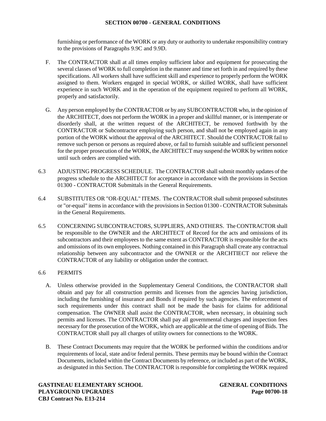furnishing or performance of the WORK or any duty or authority to undertake responsibility contrary to the provisions of Paragraphs 9.9C and 9.9D.

- F. The CONTRACTOR shall at all times employ sufficient labor and equipment for prosecuting the several classes of WORK to full completion in the manner and time set forth in and required by these specifications. All workers shall have sufficient skill and experience to properly perform the WORK assigned to them. Workers engaged in special WORK, or skilled WORK, shall have sufficient experience in such WORK and in the operation of the equipment required to perform all WORK, properly and satisfactorily.
- G. Any person employed by the CONTRACTOR or by any SUBCONTRACTOR who, in the opinion of the ARCHITECT, does not perform the WORK in a proper and skillful manner, or is intemperate or disorderly shall, at the written request of the ARCHITECT, be removed forthwith by the CONTRACTOR or Subcontractor employing such person, and shall not be employed again in any portion of the WORK without the approval of the ARCHITECT. Should the CONTRACTOR fail to remove such person or persons as required above, or fail to furnish suitable and sufficient personnel for the proper prosecution of the WORK, the ARCHITECT may suspend the WORK by written notice until such orders are complied with.
- 6.3 ADJUSTING PROGRESS SCHEDULE. The CONTRACTOR shall submit monthly updates of the progress schedule to the ARCHITECT for acceptance in accordance with the provisions in Section 01300 - CONTRACTOR Submittals in the General Requirements.
- 6.4 SUBSTITUTES OR "OR-EQUAL" ITEMS. The CONTRACTOR shall submit proposed substitutes or "or-equal" items in accordance with the provisions in Section 01300 - CONTRACTOR Submittals in the General Requirements.
- 6.5 CONCERNING SUBCONTRACTORS, SUPPLIERS, AND OTHERS. The CONTRACTOR shall be responsible to the OWNER and the ARCHITECT of Record for the acts and omissions of its subcontractors and their employees to the same extent as CONTRACTOR is responsible for the acts and omissions of its own employees. Nothing contained in this Paragraph shall create any contractual relationship between any subcontractor and the OWNER or the ARCHTIECT nor relieve the CONTRACTOR of any liability or obligation under the contract.

## 6.6 PERMITS

- A. Unless otherwise provided in the Supplementary General Conditions, the CONTRACTOR shall obtain and pay for all construction permits and licenses from the agencies having jurisdiction, including the furnishing of insurance and Bonds if required by such agencies. The enforcement of such requirements under this contract shall not be made the basis for claims for additional compensation. The OWNER shall assist the CONTRACTOR, when necessary, in obtaining such permits and licenses. The CONTRACTOR shall pay all governmental charges and inspection fees necessary for the prosecution of the WORK, which are applicable at the time of opening of Bids. The CONTRACTOR shall pay all charges of utility owners for connections to the WORK.
- B. These Contract Documents may require that the WORK be performed within the conditions and/or requirements of local, state and/or federal permits. These permits may be bound within the Contract Documents, included within the Contract Documents by reference, or included as part of the WORK, as designated in this Section. The CONTRACTOR is responsible for completing the WORK required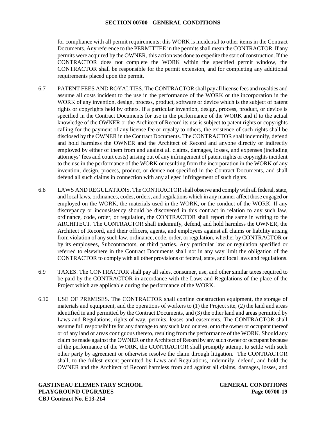for compliance with all permit requirements; this WORK is incidental to other items in the Contract Documents. Any reference to the PERMITTEE in the permits shall mean the CONTRACTOR. If any permits were acquired by the OWNER, this action was done to expedite the start of construction. If the CONTRACTOR does not complete the WORK within the specified permit window, the CONTRACTOR shall be responsible for the permit extension, and for completing any additional requirements placed upon the permit.

- 6.7 PATENT FEES AND ROYALTIES. The CONTRACTOR shall pay all license fees and royalties and assume all costs incident to the use in the performance of the WORK or the incorporation in the WORK of any invention, design, process, product, software or device which is the subject of patent rights or copyrights held by others. If a particular invention, design, process, product, or device is specified in the Contract Documents for use in the performance of the WORK and if to the actual knowledge of the OWNER or the Architect of Record its use is subject to patent rights or copyrights calling for the payment of any license fee or royalty to others, the existence of such rights shall be disclosed by the OWNER in the Contract Documents. The CONTRACTOR shall indemnify, defend and hold harmless the OWNER and the Architect of Record and anyone directly or indirectly employed by either of them from and against all claims, damages, losses, and expenses (including attorneys' fees and court costs) arising out of any infringement of patent rights or copyrights incident to the use in the performance of the WORK or resulting from the incorporation in the WORK of any invention, design, process, product, or device not specified in the Contract Documents, and shall defend all such claims in connection with any alleged infringement of such rights.
- 6.8 LAWS AND REGULATIONS. The CONTRACTOR shall observe and comply with all federal, state, and local laws, ordinances, codes, orders, and regulations which in any manner affect those engaged or employed on the WORK, the materials used in the WORK, or the conduct of the WORK. If any discrepancy or inconsistency should be discovered in this contract in relation to any such law, ordinance, code, order, or regulation, the CONTRACTOR shall report the same in writing to the ARCHITECT. The CONTRACTOR shall indemnify, defend, and hold harmless the OWNER, the Architect of Record, and their officers, agents, and employees against all claims or liability arising from violation of any such law, ordinance, code, order, or regulation, whether by CONTRACTOR or by its employees, Subcontractors, or third parties. Any particular law or regulation specified or referred to elsewhere in the Contract Documents shall not in any way limit the obligation of the CONTRACTOR to comply with all other provisions of federal, state, and local laws and regulations.
- 6.9 TAXES. The CONTRACTOR shall pay all sales, consumer, use, and other similar taxes required to be paid by the CONTRACTOR in accordance with the Laws and Regulations of the place of the Project which are applicable during the performance of the WORK.
- 6.10 USE OF PREMISES. The CONTRACTOR shall confine construction equipment, the storage of materials and equipment, and the operations of workers to (1) the Project site, (2) the land and areas identified in and permitted by the Contract Documents, and (3) the other land and areas permitted by Laws and Regulations, rights-of-way, permits, leases and easements. The CONTRACTOR shall assume full responsibility for any damage to any such land or area, or to the owner or occupant thereof or of any land or areas contiguous thereto, resulting from the performance of the WORK. Should any claim be made against the OWNER or the Architect of Record by any such owner or occupant because of the performance of the WORK, the CONTRACTOR shall promptly attempt to settle with such other party by agreement or otherwise resolve the claim through litigation. The CONTRACTOR shall, to the fullest extent permitted by Laws and Regulations, indemnify, defend, and hold the OWNER and the Architect of Record harmless from and against all claims, damages, losses, and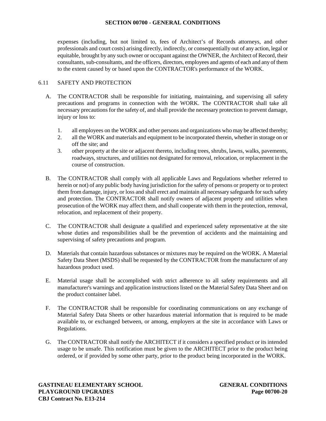expenses (including, but not limited to, fees of Architect's of Records attorneys, and other professionals and court costs) arising directly, indirectly, or consequentially out of any action, legal or equitable, brought by any such owner or occupant against the OWNER, the Architect of Record, their consultants, sub-consultants, and the officers, directors, employees and agents of each and any of them to the extent caused by or based upon the CONTRACTOR's performance of the WORK.

## 6.11 SAFETY AND PROTECTION

- A. The CONTRACTOR shall be responsible for initiating, maintaining, and supervising all safety precautions and programs in connection with the WORK. The CONTRACTOR shall take all necessary precautions for the safety of, and shall provide the necessary protection to prevent damage, injury or loss to:
	- 1. all employees on the WORK and other persons and organizations who may be affected thereby;
	- 2. all the WORK and materials and equipment to be incorporated therein, whether in storage on or off the site; and
	- 3. other property at the site or adjacent thereto, including trees, shrubs, lawns, walks, pavements, roadways, structures, and utilities not designated for removal, relocation, or replacement in the course of construction.
- B. The CONTRACTOR shall comply with all applicable Laws and Regulations whether referred to herein or not) of any public body having jurisdiction for the safety of persons or property or to protect them from damage, injury, or loss and shall erect and maintain all necessary safeguards for such safety and protection. The CONTRACTOR shall notify owners of adjacent property and utilities when prosecution of the WORK may affect them, and shall cooperate with them in the protection, removal, relocation, and replacement of their property.
- C. The CONTRACTOR shall designate a qualified and experienced safety representative at the site whose duties and responsibilities shall be the prevention of accidents and the maintaining and supervising of safety precautions and program.
- D. Materials that contain hazardous substances or mixtures may be required on the WORK. A Material Safety Data Sheet (MSDS) shall be requested by the CONTRACTOR from the manufacturer of any hazardous product used.
- E. Material usage shall be accomplished with strict adherence to all safety requirements and all manufacturer's warnings and application instructions listed on the Material Safety Data Sheet and on the product container label.
- F. The CONTRACTOR shall be responsible for coordinating communications on any exchange of Material Safety Data Sheets or other hazardous material information that is required to be made available to, or exchanged between, or among, employers at the site in accordance with Laws or Regulations.
- G. The CONTRACTOR shall notify the ARCHITECT if it considers a specified product or its intended usage to be unsafe. This notification must be given to the ARCHITECT prior to the product being ordered, or if provided by some other party, prior to the product being incorporated in the WORK.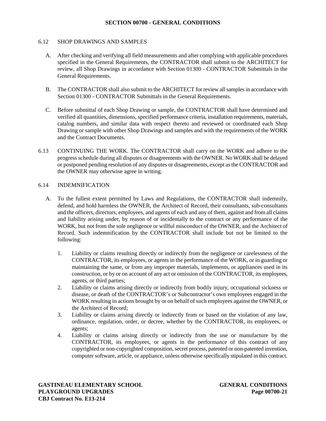### 6.12 SHOP DRAWINGS AND SAMPLES

- A. After checking and verifying all field measurements and after complying with applicable procedures specified in the General Requirements, the CONTRACTOR shall submit to the ARCHITECT for review, all Shop Drawings in accordance with Section 01300 - CONTRACTOR Submittals in the General Requirements.
- B. The CONTRACTOR shall also submit to the ARCHITECT for review all samples in accordance with Section 01300 - CONTRACTOR Submittals in the General Requirements.
- C. Before submittal of each Shop Drawing or sample, the CONTRACTOR shall have determined and verified all quantities, dimensions, specified performance criteria, installation requirements, materials, catalog numbers, and similar data with respect thereto and reviewed or coordinated each Shop Drawing or sample with other Shop Drawings and samples and with the requirements of the WORK and the Contract Documents.
- 6.13 CONTINUING THE WORK. The CONTRACTOR shall carry on the WORK and adhere to the progress schedule during all disputes or disagreements with the OWNER. No WORK shall be delayed or postponed pending resolution of any disputes or disagreements, except as the CONTRACTOR and the OWNER may otherwise agree in writing.

## 6.14 INDEMNIFICATION

- A. To the fullest extent permitted by Laws and Regulations, the CONTRACTOR shall indemnify, defend, and hold harmless the OWNER, the Architect of Record, their consultants, sub-consultants and the officers, directors, employees, and agents of each and any of them, against and from all claims and liability arising under, by reason of or incidentally to the contract or any performance of the WORK, but not from the sole negligence or willful misconduct of the OWNER, and the Architect of Record. Such indemnification by the CONTRACTOR shall include but not be limited to the following:
	- 1. Liability or claims resulting directly or indirectly from the negligence or carelessness of the CONTRACTOR, its employees, or agents in the performance of the WORK, or in guarding or maintaining the same, or from any improper materials, implements, or appliances used in its construction, or by or on account of any act or omission of the CONTRACTOR, its employees, agents, or third parties;
	- 2. Liability or claims arising directly or indirectly from bodily injury, occupational sickness or disease, or death of the CONTRACTOR's or Subcontractor's own employees engaged in the WORK resulting in actions brought by or on behalf of such employees against the OWNER, or the Architect of Record;
	- 3. Liability or claims arising directly or indirectly from or based on the violation of any law, ordinance, regulation, order, or decree, whether by the CONTRACTOR, its employees, or agents;
	- 4. Liability or claims arising directly or indirectly from the use or manufacture by the CONTRACTOR, its employees, or agents in the performance of this contract of any copyrighted or non-copyrighted composition, secret process, patented or non-patented invention, computer software, article, or appliance, unless otherwise specifically stipulated in this contract.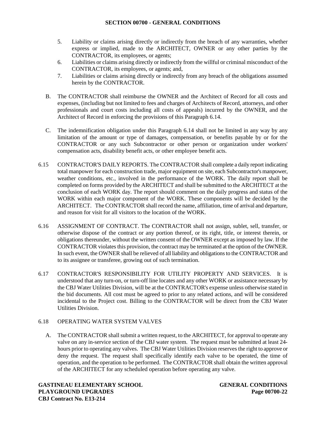- 5. Liability or claims arising directly or indirectly from the breach of any warranties, whether express or implied, made to the ARCHITECT, OWNER or any other parties by the CONTRACTOR, its employees, or agents;
- 6. Liabilities or claims arising directly or indirectly from the willful or criminal misconduct of the CONTRACTOR, its employees, or agents; and,
- 7. Liabilities or claims arising directly or indirectly from any breach of the obligations assumed herein by the CONTRACTOR.
- B. The CONTRACTOR shall reimburse the OWNER and the Architect of Record for all costs and expenses, (including but not limited to fees and charges of Architects of Record, attorneys, and other professionals and court costs including all costs of appeals) incurred by the OWNER, and the Architect of Record in enforcing the provisions of this Paragraph 6.14.
- C. The indemnification obligation under this Paragraph 6.14 shall not be limited in any way by any limitation of the amount or type of damages, compensation, or benefits payable by or for the CONTRACTOR or any such Subcontractor or other person or organization under workers' compensation acts, disability benefit acts, or other employee benefit acts.
- 6.15 CONTRACTOR'S DAILY REPORTS. The CONTRACTOR shall complete a daily report indicating total manpower for each construction trade, major equipment on site, each Subcontractor's manpower, weather conditions, etc., involved in the performance of the WORK. The daily report shall be completed on forms provided by the ARCHITECT and shall be submitted to the ARCHITECT at the conclusion of each WORK day. The report should comment on the daily progress and status of the WORK within each major component of the WORK. These components will be decided by the ARCHITECT. The CONTRACTOR shall record the name, affiliation, time of arrival and departure, and reason for visit for all visitors to the location of the WORK.
- 6.16 ASSIGNMENT OF CONTRACT. The CONTRACTOR shall not assign, sublet, sell, transfer, or otherwise dispose of the contract or any portion thereof, or its right, title, or interest therein, or obligations thereunder, without the written consent of the OWNER except as imposed by law. If the CONTRACTOR violates this provision, the contract may be terminated at the option of the OWNER. In such event, the OWNER shall be relieved of all liability and obligations to the CONTRACTOR and to its assignee or transferee, growing out of such termination.
- 6.17 CONTRACTOR'S RESPONSIBILITY FOR UTILITY PROPERTY AND SERVICES. It is understood that any turn-on, or turn-off line locates and any other WORK or assistance necessary by the CBJ Water Utilities Division, will be at the CONTRACTOR's expense unless otherwise stated in the bid documents. All cost must be agreed to prior to any related actions, and will be considered incidental to the Project cost. Billing to the CONTRACTOR will be direct from the CBJ Water Utilities Division.

## 6.18 OPERATING WATER SYSTEM VALVES

A. The CONTRACTOR shall submit a written request, to the ARCHITECT, for approval to operate any valve on any in-service section of the CBJ water system. The request must be submitted at least 24 hours prior to operating any valves. The CBJ Water Utilities Division reserves the right to approve or deny the request. The request shall specifically identify each valve to be operated, the time of operation, and the operation to be performed. The CONTRACTOR shall obtain the written approval of the ARCHITECT for any scheduled operation before operating any valve.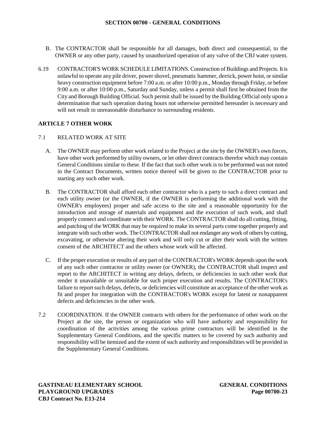- B. The CONTRACTOR shall be responsible for all damages, both direct and consequential, to the OWNER or any other party, caused by unauthorized operation of any valve of the CBJ water system.
- 6.19 CONTRACTOR'S WORK SCHEDULE LIMITATIONS.Construction of Buildings and Projects. Itis unlawful to operate any pile driver, power shovel, pneumatic hammer, derrick, power hoist, or similar heavy construction equipment before 7:00 a.m. or after 10:00 p.m., Monday through Friday, or before 9:00 a.m. or after 10:00 p.m., Saturday and Sunday, unless a permit shall first be obtained from the City and Borough Building Official. Such permit shall be issued by the Building Official only upon a determination that such operation during hours not otherwise permitted hereunder is necessary and will not result in unreasonable disturbance to surrounding residents.

## **ARTICLE 7 OTHER WORK**

### 7.1 RELATED WORK AT SITE

- A. The OWNER may perform other work related to the Project at the site by the OWNER's own forces, have other work performed by utility owners, or let other direct contracts therefor which may contain General Conditions similar to these. If the fact that such other work is to be performed was not noted in the Contract Documents, written notice thereof will be given to the CONTRACTOR prior to starting any such other work.
- B. The CONTRACTOR shall afford each other contractor who is a party to such a direct contract and each utility owner (or the OWNER, if the OWNER is performing the additional work with the OWNER's employees) proper and safe access to the site and a reasonable opportunity for the introduction and storage of materials and equipment and the execution of such work, and shall properly connect and coordinate with their WORK. The CONTRACTOR shall do all cutting, fitting, and patching of the WORK that may be required to make its several parts come together properly and integrate with such other work. The CONTRACTOR shall not endanger any work of others by cutting, excavating, or otherwise altering their work and will only cut or alter their work with the written consent of the ARCHITECT and the others whose work will be affected.
- C. If the proper execution or results of any part of the CONTRACTOR's WORK depends upon the work of any such other contractor or utility owner (or OWNER), the CONTRACTOR shall inspect and report to the ARCHITECT in writing any delays, defects, or deficiencies in such other work that render it unavailable or unsuitable for such proper execution and results. The CONTRACTOR's failure to report such delays, defects, or deficiencies will constitute an acceptance of the other work as fit and proper for integration with the CONTRACTOR's WORK except for latent or nonapparent defects and deficiencies in the other work.
- 7.2 COORDINATION. If the OWNER contracts with others for the performance of other work on the Project at the site, the person or organization who will have authority and responsibility for coordination of the activities among the various prime contractors will be identified in the Supplementary General Conditions, and the specific matters to be covered by such authority and responsibility will be itemized and the extent of such authority and responsibilities will be provided in the Supplementary General Conditions.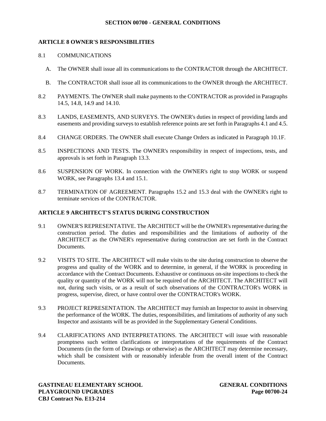## **ARTICLE 8 OWNER'S RESPONSIBILITIES**

## 8.1 COMMUNICATIONS

- A. The OWNER shall issue all its communications to the CONTRACTOR through the ARCHITECT.
- B. The CONTRACTOR shall issue all its communications to the OWNER through the ARCHITECT.
- 8.2 PAYMENTS. The OWNER shall make payments to the CONTRACTOR as provided in Paragraphs 14.5, 14.8, 14.9 and 14.10.
- 8.3 LANDS, EASEMENTS, AND SURVEYS. The OWNER's duties in respect of providing lands and easements and providing surveys to establish reference points are set forth in Paragraphs 4.1 and 4.5.
- 8.4 CHANGE ORDERS. The OWNER shall execute Change Orders as indicated in Paragraph 10.1F.
- 8.5 INSPECTIONS AND TESTS. The OWNER's responsibility in respect of inspections, tests, and approvals is set forth in Paragraph 13.3.
- 8.6 SUSPENSION OF WORK. In connection with the OWNER's right to stop WORK or suspend WORK, see Paragraphs 13.4 and 15.1.
- 8.7 TERMINATION OF AGREEMENT. Paragraphs 15.2 and 15.3 deal with the OWNER's right to terminate services of the CONTRACTOR.

## **ARTICLE 9 ARCHITECT'S STATUS DURING CONSTRUCTION**

- 9.1 OWNER'S REPRESENTATIVE. The ARCHITECT will be the OWNER's representative during the construction period. The duties and responsibilities and the limitations of authority of the ARCHITECT as the OWNER's representative during construction are set forth in the Contract Documents.
- 9.2 VISITS TO SITE. The ARCHITECT will make visits to the site during construction to observe the progress and quality of the WORK and to determine, in general, if the WORK is proceeding in accordance with the Contract Documents. Exhaustive or continuous on-site inspections to check the quality or quantity of the WORK will not be required of the ARCHITECT. The ARCHITECT will not, during such visits, or as a result of such observations of the CONTRACTOR's WORK in progress, supervise, direct, or have control over the CONTRACTOR's WORK.
- 9.3 PROJECT REPRESENTATION. The ARCHITECT may furnish an Inspector to assist in observing the performance of the WORK. The duties, responsibilities, and limitations of authority of any such Inspector and assistants will be as provided in the Supplementary General Conditions.
- 9.4 CLARIFICATIONS AND INTERPRETATIONS. The ARCHITECT will issue with reasonable promptness such written clarifications or interpretations of the requirements of the Contract Documents (in the form of Drawings or otherwise) as the ARCHITECT may determine necessary, which shall be consistent with or reasonably inferable from the overall intent of the Contract Documents.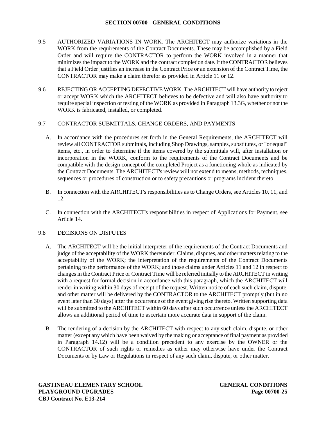- 9.5 AUTHORIZED VARIATIONS IN WORK. The ARCHITECT may authorize variations in the WORK from the requirements of the Contract Documents. These may be accomplished by a Field Order and will require the CONTRACTOR to perform the WORK involved in a manner that minimizes the impact to the WORK and the contract completion date.If the CONTRACTOR believes that a Field Order justifies an increase in the Contract Price or an extension of the Contract Time, the CONTRACTOR may make a claim therefor as provided in Article 11 or 12.
- 9.6 REJECTING OR ACCEPTING DEFECTIVE WORK. The ARCHITECT will have authority to reject or accept WORK which the ARCHITECT believes to be defective and will also have authority to require special inspection or testing of the WORK as provided in Paragraph 13.3G, whether or not the WORK is fabricated, installed, or completed.

## 9.7 CONTRACTOR SUBMITTALS, CHANGE ORDERS, AND PAYMENTS

- A. In accordance with the procedures set forth in the General Requirements, the ARCHITECT will review all CONTRACTOR submittals, including Shop Drawings, samples, substitutes, or "or equal" items, etc., in order to determine if the items covered by the submittals will, after installation or incorporation in the WORK, conform to the requirements of the Contract Documents and be compatible with the design concept of the completed Project as a functioning whole as indicated by the Contract Documents. The ARCHITECT's review will not extend to means, methods, techniques, sequences or procedures of construction or to safety precautions or programs incident thereto.
- B. In connection with the ARCHITECT's responsibilities as to Change Orders, see Articles 10, 11, and 12.
- C. In connection with the ARCHITECT's responsibilities in respect of Applications for Payment, see Article 14.

### 9.8 DECISIONS ON DISPUTES

- A. The ARCHITECT will be the initial interpreter of the requirements of the Contract Documents and judge of the acceptability of the WORK thereunder. Claims, disputes, and other matters relating to the acceptability of the WORK; the interpretation of the requirements of the Contract Documents pertaining to the performance of the WORK; and those claims under Articles 11 and 12 in respect to changes in the Contract Price or Contract Time will be referred initially to the ARCHITECT in writing with a request for formal decision in accordance with this paragraph, which the ARCHITECT will render in writing within 30 days of receipt of the request. Written notice of each such claim, dispute, and other matter will be delivered by the CONTRACTOR to the ARCHITECT promptly (but in no event later than 30 days) after the occurrence of the event giving rise thereto. Written supporting data will be submitted to the ARCHITECT within 60 days after such occurrence unless the ARCHITECT allows an additional period of time to ascertain more accurate data in support of the claim.
- B. The rendering of a decision by the ARCHITECT with respect to any such claim, dispute, or other matter (except any which have been waived by the making or acceptance of final payment as provided in Paragraph 14.12) will be a condition precedent to any exercise by the OWNER or the CONTRACTOR of such rights or remedies as either may otherwise have under the Contract Documents or by Law or Regulations in respect of any such claim, dispute, or other matter.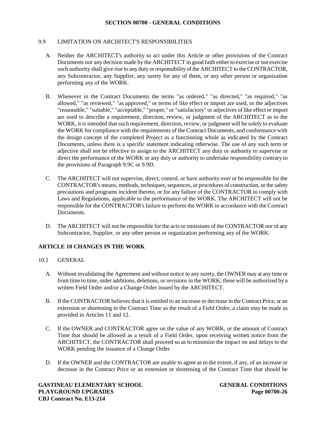### 9.9 LIMITATION ON ARCHITECT'S RESPONSIBILITIES

- A. Neither the ARCHITECT's authority to act under this Article or other provisions of the Contract Documents nor any decision made by the ARCHITECT in good faith either to exercise or not exercise such authority shall give rise to any duty or responsibility of the ARCHITECT to the CONTRACTOR, any Subcontractor, any Supplier, any surety for any of them, or any other person or organization performing any of the WORK.
- B. Whenever in the Contract Documents the terms "as ordered," "as directed," "as required," "as allowed," "as reviewed," "as approved," or terms of like effect or import are used, or the adjectives "reasonable," "suitable," "acceptable," "proper," or "satisfactory" or adjectives of like effect or import are used to describe a requirement, direction, review, or judgment of the ARCHITECT as to the WORK, it is intended that such requirement, direction, review, or judgment will be solely to evaluate the WORK for compliance with the requirements of the Contract Documents, and conformance with the design concept of the completed Project as a functioning whole as indicated by the Contract Documents, unless there is a specific statement indicating otherwise. The use of any such term or adjective shall not be effective to assign to the ARCHITECT any duty or authority to supervise or direct the performance of the WORK or any duty or authority to undertake responsibility contrary to the provisions of Paragraph 9.9C or 9.9D.
- C. The ARCHITECT will not supervise, direct, control, or have authority over or be responsible for the CONTRACTOR's means, methods, techniques, sequences, or procedures of construction, or the safety precautions and programs incident thereto, or for any failure of the CONTRACTOR to comply with Laws and Regulations, applicable to the performance of the WORK. The ARCHITECT will not be responsible for the CONTRACTOR's failure to perform the WORK in accordance with the Contract Documents.
- D. The ARCHITECT will not be responsible for the acts or omissions of the CONTRACTOR nor of any Subcontractor, Supplier, or any other person or organization performing any of the WORK.

## **ARTICLE 10 CHANGES IN THE WORK**

- 10.1 GENERAL
	- A. Without invalidating the Agreement and without notice to any surety, the OWNER may at any time or from time to time, order additions, deletions, or revisions in the WORK; these will be authorized by a written Field Order and/or a Change Order issued by the ARCHITECT.
	- B. If the CONTRACTOR believes that it is entitled to an increase or decrease in the Contract Price, or an extension or shortening in the Contract Time as the result of a Field Order, a claim may be made as provided in Articles 11 and 12.
	- C. If the OWNER and CONTRACTOR agree on the value of any WORK, or the amount of Contract Time that should be allowed as a result of a Field Order, upon receiving written notice from the ARCHITECT, the CONTRACTOR shall proceed so as to minimize the impact on and delays to the WORK pending the issuance of a Change Order.
	- D. If the OWNER and the CONTRACTOR are unable to agree as to the extent, if any, of an increase or decrease in the Contract Price or an extension or shortening of the Contract Time that should be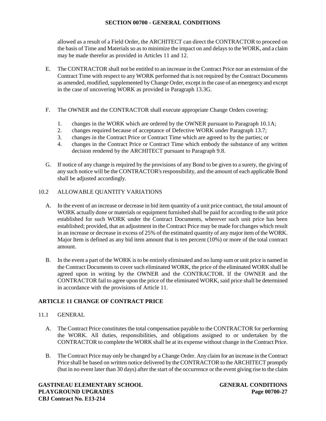allowed as a result of a Field Order, the ARCHITECT can direct the CONTRACTOR to proceed on the basis of Time and Materials so as to minimize the impact on and delays to the WORK, and a claim may be made therefor as provided in Articles 11 and 12.

- E. The CONTRACTOR shall not be entitled to an increase in the Contract Price nor an extension of the Contract Time with respect to any WORK performed that is not required by the Contract Documents as amended, modified, supplemented by Change Order, except in the case of an emergency and except in the case of uncovering WORK as provided in Paragraph 13.3G.
- F. The OWNER and the CONTRACTOR shall execute appropriate Change Orders covering:
	- 1. changes in the WORK which are ordered by the OWNER pursuant to Paragraph 10.1A;
	- 2. changes required because of acceptance of Defective WORK under Paragraph 13.7;
	- 3. changes in the Contract Price or Contract Time which are agreed to by the parties; or
	- 4. changes in the Contract Price or Contract Time which embody the substance of any written decision rendered by the ARCHITECT pursuant to Paragraph 9.8.
- G. If notice of any change is required by the provisions of any Bond to be given to a surety, the giving of any such notice will be the CONTRACTOR's responsibility, and the amount of each applicable Bond shall be adjusted accordingly.

### 10.2 ALLOWABLE QUANTITY VARIATIONS

- A. In the event of an increase or decrease in bid item quantity of a unit price contract, the total amount of WORK actually done or materials or equipment furnished shall be paid for according to the unit price established for such WORK under the Contract Documents, wherever such unit price has been established; provided, that an adjustment in the Contract Price may be made for changes which result in an increase or decrease in excess of 25% of the estimated quantity of any major item of the WORK. Major Item is defined as any bid item amount that is ten percent (10%) or more of the total contract amount.
- B. In the event a part of the WORK is to be entirely eliminated and no lump sum or unit price is named in the Contract Documents to cover such eliminated WORK, the price of the eliminated WORK shall be agreed upon in writing by the OWNER and the CONTRACTOR. If the OWNER and the CONTRACTOR fail to agree upon the price of the eliminated WORK, said price shall be determined in accordance with the provisions of Article 11.

## **ARTICLE 11 CHANGE OF CONTRACT PRICE**

### 11.1 GENERAL

- A. The Contract Price constitutes the total compensation payable to the CONTRACTOR for performing the WORK. All duties, responsibilities, and obligations assigned to or undertaken by the CONTRACTOR to complete the WORK shall be at its expense without change in the Contract Price.
- B. The Contract Price may only be changed by a Change Order. Any claim for an increase in the Contract Price shall be based on written notice delivered by the CONTRACTOR to the ARCHITECT promptly (but in no event later than 30 days) after the start of the occurrence or the event giving rise to the claim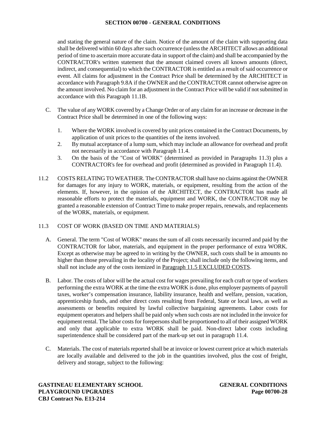and stating the general nature of the claim. Notice of the amount of the claim with supporting data shall be delivered within 60 days after such occurrence (unless the ARCHITECT allows an additional period of time to ascertain more accurate data in support of the claim) and shall be accompanied by the CONTRACTOR's written statement that the amount claimed covers all known amounts (direct, indirect, and consequential) to which the CONTRACTOR is entitled as a result of said occurrence or event. All claims for adjustment in the Contract Price shall be determined by the ARCHITECT in accordance with Paragraph 9.8A if the OWNER and the CONTRACTOR cannot otherwise agree on the amount involved. No claim for an adjustment in the Contract Price will be valid if not submitted in accordance with this Paragraph 11.1B.

- C. The value of any WORK covered by a Change Order or of any claim for an increase or decrease in the Contract Price shall be determined in one of the following ways:
	- 1. Where the WORK involved is covered by unit prices contained in the Contract Documents, by application of unit prices to the quantities of the items involved.
	- 2. By mutual acceptance of a lump sum, which may include an allowance for overhead and profit not necessarily in accordance with Paragraph 11.4.
	- 3. On the basis of the "Cost of WORK" (determined as provided in Paragraphs 11.3) plus a CONTRACTOR's fee for overhead and profit (determined as provided in Paragraph 11.4).
- 11.2 COSTS RELATING TO WEATHER. The CONTRACTOR shall have no claims against the OWNER for damages for any injury to WORK, materials, or equipment, resulting from the action of the elements. If, however, in the opinion of the ARCHITECT, the CONTRACTOR has made all reasonable efforts to protect the materials, equipment and WORK, the CONTRACTOR may be granted a reasonable extension of Contract Time to make proper repairs, renewals, and replacements of the WORK, materials, or equipment.

### 11.3 COST OF WORK (BASED ON TIME AND MATERIALS)

- A. General. The term "Cost of WORK" means the sum of all costs necessarily incurred and paid by the CONTRACTOR for labor, materials, and equipment in the proper performance of extra WORK. Except as otherwise may be agreed to in writing by the OWNER, such costs shall be in amounts no higher than those prevailing in the locality of the Project; shall include only the following items, and shall not include any of the costs itemized in Paragraph 11.5 EXCLUDED COSTS.
- B. Labor. The costs of labor will be the actual cost for wages prevailing for each craft or type of workers performing the extra WORK at the time the extra WORK is done, plus employer payments of payroll taxes, worker's compensation insurance, liability insurance, health and welfare, pension, vacation, apprenticeship funds, and other direct costs resulting from Federal, State or local laws, as well as assessments or benefits required by lawful collective bargaining agreements. Labor costs for equipment operators and helpers shall be paid only when such costs are not included in the invoice for equipment rental. The labor costs for forepersons shall be proportioned to all of their assigned WORK and only that applicable to extra WORK shall be paid. Non-direct labor costs including superintendence shall be considered part of the mark-up set out in paragraph 11.4.
- C. Materials. The cost of materials reported shall be at invoice or lowest current price at which materials are locally available and delivered to the job in the quantities involved, plus the cost of freight, delivery and storage, subject to the following: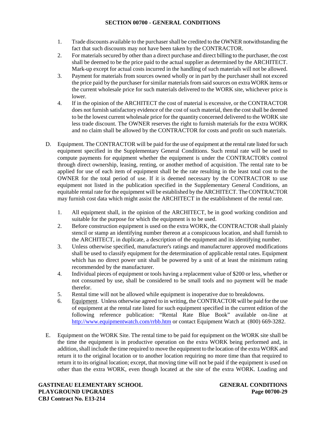- 1. Trade discounts available to the purchaser shall be credited to the OWNER notwithstanding the fact that such discounts may not have been taken by the CONTRACTOR.
- 2. For materials secured by other than a direct purchase and direct billing to the purchaser, the cost shall be deemed to be the price paid to the actual supplier as determined by the ARCHITECT. Mark-up except for actual costs incurred in the handling of such materials will not be allowed.
- 3. Payment for materials from sources owned wholly or in part by the purchaser shall not exceed the price paid by the purchaser for similar materials from said sources on extraWORK items or the current wholesale price for such materials delivered to the WORK site, whichever price is lower.
- 4. If in the opinion of the ARCHITECT the cost of material is excessive, or the CONTRACTOR does not furnish satisfactory evidence of the cost of such material, then the cost shall be deemed to be the lowest current wholesale price for the quantity concerned delivered to the WORK site less trade discount. The OWNER reserves the right to furnish materials for the extra WORK and no claim shall be allowed by the CONTRACTOR for costs and profit on such materials.
- D. Equipment. The CONTRACTOR will be paid for the use of equipment at the rental rate listed for such equipment specified in the Supplementary General Conditions. Such rental rate will be used to compute payments for equipment whether the equipment is under the CONTRACTOR's control through direct ownership, leasing, renting, or another method of acquisition. The rental rate to be applied for use of each item of equipment shall be the rate resulting in the least total cost to the OWNER for the total period of use. If it is deemed necessary by the CONTRACTOR to use equipment not listed in the publication specified in the Supplementary General Conditions, an equitable rental rate for the equipment will be established by the ARCHITECT. The CONTRACTOR may furnish cost data which might assist the ARCHITECT in the establishment of the rental rate.
	- 1. All equipment shall, in the opinion of the ARCHITECT, be in good working condition and suitable for the purpose for which the equipment is to be used.
	- 2. Before construction equipment is used on the extra WORK, the CONTRACTOR shall plainly stencil or stamp an identifying number thereon at a conspicuous location, and shall furnish to the ARCHITECT, in duplicate, a description of the equipment and its identifying number.
	- 3. Unless otherwise specified, manufacturer's ratings and manufacturer approved modifications shall be used to classify equipment for the determination of applicable rental rates. Equipment which has no direct power unit shall be powered by a unit of at least the minimum rating recommended by the manufacturer.
	- 4. Individual pieces of equipment or tools having a replacement value of \$200 or less, whether or not consumed by use, shall be considered to be small tools and no payment will be made therefor.
	- 5. Rental time will not be allowed while equipment is inoperative due to breakdowns.
	- 6. Equipment. Unless otherwise agreed to in writing, the CONTRACTOR will be paid for the use of equipment at the rental rate listed for such equipment specified in the current edition of the following reference publication: "Rental Rate Blue Book" available on-line at http://www.equipmentwatch.com/rrbb.htm or contact Equipment Watch at (800) 669-3282.
- E. Equipment on the WORK Site. The rental time to be paid for equipment on the WORK site shall be the time the equipment is in productive operation on the extra WORK being performed and, in addition, shall include the time required to move the equipment to the location of the extra WORK and return it to the original location or to another location requiring no more time than that required to return it to its original location; except, that moving time will not be paid if the equipment is used on other than the extra WORK, even though located at the site of the extra WORK. Loading and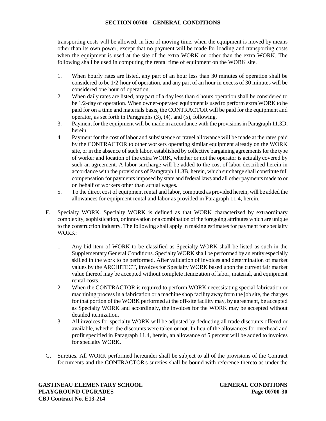transporting costs will be allowed, in lieu of moving time, when the equipment is moved by means other than its own power, except that no payment will be made for loading and transporting costs when the equipment is used at the site of the extra WORK on other than the extra WORK. The following shall be used in computing the rental time of equipment on the WORK site.

- 1. When hourly rates are listed, any part of an hour less than 30 minutes of operation shall be considered to be 1/2-hour of operation, and any part of an hour in excess of 30 minutes will be considered one hour of operation.
- 2. When daily rates are listed, any part of a day less than 4 hours operation shall be considered to be 1/2-day of operation. When owner-operated equipment is used to perform extra WORK to be paid for on a time and materials basis, the CONTRACTOR will be paid for the equipment and operator, as set forth in Paragraphs (3), (4), and (5), following.
- 3. Payment for the equipment will be made in accordance with the provisions in Paragraph 11.3D, herein.
- 4. Payment for the cost of labor and subsistence or travel allowance will be made at the rates paid by the CONTRACTOR to other workers operating similar equipment already on the WORK site, or in the absence of such labor, established by collective bargaining agreements for the type of worker and location of the extra WORK, whether or not the operator is actually covered by such an agreement. A labor surcharge will be added to the cost of labor described herein in accordance with the provisions of Paragraph 11.3B, herein, which surcharge shall constitute full compensation for payments imposed by state and federal laws and all other payments made to or on behalf of workers other than actual wages.
- 5. To the direct cost of equipment rental and labor, computed as provided herein, will be added the allowances for equipment rental and labor as provided in Paragraph 11.4, herein.
- F. Specialty WORK. Specialty WORK is defined as that WORK characterized by extraordinary complexity, sophistication, or innovation or a combination of the foregoing attributes which are unique to the construction industry. The following shall apply in making estimates for payment for specialty WORK:
	- 1. Any bid item of WORK to be classified as Specialty WORK shall be listed as such in the Supplementary General Conditions. Specialty WORK shall be performed by an entity especially skilled in the work to be performed. After validation of invoices and determination of market values by the ARCHITECT, invoices for Specialty WORK based upon the current fair market value thereof may be accepted without complete itemization of labor, material, and equipment rental costs.
	- 2. When the CONTRACTOR is required to perform WORK necessitating special fabrication or machining process in a fabrication or a machine shop facility away from the job site, the charges for that portion of the WORK performed at the off-site facility may, by agreement, be accepted as Specialty WORK and accordingly, the invoices for the WORK may be accepted without detailed itemization.
	- 3. All invoices for specialty WORK will be adjusted by deducting all trade discounts offered or available, whether the discounts were taken or not. In lieu of the allowances for overhead and profit specified in Paragraph 11.4, herein, an allowance of 5 percent will be added to invoices for specialty WORK.
- G. Sureties. All WORK performed hereunder shall be subject to all of the provisions of the Contract Documents and the CONTRACTOR's sureties shall be bound with reference thereto as under the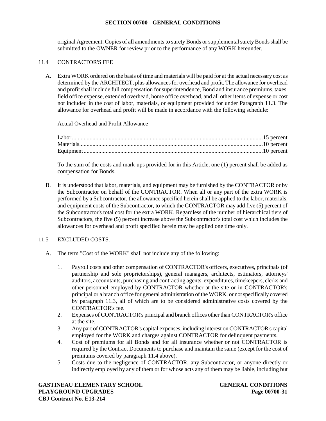original Agreement. Copies of all amendments to surety Bonds or supplemental surety Bonds shall be submitted to the OWNER for review prior to the performance of any WORK hereunder.

## 11.4 CONTRACTOR'S FEE

A. Extra WORK ordered on the basis of time and materials will be paid for at the actual necessary cost as determined by the ARCHITECT, plus allowances for overhead and profit. The allowance for overhead and profit shall include full compensation for superintendence, Bond and insurance premiums, taxes, field office expense, extended overhead, home office overhead, and all other items of expense or cost not included in the cost of labor, materials, or equipment provided for under Paragraph 11.3. The allowance for overhead and profit will be made in accordance with the following schedule:

Actual Overhead and Profit Allowance

To the sum of the costs and mark-ups provided for in this Article, one (1) percent shall be added as compensation for Bonds.

B. It is understood that labor, materials, and equipment may be furnished by the CONTRACTOR or by the Subcontractor on behalf of the CONTRACTOR. When all or any part of the extra WORK is performed by a Subcontractor, the allowance specified herein shall be applied to the labor, materials, and equipment costs of the Subcontractor, to which the CONTRACTOR may add five (5) percent of the Subcontractor's total cost for the extra WORK. Regardless of the number of hierarchical tiers of Subcontractors, the five (5) percent increase above the Subcontractor's total cost which includes the allowances for overhead and profit specified herein may be applied one time only.

## 11.5 EXCLUDED COSTS.

- A. The term "Cost of the WORK" shall not include any of the following:
	- 1. Payroll costs and other compensation of CONTRACTOR's officers, executives, principals (of partnership and sole proprietorships), general managers, architects, estimators, attorneys' auditors, accountants, purchasing and contracting agents, expenditures, timekeepers, clerks and other personnel employed by CONTRACTOR whether at the site or in CONTRACTOR's principal or a branch office for general administration of the WORK, or not specifically covered by paragraph 11.3, all of which are to be considered administrative costs covered by the CONTRACTOR's fee.
	- 2. Expenses of CONTRACTOR's principal and branch offices other than CONTRACTOR's office at the site.
	- 3. Any part of CONTRACTOR's capital expenses, including interest on CONTRACTOR's capital employed for the WORK and charges against CONTRACTOR for delinquent payments.
	- 4. Cost of premiums for all Bonds and for all insurance whether or not CONTRACTOR is required by the Contract Documents to purchase and maintain the same (except for the cost of premiums covered by paragraph 11.4 above).
	- 5. Costs due to the negligence of CONTRACTOR, any Subcontractor, or anyone directly or indirectly employed by any of them or for whose acts any of them may be liable, including but

**GASTINEAU ELEMENTARY SCHOOL GENERAL CONDITIONS PLAYGROUND UPGRADES Page 00700-31 CBJ Contract No. E13-214**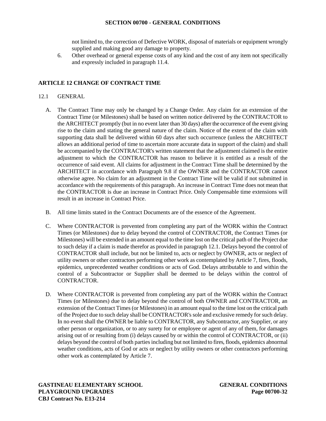not limited to, the correction of Defective WORK, disposal of materials or equipment wrongly supplied and making good any damage to property.

6. Other overhead or general expense costs of any kind and the cost of any item not specifically and expressly included in paragraph 11.4.

# **ARTICLE 12 CHANGE OF CONTRACT TIME**

# 12.1 GENERAL

- A. The Contract Time may only be changed by a Change Order. Any claim for an extension of the Contract Time (or Milestones) shall be based on written notice delivered by the CONTRACTOR to the ARCHITECT promptly (but in no event later than 30 days) after the occurrence of the event giving rise to the claim and stating the general nature of the claim. Notice of the extent of the claim with supporting data shall be delivered within 60 days after such occurrence (unless the ARCHITECT allows an additional period of time to ascertain more accurate data in support of the claim) and shall be accompanied by the CONTRACTOR's written statement that the adjustment claimed is the entire adjustment to which the CONTRACTOR has reason to believe it is entitled as a result of the occurrence of said event. All claims for adjustment in the Contract Time shall be determined by the ARCHITECT in accordance with Paragraph 9.8 if the OWNER and the CONTRACTOR cannot otherwise agree. No claim for an adjustment in the Contract Time will be valid if not submitted in accordance with the requirements of this paragraph. An increase in Contract Time does not mean that the CONTRACTOR is due an increase in Contract Price. Only Compensable time extensions will result in an increase in Contract Price.
- B. All time limits stated in the Contract Documents are of the essence of the Agreement.
- C. Where CONTRACTOR is prevented from completing any part of the WORK within the Contract Times (or Milestones) due to delay beyond the control of CONTRACTOR, the Contract Times (or Milestones) will be extended in an amount equal to the time lost on the critical path of the Project due to such delay if a claim is made therefor as provided in paragraph 12.1. Delays beyond the control of CONTRACTOR shall include, but not be limited to, acts or neglect by OWNER, acts or neglect of utility owners or other contractors performing other work as contemplated by Article 7, fires, floods, epidemics, unprecedented weather conditions or acts of God. Delays attributable to and within the control of a Subcontractor or Supplier shall be deemed to be delays within the control of CONTRACTOR.
- D. Where CONTRACTOR is prevented from completing any part of the WORK within the Contract Times (or Milestones) due to delay beyond the control of both OWNER and CONTRACTOR, an extension of the Contract Times (or Milestones) in an amount equal to the time lost on the critical path of the Project due to such delay shall be CONTRACTOR's sole and exclusive remedy for such delay. In no event shall the OWNER be liable to CONTRACTOR, any Subcontractor, any Supplier, or any other person or organization, or to any surety for or employee or agent of any of them, for damages arising out of or resulting from (i) delays caused by or within the control of CONTRACTOR, or (ii) delays beyond the control of both parties including but not limited to fires, floods, epidemics abnormal weather conditions, acts of God or acts or neglect by utility owners or other contractors performing other work as contemplated by Article 7.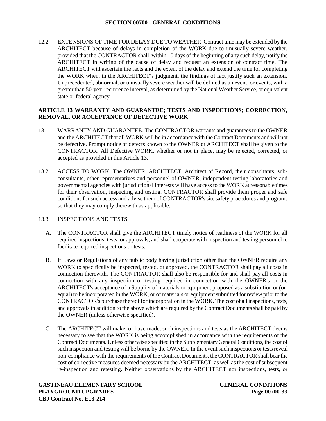12.2 EXTENSIONS OF TIME FOR DELAY DUE TO WEATHER. Contract time may be extended by the ARCHITECT because of delays in completion of the WORK due to unusually severe weather, provided that the CONTRACTOR shall, within 10 days of the beginning of any such delay, notify the ARCHITECT in writing of the cause of delay and request an extension of contract time. The ARCHITECT will ascertain the facts and the extent of the delay and extend the time for completing the WORK when, in the ARCHITECT's judgment, the findings of fact justify such an extension. Unprecedented, abnormal, or unusually severe weather will be defined as an event, or events, with a greater than 50-year recurrence interval, as determined by the National Weather Service, or equivalent state or federal agency.

## **ARTICLE 13 WARRANTY AND GUARANTEE; TESTS AND INSPECTIONS; CORRECTION, REMOVAL, OR ACCEPTANCE OF DEFECTIVE WORK**

- 13.1 WARRANTY AND GUARANTEE. The CONTRACTOR warrants and guarantees to the OWNER and the ARCHITECT that all WORK will be in accordance with the Contract Documents and will not be defective. Prompt notice of defects known to the OWNER or ARCHITECT shall be given to the CONTRACTOR. All Defective WORK, whether or not in place, may be rejected, corrected, or accepted as provided in this Article 13.
- 13.2 ACCESS TO WORK. The OWNER, ARCHITECT, Architect of Record, their consultants, sub consultants, other representatives and personnel of OWNER, independent testing laboratories and governmental agencies with jurisdictional interests will have access to the WORK at reasonable times for their observation, inspecting and testing. CONTRACTOR shall provide them proper and safe conditions for such access and advise them of CONTRACTOR's site safety procedures and programs so that they may comply therewith as applicable.

### 13.3 INSPECTIONS AND TESTS

- A. The CONTRACTOR shall give the ARCHITECT timely notice of readiness of the WORK for all required inspections, tests, or approvals, and shall cooperate with inspection and testing personnel to facilitate required inspections or tests.
- B. If Laws or Regulations of any public body having jurisdiction other than the OWNER require any WORK to specifically be inspected, tested, or approved, the CONTRACTOR shall pay all costs in connection therewith. The CONTRACTOR shall also be responsible for and shall pay all costs in connection with any inspection or testing required in connection with the OWNER's or the ARCHITECT's acceptance of a Supplier of materials or equipment proposed as a substitution or (or equal) to be incorporated in the WORK, or of materials or equipment submitted for review priorto the CONTRACTOR's purchase thereof for incorporation in the WORK. The cost of all inspections, tests, and approvals in addition to the above which are required by the Contract Documents shall be paid by the OWNER (unless otherwise specified).
- C. The ARCHITECT will make, or have made, such inspections and tests as the ARCHITECT deems necessary to see that the WORK is being accomplished in accordance with the requirements of the Contract Documents. Unless otherwise specified in the Supplementary General Conditions, the cost of such inspection and testing will be borne by the OWNER. In the event such inspections or tests reveal non-compliance with the requirements of the Contract Documents, the CONTRACTOR shall bear the cost of corrective measures deemed necessary by the ARCHITECT, as well as the cost of subsequent re-inspection and retesting. Neither observations by the ARCHITECT nor inspections, tests, or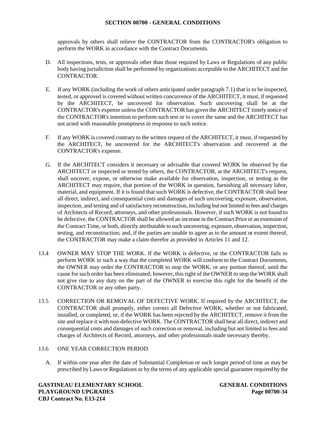approvals by others shall relieve the CONTRACTOR from the CONTRACTOR's obligation to perform the WORK in accordance with the Contract Documents.

- D. All inspections, tests, or approvals other than those required by Laws or Regulations of any public body having jurisdiction shall be performed by organizations acceptable to the ARCHITECT and the CONTRACTOR.
- E. If any WORK (including the work of others anticipated under paragraph 7.1) that is to be inspected, tested, or approved is covered without written concurrence of the ARCHITECT, it must, if requested by the ARCHITECT, be uncovered for observation. Such uncovering shall be at the CONTRACTOR's expense unless the CONTRACTOR has given the ARCHITECT timely notice of the CONTRACTOR's intention to perform such test or to cover the same and the ARCHITECT has not acted with reasonable promptness in response to such notice.
- F. If any WORK is covered contrary to the written request of the ARCHITECT, it must, if requested by the ARCHITECT, be uncovered for the ARCHITECT's observation and recovered at the CONTRACTOR's expense.
- G. If the ARCHITECT considers it necessary or advisable that covered WORK be observed by the ARCHITECT or inspected or tested by others, the CONTRACTOR, at the ARCHITECT's request, shall uncover, expose, or otherwise make available for observation, inspection, or testing as the ARCHITECT may require, that portion of the WORK in question, furnishing all necessary labor, material, and equipment. If it is found that such WORK is defective, the CONTRACTOR shall bear all direct, indirect, and consequential costs and damages of such uncovering, exposure, observation, inspection, and testing and of satisfactory reconstruction, including but not limited to fees and charges of Architects of Record, attorneys, and other professionals. However, if such WORK is not found to be defective, the CONTRACTOR shall be allowed an increase in the Contract Price or an extension of the Contract Time, or both, directly attributable to such uncovering, exposure, observation, inspection, testing, and reconstruction; and, if the parties are unable to agree as to the amount or extent thereof, the CONTRACTOR may make a claim therefor as provided in Articles 11 and 12.
- 13.4 OWNER MAY STOP THE WORK. If the WORK is defective, or the CONTRACTOR fails to perform WORK in such a way that the completed WORK will conform to the Contract Documents, the OWNER may order the CONTRACTOR to stop the WORK, or any portion thereof, until the cause for such order has been eliminated; however, this right of the OWNER to stop the WORK shall not give rise to any duty on the part of the OWNER to exercise this right for the benefit of the CONTRACTOR or any other party.
- 13.5 CORRECTION OR REMOVAL OF DEFECTIVE WORK. If required by the ARCHITECT, the CONTRACTOR shall promptly, either correct all Defective WORK, whether or not fabricated, installed, or completed, or, if the WORK has been rejected by the ARCHITECT, remove it from the site and replace it with non-defective WORK. The CONTRACTOR shall bear all direct, indirect and consequential costs and damages of such correction or removal, including but not limited to fees and charges of Architects of Record, attorneys, and other professionals made necessary thereby.

### 13.6 ONE YEAR CORRECTION PERIOD

A. If within one year after the date of Substantial Completion or such longer period of time as may be prescribed by Laws or Regulations or by the terms of any applicable special guarantee required by the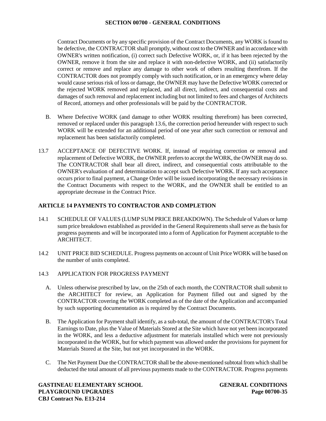Contract Documents or by any specific provision of the Contract Documents, any WORK is found to be defective, the CONTRACTOR shall promptly, without cost to the OWNER and in accordance with OWNER's written notification, (i) correct such Defective WORK, or, if it has been rejected by the OWNER, remove it from the site and replace it with non-defective WORK, and (ii) satisfactorily correct or remove and replace any damage to other work of others resulting therefrom. If the CONTRACTOR does not promptly comply with such notification, or in an emergency where delay would cause serious risk of loss or damage, the OWNER may have the Defective WORK corrected or the rejected WORK removed and replaced, and all direct, indirect, and consequential costs and damages of such removal and replacement including but not limited to fees and charges of Architects of Record, attorneys and other professionals will be paid by the CONTRACTOR.

- B. Where Defective WORK (and damage to other WORK resulting therefrom) has been corrected, removed or replaced under this paragraph 13.6, the correction period hereunder with respect to such WORK will be extended for an additional period of one year after such correction or removal and replacement has been satisfactorily completed.
- 13.7 ACCEPTANCE OF DEFECTIVE WORK. If, instead of requiring correction or removal and replacement of Defective WORK, the OWNER prefers to accept the WORK, the OWNER may do so. The CONTRACTOR shall bear all direct, indirect, and consequential costs attributable to the OWNER's evaluation of and determination to accept such Defective WORK. If any such acceptance occurs prior to final payment, a Change Order will be issued incorporating the necessary revisions in the Contract Documents with respect to the WORK, and the OWNER shall be entitled to an appropriate decrease in the Contract Price.

# **ARTICLE 14 PAYMENTS TO CONTRACTOR AND COMPLETION**

- 14.1 SCHEDULE OF VALUES (LUMP SUM PRICE BREAKDOWN). The Schedule of Values or lump sum price breakdown established as provided in the General Requirements shall serve as the basis for progress payments and will be incorporated into a form of Application for Payment acceptable to the ARCHITECT.
- 14.2 UNIT PRICE BID SCHEDULE. Progress payments on account of Unit Price WORK will be based on the number of units completed.
- 14.3 APPLICATION FOR PROGRESS PAYMENT
	- A. Unless otherwise prescribed by law, on the 25th of each month, the CONTRACTOR shall submit to the ARCHITECT for review, an Application for Payment filled out and signed by the CONTRACTOR covering the WORK completed as of the date of the Application and accompanied by such supporting documentation as is required by the Contract Documents.
	- B. The Application for Payment shall identify, as a sub-total, the amount of the CONTRACTOR's Total Earnings to Date, plus the Value of Materials Stored at the Site which have not yet been incorporated in the WORK, and less a deductive adjustment for materials installed which were not previously incorporated in the WORK, but for which payment was allowed under the provisions for payment for Materials Stored at the Site, but not yet incorporated in the WORK.
	- C. The Net Payment Due the CONTRACTOR shall be the above-mentioned subtotal from which shall be deducted the total amount of all previous payments made to the CONTRACTOR. Progress payments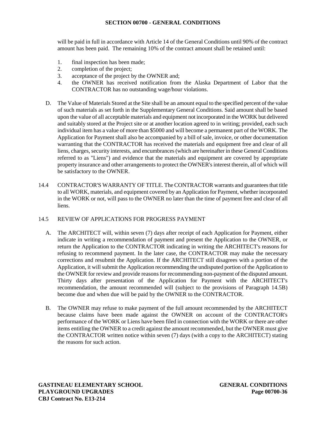will be paid in full in accordance with Article 14 of the General Conditions until 90% of the contract amount has been paid. The remaining 10% of the contract amount shall be retained until:

- 1. final inspection has been made;
- 2. completion of the project;
- 3. acceptance of the project by the OWNER and;
- 4. the OWNER has received notification from the Alaska Department of Labor that the CONTRACTOR has no outstanding wage/hour violations.
- D. The Value of Materials Stored at the Site shall be an amount equal to the specified percent of the value of such materials as set forth in the Supplementary General Conditions. Said amount shall be based upon the value of all acceptable materials and equipment not incorporated in the WORK but delivered and suitably stored at the Project site or at another location agreed to in writing; provided, each such individual item has a value of more than \$5000 and will become a permanent part of the WORK. The Application for Payment shall also be accompanied by a bill of sale, invoice, or other documentation warranting that the CONTRACTOR has received the materials and equipment free and clear of all liens, charges, security interests, and encumbrances (which are hereinafter in these General Conditions referred to as "Liens") and evidence that the materials and equipment are covered by appropriate property insurance and other arrangements to protect the OWNER's interest therein, all of which will be satisfactory to the OWNER.
- 14.4 CONTRACTOR'S WARRANTY OF TITLE. The CONTRACTOR warrants and guarantees that title to all WORK, materials, and equipment covered by an Application for Payment, whether incorporated in the WORK or not, will pass to the OWNER no later than the time of payment free and clear of all liens.

### 14.5 REVIEW OF APPLICATIONS FOR PROGRESS PAYMENT

- A. The ARCHITECT will, within seven (7) days after receipt of each Application for Payment, either indicate in writing a recommendation of payment and present the Application to the OWNER, or return the Application to the CONTRACTOR indicating in writing the ARCHITECT's reasons for refusing to recommend payment. In the later case, the CONTRACTOR may make the necessary corrections and resubmit the Application. If the ARCHITECT still disagrees with a portion of the Application, it will submit the Application recommending the undisputed portion of the Application to the OWNER for review and provide reasons for recommending non-payment of the disputed amount. Thirty days after presentation of the Application for Payment with the ARCHITECT's recommendation, the amount recommended will (subject to the provisions of Paragraph 14.5B) become due and when due will be paid by the OWNER to the CONTRACTOR.
- B. The OWNER may refuse to make payment of the full amount recommended by the ARCHITECT because claims have been made against the OWNER on account of the CONTRACTOR's performance of the WORK or Liens have been filed in connection with the WORK or there are other items entitling the OWNER to a credit against the amount recommended, but the OWNER must give the CONTRACTOR written notice within seven (7) days (with a copy to the ARCHITECT) stating the reasons for such action.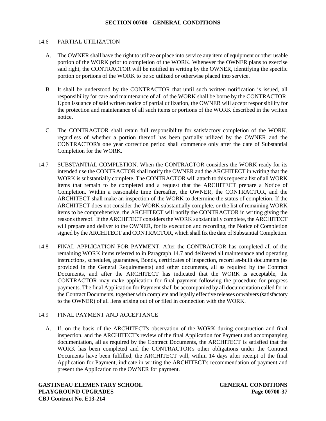#### 14.6 PARTIAL UTILIZATION

- A. The OWNER shall have the right to utilize or place into service any item of equipment or other usable portion of the WORK prior to completion of the WORK. Whenever the OWNER plans to exercise said right, the CONTRACTOR will be notified in writing by the OWNER, identifying the specific portion or portions of the WORK to be so utilized or otherwise placed into service.
- B. It shall be understood by the CONTRACTOR that until such written notification is issued, all responsibility for care and maintenance of all of the WORK shall be borne by the CONTRACTOR. Upon issuance of said written notice of partial utilization, the OWNER will accept responsibility for the protection and maintenance of all such items or portions of the WORK described in the written notice.
- C. The CONTRACTOR shall retain full responsibility for satisfactory completion of the WORK, regardless of whether a portion thereof has been partially utilized by the OWNER and the CONTRACTOR's one year correction period shall commence only after the date of Substantial Completion for the WORK.
- 14.7 SUBSTANTIAL COMPLETION. When the CONTRACTOR considers the WORK ready for its intended use the CONTRACTOR shall notify the OWNER and the ARCHITECT in writing that the WORK is substantially complete. The CONTRACTOR will attach to this request a list of all WORK items that remain to be completed and a request that the ARCHITECT prepare a Notice of Completion. Within a reasonable time thereafter, the OWNER, the CONTRACTOR, and the ARCHITECT shall make an inspection of the WORK to determine the status of completion. If the ARCHITECT does not consider the WORK substantially complete, or the list of remaining WORK items to be comprehensive, the ARCHITECT will notify the CONTRACTOR in writing giving the reasons thereof. If the ARCHITECT considers the WORK substantially complete, the ARCHITECT will prepare and deliver to the OWNER, for its execution and recording, the Notice of Completion signed by the ARCHITECT and CONTRACTOR, which shall fix the date of Substantial Completion.
- 14.8 FINAL APPLICATION FOR PAYMENT. After the CONTRACTOR has completed all of the remaining WORK items referred to in Paragraph 14.7 and delivered all maintenance and operating instructions, schedules, guarantees, Bonds, certificates of inspection, record as-built documents (as provided in the General Requirements) and other documents, all as required by the Contract Documents, and after the ARCHITECT has indicated that the WORK is acceptable, the CONTRACTOR may make application for final payment following the procedure for progress payments. The final Application for Payment shall be accompanied by all documentation called for in the Contract Documents, together with complete and legally effective releases orwaivers (satisfactory to the OWNER) of all liens arising out of or filed in connection with the WORK.

### 14.9 FINAL PAYMENT AND ACCEPTANCE

A. If, on the basis of the ARCHITECT's observation of the WORK during construction and final inspection, and the ARCHITECT's review of the final Application for Payment and accompanying documentation, all as required by the Contract Documents, the ARCHITECT is satisfied that the WORK has been completed and the CONTRACTOR's other obligations under the Contract Documents have been fulfilled, the ARCHITECT will, within 14 days after receipt of the final Application for Payment, indicate in writing the ARCHITECT's recommendation of payment and present the Application to the OWNER for payment.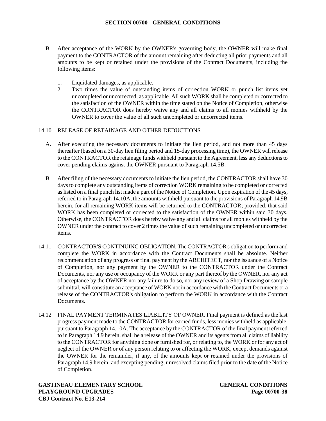- B. After acceptance of the WORK by the OWNER's governing body, the OWNER will make final payment to the CONTRACTOR of the amount remaining after deducting all prior payments and all amounts to be kept or retained under the provisions of the Contract Documents, including the following items:
	- 1. Liquidated damages, as applicable.
	- 2. Two times the value of outstanding items of correction WORK or punch list items yet uncompleted or uncorrected, as applicable. All such WORK shall be completed or corrected to the satisfaction of the OWNER within the time stated on the Notice of Completion, otherwise the CONTRACTOR does hereby waive any and all claims to all monies withheld by the OWNER to cover the value of all such uncompleted or uncorrected items.

## 14.10 RELEASE OF RETAINAGE AND OTHER DEDUCTIONS

- A. After executing the necessary documents to initiate the lien period, and not more than 45 days thereafter (based on a 30-day lien filing period and 15-day processing time), the OWNER will release to the CONTRACTOR the retainage funds withheld pursuant to the Agreement, less any deductions to cover pending claims against the OWNER pursuant to Paragraph 14.5B.
- B. After filing of the necessary documents to initiate the lien period, the CONTRACTOR shall have 30 days to complete any outstanding items of correction WORK remaining to be completed or corrected as listed on a final punch list made a part of the Notice of Completion. Upon expiration of the 45 days, referred to in Paragraph 14.10A, the amounts withheld pursuant to the provisions of Paragraph 14.9B herein, for all remaining WORK items will be returned to the CONTRACTOR; provided, that said WORK has been completed or corrected to the satisfaction of the OWNER within said 30 days. Otherwise, the CONTRACTOR does hereby waive any and all claims for all monies withheld by the OWNER under the contract to cover 2 times the value of such remaining uncompleted or uncorrected items.
- 14.11 CONTRACTOR'S CONTINUING OBLIGATION. The CONTRACTOR's obligation to perform and complete the WORK in accordance with the Contract Documents shall be absolute. Neither recommendation of any progress or final payment by the ARCHITECT, nor the issuance of a Notice of Completion, nor any payment by the OWNER to the CONTRACTOR under the Contract Documents, nor any use or occupancy of the WORK or any part thereof by the OWNER, nor any act of acceptance by the OWNER nor any failure to do so, nor any review of a Shop Drawing or sample submittal, will constitute an acceptance of WORK not in accordance with the Contract Documents or a release of the CONTRACTOR's obligation to perform the WORK in accordance with the Contract Documents.
- 14.12 FINAL PAYMENT TERMINATES LIABILITY OF OWNER. Final payment is defined as the last progress payment made to the CONTRACTOR for earned funds, less monies withheld as applicable, pursuant to Paragraph 14.10A. The acceptance by the CONTRACTOR of the final payment referred to in Paragraph 14.9 herein, shall be a release of the OWNER and its agents from all claims of liability to the CONTRACTOR for anything done or furnished for, or relating to, the WORK or for any act of neglect of the OWNER or of any person relating to or affecting the WORK, except demands against the OWNER for the remainder, if any, of the amounts kept or retained under the provisions of Paragraph 14.9 herein; and excepting pending, unresolved claims filed prior to the date of the Notice of Completion.

**GASTINEAU ELEMENTARY SCHOOL GENERAL CONDITIONS PLAYGROUND UPGRADES Page 00700-38 CBJ Contract No. E13-214**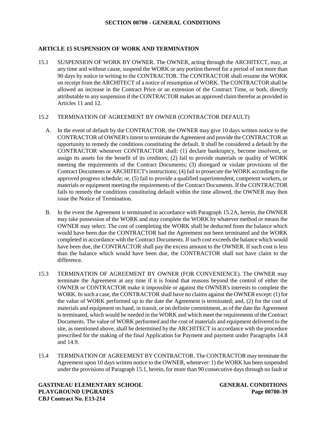# **ARTICLE 15 SUSPENSION OF WORK AND TERMINATION**

15.1 SUSPENSION OF WORK BY OWNER. The OWNER, acting through the ARCHITECT, may, at any time and without cause, suspend the WORK or any portion thereof for a period of not more than 90 days by notice in writing to the CONTRACTOR. The CONTRACTOR shall resume the WORK on receipt from the ARCHITECT of a notice of resumption of WORK. The CONTRACTOR shall be allowed an increase in the Contract Price or an extension of the Contract Time, or both, directly attributable to any suspension if the CONTRACTOR makes an approved claim therefor as provided in Articles 11 and 12.

# 15.2 TERMINATION OF AGREEMENT BY OWNER (CONTRACTOR DEFAULT)

- A. In the event of default by the CONTRACTOR, the OWNER may give 10 days written notice to the CONTRACTOR of OWNER's intent to terminate the Agreement and provide the CONTRACTOR an opportunity to remedy the conditions constituting the default. It shall be considered a default by the CONTRACTOR whenever CONTRACTOR shall: (1) declare bankruptcy, become insolvent, or assign its assets for the benefit of its creditors; (2) fail to provide materials or quality of WORK meeting the requirements of the Contract Documents; (3) disregard or violate provisions of the Contract Documents or ARCHITECT's instructions; (4) fail to prosecute the WORK according to the approved progress schedule; or, (5) fail to provide a qualified superintendent, competent workers, or materials or equipment meeting the requirements of the Contract Documents. If the CONTRACTOR fails to remedy the conditions constituting default within the time allowed, the OWNER may then issue the Notice of Termination.
- B. In the event the Agreement is terminated in accordance with Paragraph 15.2A, herein, the OWNER may take possession of the WORK and may complete the WORK by whatever method or means the OWNER may select. The cost of completing the WORK shall be deducted from the balance which would have been due the CONTRACTOR had the Agreement not been terminated and the WORK completed in accordance with the Contract Documents. If such cost exceeds the balance which would have been due, the CONTRACTOR shall pay the excess amount to the OWNER. If such cost is less than the balance which would have been due, the CONTRACTOR shall not have claim to the difference.
- 15.3 TERMINATION OF AGREEMENT BY OWNER (FOR CONVENIENCE). The OWNER may terminate the Agreement at any time if it is found that reasons beyond the control of either the OWNER or CONTRACTOR make it impossible or against the OWNER's interests to complete the WORK. In such a case, the CONTRACTOR shall have no claims against the OWNER except: (1) for the value of WORK performed up to the date the Agreement is terminated; and, (2) for the cost of materials and equipment on hand, in transit, or on definite commitment, as of the date the Agreement is terminated, which would be needed in the WORK and which meet the requirements of the Contract Documents. The value of WORK performed and the cost of materials and equipment delivered to the site, as mentioned above, shall be determined by the ARCHITECT in accordance with the procedure prescribed for the making of the final Application for Payment and payment under Paragraphs 14.8 and 14.9.
- 15.4 TERMINATION OF AGREEMENT BY CONTRACTOR. The CONTRACTOR may terminate the Agreement upon 10 days written notice to the OWNER, whenever: 1) the WORK has been suspended under the provisions of Paragraph 15.1, herein, for more than 90 consecutive days through no fault or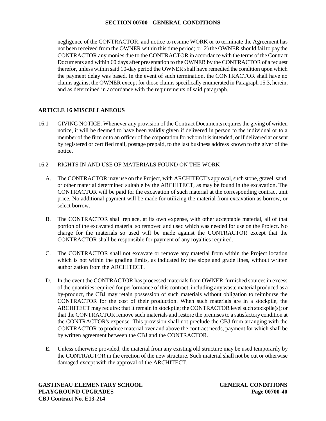negligence of the CONTRACTOR, and notice to resume WORK or to terminate the Agreement has not been received from the OWNER within this time period; or, 2) the OWNER should fail to paythe CONTRACTOR any monies due to the CONTRACTOR in accordance with the terms of the Contract Documents and within 60 days after presentation to the OWNER by the CONTRACTOR of a request therefor, unless within said 10-day period the OWNER shall have remedied the condition upon which the payment delay was based. In the event of such termination, the CONTRACTOR shall have no claims against the OWNER except for those claims specifically enumerated in Paragraph 15.3, herein, and as determined in accordance with the requirements of said paragraph.

# **ARTICLE 16 MISCELLANEOUS**

16.1 GIVING NOTICE. Whenever any provision of the Contract Documents requires the giving of written notice, it will be deemed to have been validly given if delivered in person to the individual or to a member of the firm or to an officer of the corporation for whom it is intended, or if delivered at or sent by registered or certified mail, postage prepaid, to the last business address known to the giver of the notice.

# 16.2 RIGHTS IN AND USE OF MATERIALS FOUND ON THE WORK

- A. The CONTRACTOR may use on the Project, with ARCHITECT's approval, such stone, gravel, sand, or other material determined suitable by the ARCHITECT, as may be found in the excavation. The CONTRACTOR will be paid for the excavation of such material at the corresponding contract unit price. No additional payment will be made for utilizing the material from excavation as borrow, or select borrow.
- B. The CONTRACTOR shall replace, at its own expense, with other acceptable material, all of that portion of the excavated material so removed and used which was needed for use on the Project. No charge for the materials so used will be made against the CONTRACTOR except that the CONTRACTOR shall be responsible for payment of any royalties required.
- C. The CONTRACTOR shall not excavate or remove any material from within the Project location which is not within the grading limits, as indicated by the slope and grade lines, without written authorization from the ARCHITECT.
- D. In the event the CONTRACTOR has processed materials from OWNER-furnished sources in excess of the quantities required for performance of this contract, including any waste material produced as a by-product, the CBJ may retain possession of such materials without obligation to reimburse the CONTRACTOR for the cost of their production. When such materials are in a stockpile, the ARCHITECT may require: that it remain in stockpile; the CONTRACTOR level such stockpile(s); or that the CONTRACTOR remove such materials and restore the premises to a satisfactory condition at the CONTRACTOR's expense. This provision shall not preclude the CBJ from arranging with the CONTRACTOR to produce material over and above the contract needs, payment for which shall be by written agreement between the CBJ and the CONTRACTOR.
- E. Unless otherwise provided, the material from any existing old structure may be used temporarily by the CONTRACTOR in the erection of the new structure. Such material shall not be cut or otherwise damaged except with the approval of the ARCHITECT.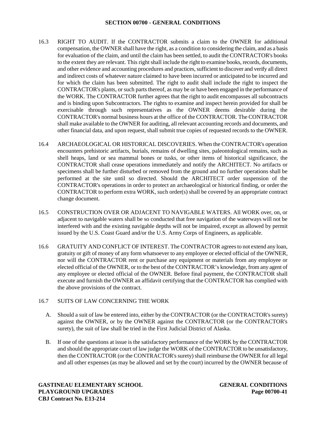- 16.3 RIGHT TO AUDIT. If the CONTRACTOR submits a claim to the OWNER for additional compensation, the OWNER shall have the right, as a condition to considering the claim, and as a basis for evaluation of the claim, and until the claim has been settled, to audit the CONTRACTOR's books to the extent they are relevant. This right shall include the right to examine books, records, documents, and other evidence and accounting procedures and practices, sufficient to discover and verify all direct and indirect costs of whatever nature claimed to have been incurred or anticipated to be incurred and for which the claim has been submitted. The right to audit shall include the right to inspect the CONTRACTOR's plants, or such parts thereof, as may be or have been engaged in the performance of the WORK. The CONTRACTOR further agrees that the right to audit encompasses all subcontracts and is binding upon Subcontractors. The rights to examine and inspect herein provided for shall be exercisable through such representatives as the OWNER deems desirable during the CONTRACTOR's normal business hours at the office of the CONTRACTOR. The CONTRACTOR shall make available to the OWNER for auditing, all relevant accounting records and documents, and other financial data, and upon request, shall submit true copies of requested records to the OWNER.
- 16.4 ARCHAEOLOGICAL OR HISTORICAL DISCOVERIES. When the CONTRACTOR's operation encounters prehistoric artifacts, burials, remains of dwelling sites, paleontological remains, such as shell heaps, land or sea mammal bones or tusks, or other items of historical significance, the CONTRACTOR shall cease operations immediately and notify the ARCHITECT. No artifacts or specimens shall be further disturbed or removed from the ground and no further operations shall be performed at the site until so directed. Should the ARCHITECT order suspension of the CONTRACTOR's operations in order to protect an archaeological or historical finding, or order the CONTRACTOR to perform extra WORK, such order(s) shall be covered by an appropriate contract change document.
- 16.5 CONSTRUCTION OVER OR ADJACENT TO NAVIGABLE WATERS. All WORK over, on, or adjacent to navigable waters shall be so conducted that free navigation of the waterways will not be interfered with and the existing navigable depths will not be impaired, except as allowed by permit issued by the U.S. Coast Guard and/or the U.S. Army Corps of Engineers, as applicable.
- 16.6 GRATUITY AND CONFLICT OF INTEREST. The CONTRACTOR agrees to not extend any loan, gratuity or gift of money of any form whatsoever to any employee or elected official of the OWNER, nor will the CONTRACTOR rent or purchase any equipment or materials from any employee or elected official of the OWNER, or to the best of the CONTRACTOR's knowledge, from any agent of any employee or elected official of the OWNER. Before final payment, the CONTRACTOR shall execute and furnish the OWNER an affidavit certifying that the CONTRACTOR has complied with the above provisions of the contract.

## 16.7 SUITS OF LAW CONCERNING THE WORK

- A. Should a suit of law be entered into, either by the CONTRACTOR (or the CONTRACTOR's surety) against the OWNER, or by the OWNER against the CONTRACTOR (or the CONTRACTOR's surety), the suit of law shall be tried in the First Judicial District of Alaska.
- B. If one of the questions at issue is the satisfactory performance of the WORK by the CONTRACTOR and should the appropriate court of law judge the WORK of the CONTRACTOR to be unsatisfactory, then the CONTRACTOR (or the CONTRACTOR's surety) shall reimburse the OWNER for all legal and all other expenses (as may be allowed and set by the court) incurred by the OWNER because of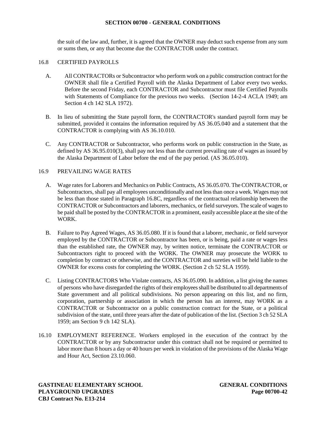the suit of the law and, further, it is agreed that the OWNER may deduct such expense from any sum or sums then, or any that become due the CONTRACTOR under the contract.

## 16.8 CERTIFIED PAYROLLS

- A. All CONTRACTORs or Subcontractor who perform work on a public construction contract for the OWNER shall file a Certified Payroll with the Alaska Department of Labor every two weeks. Before the second Friday, each CONTRACTOR and Subcontractor must file Certified Payrolls with Statements of Compliance for the previous two weeks. (Section 14-2-4 ACLA 1949; am Section 4 ch 142 SLA 1972).
- B. In lieu of submitting the State payroll form, the CONTRACTOR's standard payroll form may be submitted, provided it contains the information required by AS 36.05.040 and a statement that the CONTRACTOR is complying with AS 36.10.010.
- C. Any CONTRACTOR or Subcontractor, who performs work on public construction in the State, as defined by AS 36.95.010(3), shall pay not less than the current prevailing rate of wages as issued by the Alaska Department of Labor before the end of the pay period. (AS 36.05.010).

# 16.9 PREVAILING WAGE RATES

- A. Wage rates for Laborers and Mechanics on Public Contracts, AS 36.05.070. The CONTRACTOR, or Subcontractors, shall pay all employees unconditionally and not less than once a week. Wages may not be less than those stated in Paragraph 16.8C, regardless of the contractual relationship between the CONTRACTOR or Subcontractors and laborers, mechanics, or field surveyors. The scale of wages to be paid shall be posted by the CONTRACTOR in a prominent, easily accessible place at the site of the WORK.
- B. Failure to Pay Agreed Wages, AS 36.05.080. If it is found that a laborer, mechanic, or field surveyor employed by the CONTRACTOR or Subcontractor has been, or is being, paid a rate or wages less than the established rate, the OWNER may, by written notice, terminate the CONTRACTOR or Subcontractors right to proceed with the WORK. The OWNER may prosecute the WORK to completion by contract or otherwise, and the CONTRACTOR and sureties will be held liable to the OWNER for excess costs for completing the WORK. (Section 2 ch 52 SLA 1959).
- C. Listing CONTRACTORS Who Violate contracts, AS 36.05.090. In addition, a list giving the names of persons who have disregarded the rights of their employees shall be distributed to all departmentsof State government and all political subdivisions. No person appearing on this list, and no firm, corporation, partnership or association in which the person has an interest, may WORK as a CONTRACTOR or Subcontractor on a public construction contract for the State, or a political subdivision of the state, until three years after the date of publication of the list. (Section 3 ch 52 SLA 1959; am Section 9 ch 142 SLA).
- 16.10 EMPLOYMENT REFERENCE. Workers employed in the execution of the contract by the CONTRACTOR or by any Subcontractor under this contract shall not be required or permitted to labor more than 8 hours a day or 40 hours per week in violation of the provisions of the Alaska Wage and Hour Act, Section 23.10.060.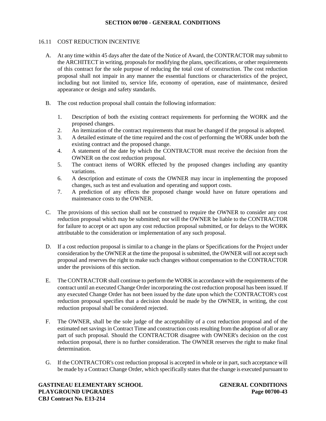# 16.11 COST REDUCTION INCENTIVE

- A. At any time within 45 days after the date of the Notice of Award, the CONTRACTOR may submit to the ARCHITECT in writing, proposals for modifying the plans, specifications, or other requirements of this contract for the sole purpose of reducing the total cost of construction. The cost reduction proposal shall not impair in any manner the essential functions or characteristics of the project, including but not limited to, service life, economy of operation, ease of maintenance, desired appearance or design and safety standards.
- B. The cost reduction proposal shall contain the following information:
	- 1. Description of both the existing contract requirements for performing the WORK and the proposed changes.
	- 2. An itemization of the contract requirements that must be changed if the proposal is adopted.
	- 3. A detailed estimate of the time required and the cost of performing the WORK under both the existing contract and the proposed change.
	- 4. A statement of the date by which the CONTRACTOR must receive the decision from the OWNER on the cost reduction proposal.
	- 5. The contract items of WORK effected by the proposed changes including any quantity variations.
	- 6. A description and estimate of costs the OWNER may incur in implementing the proposed changes, such as test and evaluation and operating and support costs.
	- 7. A prediction of any effects the proposed change would have on future operations and maintenance costs to the OWNER.
- C. The provisions of this section shall not be construed to require the OWNER to consider any cost reduction proposal which may be submitted; nor will the OWNER be liable to the CONTRACTOR for failure to accept or act upon any cost reduction proposal submitted, or for delays to the WORK attributable to the consideration or implementation of any such proposal.
- D. If a cost reduction proposal is similar to a change in the plans or Specifications for the Project under consideration by the OWNER at the time the proposal is submitted, the OWNER will not accept such proposal and reserves the right to make such changes without compensation to the CONTRACTOR under the provisions of this section.
- E. The CONTRACTOR shall continue to perform the WORK in accordance with the requirements of the contract until an executed Change Order incorporating the cost reduction proposal has been issued. If any executed Change Order has not been issued by the date upon which the CONTRACTOR's cost reduction proposal specifies that a decision should be made by the OWNER, in writing, the cost reduction proposal shall be considered rejected.
- F. The OWNER, shall be the sole judge of the acceptability of a cost reduction proposal and of the estimated net savings in Contract Time and construction costs resulting from the adoption of all or any part of such proposal. Should the CONTRACTOR disagree with OWNER's decision on the cost reduction proposal, there is no further consideration. The OWNER reserves the right to make final determination.
- G. If the CONTRACTOR's cost reduction proposal is accepted in whole or in part, such acceptance will be made by a Contract Change Order, which specifically states that the change is executed pursuant to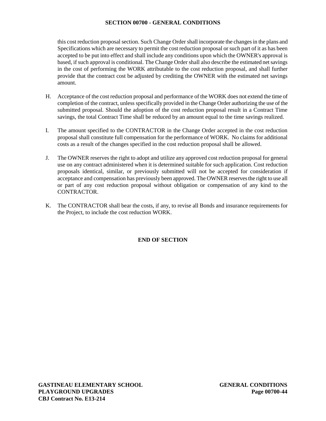this cost reduction proposal section. Such Change Order shall incorporate the changes in the plans and Specifications which are necessary to permit the cost reduction proposal or such part of it as has been accepted to be put into effect and shall include any conditions upon which the OWNER's approval is based, if such approval is conditional. The Change Order shall also describe the estimated net savings in the cost of performing the WORK attributable to the cost reduction proposal, and shall further provide that the contract cost be adjusted by crediting the OWNER with the estimated net savings amount.

- H. Acceptance of the cost reduction proposal and performance of the WORK does not extend the time of completion of the contract, unless specifically provided in the Change Order authorizing the use of the submitted proposal. Should the adoption of the cost reduction proposal result in a Contract Time savings, the total Contract Time shall be reduced by an amount equal to the time savings realized.
- I. The amount specified to the CONTRACTOR in the Change Order accepted in the cost reduction proposal shall constitute full compensation for the performance of WORK. No claims for additional costs as a result of the changes specified in the cost reduction proposal shall be allowed.
- J. The OWNER reserves the right to adopt and utilize any approved cost reduction proposal for general use on any contract administered when it is determined suitable for such application. Cost reduction proposals identical, similar, or previously submitted will not be accepted for consideration if acceptance and compensation has previously been approved. The OWNER reservesthe right to use all or part of any cost reduction proposal without obligation or compensation of any kind to the CONTRACTOR.
- K. The CONTRACTOR shall bear the costs, if any, to revise all Bonds and insurance requirements for the Project, to include the cost reduction WORK.

# **END OF SECTION**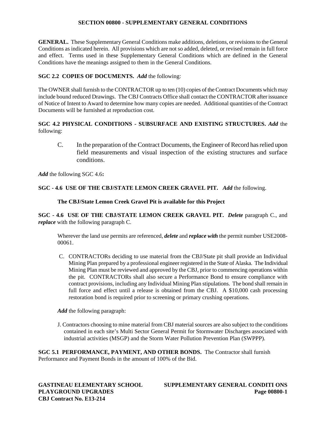**GENERAL.** These Supplementary General Conditions make additions, deletions, or revisions to the General Conditions as indicated herein. All provisions which are not so added, deleted, or revised remain in full force and effect. Terms used in these Supplementary General Conditions which are defined in the General Conditions have the meanings assigned to them in the General Conditions.

# **SGC 2.2 COPIES OF DOCUMENTS.** *Add* the following:

The OWNER shall furnish to the CONTRACTOR up to ten (10) copies of the Contract Documents which may include bound reduced Drawings. The CBJ Contracts Office shall contact the CONTRACTOR after issuance of Notice of Intent to Award to determine how many copies are needed. Additional quantities of the Contract Documents will be furnished at reproduction cost.

# **SGC 4.2 PHYSICAL CONDITIONS - SUBSURFACE AND EXISTING STRUCTURES.** *Add* the following:

C. In the preparation of the Contract Documents, the Engineer of Record has relied upon field measurements and visual inspection of the existing structures and surface conditions.

*Add* the following SGC 4.6**:**

# **SGC - 4.6 USE OF THE CBJ/STATE LEMON CREEK GRAVEL PIT.** *Add* the following.

**The CBJ/State Lemon Creek Gravel Pit is available for this Project**

**SGC - 4.6 USE OF THE CBJ/STATE LEMON CREEK GRAVEL PIT.** *Delete* paragraph C., and *replace* with the following paragraph C.

Wherever the land use permits are referenced, *delete* and *replace with* the permit number USE2008- 00061.

C. CONTRACTORs deciding to use material from the CBJ/State pit shall provide an Individual Mining Plan prepared by a professional engineer registered in the State of Alaska. The Individual Mining Plan must be reviewed and approved by the CBJ, prior to commencing operations within the pit. CONTRACTORs shall also secure a Performance Bond to ensure compliance with contract provisions, including any Individual Mining Plan stipulations. The bond shall remain in full force and effect until a release is obtained from the CBJ. A \$10,000 cash processing restoration bond is required prior to screening or primary crushing operations.

*Add* the following paragraph:

J. Contractors choosing to mine material from CBJ material sources are also subject to the conditions contained in each site's Multi Sector General Permit for Stormwater Discharges associated with industrial activities (MSGP) and the Storm Water Pollution Prevention Plan (SWPPP).

**SGC 5.1 PERFORMANCE, PAYMENT, AND OTHER BONDS.** The Contractor shall furnish Performance and Payment Bonds in the amount of 100% of the Bid.

**CBJ Contract No. E13-214**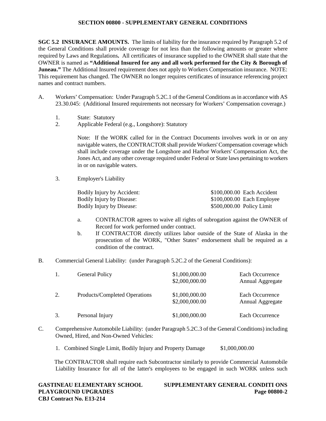**SGC 5.2 INSURANCE AMOUNTS.** The limits of liability for the insurance required by Paragraph 5.2 of the General Conditions shall provide coverage for not less than the following amounts or greater where required by Laws and Regulations**.** All certificates of insurance supplied to the OWNER shall state that the OWNER is named as **"Additional Insured for any and all work performed for the City & Borough of Juneau."** The Additional Insured requirement does not apply to Workers Compensation insurance. NOTE: This requirement has changed. The OWNER no longer requires certificates of insurance referencing project names and contract numbers.

- A. Workers' Compensation: Under Paragraph 5.2C.1 of the General Conditions as in accordance with AS 23.30.045: (Additional Insured requirements not necessary for Workers' Compensation coverage.)
	- 1. State: Statutory
	- 2. Applicable Federal (e.g., Longshore): Statutory

Note: If the WORK called for in the Contract Documents involves work in or on any navigable waters, the CONTRACTOR shall provide Workers' Compensation coverage which shall include coverage under the Longshore and Harbor Workers' Compensation Act, the Jones Act, and any other coverage required under Federal or State laws pertaining to workers in or on navigable waters.

3. Employer's Liability

| Bodily Injury by Accident:       |                           | \$100,000.00 Each Accident  |
|----------------------------------|---------------------------|-----------------------------|
| <b>Bodily Injury by Disease:</b> |                           | $$100,000.00$ Each Employee |
| <b>Bodily Injury by Disease:</b> | \$500,000.00 Policy Limit |                             |

- a. CONTRACTOR agrees to waive all rights of subrogation against the OWNER of Record for work performed under contract.
- b. If CONTRACTOR directly utilizes labor outside of the State of Alaska in the prosecution of the WORK, "Other States" endorsement shall be required as a condition of the contract.
- B. Commercial General Liability: (under Paragraph 5.2C.2 of the General Conditions):

|    | <b>General Policy</b>         | \$1,000,000.00<br>\$2,000,000.00 | Each Occurrence<br>Annual Aggregate |
|----|-------------------------------|----------------------------------|-------------------------------------|
| 2. | Products/Completed Operations | \$1,000,000.00<br>\$2,000,000.00 | Each Occurrence<br>Annual Aggregate |
|    | Personal Injury               | \$1,000,000.00                   | Each Occurrence                     |

- C. Comprehensive Automobile Liability: (under Paragraph 5.2C.3 of the General Conditions) including Owned, Hired, and Non-Owned Vehicles:
	- 1. Combined Single Limit, Bodily Injury and Property Damage \$1,000,000.00

The CONTRACTOR shall require each Subcontractor similarly to provide Commercial Automobile Liability Insurance for all of the latter's employees to be engaged in such WORK unless such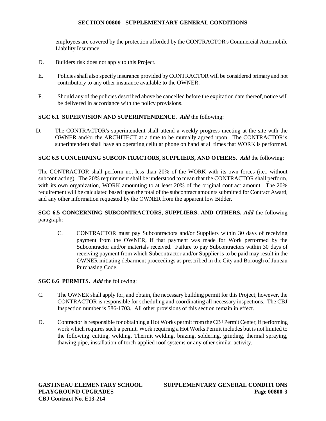employees are covered by the protection afforded by the CONTRACTOR's Commercial Automobile Liability Insurance.

- D. Builders risk does not apply to this Project.
- E. Policies shall also specify insurance provided by CONTRACTOR will be considered primary and not contributory to any other insurance available to the OWNER.
- F. Should any of the policies described above be cancelled before the expiration date thereof, notice will be delivered in accordance with the policy provisions.

# **SGC 6.1 SUPERVISION AND SUPERINTENDENCE.** *Add* the following:

D. The CONTRACTOR's superintendent shall attend a weekly progress meeting at the site with the OWNER and/or the ARCHITECT at a time to be mutually agreed upon. The CONTRACTOR's superintendent shall have an operating cellular phone on hand at all times that WORK is performed.

# **SGC 6.5 CONCERNING SUBCONTRACTORS, SUPPLIERS, AND OTHERS.** *Add* the following:

The CONTRACTOR shall perform not less than 20% of the WORK with its own forces (i.e., without subcontracting). The 20% requirement shall be understood to mean that the CONTRACTOR shall perform, with its own organization, WORK amounting to at least 20% of the original contract amount. The 20% requirement will be calculated based upon the total of the subcontract amounts submitted for Contract Award, and any other information requested by the OWNER from the apparent low Bidder.

# **SGC 6.5 CONCERNING SUBCONTRACTORS, SUPPLIERS, AND OTHERS,** *Add* the following paragraph:

C. CONTRACTOR must pay Subcontractors and/or Suppliers within 30 days of receiving payment from the OWNER, if that payment was made for Work performed by the Subcontractor and/or materials received. Failure to pay Subcontractors within 30 days of receiving payment from which Subcontractor and/or Supplier is to be paid may result in the OWNER initiating debarment proceedings as prescribed in the City and Borough of Juneau Purchasing Code.

## **SGC 6.6 PERMITS.** *Add* the following:

- C. The OWNER shall apply for, and obtain, the necessary building permit for this Project; however, the CONTRACTOR is responsible for scheduling and coordinating all necessary inspections. The CBJ Inspection number is 586-1703. All other provisions of this section remain in effect.
- D. Contractor is responsible for obtaining a Hot Works permit from the CBJ Permit Center, if performing work which requires such a permit. Work requiring a Hot Works Permit includes but is not limited to the following: cutting, welding, Thermit welding, brazing, soldering, grinding, thermal spraying, thawing pipe, installation of torch-applied roof systems or any other similar activity.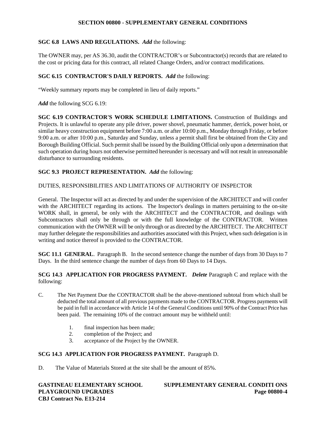# **SGC 6.8 LAWS AND REGULATIONS.** *Add* the following:

The OWNER may, per AS 36.30, audit the CONTRACTOR's or Subcontractor(s) records that are related to the cost or pricing data for this contract, all related Change Orders, and/or contract modifications.

# **SGC 6.15 CONTRACTOR'S DAILY REPORTS.** *Add* the following:

"Weekly summary reports may be completed in lieu of daily reports."

*Add* the following SCG 6.19:

**SGC 6.19 CONTRACTOR'S WORK SCHEDULE LIMITATIONS.** Construction of Buildings and Projects. It is unlawful to operate any pile driver, power shovel, pneumatic hammer, derrick, power hoist, or similar heavy construction equipment before 7:00 a.m. or after 10:00 p.m., Monday through Friday, or before 9:00 a.m. or after 10:00 p.m., Saturday and Sunday, unless a permit shall first be obtained from the City and Borough Building Official. Such permit shall be issued by the Building Official only upon a determination that such operation during hours not otherwise permitted hereunder is necessary and will not result in unreasonable disturbance to surrounding residents.

# **SGC 9.3 PROJECT REPRESENTATION.** *Add* the following:

## DUTIES, RESPONSIBILITIES AND LIMITATIONS OF AUTHORITY OF INSPECTOR

General. The Inspector will act as directed by and under the supervision of the ARCHITECT and will confer with the ARCHITECT regarding its actions. The Inspector's dealings in matters pertaining to the on-site WORK shall, in general, be only with the ARCHITECT and the CONTRACTOR, and dealings with Subcontractors shall only be through or with the full knowledge of the CONTRACTOR. Written communication with the OWNER will be only through or as directed by the ARCHITECT. The ARCHITECT may further delegate the responsibilities and authorities associated with this Project, when such delegation is in writing and notice thereof is provided to the CONTRACTOR.

**SGC 11.1 GENERAL.** Paragraph B. In the second sentence change the number of days from 30 Days to 7 Days. In the third sentence change the number of days from 60 Days to 14 Days.

**SCG 14.3 APPLICATION FOR PROGRESS PAYMENT.** *Delete* Paragraph C and replace with the following:

- C. The Net Payment Due the CONTRACTOR shall be the above-mentioned subtotal from which shall be deducted the total amount of all previous payments made to the CONTRACTOR. Progress payments will be paid in full in accordance with Article 14 of the General Conditions until 90% of the Contract Price has been paid. The remaining 10% of the contract amount may be withheld until:
	- 1. final inspection has been made;<br>2. completion of the Project: and
	- completion of the Project; and
	- 3. acceptance of the Project by the OWNER.

# **SCG 14.3 APPLICATION FOR PROGRESS PAYMENT.** Paragraph D.

D. The Value of Materials Stored at the site shall be the amount of 85%.

**CBJ Contract No. E13-214**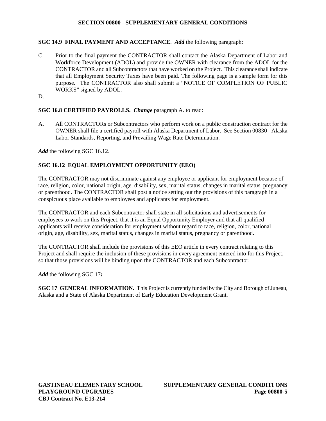# **SGC 14.9 FINAL PAYMENT AND ACCEPTANCE**. *Add* the following paragraph:

- C. Prior to the final payment the CONTRACTOR shall contact the Alaska Department of Labor and Workforce Development (ADOL) and provide the OWNER with clearance from the ADOL for the CONTRACTOR and all Subcontractors that have worked on the Project. This clearance shall indicate that all Employment Security Taxes have been paid. The following page is a sample form for this purpose. The CONTRACTOR also shall submit a "NOTICE OF COMPLETION OF PUBLIC WORKS" signed by ADOL.
- D.

# **SGC 16.8 CERTIFIED PAYROLLS.** *Change* paragraph A. to read:

A. All CONTRACTORs or Subcontractors who perform work on a public construction contract for the OWNER shall file a certified payroll with Alaska Department of Labor. See Section 00830 - Alaska Labor Standards, Reporting, and Prevailing Wage Rate Determination.

*Add* the following SGC 16.12.

# **SGC 16.12 EQUAL EMPLOYMENT OPPORTUNITY (EEO)**

The CONTRACTOR may not discriminate against any employee or applicant for employment because of race, religion, color, national origin, age, disability, sex, marital status, changes in marital status, pregnancy or parenthood. The CONTRACTOR shall post a notice setting out the provisions of this paragraph in a conspicuous place available to employees and applicants for employment.

The CONTRACTOR and each Subcontractor shall state in all solicitations and advertisements for employees to work on this Project, that it is an Equal Opportunity Employer and that all qualified applicants will receive consideration for employment without regard to race, religion, color, national origin, age, disability, sex, marital status, changes in marital status, pregnancy or parenthood.

The CONTRACTOR shall include the provisions of this EEO article in every contract relating to this Project and shall require the inclusion of these provisions in every agreement entered into for this Project, so that those provisions will be binding upon the CONTRACTOR and each Subcontractor.

*Add* the following SGC 17**:**

**SGC 17 GENERAL INFORMATION.** This Project is currently funded by the City and Borough of Juneau, Alaska and a State of Alaska Department of Early Education Development Grant.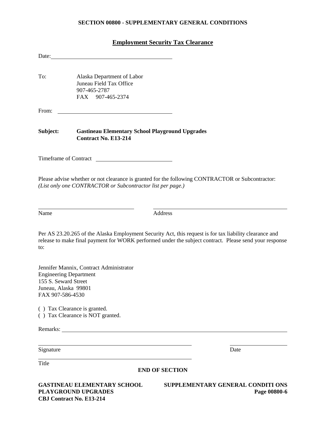# **Employment Security Tax Clearance**

| Date:                                                                                             |                                                                                                                                                                                                                                     |                                                                                                                                                                                                                   |
|---------------------------------------------------------------------------------------------------|-------------------------------------------------------------------------------------------------------------------------------------------------------------------------------------------------------------------------------------|-------------------------------------------------------------------------------------------------------------------------------------------------------------------------------------------------------------------|
| To:                                                                                               | Alaska Department of Labor<br>Juneau Field Tax Office<br>907-465-2787<br>FAX 907-465-2374                                                                                                                                           |                                                                                                                                                                                                                   |
| From:                                                                                             |                                                                                                                                                                                                                                     |                                                                                                                                                                                                                   |
| Subject:                                                                                          | <b>Gastineau Elementary School Playground Upgrades</b><br><b>Contract No. E13-214</b>                                                                                                                                               |                                                                                                                                                                                                                   |
|                                                                                                   | Timeframe of Contract                                                                                                                                                                                                               |                                                                                                                                                                                                                   |
|                                                                                                   | (List only one CONTRACTOR or Subcontractor list per page.)                                                                                                                                                                          | Please advise whether or not clearance is granted for the following CONTRACTOR or Subcontractor:                                                                                                                  |
| Name                                                                                              | Address                                                                                                                                                                                                                             |                                                                                                                                                                                                                   |
| to:                                                                                               |                                                                                                                                                                                                                                     | Per AS 23.20.265 of the Alaska Employment Security Act, this request is for tax liability clearance and<br>release to make final payment for WORK performed under the subject contract. Please send your response |
| <b>Engineering Department</b><br>155 S. Seward Street<br>Juneau, Alaska 99801<br>FAX 907-586-4530 | Jennifer Mannix, Contract Administrator                                                                                                                                                                                             |                                                                                                                                                                                                                   |
|                                                                                                   | () Tax Clearance is granted.<br>() Tax Clearance is NOT granted.                                                                                                                                                                    |                                                                                                                                                                                                                   |
|                                                                                                   | Remarks: <u>example</u> and the contract of the contract of the contract of the contract of the contract of the contract of the contract of the contract of the contract of the contract of the contract of the contract of the con |                                                                                                                                                                                                                   |
| Signature                                                                                         |                                                                                                                                                                                                                                     | Date                                                                                                                                                                                                              |
| Title                                                                                             | <b>END OF SECTION</b>                                                                                                                                                                                                               |                                                                                                                                                                                                                   |

**GASTINEAU ELEMENTARY SCHOOL SUPPLEMENTARY GENERAL CONDITI ONS CBJ Contract No. E13-214**

**PLAYGROUND UPGRADES Page 00800-6**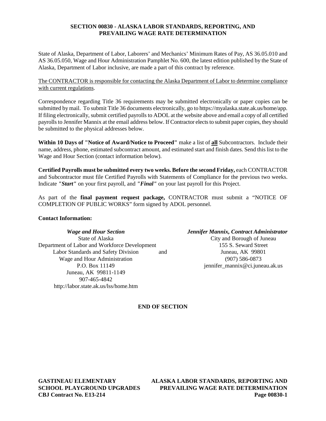## **SECTION 00830 - ALASKA LABOR STANDARDS, REPORTING, AND PREVAILING WAGE RATE DETERMINATION**

State of Alaska, Department of Labor, Laborers' and Mechanics' Minimum Rates of Pay, AS 36.05.010 and AS 36.05.050, Wage and Hour Administration Pamphlet No. 600, the latest edition published by the State of Alaska, Department of Labor inclusive, are made a part of this contract by reference.

The CONTRACTOR is responsible for contacting the Alaska Department of Labor to determine compliance with current regulations.

Correspondence regarding Title 36 requirements may be submitted electronically or paper copies can be submitted by mail. To submit Title 36 documents electronically, go to https://myalaska.state.ak.us/home/app. If filing electronically, submit certified payrolls to ADOL at the website above and email a copy of all certified payrolls to Jennifer Mannix at the email address below. If Contractor elects to submit paper copies, they should be submitted to the physical addresses below.

**Within 10 Days of "Notice of Award/Notice to Proceed"** make a list of **all** Subcontractors. Include their name, address, phone, estimated subcontract amount, and estimated start and finish dates. Send this list to the Wage and Hour Section (contact information below).

**Certified Payrolls must be submitted every two weeks. Before the second Friday,** each CONTRACTOR and Subcontractor must file Certified Payrolls with Statements of Compliance for the previous two weeks. Indicate *"Start"* on your first payroll, and *"Final"* on your last payroll for this Project.

As part of the **final payment request package,** CONTRACTOR must submit a "NOTICE OF COMPLETION OF PUBLIC WORKS" form signed by ADOL personnel.

## **Contact Information:**

Department of Labor and Workforce Development 155 S. Seward Street Labor Standards and Safety Division and Juneau, AK 99801 Wage and Hour Administration (907) 586-0873 Juneau, AK 99811-1149 907-465-4842 http://labor.state.ak.us/lss/home.htm

*Wage and Hour Section Jennifer Mannix, Contract Administrator* State of Alaska City and Borough of Juneau P.O. Box 11149 jennifer\_mannix@ci.juneau.ak.us

# **END OF SECTION**

**GASTINEAU ELEMENTARY ALASKA LABOR STANDARDS, REPORTING AND SCHOOL PLAYGROUND UPGRADES PREVAILING WAGE RATE DETERMINATION CBJ Contract No. E13-214 Page 00830-1**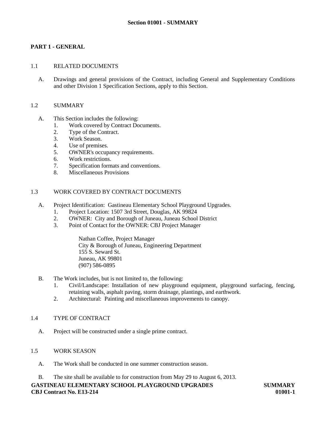# **PART 1 - GENERAL**

## 1.1 RELATED DOCUMENTS

A. Drawings and general provisions of the Contract, including General and Supplementary Conditions and other Division 1 Specification Sections, apply to this Section.

## 1.2 SUMMARY

- A. This Section includes the following:
	- 1. Work covered by Contract Documents.
	- 2. Type of the Contract.
	- 3. Work Season.
	- 4. Use of premises.
	- 5. OWNER's occupancy requirements.
	- 6. Work restrictions.
	- 7. Specification formats and conventions.
	- 8. Miscellaneous Provisions

# 1.3 WORK COVERED BY CONTRACT DOCUMENTS

- A. Project Identification: Gastineau Elementary School Playground Upgrades.
	- 1. Project Location: 1507 3rd Street, Douglas, AK 99824
	- 2. OWNER: City and Borough of Juneau, Juneau School District
	- 3. Point of Contact for the OWNER: CBJ Project Manager

Nathan Coffee, Project Manager City & Borough of Juneau, Engineering Department 155 S. Seward St. Juneau, AK 99801 (907) 586-0895

- B. The Work includes, but is not limited to, the following:
	- 1. Civil/Landscape: Installation of new playground equipment, playground surfacing, fencing, retaining walls, asphalt paving, storm drainage, plantings, and earthwork.
	- 2. Architectural: Painting and miscellaneous improvements to canopy.

# 1.4 TYPE OF CONTRACT

A. Project will be constructed under a single prime contract.

## 1.5 WORK SEASON

- A. The Work shall be conducted in one summer construction season.
- B. The site shall be available to for construction from May 29 to August 6, 2013.

**GASTINEAU ELEMENTARY SCHOOL PLAYGROUND UPGRADES SUMMARY CBJ Contract No. E13-214 01001-1**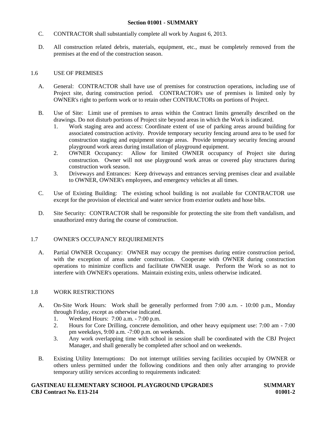## **Section 01001 - SUMMARY**

- C. CONTRACTOR shall substantially complete all work by August 6, 2013.
- D. All construction related debris, materials, equipment, etc., must be completely removed from the premises at the end of the construction season.

## 1.6 USE OF PREMISES

- A. General: CONTRACTOR shall have use of premises for construction operations, including use of Project site, during construction period. CONTRACTOR's use of premises is limited only by OWNER's right to perform work or to retain other CONTRACTORs on portions of Project.
- B. Use of Site: Limit use of premises to areas within the Contract limits generally described on the drawings. Do not disturb portions of Project site beyond areas in which the Work is indicated.
	- 1. Work staging area and access: Coordinate extent of use of parking areas around building for associated construction activity. Provide temporary security fencing around area to be used for construction staging and equipment storage areas. Provide temporary security fencing around playground work areas during installation of playground equipment.
	- 2. OWNER Occupancy: Allow for limited OWNER occupancy of Project site during construction. Owner will not use playground work areas or covered play structures during construction work season.
	- 3. Driveways and Entrances: Keep driveways and entrances serving premises clear and available to OWNER, OWNER's employees, and emergency vehicles at all times.
- C. Use of Existing Building: The existing school building is not available for CONTRACTOR use except for the provision of electrical and water service from exterior outlets and hose bibs.
- D. Site Security: CONTRACTOR shall be responsible for protecting the site from theft vandalism, and unauthorized entry during the course of construction.

## 1.7 OWNER'S OCCUPANCY REQUIREMENTS

A. Partial OWNER Occupancy: OWNER may occupy the premises during entire construction period, with the exception of areas under construction. Cooperate with OWNER during construction operations to minimize conflicts and facilitate OWNER usage. Perform the Work so as not to interfere with OWNER's operations. Maintain existing exits, unless otherwise indicated.

## 1.8 WORK RESTRICTIONS

- A. On-Site Work Hours: Work shall be generally performed from 7:00 a.m. 10:00 p.m., Monday through Friday, except as otherwise indicated.
	- 1. Weekend Hours: 7:00 a.m. 7:00 p.m.
	- 2. Hours for Core Drilling, concrete demolition, and other heavy equipment use: 7:00 am 7:00 pm weekdays, 9:00 a.m. -7:00 p.m. on weekends.
	- 3. Any work overlapping time with school in session shall be coordinated with the CBJ Project Manager, and shall generally be completed after school and on weekends.
- B. Existing Utility Interruptions: Do not interrupt utilities serving facilities occupied by OWNER or others unless permitted under the following conditions and then only after arranging to provide temporary utility services according to requirements indicated:

## **GASTINEAU ELEMENTARY SCHOOL PLAYGROUND UPGRADES SUMMARY CBJ Contract No. E13-214 01001-2**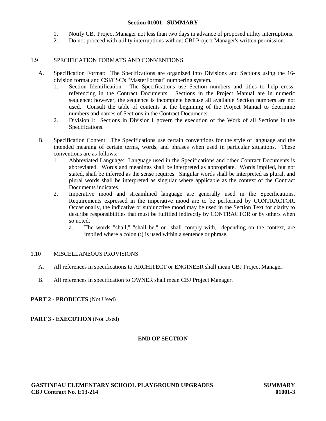## **Section 01001 - SUMMARY**

- 1. Notify CBJ Project Manager not less than two days in advance of proposed utility interruptions.
- 2. Do not proceed with utility interruptions without CBJ Project Manager's written permission.

## 1.9 SPECIFICATION FORMATS AND CONVENTIONS

- A. Specification Format: The Specifications are organized into Divisions and Sections using the 16 division format and CSI/CSC's "MasterFormat" numbering system.
	- 1. Section Identification: The Specifications use Section numbers and titles to help crossreferencing in the Contract Documents. Sections in the Project Manual are in numeric sequence; however, the sequence is incomplete because all available Section numbers are not used. Consult the table of contents at the beginning of the Project Manual to determine numbers and names of Sections in the Contract Documents.
	- 2. Division 1: Sections in Division 1 govern the execution of the Work of all Sections in the Specifications.
- B. Specification Content: The Specifications use certain conventions for the style of language and the intended meaning of certain terms, words, and phrases when used in particular situations. These conventions are as follows:
	- 1. Abbreviated Language: Language used in the Specifications and other Contract Documents is abbreviated. Words and meanings shall be interpreted as appropriate. Words implied, but not stated, shall be inferred as the sense requires. Singular words shall be interpreted as plural, and plural words shall be interpreted as singular where applicable as the context of the Contract Documents indicates.
	- 2. Imperative mood and streamlined language are generally used in the Specifications. Requirements expressed in the imperative mood are to be performed by CONTRACTOR. Occasionally, the indicative or subjunctive mood may be used in the Section Text for clarity to describe responsibilities that must be fulfilled indirectly by CONTRACTOR or by others when so noted.
		- a. The words "shall," "shall be," or "shall comply with," depending on the context, are implied where a colon (:) is used within a sentence or phrase.

## 1.10 MISCELLANEOUS PROVISIONS

- A. All references in specifications to ARCHITECT or ENGINEER shall mean CBJ Project Manager.
- B. All references in specification to OWNER shall mean CBJ Project Manager.

## **PART 2 - PRODUCTS** (Not Used)

## **PART 3 - EXECUTION** (Not Used)

## **END OF SECTION**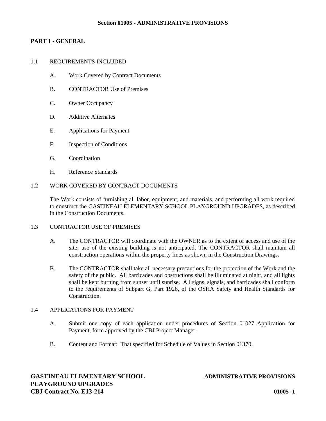## **Section 01005 - ADMINISTRATIVE PROVISIONS**

# **PART 1 - GENERAL**

### 1.1 REQUIREMENTS INCLUDED

- A. Work Covered by Contract Documents
- B. CONTRACTOR Use of Premises
- C. Owner Occupancy
- D. Additive Alternates
- E. Applications for Payment
- F. Inspection of Conditions
- G. Coordination
- H. Reference Standards

## 1.2 WORK COVERED BY CONTRACT DOCUMENTS

The Work consists of furnishing all labor, equipment, and materials, and performing all work required to construct the GASTINEAU ELEMENTARY SCHOOL PLAYGROUND UPGRADES, as described in the Construction Documents.

### 1.3 CONTRACTOR USE OF PREMISES

- A. The CONTRACTOR will coordinate with the OWNER as to the extent of access and use of the site; use of the existing building is not anticipated. The CONTRACTOR shall maintain all construction operations within the property lines as shown in the Construction Drawings.
- B. The CONTRACTOR shall take all necessary precautions for the protection of the Work and the safety of the public. All barricades and obstructions shall be illuminated at night, and all lights shall be kept burning from sunset until sunrise. All signs, signals, and barricades shall conform to the requirements of Subpart G, Part 1926, of the OSHA Safety and Health Standards for Construction.

## 1.4 APPLICATIONS FOR PAYMENT

- A. Submit one copy of each application under procedures of Section 01027 Application for Payment, form approved by the CBJ Project Manager.
- B. Content and Format: That specified for Schedule of Values in Section 01370.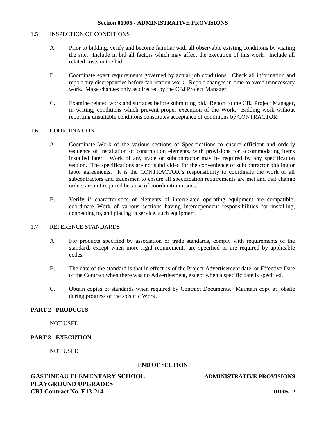#### 1.5 INSPECTION OF CONDITIONS

- A. Prior to bidding, verify and become familiar with all observable existing conditions by visiting the site. Include in bid all factors which may affect the execution of this work. Include all related costs in the bid.
- B. Coordinate exact requirements governed by actual job conditions. Check all information and report any discrepancies before fabrication work. Report changes in time to avoid unnecessary work. Make changes only as directed by the CBJ Project Manager.
- C. Examine related work and surfaces before submitting bid. Report to the CBJ Project Manager, in writing, conditions which prevent proper execution of the Work. Bidding work without reporting unsuitable conditions constitutes acceptance of conditions by CONTRACTOR.

## 1.6 COORDINATION

- A. Coordinate Work of the various sections of Specifications to ensure efficient and orderly sequence of installation of construction elements, with provisions for accommodating items installed later. Work of any trade or subcontractor may be required by any specification section. The specifications are not subdivided for the convenience of subcontractor bidding or labor agreements. It is the CONTRACTOR's responsibility to coordinate the work of all subcontractors and tradesmen to ensure all specification requirements are met and that change orders are not required because of coordination issues.
- B. Verify if characteristics of elements of interrelated operating equipment are compatible; coordinate Work of various sections having interdependent responsibilities for installing, connecting to, and placing in service, such equipment.

### 1.7 REFERENCE STANDARDS

- A. For products specified by association or trade standards, comply with requirements of the standard, except when more rigid requirements are specified or are required by applicable codes.
- B. The date of the standard is that in effect as of the Project Advertisement date, or Effective Date of the Contract when there was no Advertisement, except when a specific date is specified.
- C. Obtain copies of standards when required by Contract Documents. Maintain copy at jobsite during progress of the specific Work.

## **PART 2 - PRODUCTS**

NOT USED

## **PART 3 - EXECUTION**

NOT USED

#### **END OF SECTION**

# **GASTINEAU ELEMENTARY SCHOOL ADMINISTRATIVE PROVISIONS PLAYGROUND UPGRADES CBJ Contract No. E13-214 01005 -2**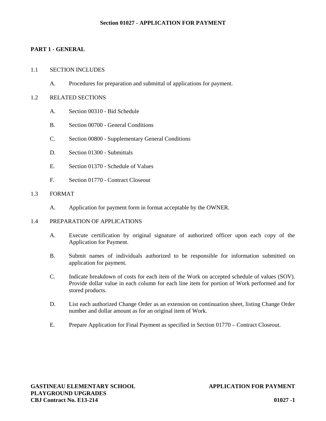### **Section 01027 - APPLICATION FOR PAYMENT**

## **PART 1 - GENERAL**

### 1.1 SECTION INCLUDES

A. Procedures for preparation and submittal of applications for payment.

### 1.2 RELATED SECTIONS

- A. Section 00310 Bid Schedule
- B. Section 00700 General Conditions
- C. Section 00800 Supplementary General Conditions
- D. Section 01300 Submittals
- E. Section 01370 Schedule of Values
- F. Section 01770 Contract Closeout

### 1.3 FORMAT

A. Application for payment form in format acceptable by the OWNER.

### 1.4 PREPARATION OF APPLICATIONS

- A. Execute certification by original signature of authorized officer upon each copy of the Application for Payment.
- B. Submit names of individuals authorized to be responsible for information submitted on application for payment.
- C. Indicate breakdown of costs for each item of the Work on accepted schedule of values (SOV). Provide dollar value in each column for each line item for portion of Work performed and for stored products.
- D. List each authorized Change Order as an extension on continuation sheet, listing Change Order number and dollar amount as for an original item of Work.
- E. Prepare Application for Final Payment as specified in Section 01770 Contract Closeout.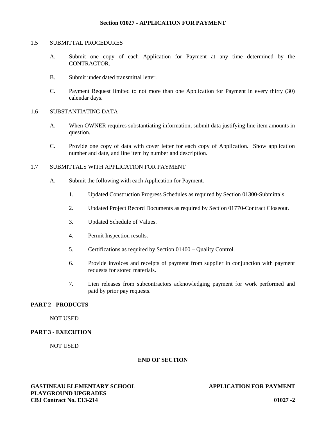#### 1.5 SUBMITTAL PROCEDURES

- A. Submit one copy of each Application for Payment at any time determined by the CONTRACTOR.
- B. Submit under dated transmittal letter.
- C. Payment Request limited to not more than one Application for Payment in every thirty (30) calendar days.

## 1.6 SUBSTANTIATING DATA

- A. When OWNER requires substantiating information, submit data justifying line item amounts in question.
- C. Provide one copy of data with cover letter for each copy of Application. Show application number and date, and line item by number and description.

# 1.7 SUBMITTALS WITH APPLICATION FOR PAYMENT

- A. Submit the following with each Application for Payment.
	- 1. Updated Construction Progress Schedules as required by Section 01300-Submittals.
	- 2. Updated Project Record Documents as required by Section 01770-Contract Closeout.
	- 3. Updated Schedule of Values.
	- 4. Permit Inspection results.
	- 5. Certifications as required by Section 01400 Quality Control.
	- 6. Provide invoices and receipts of payment from supplier in conjunction with payment requests for stored materials.
	- 7. Lien releases from subcontractors acknowledging payment for work performed and paid by prior pay requests.

## **PART 2 - PRODUCTS**

NOT USED

## **PART 3 - EXECUTION**

NOT USED

## **END OF SECTION**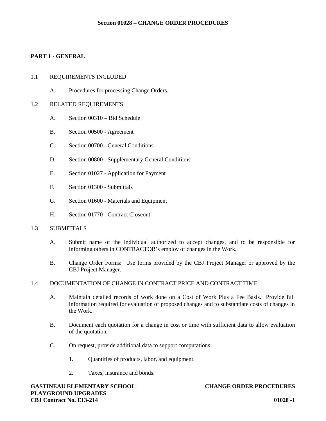## **PART 1 - GENERAL**

#### 1.1 REQUIREMENTS INCLUDED

A. Procedures for processing Change Orders.

#### 1.2 RELATED REQUIREMENTS

- A. Section 00310 Bid Schedule
- B. Section 00500 Agreement
- C. Section 00700 General Conditions
- D. Section 00800 Supplementary General Conditions
- E. Section 01027 Application for Payment
- F. Section 01300 Submittals
- G. Section 01600 Materials and Equipment
- H. Section 01770 Contract Closeout

## 1.3 SUBMITTALS

- A. Submit name of the individual authorized to accept changes, and to be responsible for informing others in CONTRACTOR's employ of changes in the Work.
- B. Change Order Forms: Use forms provided by the CBJ Project Manager or approved by the CBJ Project Manager.

#### 1.4 DOCUMENTATION OF CHANGE IN CONTRACT PRICE AND CONTRACT TIME

- A. Maintain detailed records of work done on a Cost of Work Plus a Fee Basis. Provide full information required for evaluation of proposed changes and to substantiate costs of changes in the Work.
- B. Document each quotation for a change in cost or time with sufficient data to allow evaluation of the quotation.
- C. On request, provide additional data to support computations:
	- 1. Quantities of products, labor, and equipment.
	- 2. Taxes, insurance and bonds.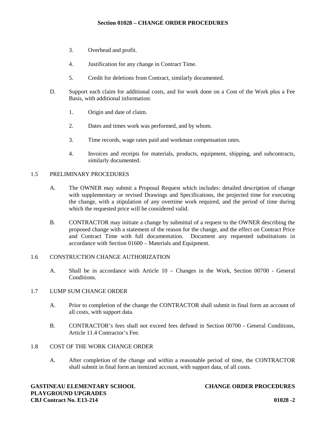- 3. Overhead and profit.
- 4. Justification for any change in Contract Time.
- 5. Credit for deletions from Contract, similarly documented.
- D. Support each claim for additional costs, and for work done on a Cost of the Work plus a Fee Basis, with additional information:
	- 1. Origin and date of claim.
	- 2. Dates and times work was performed, and by whom.
	- 3. Time records, wage rates paid and workman compensation rates.
	- 4. Invoices and receipts for materials, products, equipment, shipping, and subcontracts, similarly documented.

## 1.5 PRELIMINARY PROCEDURES

- A. The OWNER may submit a Proposal Request which includes: detailed description of change with supplementary or revised Drawings and Specifications, the projected time for executing the change, with a stipulation of any overtime work required, and the period of time during which the requested price will be considered valid.
- B. CONTRACTOR may initiate a change by submittal of a request to the OWNER describing the proposed change with a statement of the reason for the change, and the effect on Contract Price and Contract Time with full documentation. Document any requested substitutions in accordance with Section 01600 – Materials and Equipment.

## 1.6 CONSTRUCTION CHANGE AUTHORIZATION

A. Shall be in accordance with Article 10 – Changes in the Work, Section 00700 - General Conditions.

## 1.7 LUMP SUM CHANGE ORDER

- A. Prior to completion of the change the CONTRACTOR shall submit in final form an account of all costs, with support data.
- B. CONTRACTOR's fees shall not exceed fees defined in Section 00700 General Conditions, Article 11.4 Contractor's Fee.

## 1.8 COST OF THE WORK CHANGE ORDER

A. After completion of the change and within a reasonable period of time, the CONTRACTOR shall submit in final form an itemized account, with support data, of all costs.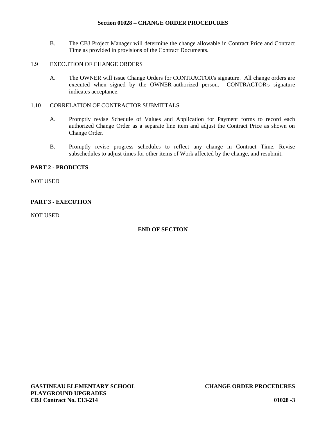## **Section 01028 – CHANGE ORDER PROCEDURES**

B. The CBJ Project Manager will determine the change allowable in Contract Price and Contract Time as provided in provisions of the Contract Documents.

#### 1.9 EXECUTION OF CHANGE ORDERS

A. The OWNER will issue Change Orders for CONTRACTOR's signature. All change orders are executed when signed by the OWNER-authorized person. CONTRACTOR's signature indicates acceptance.

## 1.10 CORRELATION OF CONTRACTOR SUBMITTALS

- A. Promptly revise Schedule of Values and Application for Payment forms to record each authorized Change Order as a separate line item and adjust the Contract Price as shown on Change Order.
- B. Promptly revise progress schedules to reflect any change in Contract Time, Revise subschedules to adjust times for other items of Work affected by the change, and resubmit.

### **PART 2 - PRODUCTS**

NOT USED

# **PART 3 - EXECUTION**

NOT USED

## **END OF SECTION**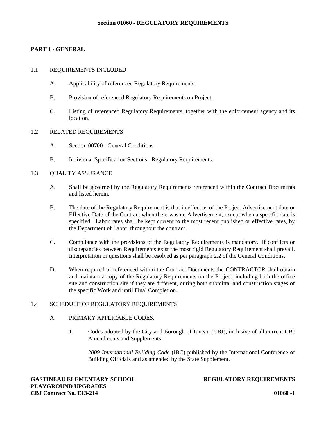# **PART 1 - GENERAL**

### 1.1 REQUIREMENTS INCLUDED

- A. Applicability of referenced Regulatory Requirements.
- B. Provision of referenced Regulatory Requirements on Project.
- C. Listing of referenced Regulatory Requirements, together with the enforcement agency and its location.

### 1.2 RELATED REQUIREMENTS

- A. Section 00700 General Conditions
- B. Individual Specification Sections: Regulatory Requirements.

## 1.3 QUALITY ASSURANCE

- A. Shall be governed by the Regulatory Requirements referenced within the Contract Documents and listed herein.
- B. The date of the Regulatory Requirement is that in effect as of the Project Advertisement date or Effective Date of the Contract when there was no Advertisement, except when a specific date is specified. Labor rates shall be kept current to the most recent published or effective rates, by the Department of Labor, throughout the contract.
- C. Compliance with the provisions of the Regulatory Requirements is mandatory. If conflicts or discrepancies between Requirements exist the most rigid Regulatory Requirement shall prevail. Interpretation or questions shall be resolved as per paragraph 2.2 of the General Conditions.
- D. When required or referenced within the Contract Documents the CONTRACTOR shall obtain and maintain a copy of the Regulatory Requirements on the Project, including both the office site and construction site if they are different, during both submittal and construction stages of the specific Work and until Final Completion.

## 1.4 SCHEDULE OF REGULATORY REQUIREMENTS

# A. PRIMARY APPLICABLE CODES.

1. Codes adopted by the City and Borough of Juneau (CBJ), inclusive of all current CBJ Amendments and Supplements.

*2009 International Building Code* (IBC) published by the International Conference of Building Officials and as amended by the State Supplement.

**GASTINEAU ELEMENTARY SCHOOL REGULATORY REQUIREMENTS PLAYGROUND UPGRADES CBJ Contract No. E13-214 01060 -1**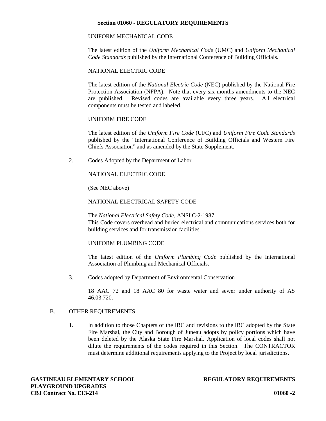### **Section 01060 - REGULATORY REQUIREMENTS**

## UNIFORM MECHANICAL CODE

The latest edition of the *Uniform Mechanical Code* (UMC) and *Uniform Mechanical Code Standards* published by the International Conference of Building Officials.

#### NATIONAL ELECTRIC CODE

The latest edition of the *National Electric Code* (NEC) published by the National Fire Protection Association (NFPA). Note that every six months amendments to the NEC are published. Revised codes are available every three years. All electrical components must be tested and labeled.

### UNIFORM FIRE CODE

The latest edition of the *Uniform Fire Code* (UFC) and *Uniform Fire Code Standards* published by the "International Conference of Building Officials and Western Fire Chiefs Association" and as amended by the State Supplement.

2. Codes Adopted by the Department of Labor

NATIONAL ELECTRIC CODE

(See NEC above)

## NATIONAL ELECTRICAL SAFETY CODE

The *National Electrical Safety Code*, ANSI C-2-1987 This Code covers overhead and buried electrical and communications services both for building services and for transmission facilities.

#### UNIFORM PLUMBING CODE

The latest edition of the *Uniform Plumbing Code* published by the International Association of Plumbing and Mechanical Officials.

3. Codes adopted by Department of Environmental Conservation

18 AAC 72 and 18 AAC 80 for waste water and sewer under authority of AS 46.03.720.

## B. OTHER REQUIREMENTS

1. In addition to those Chapters of the IBC and revisions to the IBC adopted by the State Fire Marshal, the City and Borough of Juneau adopts by policy portions which have been deleted by the Alaska State Fire Marshal. Application of local codes shall not dilute the requirements of the codes required in this Section. The CONTRACTOR must determine additional requirements applying to the Project by local jurisdictions.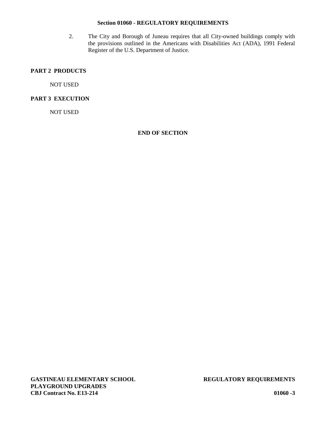## **Section 01060 - REGULATORY REQUIREMENTS**

2. The City and Borough of Juneau requires that all City-owned buildings comply with the provisions outlined in the Americans with Disabilities Act (ADA), 1991 Federal Register of the U.S. Department of Justice.

# **PART 2 PRODUCTS**

NOT USED

## **PART 3 EXECUTION**

NOT USED

## **END OF SECTION**

**GASTINEAU ELEMENTARY SCHOOL REGULATORY REQUIREMENTS PLAYGROUND UPGRADES CBJ Contract No. E13-214 01060 -3**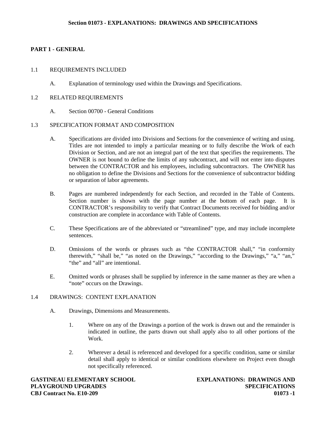# **PART 1 - GENERAL**

## 1.1 REQUIREMENTS INCLUDED

A. Explanation of terminology used within the Drawings and Specifications.

## 1.2 RELATED REQUIREMENTS

A. Section 00700 - General Conditions

# 1.3 SPECIFICATION FORMAT AND COMPOSITION

- A. Specifications are divided into Divisions and Sections for the convenience of writing and using. Titles are not intended to imply a particular meaning or to fully describe the Work of each Division or Section, and are not an integral part of the text that specifies the requirements. The OWNER is not bound to define the limits of any subcontract, and will not enter into disputes between the CONTRACTOR and his employees, including subcontractors. The OWNER has no obligation to define the Divisions and Sections for the convenience of subcontractor bidding or separation of labor agreements.
- B. Pages are numbered independently for each Section, and recorded in the Table of Contents. Section number is shown with the page number at the bottom of each page. It is CONTRACTOR's responsibility to verify that Contract Documents received for bidding and/or construction are complete in accordance with Table of Contents.
- C. These Specifications are of the abbreviated or "streamlined" type, and may include incomplete sentences.
- D. Omissions of the words or phrases such as "the CONTRACTOR shall," "in conformity therewith," "shall be," "as noted on the Drawings," "according to the Drawings," "a," "an," "the" and "all" are intentional.
- E. Omitted words or phrases shall be supplied by inference in the same manner as they are when a "note" occurs on the Drawings.

# 1.4 DRAWINGS: CONTENT EXPLANATION

- A. Drawings, Dimensions and Measurements.
	- 1. Where on any of the Drawings a portion of the work is drawn out and the remainder is indicated in outline, the parts drawn out shall apply also to all other portions of the Work.
	- 2. Wherever a detail is referenced and developed for a specific condition, same or similar detail shall apply to identical or similar conditions elsewhere on Project even though not specifically referenced.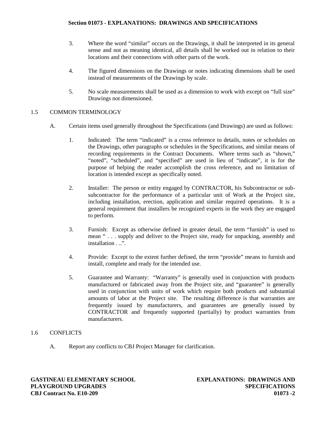- 3. Where the word "similar" occurs on the Drawings, it shall be interpreted in its general sense and not as meaning identical, all details shall be worked out in relation to their locations and their connections with other parts of the work.
- 4. The figured dimensions on the Drawings or notes indicating dimensions shall be used instead of measurements of the Drawings by scale.
- 5. No scale measurements shall be used as a dimension to work with except on "full size" Drawings not dimensioned.

# 1.5 COMMON TERMINOLOGY

- A. Certain items used generally throughout the Specifications (and Drawings) are used as follows:
	- 1. Indicated: The term "indicated" is a cross reference to details, notes or schedules on the Drawings, other paragraphs or schedules in the Specifications, and similar means of recording requirements in the Contract Documents. Where terms such as "shown," "noted", "scheduled", and "specified" are used in lieu of "indicate", it is for the purpose of helping the reader accomplish the cross reference, and no limitation of location is intended except as specifically noted.
	- 2. Installer: The person or entity engaged by CONTRACTOR, his Subcontractor or sub subcontractor for the performance of a particular unit of Work at the Project site, including installation, erection, application and similar required operations. It is a general requirement that installers be recognized experts in the work they are engaged to perform.
	- 3. Furnish: Except as otherwise defined in greater detail, the term "furnish" is used to mean " . . . supply and deliver to the Project site, ready for unpacking, assembly and installation . ..".
	- 4. Provide: Except to the extent further defined, the term "provide" means to furnish and install, complete and ready for the intended use.
	- 5. Guarantee and Warranty: "Warranty" is generally used in conjunction with products manufactured or fabricated away from the Project site, and "guarantee" is generally used in conjunction with units of work which require both products and substantial amounts of labor at the Project site. The resulting difference is that warranties are frequently issued by manufacturers, and guarantees are generally issued by CONTRACTOR and frequently supported (partially) by product warranties from manufacturers.
- 1.6 CONFLICTS
	- A. Report any conflicts to CBJ Project Manager for clarification.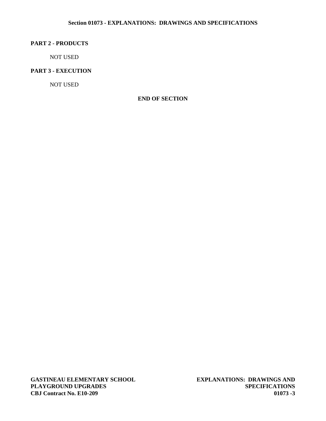## **Section 01073 - EXPLANATIONS: DRAWINGS AND SPECIFICATIONS**

## **PART 2 - PRODUCTS**

NOT USED

# **PART 3 - EXECUTION**

NOT USED

## **END OF SECTION**

**GASTINEAU ELEMENTARY SCHOOL EXPLANATIONS: DRAWINGS AND PLAYGROUND UPGRADES SPECIFICATIONS CBJ Contract No. E10-209 01073 -3**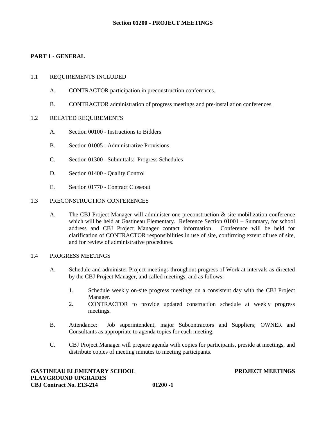# **PART 1 - GENERAL**

### 1.1 REQUIREMENTS INCLUDED

- A. CONTRACTOR participation in preconstruction conferences.
- B. CONTRACTOR administration of progress meetings and pre-installation conferences.

### 1.2 RELATED REQUIREMENTS

- A. Section 00100 Instructions to Bidders
- B. Section 01005 Administrative Provisions
- C. Section 01300 Submittals: Progress Schedules
- D. Section 01400 Quality Control
- E. Section 01770 Contract Closeout

#### 1.3 PRECONSTRUCTION CONFERENCES

A. The CBJ Project Manager will administer one preconstruction & site mobilization conference which will be held at Gastineau Elementary. Reference Section 01001 – Summary, for school address and CBJ Project Manager contact information. Conference will be held for clarification of CONTRACTOR responsibilities in use of site, confirming extent of use of site, and for review of administrative procedures.

#### 1.4 PROGRESS MEETINGS

- A. Schedule and administer Project meetings throughout progress of Work at intervals as directed by the CBJ Project Manager, and called meetings, and as follows:
	- 1. Schedule weekly on-site progress meetings on a consistent day with the CBJ Project Manager.
	- 2. CONTRACTOR to provide updated construction schedule at weekly progress meetings.
- B. Attendance: Job superintendent, major Subcontractors and Suppliers; OWNER and Consultants as appropriate to agenda topics for each meeting.
- C. CBJ Project Manager will prepare agenda with copies for participants, preside at meetings, and distribute copies of meeting minutes to meeting participants.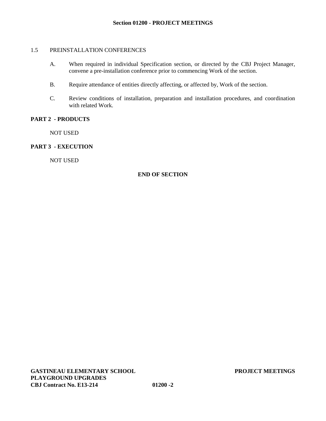## 1.5 PREINSTALLATION CONFERENCES

- A. When required in individual Specification section, or directed by the CBJ Project Manager, convene a pre-installation conference prior to commencing Work of the section.
- B. Require attendance of entities directly affecting, or affected by, Work of the section.
- C. Review conditions of installation, preparation and installation procedures, and coordination with related Work.

# **PART 2 - PRODUCTS**

NOT USED

## **PART 3 - EXECUTION**

NOT USED

# **END OF SECTION**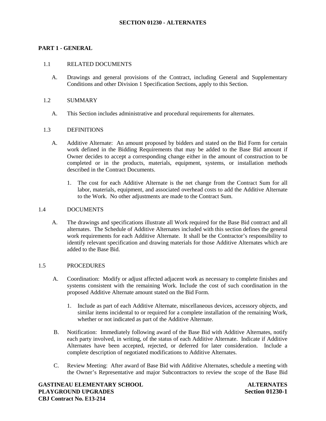# **PART 1 - GENERAL**

## 1.1 RELATED DOCUMENTS

A. Drawings and general provisions of the Contract, including General and Supplementary Conditions and other Division 1 Specification Sections, apply to this Section.

#### 1.2 SUMMARY

A. This Section includes administrative and procedural requirements for alternates.

### 1.3 DEFINITIONS

- A. Additive Alternate: An amount proposed by bidders and stated on the Bid Form for certain work defined in the Bidding Requirements that may be added to the Base Bid amount if Owner decides to accept a corresponding change either in the amount of construction to be completed or in the products, materials, equipment, systems, or installation methods described in the Contract Documents.
	- 1. The cost for each Additive Alternate is the net change from the Contract Sum for all labor, materials, equipment, and associated overhead costs to add the Additive Alternate to the Work. No other adjustments are made to the Contract Sum.

#### 1.4 DOCUMENTS

A. The drawings and specifications illustrate all Work required for the Base Bid contract and all alternates. The Schedule of Additive Alternates included with this section defines the general work requirements for each Additive Alternate. It shall be the Contractor's responsibility to identify relevant specification and drawing materials for those Additive Alternates which are added to the Base Bid.

## 1.5 PROCEDURES

- A. Coordination: Modify or adjust affected adjacent work as necessary to complete finishes and systems consistent with the remaining Work. Include the cost of such coordination in the proposed Additive Alternate amount stated on the Bid Form.
	- 1. Include as part of each Additive Alternate, miscellaneous devices, accessory objects, and similar items incidental to or required for a complete installation of the remaining Work, whether or not indicated as part of the Additive Alternate.
- B. Notification: Immediately following award of the Base Bid with Additive Alternates, notify each party involved, in writing, of the status of each Additive Alternate. Indicate if Additive Alternates have been accepted, rejected, or deferred for later consideration. Include a complete description of negotiated modifications to Additive Alternates.
- C. Review Meeting: After award of Base Bid with Additive Alternates, schedule a meeting with the Owner's Representative and major Subcontractors to review the scope of the Base Bid

**GASTINEAU ELEMENTARY SCHOOL ALTERNATES PLAYGROUND UPGRADES Section 01230-1 CBJ Contract No. E13-214**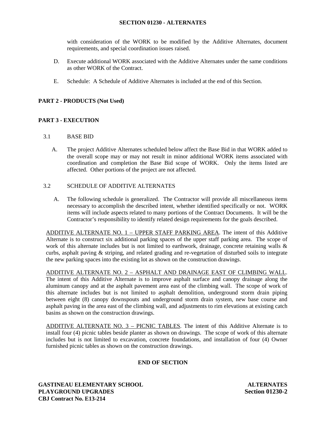## **SECTION 01230 - ALTERNATES**

with consideration of the WORK to be modified by the Additive Alternates, document requirements, and special coordination issues raised.

- D. Execute additional WORK associated with the Additive Alternates under the same conditions as other WORK of the Contract.
- E. Schedule: A Schedule of Additive Alternates is included at the end of this Section.

# **PART 2 - PRODUCTS (Not Used)**

# **PART 3 - EXECUTION**

## 3.1 BASE BID

A. The project Additive Alternates scheduled below affect the Base Bid in that WORK added to the overall scope may or may not result in minor additional WORK items associated with coordination and completion the Base Bid scope of WORK. Only the items listed are affected. Other portions of the project are not affected.

### 3.2 SCHEDULE OF ADDITIVE ALTERNATES

A. The following schedule is generalized. The Contractor will provide all miscellaneous items necessary to accomplish the described intent, whether identified specifically or not. WORK items will include aspects related to many portions of the Contract Documents. It will be the Contractor's responsibility to identify related design requirements for the goals described.

ADDITIVE ALTERNATE NO. 1 – UPPER STAFF PARKING AREA. The intent of this Additive Alternate is to construct six additional parking spaces of the upper staff parking area. The scope of work of this alternate includes but is not limited to earthwork, drainage, concrete retaining walls & curbs, asphalt paving & striping, and related grading and re-vegetation of disturbed soils to integrate the new parking spaces into the existing lot as shown on the construction drawings.

ADDITIVE ALTERNATE NO. 2 – ASPHALT AND DRAINAGE EAST OF CLIMBING WALL. The intent of this Additive Alternate is to improve asphalt surface and canopy drainage along the aluminum canopy and at the asphalt pavement area east of the climbing wall. The scope of work of this alternate includes but is not limited to asphalt demolition, underground storm drain piping between eight (8) canopy downspouts and underground storm drain system, new base course and asphalt paving in the area east of the climbing wall, and adjustments to rim elevations at existing catch basins as shown on the construction drawings.

ADDITIVE ALTERNATE NO. 3 – PICNIC TABLES. The intent of this Additive Alternate is to install four (4) picnic tables beside planter as shown on drawings. The scope of work of this alternate includes but is not limited to excavation, concrete foundations, and installation of four (4) Owner furnished picnic tables as shown on the construction drawings.

## **END OF SECTION**

**GASTINEAU ELEMENTARY SCHOOL ALTERNATES PLAYGROUND UPGRADES Section 01230-2 CBJ Contract No. E13-214**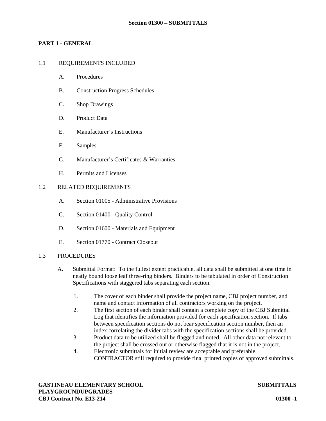# **PART 1 - GENERAL**

## 1.1 REQUIREMENTS INCLUDED

- A. Procedures
- B. Construction Progress Schedules
- C. Shop Drawings
- D. Product Data
- E. Manufacturer's Instructions
- F. Samples
- G. Manufacturer's Certificates & Warranties
- H. Permits and Licenses

## 1.2 RELATED REQUIREMENTS

- A. Section 01005 Administrative Provisions
- C. Section 01400 Quality Control
- D. Section 01600 Materials and Equipment
- E. Section 01770 Contract Closeout

## 1.3 PROCEDURES

- A. Submittal Format: To the fullest extent practicable, all data shall be submitted at one time in neatly bound loose leaf three-ring binders. Binders to be tabulated in order of Construction Specifications with staggered tabs separating each section.
	- 1. The cover of each binder shall provide the project name, CBJ project number, and name and contact information of all contractors working on the project.
	- 2. The first section of each binder shall contain a complete copy of the CBJ Submittal Log that identifies the information provided for each specification section. If tabs between specification sections do not bear specification section number, then an index correlating the divider tabs with the specification sections shall be provided.
	- 3. Product data to be utilized shall be flagged and noted. All other data not relevant to the project shall be crossed out or otherwise flagged that it is not in the project.
	- 4. Electronic submittals for initial review are acceptable and preferable. CONTRACTOR still required to provide final printed copies of approved submittals.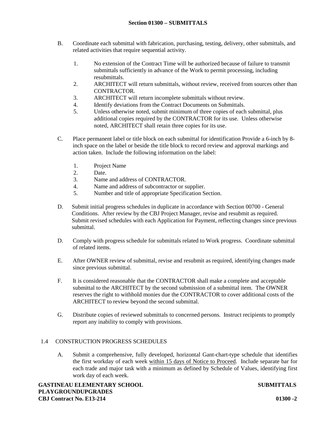- B. Coordinate each submittal with fabrication, purchasing, testing, delivery, other submittals, and related activities that require sequential activity.
	- 1. No extension of the Contract Time will be authorized because of failure to transmit submittals sufficiently in advance of the Work to permit processing, including resubmittals.
	- 2. ARCHITECT will return submittals, without review, received from sources other than CONTRACTOR.
	- 3. ARCHITECT will return incomplete submittals without review.
	- 4. Identify deviations from the Contract Documents on Submittals.
	- 5. Unless otherwise noted, submit minimum of three copies of each submittal, plus additional copies required by the CONTRACTOR for its use. Unless otherwise noted, ARCHITECT shall retain three copies for its use.
- C. Place permanent label or title block on each submittal for identification Provide a 6-inch by 8 inch space on the label or beside the title block to record review and approval markings and action taken. Include the following information on the label:
	- 1. Project Name
	- 2. Date.
	- 3. Name and address of CONTRACTOR.
	- 4. Name and address of subcontractor or supplier.
	- 5. Number and title of appropriate Specification Section.
- D. Submit initial progress schedules in duplicate in accordance with Section 00700 General Conditions. After review by the CBJ Project Manager, revise and resubmit as required. Submit revised schedules with each Application for Payment, reflecting changes since previous submittal.
- D. Comply with progress schedule for submittals related to Work progress. Coordinate submittal of related items.
- E. After OWNER review of submittal, revise and resubmit as required, identifying changes made since previous submittal.
- F. It is considered reasonable that the CONTRACTOR shall make a complete and acceptable submittal to the ARCHITECT by the second submission of a submittal item. The OWNER reserves the right to withhold monies due the CONTRACTOR to cover additional costs of the ARCHITECT to review beyond the second submittal.
- G. Distribute copies of reviewed submittals to concerned persons. Instruct recipients to promptly report any inability to comply with provisions.

## 1.4 CONSTRUCTION PROGRESS SCHEDULES

A. Submit a comprehensive, fully developed, horizontal Gant-chart-type schedule that identifies the first workday of each week within 15 days of Notice to Proceed. Include separate bar for each trade and major task with a minimum as defined by Schedule of Values, identifying first work day of each week.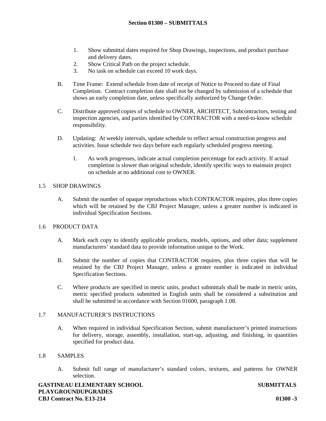- 1. Show submittal dates required for Shop Drawings, inspections, and product purchase and delivery dates.
- 2. Show Critical Path on the project schedule.
- 3. No task on schedule can exceed 10 work days.
- B. Time Frame: Extend schedule from date of receipt of Notice to Proceed to date of Final Completion. Contract completion date shall not be changed by submission of a schedule that shows an early completion date, unless specifically authorized by Change Order.
- C. Distribute approved copies of schedule to OWNER, ARCHITECT, Subcontractors, testing and inspection agencies, and parties identified by CONTRACTOR with a need-to-know schedule responsibility.
- D. Updating: At weekly intervals, update schedule to reflect actual construction progress and activities. Issue schedule two days before each regularly scheduled progress meeting.
	- 1. As work progresses, indicate actual completion percentage for each activity. If actual completion is slower than original schedule, identify specific ways to maintain project on schedule at no additional cost to OWNER.

# 1.5 SHOP DRAWINGS

A. Submit the number of opaque reproductions which CONTRACTOR requires, plus three copies which will be retained by the CBJ Project Manager, unless a greater number is indicated in individual Specification Sections.

# 1.6 PRODUCT DATA

- A. Mark each copy to identify applicable products, models, options, and other data; supplement manufacturers' standard data to provide information unique to the Work.
- B. Submit the number of copies that CONTRACTOR requires, plus three copies that will be retained by the CBJ Project Manager, unless a greater number is indicated in individual Specification Sections.
- C. Where products are specified in metric units, product submittals shall be made in metric units, metric specified products submitted in English units shall be considered a substitution and shall be submitted in accordance with Section 01600, paragraph 1.08.

## 1.7 MANUFACTURER'S INSTRUCTIONS

A. When required in individual Specification Section, submit manufacturer's printed instructions for delivery, storage, assembly, installation, start-up, adjusting, and finishing, in quantities specified for product data.

## 1.8 SAMPLES

A. Submit full range of manufacturer's standard colors, textures, and patterns for OWNER selection.

**GASTINEAU ELEMENTARY SCHOOL SUBMITTALS PLAYGROUNDUPGRADES CBJ Contract No. E13-214 01300** *-***3**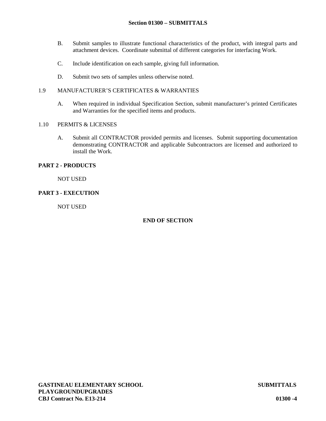- B. Submit samples to illustrate functional characteristics of the product, with integral parts and attachment devices. Coordinate submittal of different categories for interfacing Work.
- C. Include identification on each sample, giving full information.
- D. Submit two sets of samples unless otherwise noted.

## 1.9 MANUFACTURER'S CERTIFICATES & WARRANTIES

A. When required in individual Specification Section, submit manufacturer's printed Certificates and Warranties for the specified items and products.

## 1.10 PERMITS & LICENSES

A. Submit all CONTRACTOR provided permits and licenses. Submit supporting documentation demonstrating CONTRACTOR and applicable Subcontractors are licensed and authorized to install the Work.

# **PART 2 - PRODUCTS**

NOT USED

# **PART 3 - EXECUTION**

NOT USED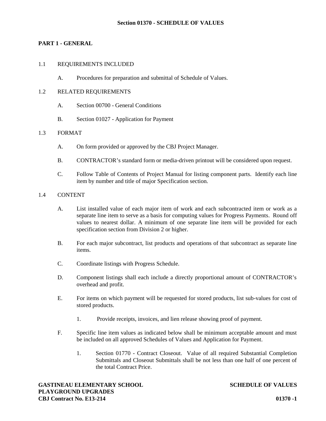# **PART 1 - GENERAL**

#### 1.1 REQUIREMENTS INCLUDED

A. Procedures for preparation and submittal of Schedule of Values.

## 1.2 RELATED REQUIREMENTS

- A. Section 00700 General Conditions
- B. Section 01027 Application for Payment

#### 1.3 FORMAT

- A. On form provided or approved by the CBJ Project Manager.
- B. CONTRACTOR's standard form or media-driven printout will be considered upon request.
- C. Follow Table of Contents of Project Manual for listing component parts. Identify each line item by number and title of major Specification section.

## 1.4 CONTENT

- A. List installed value of each major item of work and each subcontracted item or work as a separate line item to serve as a basis for computing values for Progress Payments. Round off values to nearest dollar. A minimum of one separate line item will be provided for each specification section from Division 2 or higher.
- B. For each major subcontract, list products and operations of that subcontract as separate line items.
- C. Coordinate listings with Progress Schedule.
- D. Component listings shall each include a directly proportional amount of CONTRACTOR's overhead and profit.
- E. For items on which payment will be requested for stored products, list sub-values for cost of stored products.
	- 1. Provide receipts, invoices, and lien release showing proof of payment.
- F. Specific line item values as indicated below shall be minimum acceptable amount and must be included on all approved Schedules of Values and Application for Payment.
	- 1. Section 01770 Contract Closeout. Value of all required Substantial Completion Submittals and Closeout Submittals shall be not less than one half of one percent of the total Contract Price.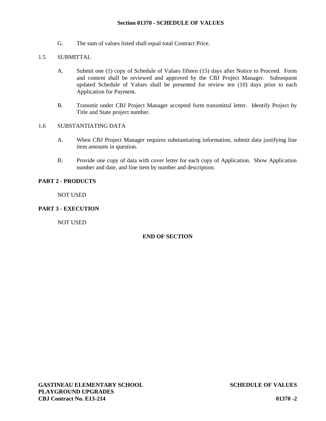## **Section 01370 - SCHEDULE OF VALUES**

G. The sum of values listed shall equal total Contract Price.

# 1.5 SUBMITTAL

- A. Submit one (1) copy of Schedule of Values fifteen (15) days after Notice to Proceed. Form and content shall be reviewed and approved by the CBJ Project Manager. Subsequent updated Schedule of Values shall be presented for review ten (10) days prior to each Application for Payment.
- B. Transmit under CBJ Project Manager accepted form transmittal letter. Identify Project by Title and State project number.

# 1.6 SUBSTANTIATING DATA

- A. When CBJ Project Manager requires substantiating information, submit data justifying line item amounts in question.
- B. Provide one copy of data with cover letter for each copy of Application. Show Application number and date, and line item by number and description.

# **PART 2 - PRODUCTS**

NOT USED

# **PART 3 - EXECUTION**

NOT USED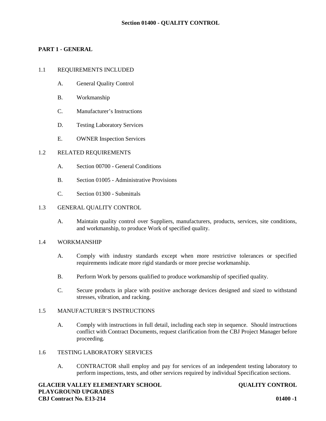# **PART 1 - GENERAL**

## 1.1 REQUIREMENTS INCLUDED

- A. General Quality Control
- B. Workmanship
- C. Manufacturer's Instructions
- D. Testing Laboratory Services
- E. OWNER Inspection Services

## 1.2 RELATED REQUIREMENTS

- A. Section 00700 General Conditions
- B. Section 01005 Administrative Provisions
- C. Section 01300 Submittals

# 1.3 GENERAL QUALITY CONTROL

A. Maintain quality control over Suppliers, manufacturers, products, services, site conditions, and workmanship, to produce Work of specified quality.

## 1.4 WORKMANSHIP

- A. Comply with industry standards except when more restrictive tolerances or specified requirements indicate more rigid standards or more precise workmanship.
- B. Perform Work by persons qualified to produce workmanship of specified quality.
- C. Secure products in place with positive anchorage devices designed and sized to withstand stresses, vibration, and racking.

## 1.5 MANUFACTURER'S INSTRUCTIONS

A. Comply with instructions in full detail, including each step in sequence. Should instructions conflict with Contract Documents, request clarification from the CBJ Project Manager before proceeding.

# 1.6 TESTING LABORATORY SERVICES

A. CONTRACTOR shall employ and pay for services of an independent testing laboratory to perform inspections, tests, and other services required by individual Specification sections.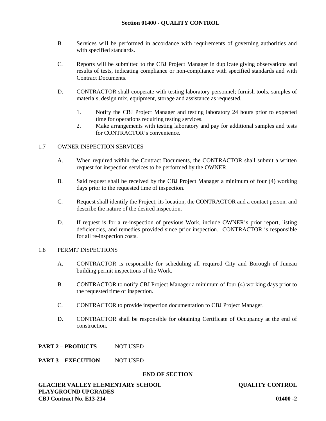## **Section 01400 - QUALITY CONTROL**

- B. Services will be performed in accordance with requirements of governing authorities and with specified standards.
- C. Reports will be submitted to the CBJ Project Manager in duplicate giving observations and results of tests, indicating compliance or non-compliance with specified standards and with Contract Documents.
- D. CONTRACTOR shall cooperate with testing laboratory personnel; furnish tools, samples of materials, design mix, equipment, storage and assistance as requested.
	- 1. Notify the CBJ Project Manager and testing laboratory 24 hours prior to expected time for operations requiring testing services.
	- 2. Make arrangements with testing laboratory and pay for additional samples and tests for CONTRACTOR's convenience.

## 1.7 OWNER INSPECTION SERVICES

- A. When required within the Contract Documents, the CONTRACTOR shall submit a written request for inspection services to be performed by the OWNER.
- B. Said request shall be received by the CBJ Project Manager a minimum of four (4) working days prior to the requested time of inspection.
- C. Request shall identify the Project, its location, the CONTRACTOR and a contact person, and describe the nature of the desired inspection.
- D. If request is for a re-inspection of previous Work, include OWNER's prior report, listing deficiencies, and remedies provided since prior inspection. CONTRACTOR is responsible for all re-inspection costs.

#### 1.8 PERMIT INSPECTIONS

- A. CONTRACTOR is responsible for scheduling all required City and Borough of Juneau building permit inspections of the Work.
- B. CONTRACTOR to notify CBJ Project Manager a minimum of four (4) working days prior to the requested time of inspection.
- C. CONTRACTOR to provide inspection documentation to CBJ Project Manager.
- D. CONTRACTOR shall be responsible for obtaining Certificate of Occupancy at the end of construction.

**PART 2 – PRODUCTS** NOT USED

## **PART 3 – EXECUTION** NOT USED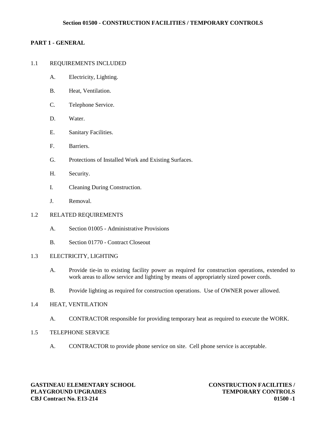## **Section 01500 - CONSTRUCTION FACILITIES / TEMPORARY CONTROLS**

# **PART 1 - GENERAL**

## 1.1 REQUIREMENTS INCLUDED

- A. Electricity, Lighting.
- B. Heat, Ventilation.
- C. Telephone Service.
- D. Water.
- E. Sanitary Facilities.
- F. Barriers.
- G. Protections of Installed Work and Existing Surfaces.
- H. Security.
- I. Cleaning During Construction.
- J. Removal.

## 1.2 RELATED REQUIREMENTS

- A. Section 01005 Administrative Provisions
- B. Section 01770 Contract Closeout

## 1.3 ELECTRICITY, LIGHTING

- A. Provide tie-in to existing facility power as required for construction operations, extended to work areas to allow service and lighting by means of appropriately sized power cords.
- B. Provide lighting as required for construction operations. Use of OWNER power allowed.

## 1.4 HEAT, VENTILATION

- A. CONTRACTOR responsible for providing temporary heat as required to execute the WORK.
- 1.5 TELEPHONE SERVICE
	- A. CONTRACTOR to provide phone service on site. Cell phone service is acceptable.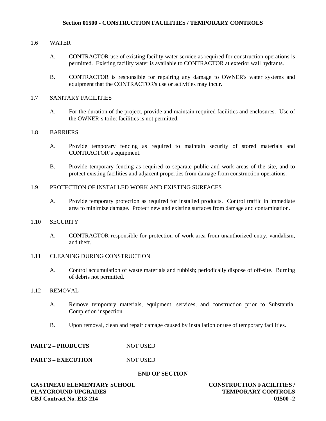# 1.6 WATER

- A. CONTRACTOR use of existing facility water service as required for construction operations is permitted. Existing facility water is available to CONTRACTOR at exterior wall hydrants.
- B. CONTRACTOR is responsible for repairing any damage to OWNER's water systems and equipment that the CONTRACTOR's use or activities may incur.

# 1.7 SANITARY FACILITIES

A. For the duration of the project, provide and maintain required facilities and enclosures. Use of the OWNER's toilet facilities is not permitted.

#### 1.8 BARRIERS

- A. Provide temporary fencing as required to maintain security of stored materials and CONTRACTOR's equipment.
- B. Provide temporary fencing as required to separate public and work areas of the site, and to protect existing facilities and adjacent properties from damage from construction operations.

# 1.9 PROTECTION OF INSTALLED WORK AND EXISTING SURFACES

A. Provide temporary protection as required for installed products. Control traffic in immediate area to minimize damage. Protect new and existing surfaces from damage and contamination.

#### 1.10 SECURITY

A. CONTRACTOR responsible for protection of work area from unauthorized entry, vandalism, and theft.

#### 1.11 CLEANING DURING CONSTRUCTION

A. Control accumulation of waste materials and rubbish; periodically dispose of off-site. Burning of debris not permitted.

## 1.12 REMOVAL

- A. Remove temporary materials, equipment, services, and construction prior to Substantial Completion inspection.
- B. Upon removal, clean and repair damage caused by installation or use of temporary facilities.

## **PART 2 – PRODUCTS** NOT USED

# **PART 3 – EXECUTION** NOT USED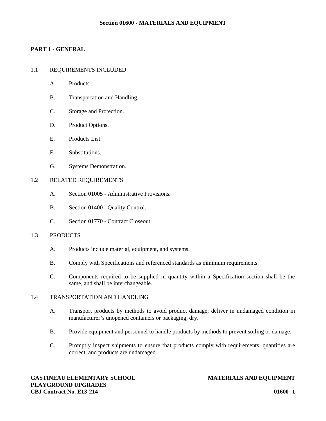#### **Section 01600 - MATERIALS AND EQUIPMENT**

# **PART 1 - GENERAL**

# 1.1 REQUIREMENTS INCLUDED

- A. Products.
- B. Transportation and Handling.
- C. Storage and Protection.
- D. Product Options.
- E. Products List.
- F. Substitutions.
- G. Systems Demonstration.

#### 1.2 RELATED REQUIREMENTS

- A. Section 01005 Administrative Provisions.
- B. Section 01400 Quality Control.
- C. Section 01770 Contract Closeout.

#### 1.3 PRODUCTS

- A. Products include material, equipment, and systems.
- B. Comply with Specifications and referenced standards as minimum requirements.
- C. Components required to be supplied in quantity within a Specification section shall be the same, and shall be interchangeable.

## 1.4 TRANSPORTATION AND HANDLING

- A. Transport products by methods to avoid product damage; deliver in undamaged condition in manufacturer's unopened containers or packaging, dry.
- B. Provide equipment and personnel to handle products by methods to prevent soiling or damage.
- C. Promptly inspect shipments to ensure that products comply with requirements, quantities are correct, and products are undamaged.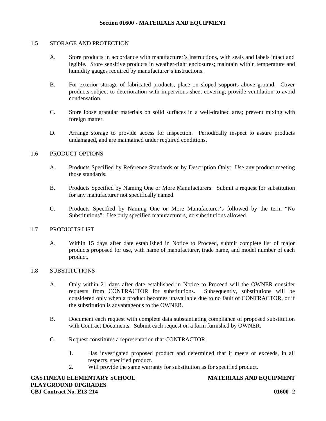#### 1.5 STORAGE AND PROTECTION

- A. Store products in accordance with manufacturer's instructions, with seals and labels intact and legible. Store sensitive products in weather-tight enclosures; maintain within temperature and humidity gauges required by manufacturer's instructions.
- B. For exterior storage of fabricated products, place on sloped supports above ground. Cover products subject to deterioration with impervious sheet covering; provide ventilation to avoid condensation.
- C. Store loose granular materials on solid surfaces in a well-drained area; prevent mixing with foreign matter.
- D. Arrange storage to provide access for inspection. Periodically inspect to assure products undamaged, and are maintained under required conditions.

#### 1.6 PRODUCT OPTIONS

- A. Products Specified by Reference Standards or by Description Only: Use any product meeting those standards.
- B. Products Specified by Naming One or More Manufacturers: Submit a request for substitution for any manufacturer not specifically named.
- C. Products Specified by Naming One or More Manufacturer's followed by the term "No Substitutions": Use only specified manufacturers, no substitutions allowed.

#### 1.7 PRODUCTS LIST

A. Within 15 days after date established in Notice to Proceed, submit complete list of major products proposed for use, with name of manufacturer, trade name, and model number of each product.

## 1.8 SUBSTITUTIONS

- A. Only within 21 days after date established in Notice to Proceed will the OWNER consider requests from CONTRACTOR for substitutions. Subsequently, substitutions will be considered only when a product becomes unavailable due to no fault of CONTRACTOR, or if the substitution is advantageous to the OWNER.
- B. Document each request with complete data substantiating compliance of proposed substitution with Contract Documents. Submit each request on a form furnished by OWNER.
- C. Request constitutes a representation that CONTRACTOR:
	- 1. Has investigated proposed product and determined that it meets or exceeds, in all respects, specified product.
	- 2. Will provide the same warranty for substitution as for specified product.

**GASTINEAU ELEMENTARY SCHOOL MATERIALS AND EQUIPMENT PLAYGROUND UPGRADES CBJ Contract No. E13-214 01600 -2**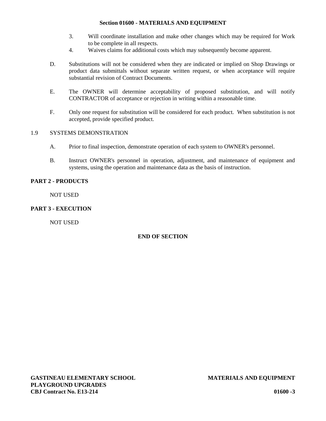## **Section 01600 - MATERIALS AND EQUIPMENT**

- 3. Will coordinate installation and make other changes which may be required for Work to be complete in all respects.
- 4. Waives claims for additional costs which may subsequently become apparent.
- D. Substitutions will not be considered when they are indicated or implied on Shop Drawings or product data submittals without separate written request, or when acceptance will require substantial revision of Contract Documents.
- E. The OWNER will determine acceptability of proposed substitution, and will notify CONTRACTOR of acceptance or rejection in writing within a reasonable time.
- F. Only one request for substitution will be considered for each product. When substitution is not accepted, provide specified product.

# 1.9 SYSTEMS DEMONSTRATION

- A. Prior to final inspection, demonstrate operation of each system to OWNER's personnel.
- B. Instruct OWNER's personnel in operation, adjustment, and maintenance of equipment and systems, using the operation and maintenance data as the basis of instruction.

# **PART 2 - PRODUCTS**

NOT USED

# **PART 3 - EXECUTION**

NOT USED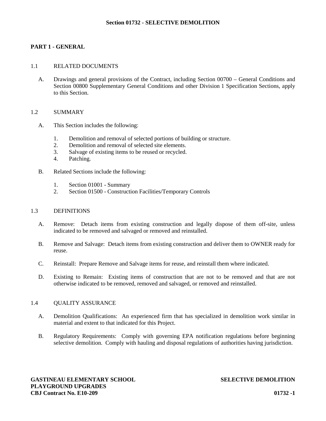## **PART 1 - GENERAL**

#### 1.1 RELATED DOCUMENTS

A. Drawings and general provisions of the Contract, including Section 00700 – General Conditions and Section 00800 Supplementary General Conditions and other Division 1 Specification Sections, apply to this Section.

#### 1.2 SUMMARY

- A. This Section includes the following:
	- 1. Demolition and removal of selected portions of building or structure.
	- 2. Demolition and removal of selected site elements.
	- 3. Salvage of existing items to be reused or recycled.
	- 4. Patching.
- B. Related Sections include the following:
	- 1. Section 01001 Summary
	- 2. Section 01500 Construction Facilities/Temporary Controls

#### 1.3 DEFINITIONS

- A. Remove: Detach items from existing construction and legally dispose of them off-site, unless indicated to be removed and salvaged or removed and reinstalled.
- B. Remove and Salvage: Detach items from existing construction and deliver them to OWNER ready for reuse.
- C. Reinstall: Prepare Remove and Salvage items for reuse, and reinstall them where indicated.
- D. Existing to Remain: Existing items of construction that are not to be removed and that are not otherwise indicated to be removed, removed and salvaged, or removed and reinstalled.

## 1.4 QUALITY ASSURANCE

- A. Demolition Qualifications: An experienced firm that has specialized in demolition work similar in material and extent to that indicated for this Project.
- B. Regulatory Requirements: Comply with governing EPA notification regulations before beginning selective demolition. Comply with hauling and disposal regulations of authorities having jurisdiction.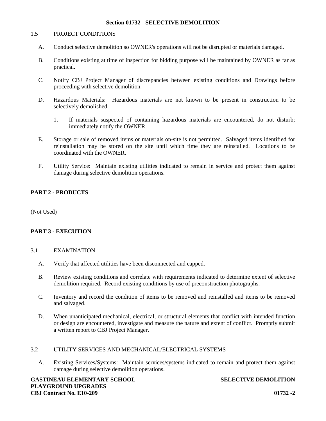#### 1.5 PROJECT CONDITIONS

- A. Conduct selective demolition so OWNER's operations will not be disrupted or materials damaged.
- B. Conditions existing at time of inspection for bidding purpose will be maintained by OWNER as far as practical.
- C. Notify CBJ Project Manager of discrepancies between existing conditions and Drawings before proceeding with selective demolition.
- D. Hazardous Materials: Hazardous materials are not known to be present in construction to be selectively demolished.
	- 1. If materials suspected of containing hazardous materials are encountered, do not disturb; immediately notify the OWNER.
- E. Storage or sale of removed items or materials on-site is not permitted. Salvaged items identified for reinstallation may be stored on the site until which time they are reinstalled. Locations to be coordinated with the OWNER.
- F. Utility Service: Maintain existing utilities indicated to remain in service and protect them against damage during selective demolition operations.

## **PART 2 - PRODUCTS**

(Not Used)

# **PART 3 - EXECUTION**

#### 3.1 EXAMINATION

- A. Verify that affected utilities have been disconnected and capped.
- B. Review existing conditions and correlate with requirements indicated to determine extent of selective demolition required. Record existing conditions by use of preconstruction photographs.
- C. Inventory and record the condition of items to be removed and reinstalled and items to be removed and salvaged.
- D. When unanticipated mechanical, electrical, or structural elements that conflict with intended function or design are encountered, investigate and measure the nature and extent of conflict. Promptly submit a written report to CBJ Project Manager.

# 3.2 UTILITY SERVICES AND MECHANICAL/ELECTRICAL SYSTEMS

A. Existing Services/Systems: Maintain services/systems indicated to remain and protect them against damage during selective demolition operations.

**GASTINEAU ELEMENTARY SCHOOL SELECTIVE DEMOLITION PLAYGROUND UPGRADES CBJ Contract No. E10-209 01732 -2**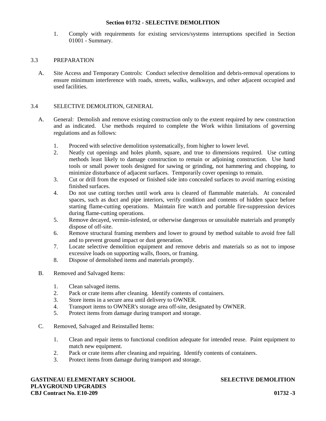1. Comply with requirements for existing services/systems interruptions specified in Section 01001 - Summary.

## 3.3 PREPARATION

A. Site Access and Temporary Controls: Conduct selective demolition and debris-removal operations to ensure minimum interference with roads, streets, walks, walkways, and other adjacent occupied and used facilities.

## 3.4 SELECTIVE DEMOLITION, GENERAL

- A. General: Demolish and remove existing construction only to the extent required by new construction and as indicated. Use methods required to complete the Work within limitations of governing regulations and as follows:
	- 1. Proceed with selective demolition systematically, from higher to lower level.
	- 2. Neatly cut openings and holes plumb, square, and true to dimensions required. Use cutting methods least likely to damage construction to remain or adjoining construction. Use hand tools or small power tools designed for sawing or grinding, not hammering and chopping, to minimize disturbance of adjacent surfaces. Temporarily cover openings to remain.
	- 3. Cut or drill from the exposed or finished side into concealed surfaces to avoid marring existing finished surfaces.
	- 4. Do not use cutting torches until work area is cleared of flammable materials. At concealed spaces, such as duct and pipe interiors, verify condition and contents of hidden space before starting flame-cutting operations. Maintain fire watch and portable fire-suppression devices during flame-cutting operations.
	- 5. Remove decayed, vermin-infested, or otherwise dangerous or unsuitable materials and promptly dispose of off-site.
	- 6. Remove structural framing members and lower to ground by method suitable to avoid free fall and to prevent ground impact or dust generation.
	- 7. Locate selective demolition equipment and remove debris and materials so as not to impose excessive loads on supporting walls, floors, or framing.
	- 8. Dispose of demolished items and materials promptly.
- B. Removed and Salvaged Items:
	- 1. Clean salvaged items.
	- 2. Pack or crate items after cleaning. Identify contents of containers.
	- 3. Store items in a secure area until delivery to OWNER.
	- 4. Transport items to OWNER's storage area off-site, designated by OWNER.
	- 5. Protect items from damage during transport and storage.
- C. Removed, Salvaged and Reinstalled Items:
	- 1. Clean and repair items to functional condition adequate for intended reuse. Paint equipment to match new equipment.
	- 2. Pack or crate items after cleaning and repairing. Identify contents of containers.
	- 3. Protect items from damage during transport and storage.

**GASTINEAU ELEMENTARY SCHOOL SELECTIVE DEMOLITION PLAYGROUND UPGRADES CBJ Contract No. E10-209 01732 -3**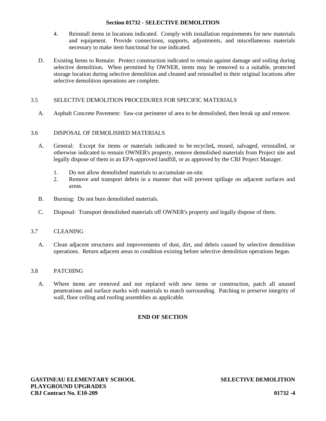- 4. Reinstall items in locations indicated. Comply with installation requirements for new materials and equipment. Provide connections, supports, adjustments, and miscellaneous materials necessary to make item functional for use indicated.
- D. Existing Items to Remain: Protect construction indicated to remain against damage and soiling during selective demolition. When permitted by OWNER, items may be removed to a suitable, protected storage location during selective demolition and cleaned and reinstalled in their original locations after selective demolition operations are complete.

# 3.5 SELECTIVE DEMOLITION PROCEDURES FOR SPECIFIC MATERIALS

A. Asphalt Concrete Pavement: Saw-cut perimeter of area to be demolished, then break up and remove.

# 3.6 DISPOSAL OF DEMOLISHED MATERIALS

- A. General: Except for items or materials indicated to be recycled**,** reused, salvaged, reinstalled, or otherwise indicated to remain OWNER's property, remove demolished materials from Project site and legally dispose of them in an EPA-approved landfill, or as approved by the CBJ Project Manager.
	- 1. Do not allow demolished materials to accumulate on-site.
	- 2. Remove and transport debris in a manner that will prevent spillage on adjacent surfaces and areas.
- B. Burning: Do not burn demolished materials.
- C. Disposal: Transport demolished materials off OWNER's property and legally dispose of them.

## 3.7 CLEANING

A. Clean adjacent structures and improvements of dust, dirt, and debris caused by selective demolition operations. Return adjacent areas to condition existing before selective demolition operations began.

## 3.8 PATCHING

A. Where items are removed and not replaced with new items or construction, patch all unused penetrations and surface marks with materials to match surrounding. Patching to preserve integrity of wall, floor ceiling and roofing assemblies as applicable.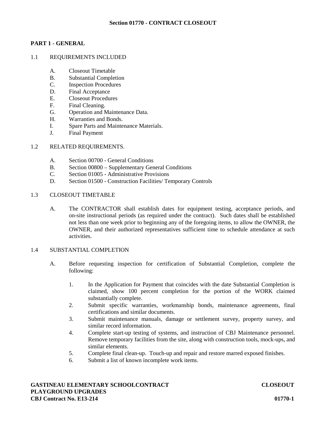# **PART 1 - GENERAL**

# 1.1 REQUIREMENTS INCLUDED

- A. Closeout Timetable
- B. Substantial Completion
- C. Inspection Procedures
- D. Final Acceptance
- E. Closeout Procedures
- F. Final Cleaning.
- G. Operation and Maintenance Data.
- H. Warranties and Bonds.
- I. Spare Parts and Maintenance Materials.
- J. Final Payment

## 1.2 RELATED REQUIREMENTS.

- A. Section 00700 General Conditions
- B. Section 00800 Supplementary General Conditions
- C. Section 01005 Administrative Provisions
- D. Section 01500 Construction Facilities/ Temporary Controls

#### 1.3 CLOSEOUT TIMETABLE

A. The CONTRACTOR shall establish dates for equipment testing, acceptance periods, and on-site instructional periods (as required under the contract). Such dates shall be established not less than one week prior to beginning any of the foregoing items, to allow the OWNER, the OWNER, and their authorized representatives sufficient time to schedule attendance at such activities.

#### 1.4 SUBSTANTIAL COMPLETION

- A. Before requesting inspection for certification of Substantial Completion, complete the following:
	- 1. In the Application for Payment that coincides with the date Substantial Completion is claimed, show 100 percent completion for the portion of the WORK claimed substantially complete.
	- 2. Submit specific warranties, workmanship bonds, maintenance agreements, final certifications and similar documents.
	- 3. Submit maintenance manuals, damage or settlement survey, property survey, and similar record information.
	- 4. Complete start-up testing of systems, and instruction of CBJ Maintenance personnel. Remove temporary facilities from the site, along with construction tools, mock-ups, and similar elements.
	- 5. Complete final clean-up. Touch-up and repair and restore marred exposed finishes.
	- 6. Submit a list of known incomplete work items.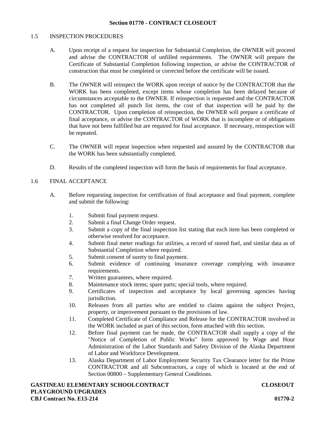## 1.5 INSPECTION PROCEDURES

- A. Upon receipt of a request for inspection for Substantial Completion, the OWNER will proceed and advise the CONTRACTOR of unfilled requirements. The OWNER will prepare the Certificate of Substantial Completion following inspection, or advise the CONTRACTOR of construction that must be completed or corrected before the certificate will be issued.
- B. The OWNER will reinspect the WORK upon receipt of notice by the CONTRACTOR that the WORK has been completed, except items whose completion has been delayed because of circumstances acceptable to the OWNER. If reinspection is requested and the CONTRACTOR has not completed all punch list items, the cost of that inspection will be paid by the CONTRACTOR. Upon completion of reinspection, the OWNER will prepare a certificate of final acceptance, or advise the CONTRACTOR of WORK that is incomplete or of obligations that have not been fulfilled but are required for final acceptance. If necessary, reinspection will be repeated.
- C. The OWNER will repeat inspection when requested and assured by the CONTRACTOR that the WORK has been substantially completed.
- D. Results of the completed inspection will form the basis of requirements for final acceptance.

# 1.6 FINAL ACCEPTANCE

- A. Before requesting inspection for certification of final acceptance and final payment, complete and submit the following:
	- 1. Submit final payment request.
	- 2. Submit a final Change Order request.
	- 3. Submit a copy of the final inspection list stating that each item has been completed or otherwise resolved for acceptance.
	- 4. Submit final meter readings for utilities, a record of stored fuel, and similar data as of Substantial Completion where required.
	- 5. Submit consent of surety to final payment.
	- 6. Submit evidence of continuing insurance coverage complying with insurance requirements.
	- 7. Written guarantees, where required.
	- 8. Maintenance stock items; spare parts; special tools, where required.
	- 9. Certificates of inspection and acceptance by local governing agencies having jurisdiction.
	- 10. Releases from all parties who are entitled to claims against the subject Project, property, or improvement pursuant to the provisions of law.
	- 11. Completed Certificate of Compliance and Release for the CONTRACTOR involved in the WORK included as part of this section, form attached with this section.
	- 12. Before final payment can be made, the CONTRACTOR shall supply a copy of the "Notice of Completion of Public Works" form approved by Wage and Hour Administration of the Labor Standards and Safety Division of the Alaska Department of Labor and Workforce Development.
	- 13. Alaska Department of Labor Employment Security Tax Clearance letter for the Prime CONTRACTOR and all Subcontractors, a copy of which is located at the end of Section 00800 – Supplementary General Conditions.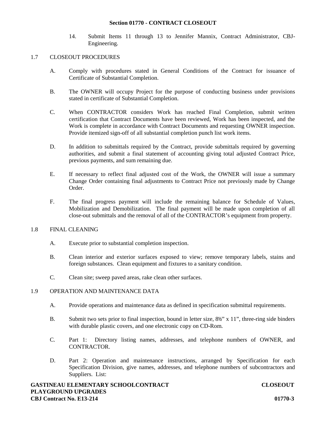#### **Section 01770 - CONTRACT CLOSEOUT**

14. Submit Items 11 through 13 to Jennifer Mannix, Contract Administrator, CBJ- Engineering.

## 1.7 CLOSEOUT PROCEDURES

- A. Comply with procedures stated in General Conditions of the Contract for issuance of Certificate of Substantial Completion.
- B. The OWNER will occupy Project for the purpose of conducting business under provisions stated in certificate of Substantial Completion.
- C. When CONTRACTOR considers Work has reached Final Completion, submit written certification that Contract Documents have been reviewed, Work has been inspected, and the Work is complete in accordance with Contract Documents and requesting OWNER inspection. Provide itemized sign-off of all substantial completion punch list work items.
- D. In addition to submittals required by the Contract, provide submittals required by governing authorities, and submit a final statement of accounting giving total adjusted Contract Price, previous payments, and sum remaining due.
- E. If necessary to reflect final adjusted cost of the Work, the OWNER will issue a summary Change Order containing final adjustments to Contract Price not previously made by Change Order.
- F. The final progress payment will include the remaining balance for Schedule of Values, Mobilization and Demobilization. The final payment will be made upon completion of all close-out submittals and the removal of all of the CONTRACTOR's equipment from property.

## 1.8 FINAL CLEANING

- A. Execute prior to substantial completion inspection.
- B. Clean interior and exterior surfaces exposed to view; remove temporary labels, stains and foreign substances. Clean equipment and fixtures to a sanitary condition.
- C. Clean site; sweep paved areas, rake clean other surfaces.

## 1.9 OPERATION AND MAINTENANCE DATA

- A. Provide operations and maintenance data as defined in specification submittal requirements.
- B. Submit two sets prior to final inspection, bound in letter size,  $8\frac{1}{2}$ " x 11", three-ring side binders with durable plastic covers, and one electronic copy on CD-Rom.
- C. Part 1: Directory listing names, addresses, and telephone numbers of OWNER, and CONTRACTOR.
- D. Part 2: Operation and maintenance instructions, arranged by Specification for each Specification Division, give names, addresses, and telephone numbers of subcontractors and Suppliers. List: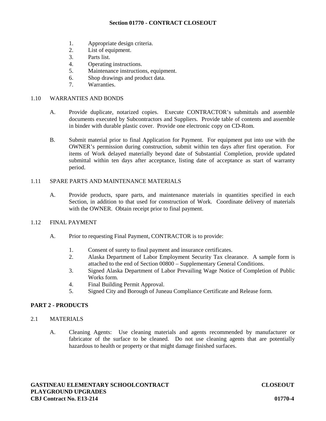## **Section 01770 - CONTRACT CLOSEOUT**

- 1. Appropriate design criteria.
- 2. List of equipment.
- 3. Parts list.
- 4. Operating instructions.
- 5. Maintenance instructions, equipment.
- 6. Shop drawings and product data.
- 7. Warranties.

#### 1.10 WARRANTIES AND BONDS

- A. Provide duplicate, notarized copies. Execute CONTRACTOR's submittals and assemble documents executed by Subcontractors and Suppliers. Provide table of contents and assemble in binder with durable plastic cover. Provide one electronic copy on CD-Rom.
- B. Submit material prior to final Application for Payment. For equipment put into use with the OWNER's permission during construction, submit within ten days after first operation. For items of Work delayed materially beyond date of Substantial Completion, provide updated submittal within ten days after acceptance, listing date of acceptance as start of warranty period.

# 1.11 SPARE PARTS AND MAINTENANCE MATERIALS

A. Provide products, spare parts, and maintenance materials in quantities specified in each Section, in addition to that used for construction of Work. Coordinate delivery of materials with the OWNER. Obtain receipt prior to final payment.

## 1.12 FINAL PAYMENT

- A. Prior to requesting Final Payment, CONTRACTOR is to provide:
	- 1. Consent of surety to final payment and insurance certificates.
	- 2. Alaska Department of Labor Employment Security Tax clearance. A sample form is attached to the end of Section 00800 – Supplementary General Conditions.
	- 3. Signed Alaska Department of Labor Prevailing Wage Notice of Completion of Public Works form.
	- 4. Final Building Permit Approval.
	- 5. Signed City and Borough of Juneau Compliance Certificate and Release form.

# **PART 2 - PRODUCTS**

- 2.1 MATERIALS
	- A. Cleaning Agents: Use cleaning materials and agents recommended by manufacturer or fabricator of the surface to be cleaned. Do not use cleaning agents that are potentially hazardous to health or property or that might damage finished surfaces.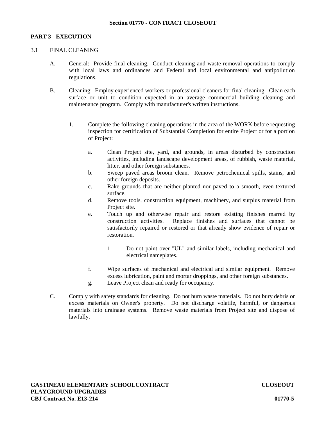# **PART 3 - EXECUTION**

# 3.1 FINAL CLEANING

- A. General: Provide final cleaning. Conduct cleaning and waste-removal operations to comply with local laws and ordinances and Federal and local environmental and antipollution regulations.
- B. Cleaning: Employ experienced workers or professional cleaners for final cleaning. Clean each surface or unit to condition expected in an average commercial building cleaning and maintenance program. Comply with manufacturer's written instructions.
	- 1. Complete the following cleaning operations in the area of the WORK before requesting inspection for certification of Substantial Completion for entire Project or for a portion of Project:
		- a. Clean Project site, yard, and grounds, in areas disturbed by construction activities, including landscape development areas, of rubbish, waste material, litter, and other foreign substances.
		- b. Sweep paved areas broom clean. Remove petrochemical spills, stains, and other foreign deposits.
		- c. Rake grounds that are neither planted nor paved to a smooth, even-textured surface.
		- d. Remove tools, construction equipment, machinery, and surplus material from Project site.
		- e. Touch up and otherwise repair and restore existing finishes marred by construction activities. Replace finishes and surfaces that cannot be satisfactorily repaired or restored or that already show evidence of repair or restoration.
			- 1. Do not paint over "UL" and similar labels, including mechanical and electrical nameplates.
		- f. Wipe surfaces of mechanical and electrical and similar equipment. Remove excess lubrication, paint and mortar droppings, and other foreign substances.
		- g. Leave Project clean and ready for occupancy.
- C. Comply with safety standards for cleaning. Do not burn waste materials. Do not bury debris or excess materials on Owner's property. Do not discharge volatile, harmful, or dangerous materials into drainage systems. Remove waste materials from Project site and dispose of lawfully.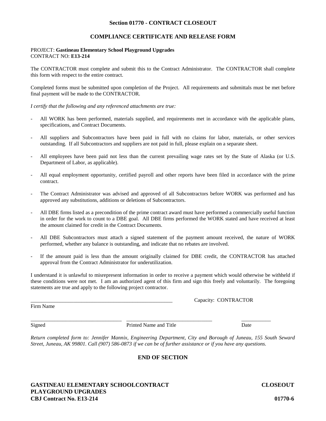#### **Section 01770 - CONTRACT CLOSEOUT**

## **COMPLIANCE CERTIFICATE AND RELEASE FORM**

#### PROJECT: **Gastineau Elementary School Playground Upgrades** CONTRACT NO: **E13-214**

The CONTRACTOR must complete and submit this to the Contract Administrator. The CONTRACTOR shall complete this form with respect to the entire contract.

Completed forms must be submitted upon completion of the Project. All requirements and submittals must be met before final payment will be made to the CONTRACTOR.

*I certify that the following and any referenced attachments are true:*

- All WORK has been performed, materials supplied, and requirements met in accordance with the applicable plans, specifications, and Contract Documents.
- All suppliers and Subcontractors have been paid in full with no claims for labor, materials, or other services outstanding. If all Subcontractors and suppliers are not paid in full, please explain on a separate sheet.
- All employees have been paid not less than the current prevailing wage rates set by the State of Alaska (or U.S. Department of Labor, as applicable).
- All equal employment opportunity, certified payroll and other reports have been filed in accordance with the prime contract.
- The Contract Administrator was advised and approved of all Subcontractors before WORK was performed and has approved any substitutions, additions or deletions of Subcontractors.
- All DBE firms listed as a precondition of the prime contract award must have performed a commercially useful function in order for the work to count to a DBE goal. All DBE firms performed the WORK stated and have received at least the amount claimed for credit in the Contract Documents.
- All DBE Subcontractors must attach a signed statement of the payment amount received, the nature of WORK performed, whether any balance is outstanding, and indicate that no rebates are involved.
- If the amount paid is less than the amount originally claimed for DBE credit, the CONTRACTOR has attached approval from the Contract Administrator for underutilization.

I understand it is unlawful to misrepresent information in order to receive a payment which would otherwise be withheld if these conditions were not met. I am an authorized agent of this firm and sign this freely and voluntarily. The foregoing statements are true and apply to the following project contractor.

Capacity: CONTRACTOR

Firm Name

Signed **Printed Name and Title Date** Date

\_\_\_\_\_\_\_\_\_\_\_\_\_\_\_\_\_\_\_\_\_\_\_\_\_\_\_\_\_\_\_\_\_\_ \_\_\_\_\_\_\_\_\_\_\_\_\_\_\_\_\_\_\_\_\_\_\_\_\_\_\_\_\_\_\_\_ \_\_\_\_\_\_\_\_\_\_\_

*Return completed form to: Jennifer Mannix, Engineering Department, City and Borough of Juneau, 155 South Seward Street, Juneau, AK 99801. Call (907) 586-0873 if we can be of further assistance or if you have any questions.*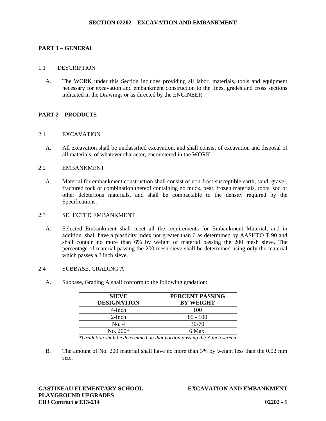#### **SECTION 02202 – EXCAVATION AND EMBANKMENT**

## **PART 1 – GENERAL**

#### 1.1 DESCRIPTION

A. The WORK under this Section includes providing all labor, materials, tools and equipment necessary for excavation and embankment construction to the lines, grades and cross sections indicated in the Drawings or as directed by the ENGINEER.

# **PART 2 – PRODUCTS**

#### 2.1 EXCAVATION

A. All excavation shall be unclassified excavation, and shall consist of excavation and disposal of all materials, of whatever character, encountered in the WORK.

#### 2.2 EMBANKMENT

A. Material for embankment construction shall consist of non-frost-susceptible earth, sand, gravel, fractured rock or combination thereof containing no muck, peat, frozen materials, roots, sod or other deleterious materials, and shall be compactable to the density required by the Specifications.

#### 2.3 SELECTED EMBANKMENT

A. Selected Embankment shall meet all the requirements for Embankment Material, and in addition, shall have a plasticity index not greater than 6 as determined by AASHTO T 90 and shall contain no more than 6% by weight of material passing the 200 mesh sieve. The percentage of material passing the 200 mesh sieve shall be determined using only the material which passes a 3 inch sieve.

## 2.4 SUBBASE, GRADING A

| <b>SIEVE</b><br><b>DESIGNATION</b> | PERCENT PASSING<br><b>BY WEIGHT</b> |
|------------------------------------|-------------------------------------|
| 4-Inch                             | 100                                 |
| $2$ -Inch                          | $85 - 100$                          |
| No. 4                              | $30-70$                             |
| $No. 200*$                         | 6 Max.                              |

A. Subbase, Grading A shall conform to the following gradation:

*\*Gradation shall be determined on that portion passing the 3-inch screen*

B. The amount of No. 200 material shall have no more than 3% by weight less than the 0.02 mm size.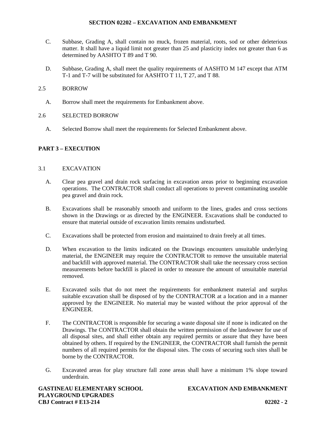## **SECTION 02202 – EXCAVATION AND EMBANKMENT**

- C. Subbase, Grading A, shall contain no muck, frozen material, roots, sod or other deleterious matter. It shall have a liquid limit not greater than 25 and plasticity index not greater than 6 as determined by AASHTO T 89 and T 90.
- D. Subbase, Grading A, shall meet the quality requirements of AASHTO M 147 except that ATM T-1 and T-7 will be substituted for AASHTO T 11, T 27, and T 88.

## 2.5 BORROW

- A. Borrow shall meet the requirements for Embankment above.
- 2.6 SELECTED BORROW
	- A. Selected Borrow shall meet the requirements for Selected Embankment above.

# **PART 3 – EXECUTION**

## 3.1 EXCAVATION

- A. Clear pea gravel and drain rock surfacing in excavation areas prior to beginning excavation operations. The CONTRACTOR shall conduct all operations to prevent contaminating useable pea gravel and drain rock.
- B. Excavations shall be reasonably smooth and uniform to the lines, grades and cross sections shown in the Drawings or as directed by the ENGINEER. Excavations shall be conducted to ensure that material outside of excavation limits remains undisturbed.
- C. Excavations shall be protected from erosion and maintained to drain freely at all times.
- D. When excavation to the limits indicated on the Drawings encounters unsuitable underlying material, the ENGINEER may require the CONTRACTOR to remove the unsuitable material and backfill with approved material. The CONTRACTOR shall take the necessary cross section measurements before backfill is placed in order to measure the amount of unsuitable material removed.
- E. Excavated soils that do not meet the requirements for embankment material and surplus suitable excavation shall be disposed of by the CONTRACTOR at a location and in a manner approved by the ENGINEER. No material may be wasted without the prior approval of the ENGINEER.
- F. The CONTRACTOR is responsible for securing a waste disposal site if none is indicated on the Drawings. The CONTRACTOR shall obtain the written permission of the landowner for use of all disposal sites, and shall either obtain any required permits or assure that they have been obtained by others. If required by the ENGINEER, the CONTRACTOR shall furnish the permit numbers of all required permits for the disposal sites. The costs of securing such sites shall be borne by the CONTRACTOR.
- G. Excavated areas for play structure fall zone areas shall have a minimum 1% slope toward underdrain.

**GASTINEAU ELEMENTARY SCHOOL EXCAVATION AND EMBANKMENT PLAYGROUND UPGRADES CBJ Contract # E13-214 02202 - 2**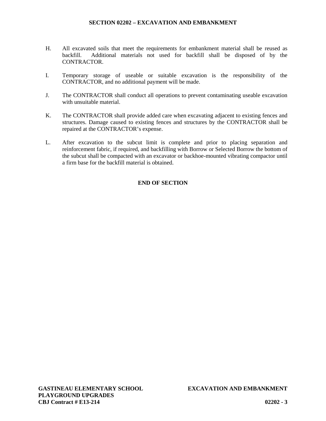#### **SECTION 02202 – EXCAVATION AND EMBANKMENT**

- H. All excavated soils that meet the requirements for embankment material shall be reused as backfill. Additional materials not used for backfill shall be disposed of by the CONTRACTOR.
- I. Temporary storage of useable or suitable excavation is the responsibility of the CONTRACTOR, and no additional payment will be made.
- J. The CONTRACTOR shall conduct all operations to prevent contaminating useable excavation with unsuitable material.
- K. The CONTRACTOR shall provide added care when excavating adjacent to existing fences and structures. Damage caused to existing fences and structures by the CONTRACTOR shall be repaired at the CONTRACTOR's expense.
- L. After excavation to the subcut limit is complete and prior to placing separation and reinforcement fabric, if required, and backfilling with Borrow or Selected Borrow the bottom of the subcut shall be compacted with an excavator or backhoe-mounted vibrating compactor until a firm base for the backfill material is obtained.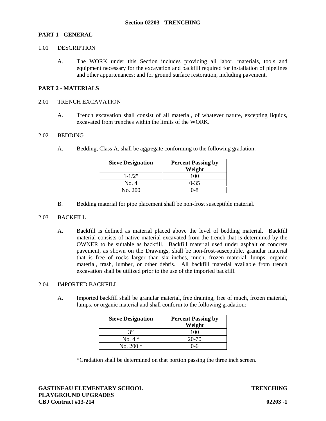#### **PART 1 - GENERAL**

#### 1.01 DESCRIPTION

A. The WORK under this Section includes providing all labor, materials, tools and equipment necessary for the excavation and backfill required for installation of pipelines and other appurtenances; and for ground surface restoration, including pavement.

#### **PART 2 - MATERIALS**

#### 2.01 TRENCH EXCAVATION

A. Trench excavation shall consist of all material, of whatever nature, excepting liquids, excavated from trenches within the limits of the WORK.

#### 2.02 BEDDING

A. Bedding, Class A, shall be aggregate conforming to the following gradation:

| <b>Sieve Designation</b> | <b>Percent Passing by</b> |  |  |  |
|--------------------------|---------------------------|--|--|--|
|                          | Weight                    |  |  |  |
| $1 - 1/2$ "              | 100                       |  |  |  |
| No. 4                    | $0 - 35$                  |  |  |  |
| No. 200                  | $0 - 8$                   |  |  |  |

B. Bedding material for pipe placement shall be non-frost susceptible material.

#### 2.03 BACKFILL

A. Backfill is defined as material placed above the level of bedding material. Backfill material consists of native material excavated from the trench that is determined by the OWNER to be suitable as backfill. Backfill material used under asphalt or concrete pavement, as shown on the Drawings, shall be non-frost-susceptible, granular material that is free of rocks larger than six inches, much, frozen material, lumps, organic material, trash, lumber, or other debris. All backfill material available from trench excavation shall be utilized prior to the use of the imported backfill.

#### 2.04 IMPORTED BACKFILL

A. Imported backfill shall be granular material, free draining, free of much, frozen material, lumps, or organic material and shall conform to the following gradation:

| <b>Sieve Designation</b> | <b>Percent Passing by</b> |  |  |
|--------------------------|---------------------------|--|--|
|                          | Weight                    |  |  |
| 3"                       | 100                       |  |  |
| No. $4 *$                | 20-70                     |  |  |
| No. 200 $*$              | በ-6                       |  |  |

\*Gradation shall be determined on that portion passing the three inch screen.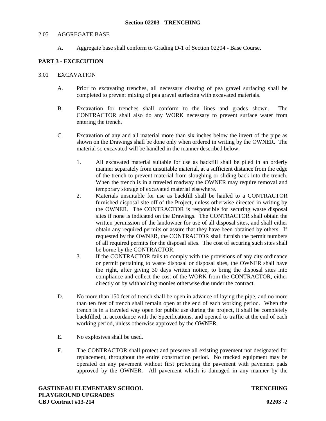#### 2.05 AGGREGATE BASE

A. Aggregate base shall conform to Grading D-1 of Section 02204 - Base Course.

# **PART 3 - EXCECUTION**

#### 3.01 EXCAVATION

- A. Prior to excavating trenches, all necessary clearing of pea gravel surfacing shall be completed to prevent mixing of pea gravel surfacing with excavated materials.
- B. Excavation for trenches shall conform to the lines and grades shown. The CONTRACTOR shall also do any WORK necessary to prevent surface water from entering the trench.
- C. Excavation of any and all material more than six inches below the invert of the pipe as shown on the Drawings shall be done only when ordered in writing by the OWNER. The material so excavated will be handled in the manner described below:
	- 1. All excavated material suitable for use as backfill shall be piled in an orderly manner separately from unsuitable material, at a sufficient distance from the edge of the trench to prevent material from sloughing or sliding back into the trench. When the trench is in a traveled roadway the OWNER may require removal and temporary storage of excavated material elsewhere.
	- 2. Materials unsuitable for use as backfill shall be hauled to a CONTRACTOR furnished disposal site off of the Project, unless otherwise directed in writing by the OWNER. The CONTRACTOR is responsible for securing waste disposal sites if none is indicated on the Drawings. The CONTRACTOR shall obtain the written permission of the landowner for use of all disposal sites, and shall either obtain any required permits or assure that they have been obtained by others. If requested by the OWNER, the CONTRACTOR shall furnish the permit numbers of all required permits for the disposal sites. The cost of securing such sites shall be borne by the CONTRACTOR.
	- 3. If the CONTRACTOR fails to comply with the provisions of any city ordinance or permit pertaining to waste disposal or disposal sites, the OWNER shall have the right, after giving 30 days written notice, to bring the disposal sites into compliance and collect the cost of the WORK from the CONTRACTOR, either directly or by withholding monies otherwise due under the contract.
- D. No more than 150 feet of trench shall be open in advance of laying the pipe, and no more than ten feet of trench shall remain open at the end of each working period. When the trench is in a traveled way open for public use during the project, it shall be completely backfilled, in accordance with the Specifications, and opened to traffic at the end of each working period, unless otherwise approved by the OWNER.
- E. No explosives shall be used.
- F. The CONTRACTOR shall protect and preserve all existing pavement not designated for replacement, throughout the entire construction period. No tracked equipment may be operated on any pavement without first protecting the pavement with pavement pads approved by the OWNER. All pavement which is damaged in any manner by the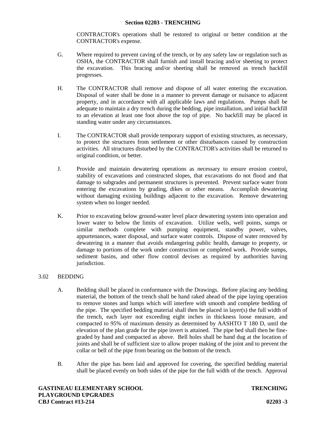#### **Section 02203 - TRENCHING**

CONTRACTOR's operations shall be restored to original or better condition at the CONTRACTOR's expense.

- G. Where required to prevent caving of the trench, or by any safety law or regulation such as OSHA, the CONTRACTOR shall furnish and install bracing and/or sheeting to protect the excavation. This bracing and/or sheeting shall be removed as trench backfill progresses.
- H. The CONTRACTOR shall remove and dispose of all water entering the excavation. Disposal of water shall be done in a manner to prevent damage or nuisance to adjacent property, and in accordance with all applicable laws and regulations. Pumps shall be adequate to maintain a dry trench during the bedding, pipe installation, and initial backfill to an elevation at least one foot above the top of pipe. No backfill may be placed in standing water under any circumstances.
- I. The CONTRACTOR shall provide temporary support of existing structures, as necessary, to protect the structures from settlement or other disturbances caused by construction activities. All structures disturbed by the CONTRACTOR's activities shall be returned to original condition, or better.
- J. Provide and maintain dewatering operations as necessary to ensure erosion control, stability of excavations and constructed slopes, that excavations do not flood and that damage to subgrades and permanent structures is prevented. Prevent surface water from entering the excavations by grading, dikes or other means. Accomplish dewatering without damaging existing buildings adjacent to the excavation. Remove dewatering system when no longer needed.
- K. Prior to excavating below ground-water level place dewatering system into operation and lower water to below the limits of excavation. Utilize wells, well points, sumps or similar methods complete with pumping equipment, standby power, valves, appurtenances, water disposal, and surface water controls. Dispose of water removed by dewatering in a manner that avoids endangering public health, damage to property, or damage to portions of the work under construction or completed work. Provide sumps, sediment basins, and other flow control devises as required by authorities having jurisdiction.

## 3.02 BEDDING

- A. Bedding shall be placed in conformance with the Drawings. Before placing any bedding material, the bottom of the trench shall be hand raked ahead of the pipe laying operation to remove stones and lumps which will interfere with smooth and complete bedding of the pipe. The specified bedding material shall then be placed in layer(s) the full width of the trench, each layer not exceeding eight inches in thickness loose measure, and compacted to 95% of maximum density as determined by AASHTO T 180 D, until the elevation of the plan grade for the pipe invert is attained. The pipe bed shall then be fine graded by hand and compacted as above. Bell holes shall be hand dug at the location of joints and shall be of sufficient size to allow proper making of the joint and to prevent the collar or bell of the pipe from bearing on the bottom of the trench.
- B. After the pipe has been laid and approved for covering, the specified bedding material shall be placed evenly on both sides of the pipe for the full width of the trench. Approval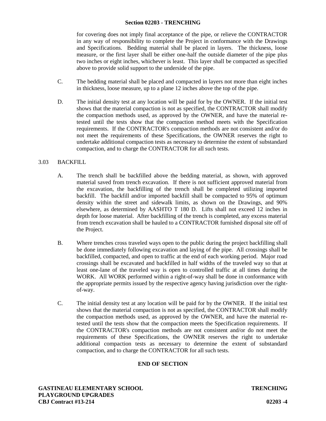#### **Section 02203 - TRENCHING**

for covering does not imply final acceptance of the pipe, or relieve the CONTRACTOR in any way of responsibility to complete the Project in conformance with the Drawings and Specifications. Bedding material shall be placed in layers. The thickness, loose measure, or the first layer shall be either one-half the outside diameter of the pipe plus two inches or eight inches, whichever is least. This layer shall be compacted as specified above to provide solid support to the underside of the pipe.

- C. The bedding material shall be placed and compacted in layers not more than eight inches in thickness, loose measure, up to a plane 12 inches above the top of the pipe.
- D. The initial density test at any location will be paid for by the OWNER. If the initial test shows that the material compaction is not as specified, the CONTRACTOR shall modify the compaction methods used, as approved by the OWNER, and have the material retested until the tests show that the compaction method meets with the Specification requirements. If the CONTRACTOR's compaction methods are not consistent and/or do not meet the requirements of these Specifications, the OWNER reserves the right to undertake additional compaction tests as necessary to determine the extent of substandard compaction, and to charge the CONTRACTOR for all such tests.

## 3.03 BACKFILL

- A. The trench shall be backfilled above the bedding material, as shown, with approved material saved from trench excavation. If there is not sufficient approved material from the excavation, the backfilling of the trench shall be completed utilizing imported backfill. The backfill and/or imported backfill shall be compacted to 95% of optimum density within the street and sidewalk limits, as shown on the Drawings, and 90% elsewhere, as determined by AASHTO T 180 D. Lifts shall not exceed 12 inches in depth for loose material. After backfilling of the trench is completed, any excess material from trench excavation shall be hauled to a CONTRACTOR furnished disposal site off of the Project.
- B. Where trenches cross traveled ways open to the public during the project backfilling shall be done immediately following excavation and laying of the pipe. All crossings shall be backfilled, compacted, and open to traffic at the end of each working period. Major road crossings shall be excavated and backfilled in half widths of the traveled way so that at least one-lane of the traveled way is open to controlled traffic at all times during the WORK. All WORK performed within a right-of-way shall be done in conformance with the appropriate permits issued by the respective agency having jurisdiction over the right of-way.
- C. The initial density test at any location will be paid for by the OWNER. If the initial test shows that the material compaction is not as specified, the CONTRACTOR shall modify the compaction methods used, as approved by the OWNER, and have the material retested until the tests show that the compaction meets the Specification requirements. If the CONTRACTOR's compaction methods are not consistent and/or do not meet the requirements of these Specifications, the OWNER reserves the right to undertake additional compaction tests as necessary to determine the extent of substandard compaction, and to charge the CONTRACTOR for all such tests.

# **END OF SECTION**

**GASTINEAU ELEMENTARY SCHOOL TRENCHING PLAYGROUND UPGRADES CBJ Contract #13-214 02203 -4**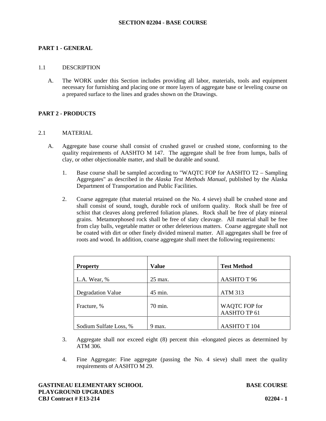# **PART 1 - GENERAL**

#### 1.1 DESCRIPTION

A. The WORK under this Section includes providing all labor, materials, tools and equipment necessary for furnishing and placing one or more layers of aggregate base or leveling course on a prepared surface to the lines and grades shown on the Drawings.

## **PART 2 - PRODUCTS**

## 2.1 MATERIAL

- A. Aggregate base course shall consist of crushed gravel or crushed stone, conforming to the quality requirements of AASHTO M 147. The aggregate shall be free from lumps, balls of clay, or other objectionable matter, and shall be durable and sound.
	- 1. Base course shall be sampled according to "WAQTC FOP for AASHTO T2 Sampling Aggregates" as described in the *Alaska Test Methods Manual*, published by the Alaska Department of Transportation and Public Facilities.
	- 2. Coarse aggregate (that material retained on the No. 4 sieve) shall be crushed stone and shall consist of sound, tough, durable rock of uniform quality. Rock shall be free of schist that cleaves along preferred foliation planes. Rock shall be free of platy mineral grains. Metamorphosed rock shall be free of slaty cleavage. All material shall be free from clay balls, vegetable matter or other deleterious matters. Coarse aggregate shall not be coated with dirt or other finely divided mineral matter. All aggregates shall be free of roots and wood. In addition, coarse aggregate shall meet the following requirements:

| <b>Property</b>        | Value     | <b>Test Method</b>  |
|------------------------|-----------|---------------------|
| L.A. Wear, %           | $25$ max. | AASHTO T 96         |
| Degradation Value      | 45 min.   | <b>ATM 313</b>      |
| Fracture, %            | 70 min.   | WAQTC FOP for       |
|                        |           | AASHTO TP 61        |
|                        |           |                     |
| Sodium Sulfate Loss, % | 9 max.    | <b>AASHTO T 104</b> |

- 3. Aggregate shall nor exceed eight (8) percent thin -elongated pieces as determined by ATM 306.
- 4. Fine Aggregate: Fine aggregate (passing the No. 4 sieve) shall meet the quality requirements of AASHTO M 29.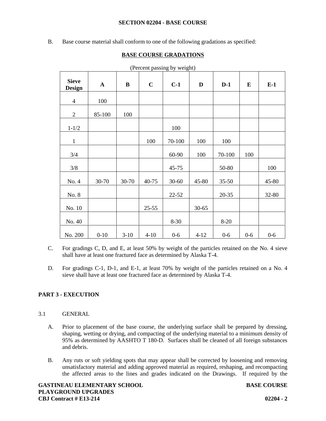#### **SECTION 02204 - BASE COURSE**

B. Base course material shall conform to one of the following gradations as specified:

## **BASE COURSE GRADATIONS**

|                               |              |        |           | (Ferrent passing by weight) |           |           |          |       |
|-------------------------------|--------------|--------|-----------|-----------------------------|-----------|-----------|----------|-------|
| <b>Sieve</b><br><b>Design</b> | $\mathbf{A}$ | B      | $\bf C$   | $C-1$                       | D         | $D-1$     | $\bf{E}$ | $E-1$ |
| $\overline{4}$                | 100          |        |           |                             |           |           |          |       |
| $\overline{2}$                | 85-100       | 100    |           |                             |           |           |          |       |
| $1 - 1/2$                     |              |        |           | 100                         |           |           |          |       |
| $\mathbf{1}$                  |              |        | 100       | 70-100                      | 100       | 100       |          |       |
| 3/4                           |              |        |           | 60-90                       | 100       | 70-100    | 100      |       |
| $3/8$                         |              |        |           | 45-75                       |           | 50-80     |          | 100   |
| No. 4                         | 30-70        | 30-70  | 40-75     | $30 - 60$                   | 45-80     | $35 - 50$ |          | 45-80 |
| No. 8                         |              |        |           | $22 - 52$                   |           | $20 - 35$ |          | 32-80 |
| No. 10                        |              |        | $25 - 55$ |                             | $30 - 65$ |           |          |       |
| No. 40                        |              |        |           | $8 - 30$                    |           | $8-20$    |          |       |
| No. 200                       | $0 - 10$     | $3-10$ | $4 - 10$  | $0-6$                       | $4 - 12$  | $0-6$     | $0-6$    | $0-6$ |

(Percent passing by weight)

- C. For gradings C, D, and E, at least 50% by weight of the particles retained on the No. 4 sieve shall have at least one fractured face as determined by Alaska T-4.
- D. For gradings C-1, D-1, and E-1, at least 70% by weight of the particles retained on a No. 4 sieve shall have at least one fractured face as determined by Alaska T-4.

## **PART 3 - EXECUTION**

- 3.1 GENERAL
	- A. Prior to placement of the base course, the underlying surface shall be prepared by dressing, shaping, wetting or drying, and compacting of the underlying material to a minimum density of 95% as determined by AASHTO T 180-D. Surfaces shall be cleaned of all foreign substances and debris.
	- B. Any ruts or soft yielding spots that may appear shall be corrected by loosening and removing unsatisfactory material and adding approved material as required, reshaping, and recompacting the affected areas to the lines and grades indicated on the Drawings. If required by the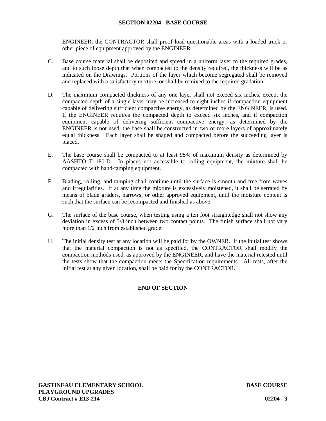#### **SECTION 02204 - BASE COURSE**

ENGINEER, the CONTRACTOR shall proof load questionable areas with a loaded truck or other piece of equipment approved by the ENGINEER.

- C. Base course material shall be deposited and spread in a uniform layer to the required grades, and to such loose depth that when compacted to the density required, the thickness will be as indicated on the Drawings. Portions of the layer which become segregated shall be removed and replaced with a satisfactory mixture, or shall be remixed to the required gradation.
- D. The maximum compacted thickness of any one layer shall not exceed six inches, except the compacted depth of a single layer may be increased to eight inches if compaction equipment capable of delivering sufficient compactive energy, as determined by the ENGINEER, is used. If the ENGINEER requires the compacted depth to exceed six inches, and if compaction equipment capable of delivering sufficient compactive energy, as determined by the ENGINEER is not used, the base shall be constructed in two or more layers of approximately equal thickness. Each layer shall be shaped and compacted before the succeeding layer is placed.
- E. The base course shall be compacted to at least 95% of maximum density as determined by AASHTO T 180-D. In places not accessible to rolling equipment, the mixture shall be compacted with hand-tamping equipment.
- F. Blading, rolling, and tamping shall continue until the surface is smooth and free from waves and irregularities. If at any time the mixture is excessively moistened, it shall be serrated by means of blade graders, harrows, or other approved equipment, until the moisture content is such that the surface can be recompacted and finished as above.
- G. The surface of the base course, when testing using a ten foot straightedge shall not show any deviation in excess of 3/8 inch between two contact points. The finish surface shall not vary more than 1/2 inch from established grade.
- H. The initial density test at any location will be paid for by the OWNER. If the initial test shows that the material compaction is not as specified, the CONTRACTOR shall modify the compaction methods used, as approved by the ENGINEER, and have the material retested until the tests show that the compaction meets the Specification requirements. All tests, after the initial test at any given location, shall be paid for by the CONTRACTOR.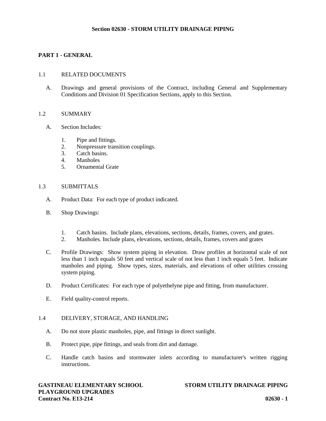## **PART 1 - GENERAL**

#### 1.1 RELATED DOCUMENTS

A. Drawings and general provisions of the Contract, including General and Supplementary Conditions and Division 01 Specification Sections, apply to this Section.

#### 1.2 SUMMARY

- A. Section Includes:
	- 1. Pipe and fittings.
	- 2. Nonpressure transition couplings.
	- 3. Catch basins.
	- 4. Manholes
	- 5. Ornamental Grate

#### 1.3 SUBMITTALS

- A. Product Data: For each type of product indicated.
- B. Shop Drawings:
	- 1. Catch basins. Include plans, elevations, sections, details, frames, covers, and grates.
	- 2. Manholes. Include plans, elevations, sections, details, frames, covers and grates
- C. Profile Drawings: Show system piping in elevation. Draw profiles at horizontal scale of not less than 1 inch equals 50 feet and vertical scale of not less than 1 inch equals 5 feet. Indicate manholes and piping. Show types, sizes, materials, and elevations of other utilities crossing system piping.
- D. Product Certificates: For each type of polyethelyne pipe and fitting, from manufacturer.
- E. Field quality-control reports.

#### 1.4 DELIVERY, STORAGE, AND HANDLING

- A. Do not store plastic manholes, pipe, and fittings in direct sunlight.
- B. Protect pipe, pipe fittings, and seals from dirt and damage.
- C. Handle catch basins and stormwater inlets according to manufacturer's written rigging instructions.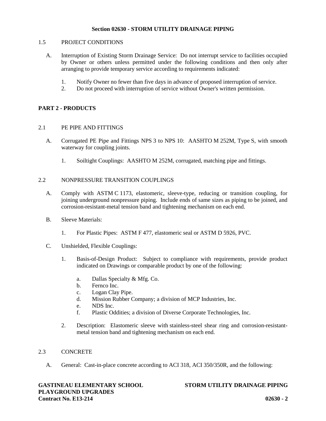## 1.5 PROJECT CONDITIONS

- A. Interruption of Existing Storm Drainage Service: Do not interrupt service to facilities occupied by Owner or others unless permitted under the following conditions and then only after arranging to provide temporary service according to requirements indicated:
	- 1. Notify Owner no fewer than five days in advance of proposed interruption of service.
	- 2. Do not proceed with interruption of service without Owner's written permission.

## **PART 2 - PRODUCTS**

## 2.1 PE PIPE AND FITTINGS

- A. Corrugated PE Pipe and Fittings NPS 3 to NPS 10: AASHTO M 252M, Type S, with smooth waterway for coupling joints.
	- 1. Soiltight Couplings: AASHTO M 252M, corrugated, matching pipe and fittings.

## 2.2 NONPRESSURE TRANSITION COUPLINGS

- A. Comply with ASTM C 1173, elastomeric, sleeve-type, reducing or transition coupling, for joining underground nonpressure piping. Include ends of same sizes as piping to be joined, and corrosion-resistant-metal tension band and tightening mechanism on each end.
- B. Sleeve Materials:
	- 1. For Plastic Pipes: ASTM F 477, elastomeric seal or ASTM D 5926, PVC.
- C. Unshielded, Flexible Couplings:
	- 1. Basis-of-Design Product: Subject to compliance with requirements, provide product indicated on Drawings or comparable product by one of the following:
		- a. Dallas Specialty & Mfg. Co.
		- b. Fernco Inc.
		- c. Logan Clay Pipe.
		- d. Mission Rubber Company; a division of MCP Industries, Inc.
		- e. NDS Inc.
		- f. Plastic Oddities; a division of Diverse Corporate Technologies, Inc.
	- 2. Description: Elastomeric sleeve with stainless-steel shear ring and corrosion-resistant metal tension band and tightening mechanism on each end.

## 2.3 CONCRETE

A. General: Cast-in-place concrete according to ACI 318, ACI 350/350R, and the following: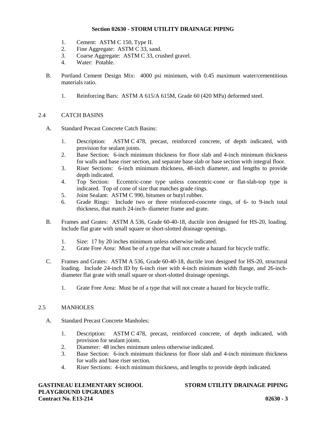- 1. Cement: ASTM C 150, Type II.
- 2. Fine Aggregate: ASTM C 33, sand.
- 3. Coarse Aggregate: ASTM C 33, crushed gravel.
- 4. Water: Potable.
- B. Portland Cement Design Mix: 4000 psi minimum, with 0.45 maximum water/cementitious materials ratio.
	- 1. Reinforcing Bars: ASTM A 615/A 615M, Grade 60 (420 MPa) deformed steel.

# 2.4 CATCH BASINS

- A. Standard Precast Concrete Catch Basins:
	- 1. Description: ASTM C 478, precast, reinforced concrete, of depth indicated, with provision for sealant joints.
	- 2. Base Section: 6-inch minimum thickness for floor slab and 4-inch minimum thickness for walls and base riser section, and separate base slab or base section with integral floor.
	- 3. Riser Sections: 6-inch minimum thickness, 48-inch diameter, and lengths to provide depth indicated.
	- 4. Top Section: Eccentric-cone type unless concentric-cone or flat-slab-top type is indicated. Top of cone of size that matches grade rings.
	- 5. Joint Sealant: ASTM C 990, bitumen or butyl rubber.
	- 6. Grade Rings: Include two or three reinforced-concrete rings, of 6- to 9-inch total thickness, that match 24-inch- diameter frame and grate.
- B. Frames and Grates: ASTM A 536, Grade 60-40-18, ductile iron designed for HS-20, loading. Include flat grate with small square or short-slotted drainage openings.
	- 1. Size: 17 by 20 inches minimum unless otherwise indicated.
	- 2. Grate Free Area: Must be of a type that will not create a hazard for bicycle traffic.
- C. Frames and Grates: ASTM A 536, Grade 60-40-18, ductile iron designed for HS-20, structural loading. Include 24-inch ID by 6-inch riser with 4-inch minimum width flange, and 26-inch diameter flat grate with small square or short-slotted drainage openings.
	- 1. Grate Free Area: Must be of a type that will not create a hazard for bicycle traffic.

## 2.5 MANHOLES

- A. Standard Precast Concrete Manholes:
	- 1. Description: ASTM C 478, precast, reinforced concrete, of depth indicated, with provision for sealant joints.
	- 2. Diameter: 48 inches minimum unless otherwise indicated.
	- 3. Base Section: 6-inch minimum thickness for floor slab and 4-inch minimum thickness for walls and base riser section.
	- 4. Riser Sections: 4-inch minimum thickness, and lengths to provide depth indicated.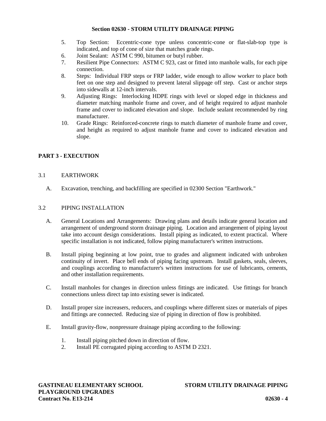- 5. Top Section: Eccentric-cone type unless concentric-cone or flat-slab-top type is indicated, and top of cone of size that matches grade rings.
- 6. Joint Sealant: ASTM C 990, bitumen or butyl rubber.
- 7. Resilient Pipe Connectors: ASTM C 923, cast or fitted into manhole walls, for each pipe connection.
- 8. Steps: Individual FRP steps or FRP ladder, wide enough to allow worker to place both feet on one step and designed to prevent lateral slippage off step. Cast or anchor steps into sidewalls at 12-inch intervals.
- 9. Adjusting Rings: Interlocking HDPE rings with level or sloped edge in thickness and diameter matching manhole frame and cover, and of height required to adjust manhole frame and cover to indicated elevation and slope. Include sealant recommended by ring manufacturer.
- 10. Grade Rings: Reinforced-concrete rings to match diameter of manhole frame and cover, and height as required to adjust manhole frame and cover to indicated elevation and slope.

# **PART 3 - EXECUTION**

# 3.1 EARTHWORK

A. Excavation, trenching, and backfilling are specified in 02300 Section "Earthwork."

#### 3.2 PIPING INSTALLATION

- A. General Locations and Arrangements: Drawing plans and details indicate general location and arrangement of underground storm drainage piping. Location and arrangement of piping layout take into account design considerations. Install piping as indicated, to extent practical. Where specific installation is not indicated, follow piping manufacturer's written instructions.
- B. Install piping beginning at low point, true to grades and alignment indicated with unbroken continuity of invert. Place bell ends of piping facing upstream. Install gaskets, seals, sleeves, and couplings according to manufacturer's written instructions for use of lubricants, cements, and other installation requirements.
- C. Install manholes for changes in direction unless fittings are indicated. Use fittings for branch connections unless direct tap into existing sewer is indicated.
- D. Install proper size increasers, reducers, and couplings where different sizes or materials of pipes and fittings are connected. Reducing size of piping in direction of flow is prohibited.
- E. Install gravity-flow, nonpressure drainage piping according to the following:
	- 1. Install piping pitched down in direction of flow.
	- 2. Install PE corrugated piping according to ASTM D 2321.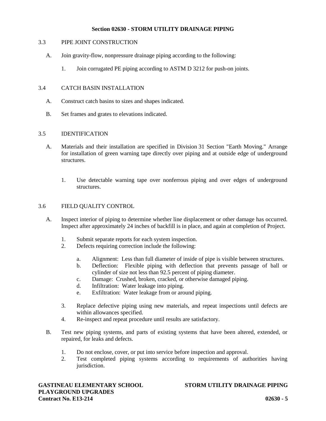## 3.3 PIPE JOINT CONSTRUCTION

- A. Join gravity-flow, nonpressure drainage piping according to the following:
	- 1. Join corrugated PE piping according to ASTM D 3212 for push-on joints.

# 3.4 CATCH BASIN INSTALLATION

- A. Construct catch basins to sizes and shapes indicated.
- B. Set frames and grates to elevations indicated.

## 3.5 IDENTIFICATION

- A. Materials and their installation are specified in Division 31 Section "Earth Moving." Arrange for installation of green warning tape directly over piping and at outside edge of underground structures.
	- 1. Use detectable warning tape over nonferrous piping and over edges of underground structures.

## 3.6 FIELD QUALITY CONTROL

- A. Inspect interior of piping to determine whether line displacement or other damage has occurred. Inspect after approximately 24 inches of backfill is in place, and again at completion of Project.
	- 1. Submit separate reports for each system inspection.
	- 2. Defects requiring correction include the following:
		- a. Alignment: Less than full diameter of inside of pipe is visible between structures.
		- b. Deflection: Flexible piping with deflection that prevents passage of ball or cylinder of size not less than 92.5 percent of piping diameter.
		- c. Damage: Crushed, broken, cracked, or otherwise damaged piping.
		- d. Infiltration: Water leakage into piping.
		- e. Exfiltration: Water leakage from or around piping.
	- 3. Replace defective piping using new materials, and repeat inspections until defects are within allowances specified.
	- 4. Re-inspect and repeat procedure until results are satisfactory.
- B. Test new piping systems, and parts of existing systems that have been altered, extended, or repaired, for leaks and defects.
	- 1. Do not enclose, cover, or put into service before inspection and approval.
	- 2. Test completed piping systems according to requirements of authorities having jurisdiction.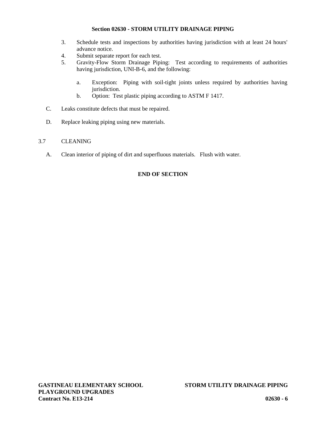- 3. Schedule tests and inspections by authorities having jurisdiction with at least 24 hours' advance notice.
- 4. Submit separate report for each test.
- 5. Gravity-Flow Storm Drainage Piping: Test according to requirements of authorities having jurisdiction, UNI-B-6, and the following:
	- a. Exception: Piping with soil-tight joints unless required by authorities having jurisdiction.
	- b. Option: Test plastic piping according to ASTM F 1417.
- C. Leaks constitute defects that must be repaired.
- D. Replace leaking piping using new materials.

## 3.7 CLEANING

A. Clean interior of piping of dirt and superfluous materials. Flush with water.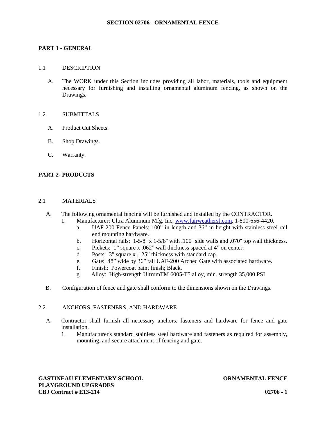#### **SECTION 02706 - ORNAMENTAL FENCE**

## **PART 1 - GENERAL**

#### 1.1 DESCRIPTION

A. The WORK under this Section includes providing all labor, materials, tools and equipment necessary for furnishing and installing ornamental aluminum fencing, as shown on the Drawings.

## 1.2 SUBMITTALS

- A. Product Cut Sheets.
- B. Shop Drawings.
- C. Warranty.

## **PART 2- PRODUCTS**

#### 2.1 MATERIALS

- A. The following ornamental fencing will be furnished and installed by the CONTRACTOR.
	- 1. Manufacturer: Ultra Aluminum Mfg. Inc, www.fairweathersf.com, 1-800-656-4420.
		- a. UAF-200 Fence Panels: 100" in length and 36" in height with stainless steel rail end mounting hardware.
		- b. Horizontal rails:  $1-5/8$ " x  $1-5/8$ " with .100" side walls and .070" top wall thickness.
		- c. Pickets: 1" square x .062" wall thickness spaced at 4" on center.
		- d. Posts: 3" square x .125" thickness with standard cap.
		- e. Gate: 48" wide by 36" tall UAF-200 Arched Gate with associated hardware.
		- f. Finish: Powercoat paint finish; Black.
		- g. Alloy: High-strength UltrumTM 6005-T5 alloy, min. strength 35,000 PSI
- B. Configuration of fence and gate shall conform to the dimensions shown on the Drawings.

#### 2.2 ANCHORS, FASTENERS, AND HARDWARE

- A. Contractor shall furnish all necessary anchors, fasteners and hardware for fence and gate installation.
	- 1. Manufacturer's standard stainless steel hardware and fasteners as required for assembly, mounting, and secure attachment of fencing and gate.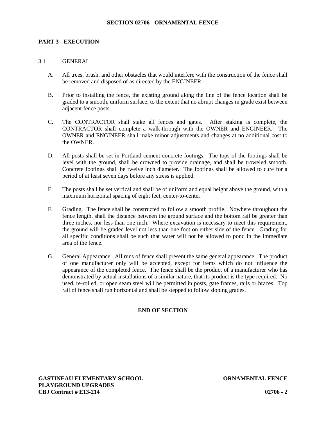#### **SECTION 02706 - ORNAMENTAL FENCE**

## **PART 3 - EXECUTION**

## 3.1 GENERAL

- A. All trees, brush, and other obstacles that would interfere with the construction of the fence shall be removed and disposed of as directed by the ENGINEER.
- B. Prior to installing the fence, the existing ground along the line of the fence location shall be graded to a smooth, uniform surface, to the extent that no abrupt changes in grade exist between adjacent fence posts.
- C. The CONTRACTOR shall stake all fences and gates. After staking is complete, the CONTRACTOR shall complete a walk-through with the OWNER and ENGINEER. The OWNER and ENGINEER shall make minor adjustments and changes at no additional cost to the OWNER.
- D. All posts shall be set in Portland cement concrete footings. The tops of the footings shall be level with the ground, shall be crowned to provide drainage, and shall be troweled smooth. Concrete footings shall be twelve inch diameter. The footings shall be allowed to cure for a period of at least seven days before any stress is applied.
- E. The posts shall be set vertical and shall be of uniform and equal height above the ground, with a maximum horizontal spacing of eight feet, center-to-center.
- F. Grading. The fence shall be constructed to follow a smooth profile. Nowhere throughout the fence length, shall the distance between the ground surface and the bottom rail be greater than three inches, nor less than one inch. Where excavation is necessary to meet this requirement, the ground will be graded level not less than one foot on either side of the fence. Grading for all specific conditions shall be such that water will not be allowed to pond in the immediate area of the fence.
- G. General Appearance. All runs of fence shall present the same general appearance. The product of one manufacturer only will be accepted, except for items which do not influence the appearance of the completed fence. The fence shall be the product of a manufacturer who has demonstrated by actual installations of a similar nature, that its product is the type required. No used, re-rolled, or open seam steel will be permitted in posts, gate frames, rails or braces. Top rail of fence shall run horizontal and shall be stepped to follow sloping grades.

## **END OF SECTION**

**GASTINEAU ELEMENTARY SCHOOL ORNAMENTAL FENCE PLAYGROUND UPGRADES CBJ Contract # E13-214 02706 - 2**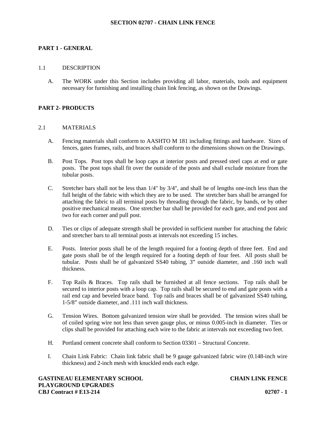#### **SECTION 02707 - CHAIN LINK FENCE**

## **PART 1 - GENERAL**

#### 1.1 DESCRIPTION

A. The WORK under this Section includes providing all labor, materials, tools and equipment necessary for furnishing and installing chain link fencing, as shown on the Drawings.

## **PART 2- PRODUCTS**

#### 2.1 MATERIALS

- A. Fencing materials shall conform to AASHTO M 181 including fittings and hardware. Sizes of fences, gates frames, rails, and braces shall conform to the dimensions shown on the Drawings.
- B. Post Tops. Post tops shall be loop caps at interior posts and pressed steel caps at end or gate posts. The post tops shall fit over the outside of the posts and shall exclude moisture from the tubular posts.
- C. Stretcher bars shall not be less than 1/4" by 3/4", and shall be of lengths one-inch less than the full height of the fabric with which they are to be used. The stretcher bars shall be arranged for attaching the fabric to all terminal posts by threading through the fabric, by bands, or by other positive mechanical means. One stretcher bar shall be provided for each gate, and end post and two for each corner and pull post.
- D. Ties or clips of adequate strength shall be provided in sufficient number for attaching the fabric and stretcher bars to all terminal posts at intervals not exceeding 15 inches.
- E. Posts. Interior posts shall be of the length required for a footing depth of three feet. End and gate posts shall be of the length required for a footing depth of four feet. All posts shall be tubular. Posts shall be of galvanized SS40 tubing, 3" outside diameter, and .160 inch wall thickness.
- F. Top Rails & Braces. Top rails shall be furnished at all fence sections. Top rails shall be secured to interior posts with a loop cap. Top rails shall be secured to end and gate posts with a rail end cap and beveled brace band. Top rails and braces shall be of galvanized SS40 tubing, 1-5/8" outside diameter, and .111 inch wall thickness.
- G. Tension Wires. Bottom galvanized tension wire shall be provided. The tension wires shall be of coiled spring wire not less than seven gauge plus, or minus 0.005-inch in diameter. Ties or clips shall be provided for attaching each wire to the fabric at intervals not exceeding two feet.
- H. Portland cement concrete shall conform to Section 03301 Structural Concrete.
- I. Chain Link Fabric: Chain link fabric shall be 9 gauge galvanized fabric wire (0.148-inch wire thickness) and 2-inch mesh with knuckled ends each edge.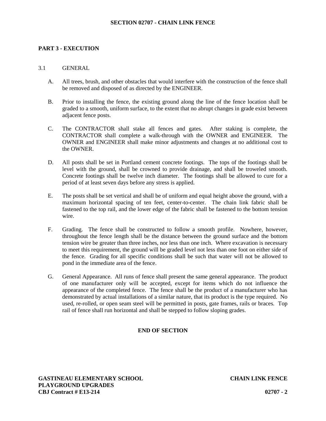#### **SECTION 02707 - CHAIN LINK FENCE**

## **PART 3 - EXECUTION**

#### 3.1 GENERAL

- A. All trees, brush, and other obstacles that would interfere with the construction of the fence shall be removed and disposed of as directed by the ENGINEER.
- B. Prior to installing the fence, the existing ground along the line of the fence location shall be graded to a smooth, uniform surface, to the extent that no abrupt changes in grade exist between adjacent fence posts.
- C. The CONTRACTOR shall stake all fences and gates. After staking is complete, the CONTRACTOR shall complete a walk-through with the OWNER and ENGINEER. The OWNER and ENGINEER shall make minor adjustments and changes at no additional cost to the OWNER.
- D. All posts shall be set in Portland cement concrete footings. The tops of the footings shall be level with the ground, shall be crowned to provide drainage, and shall be troweled smooth. Concrete footings shall be twelve inch diameter. The footings shall be allowed to cure for a period of at least seven days before any stress is applied.
- E. The posts shall be set vertical and shall be of uniform and equal height above the ground, with a maximum horizontal spacing of ten feet, center-to-center. The chain link fabric shall be fastened to the top rail, and the lower edge of the fabric shall be fastened to the bottom tension wire.
- F. Grading. The fence shall be constructed to follow a smooth profile. Nowhere, however, throughout the fence length shall be the distance between the ground surface and the bottom tension wire be greater than three inches, nor less than one inch. Where excavation is necessary to meet this requirement, the ground will be graded level not less than one foot on either side of the fence. Grading for all specific conditions shall be such that water will not be allowed to pond in the immediate area of the fence.
- G. General Appearance. All runs of fence shall present the same general appearance. The product of one manufacturer only will be accepted, except for items which do not influence the appearance of the completed fence. The fence shall be the product of a manufacturer who has demonstrated by actual installations of a similar nature, that its product is the type required. No used, re-rolled, or open seam steel will be permitted in posts, gate frames, rails or braces. Top rail of fence shall run horizontal and shall be stepped to follow sloping grades.

## **END OF SECTION**

**GASTINEAU ELEMENTARY SCHOOL CHAIN LINK FENCE PLAYGROUND UPGRADES CBJ Contract # E13-214 02707 - 2**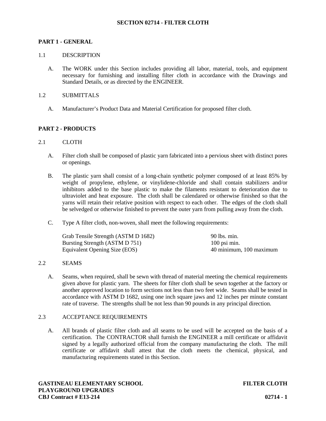## **SECTION 02714 - FILTER CLOTH**

#### **PART 1 - GENERAL**

#### 1.1 DESCRIPTION

A. The WORK under this Section includes providing all labor, material, tools, and equipment necessary for furnishing and installing filter cloth in accordance with the Drawings and Standard Details, or as directed by the ENGINEER.

#### 1.2 SUBMITTALS

A. Manufacturer's Product Data and Material Certification for proposed filter cloth.

## **PART 2 - PRODUCTS**

#### 2.1 CLOTH

- A. Filter cloth shall be composed of plastic yarn fabricated into a pervious sheet with distinct pores or openings.
- B. The plastic yarn shall consist of a long-chain synthetic polymer composed of at least 85% by weight of propylene, ethylene, or vinylidene-chloride and shall contain stabilizers and/or inhibitors added to the base plastic to make the filaments resistant to deterioration due to ultraviolet and heat exposure. The cloth shall be calendared or otherwise finished so that the yarns will retain their relative position with respect to each other. The edges of the cloth shall be selvedged or otherwise finished to prevent the outer yarn from pulling away from the cloth.
- C. Type A filter cloth, non-woven, shall meet the following requirements:

| Grab Tensile Strength (ASTM D 1682) | $90$ lbs. min.          |
|-------------------------------------|-------------------------|
| Bursting Strength (ASTM D 751)      | $100$ psi min.          |
| Equivalent Opening Size (EOS)       | 40 minimum, 100 maximum |

#### 2.2 SEAMS

A. Seams, when required, shall be sewn with thread of material meeting the chemical requirements given above for plastic yarn. The sheets for filter cloth shall be sewn together at the factory or another approved location to form sections not less than two feet wide. Seams shall be tested in accordance with ASTM D 1682, using one inch square jaws and 12 inches per minute constant rate of traverse. The strengths shall be not less than 90 pounds in any principal direction.

## 2.3 ACCEPTANCE REQUIREMENTS

A. All brands of plastic filter cloth and all seams to be used will be accepted on the basis of a certification. The CONTRACTOR shall furnish the ENGINEER a mill certificate or affidavit signed by a legally authorized official from the company manufacturing the cloth. The mill certificate or affidavit shall attest that the cloth meets the chemical, physical, and manufacturing requirements stated in this Section.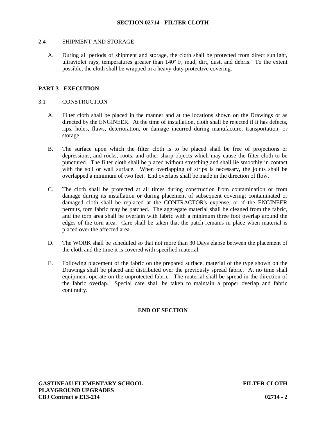#### 2.4 SHIPMENT AND STORAGE

A. During all periods of shipment and storage, the cloth shall be protected from direct sunlight, ultraviolet rays, temperatures greater than 140º F, mud, dirt, dust, and debris. To the extent possible, the cloth shall be wrapped in a heavy-duty protective covering.

## **PART 3 - EXECUTION**

#### 3.1 CONSTRUCTION

- A. Filter cloth shall be placed in the manner and at the locations shown on the Drawings or as directed by the ENGINEER. At the time of installation, cloth shall be rejected if it has defects, rips, holes, flaws, deterioration, or damage incurred during manufacture, transportation, or storage.
- B. The surface upon which the filter cloth is to be placed shall be free of projections or depressions, and rocks, roots, and other sharp objects which may cause the filter cloth to be punctured. The filter cloth shall be placed without stretching and shall lie smoothly in contact with the soil or wall surface. When overlapping of strips is necessary, the joints shall be overlapped a minimum of two feet. End overlaps shall be made in the direction of flow.
- C. The cloth shall be protected at all times during construction from contamination or from damage during its installation or during placement of subsequent covering; contaminated or damaged cloth shall be replaced at the CONTRACTOR's expense, or if the ENGINEER permits, torn fabric may be patched. The aggregate material shall be cleaned from the fabric, and the torn area shall be overlain with fabric with a minimum three foot overlap around the edges of the torn area. Care shall be taken that the patch remains in place when material is placed over the affected area.
- D. The WORK shall be scheduled so that not more than 30 Days elapse between the placement of the cloth and the time it is covered with specified material.
- E. Following placement of the fabric on the prepared surface, material of the type shown on the Drawings shall be placed and distributed over the previously spread fabric. At no time shall equipment operate on the unprotected fabric. The material shall be spread in the direction of the fabric overlap. Special care shall be taken to maintain a proper overlap and fabric continuity.

## **END OF SECTION**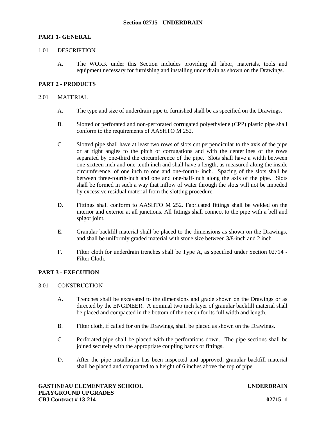## **PART 1- GENERAL**

#### 1.01 DESCRIPTION

A. The WORK under this Section includes providing all labor, materials, tools and equipment necessary for furnishing and installing underdrain as shown on the Drawings.

## **PART 2 - PRODUCTS**

#### 2.01 MATERIAL

- A. The type and size of underdrain pipe to furnished shall be as specified on the Drawings.
- B. Slotted or perforated and non-perforated corrugated polyethylene (CPP) plastic pipe shall conform to the requirements of AASHTO M 252.
- C. Slotted pipe shall have at least two rows of slots cut perpendicular to the axis of the pipe or at right angles to the pitch of corrugations and with the centerlines of the rows separated by one-third the circumference of the pipe. Slots shall have a width between one-sixteen inch and one-tenth inch and shall have a length, as measured along the inside circumference, of one inch to one and one-fourth- inch. Spacing of the slots shall be between three-fourth-inch and one and one-half-inch along the axis of the pipe. Slots shall be formed in such a way that inflow of water through the slots will not be impeded by excessive residual material from the slotting procedure.
- D. Fittings shall conform to AASHTO M 252. Fabricated fittings shall be welded on the interior and exterior at all junctions. All fittings shall connect to the pipe with a bell and spigot joint.
- E. Granular backfill material shall be placed to the dimensions as shown on the Drawings, and shall be uniformly graded material with stone size between 3/8-inch and 2 inch.
- F. Filter cloth for underdrain trenches shall be Type A, as specified under Section 02714 Filter Cloth.

## **PART 3 - EXECUTION**

## 3.01 CONSTRUCTION

- A. Trenches shall be excavated to the dimensions and grade shown on the Drawings or as directed by the ENGINEER. A nominal two inch layer of granular backfill material shall be placed and compacted in the bottom of the trench for its full width and length.
- B. Filter cloth, if called for on the Drawings, shall be placed as shown on the Drawings.
- C. Perforated pipe shall be placed with the perforations down. The pipe sections shall be joined securely with the appropriate coupling bands or fittings.
- D. After the pipe installation has been inspected and approved, granular backfill material shall be placed and compacted to a height of 6 inches above the top of pipe.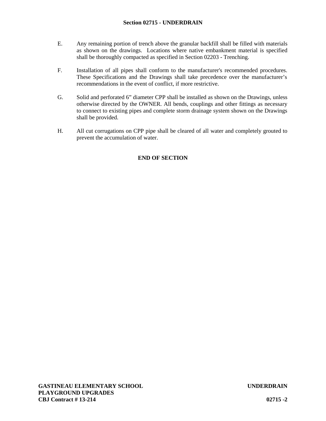- E. Any remaining portion of trench above the granular backfill shall be filled with materials as shown on the drawings. Locations where native embankment material is specified shall be thoroughly compacted as specified in Section 02203 - Trenching.
- F. Installation of all pipes shall conform to the manufacturer's recommended procedures. These Specifications and the Drawings shall take precedence over the manufacturer's recommendations in the event of conflict, if more restrictive.
- G. Solid and perforated 6" diameter CPP shall be installed as shown on the Drawings, unless otherwise directed by the OWNER. All bends, couplings and other fittings as necessary to connect to existing pipes and complete storm drainage system shown on the Drawings shall be provided.
- H. All cut corrugations on CPP pipe shall be cleared of all water and completely grouted to prevent the accumulation of water.

# **END OF SECTION**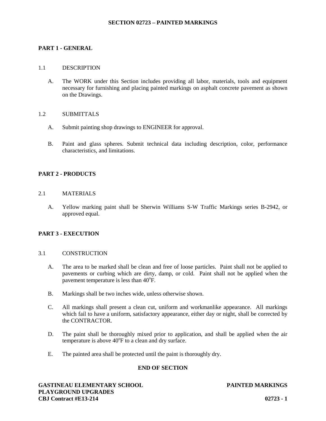#### **SECTION 02723 – PAINTED MARKINGS**

## **PART 1 - GENERAL**

#### 1.1 DESCRIPTION

A. The WORK under this Section includes providing all labor, materials, tools and equipment necessary for furnishing and placing painted markings on asphalt concrete pavement as shown on the Drawings.

#### 1.2 SUBMITTALS

- A. Submit painting shop drawings to ENGINEER for approval.
- B. Paint and glass spheres. Submit technical data including description, color, performance characteristics, and limitations.

## **PART 2 - PRODUCTS**

## 2.1 MATERIALS

A. Yellow marking paint shall be Sherwin Williams S-W Traffic Markings series B-2942, or approved equal.

## **PART 3 - EXECUTION**

#### 3.1 CONSTRUCTION

- A. The area to be marked shall be clean and free of loose particles. Paint shall not be applied to pavements or curbing which are dirty, damp, or cold. Paint shall not be applied when the pavement temperature is less than  $40^{\circ}$ F.
- B. Markings shall be two inches wide, unless otherwise shown.
- C. All markings shall present a clean cut, uniform and workmanlike appearance. All markings which fail to have a uniform, satisfactory appearance, either day or night, shall be corrected by the CONTRACTOR.
- D. The paint shall be thoroughly mixed prior to application, and shall be applied when the air temperature is above  $40^{\circ}$ F to a clean and dry surface.
- E. The painted area shall be protected until the paint is thoroughly dry.

## **END OF SECTION**

**GASTINEAU ELEMENTARY SCHOOL PAINTED MARKINGS PLAYGROUND UPGRADES CBJ Contract #E13-214 02723 - 1**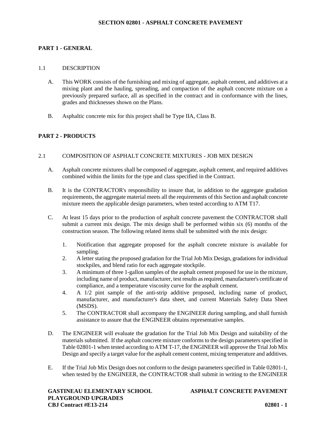## **PART 1 - GENERAL**

#### 1.1 DESCRIPTION

- A. This WORK consists of the furnishing and mixing of aggregate, asphalt cement, and additives at a mixing plant and the hauling, spreading, and compaction of the asphalt concrete mixture on a previously prepared surface, all as specified in the contract and in conformance with the lines, grades and thicknesses shown on the Plans.
- B. Asphaltic concrete mix for this project shall be Type IIA, Class B.

## **PART 2 - PRODUCTS**

#### 2.1 COMPOSITION OF ASPHALT CONCRETE MIXTURES - JOB MIX DESIGN

- A. Asphalt concrete mixtures shall be composed of aggregate, asphalt cement, and required additives combined within the limits for the type and class specified in the Contract.
- B. It is the CONTRACTOR's responsibility to insure that, in addition to the aggregate gradation requirements, the aggregate material meets all the requirements of this Section and asphalt concrete mixture meets the applicable design parameters, when tested according to ATM T17.
- C. At least 15 days prior to the production of asphalt concrete pavement the CONTRACTOR shall submit a current mix design. The mix design shall be performed within six (6) months of the construction season. The following related items shall be submitted with the mix design:
	- 1. Notification that aggregate proposed for the asphalt concrete mixture is available for sampling.
	- 2. A letter stating the proposed gradation for the Trial Job Mix Design, gradations for individual stockpiles, and blend ratio for each aggregate stockpile.
	- 3. A minimum of three 1-gallon samples of the asphalt cement proposed for use in the mixture, including name of product, manufacturer, test results as required, manufacturer's certificate of compliance, and a temperature viscosity curve for the asphalt cement.
	- 4. A 1/2 pint sample of the anti-strip additive proposed, including name of product, manufacturer, and manufacturer's data sheet, and current Materials Safety Data Sheet (MSDS).
	- 5. The CONTRACTOR shall accompany the ENGINEER during sampling, and shall furnish assistance to assure that the ENGINEER obtains representative samples.
- D. The ENGINEER will evaluate the gradation for the Trial Job Mix Design and suitability of the materials submitted. If the asphalt concrete mixture conforms to the design parameters specified in Table 02801-1 when tested according to ATM T-17, the ENGINEER will approve the Trial Job Mix Design and specify a target value for the asphalt cement content, mixing temperature and additives.
- E. If the Trial Job Mix Design does not conform to the design parameters specified in Table 02801-1, when tested by the ENGINEER, the CONTRACTOR shall submit in writing to the ENGINEER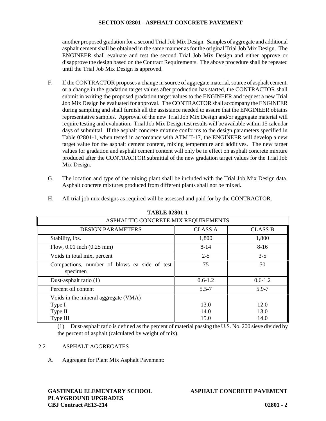another proposed gradation for a second Trial Job Mix Design. Samples of aggregate and additional asphalt cement shall be obtained in the same manner as for the original Trial Job Mix Design. The ENGINEER shall evaluate and test the second Trial Job Mix Design and either approve or disapprove the design based on the Contract Requirements. The above procedure shall be repeated until the Trial Job Mix Design is approved.

- F. If the CONTRACTOR proposes a change in source of aggregate material, source of asphalt cement, or a change in the gradation target values after production has started, the CONTRACTOR shall submit in writing the proposed gradation target values to the ENGINEER and request a new Trial Job Mix Design be evaluated for approval. The CONTRACTOR shall accompany the ENGINEER during sampling and shall furnish all the assistance needed to assure that the ENGINEER obtains representative samples. Approval of the new Trial Job Mix Design and/or aggregate material will require testing and evaluation. Trial Job Mix Design test results will be available within 15 calendar days of submittal. If the asphalt concrete mixture conforms to the design parameters specified in Table 02801-1, when tested in accordance with ATM T-17, the ENGINEER will develop a new target value for the asphalt cement content, mixing temperature and additives. The new target values for gradation and asphalt cement content will only be in effect on asphalt concrete mixture produced after the CONTRACTOR submittal of the new gradation target values for the Trial Job Mix Design.
- G. The location and type of the mixing plant shall be included with the Trial Job Mix Design data. Asphalt concrete mixtures produced from different plants shall not be mixed.

| <b>TABLE 02801-1</b>                                     |                |                |  |  |
|----------------------------------------------------------|----------------|----------------|--|--|
| ASPHALTIC CONCRETE MIX REQUIREMENTS                      |                |                |  |  |
| <b>DESIGN PARAMETERS</b>                                 | <b>CLASS A</b> | <b>CLASS B</b> |  |  |
| Stability, lbs.                                          | 1,800          | 1,800          |  |  |
| Flow, $0.01$ inch $(0.25$ mm)                            | $8 - 14$       | $8-16$         |  |  |
| Voids in total mix, percent                              | $2 - 5$        | $3 - 5$        |  |  |
| Compactions, number of blows ea side of test<br>specimen | 75             | 50             |  |  |
| Dust-asphalt ratio (1)                                   | $0.6 - 1.2$    | $0.6 - 1.2$    |  |  |
| Percent oil content                                      | $5.5 - 7$      | $5.9 - 7$      |  |  |
| Voids in the mineral aggregate (VMA)                     |                |                |  |  |
| Type I                                                   | 13.0           | 12.0           |  |  |
| Type II                                                  | 14.0           | 13.0           |  |  |
| Type III                                                 | 15.0           | 14.0           |  |  |

H. All trial job mix designs as required will be assessed and paid for by the CONTRACTOR.

(1) Dust-asphalt ratio is defined as the percent of material passing the U.S. No. 200 sieve divided by the percent of asphalt (calculated by weight of mix).

## 2.2 ASPHALT AGGREGATES

A. Aggregate for Plant Mix Asphalt Pavement:

## **GASTINEAU ELEMENTARY SCHOOL ASPHALT CONCRETE PAVEMENT PLAYGROUND UPGRADES CBJ Contract #E13-214 02801 - 2**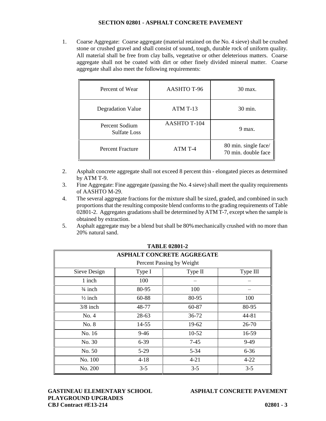1. Coarse Aggregate: Coarse aggregate (material retained on the No. 4 sieve) shall be crushed stone or crushed gravel and shall consist of sound, tough, durable rock of uniform quality. All material shall be free from clay balls, vegetative or other deleterious matters. Coarse aggregate shall not be coated with dirt or other finely divided mineral matter. Coarse aggregate shall also meet the following requirements:

| Percent of Wear                | AASHTO T-96         | 30 max.                                     |
|--------------------------------|---------------------|---------------------------------------------|
| Degradation Value              | ATM T-13            | 30 min.                                     |
| Percent Sodium<br>Sulfate Loss | <b>AASHTO T-104</b> | 9 max.                                      |
| <b>Percent Fracture</b>        | ATM T-4             | 80 min. single face/<br>70 min. double face |

- 2. Asphalt concrete aggregate shall not exceed 8 percent thin elongated pieces as determined by ATM T-9.
- 3. Fine Aggregate: Fine aggregate (passing the No. 4 sieve) shall meet the quality requirements of AASHTO M-29.
- 4. The several aggregate fractions for the mixture shall be sized, graded, and combined in such proportions that the resulting composite blend conforms to the grading requirements of Table 02801-2. Aggregates gradations shall be determined by ATM T-7, except when the sample is obtained by extraction.
- 5. Asphalt aggregate may be a blend but shall be 80%mechanically crushed with no more than 20% natural sand.

|                    | <b>ASPHALT CONCRETE AGGREGATE</b> |          |          |  |  |
|--------------------|-----------------------------------|----------|----------|--|--|
|                    | Percent Passing by Weight         |          |          |  |  |
| Sieve Design       | Type I                            | Type II  | Type III |  |  |
| 1 inch             | 100                               |          |          |  |  |
| $\frac{3}{4}$ inch | 80-95                             | 100      |          |  |  |
| $\frac{1}{2}$ inch | 60-88                             | 80-95    | 100      |  |  |
| $3/8$ inch         | 48-77                             | 60-87    | 80-95    |  |  |
| No. 4              | 28-63                             | 36-72    | 44-81    |  |  |
| No. 8              | $14 - 55$                         | 19-62    | 26-70    |  |  |
| No. 16             | $9 - 46$                          | $10-52$  | 16-59    |  |  |
| No. 30             | $6 - 39$                          | $7-45$   | $9-49$   |  |  |
| No. 50             | $5-29$                            | $5 - 34$ | $6 - 36$ |  |  |
| No. 100            | $4 - 18$                          | $4 - 21$ | $4 - 22$ |  |  |
| No. 200            | $3 - 5$                           | $3 - 5$  | $3 - 5$  |  |  |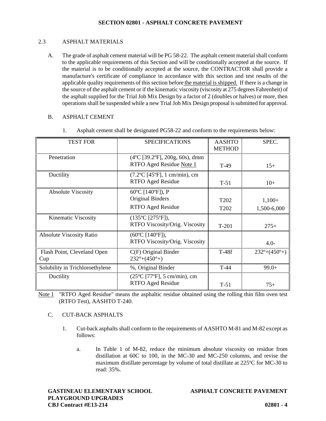## 2.3 ASPHALT MATERIALS

A. The grade of asphalt cement material will be PG 58-22. The asphalt cement material shall conform to the applicable requirements of this Section and will be conditionally accepted at the source. If the material is to be conditionally accepted at the source, the CONTRACTOR shall provide a manufacture's certificate of compliance in accordance with this section and test results of the applicable quality requirements of this section before the material is shipped. If there is a change in the source of the asphalt cement or if the kinematic viscosity (viscosity at 275 degrees Fahrenheit) of the asphalt supplied for the Trial Job Mix Design by a factor of 2 (doubles or halves) or more, then operations shall be suspended while a new Trial Job Mix Design proposal is submitted for approval.

## B. ASPHALT CEMENT

| <b>TEST FOR</b>                    | <b>SPECIFICATIONS</b>                                                                | <b>AASHTO</b><br><b>METHOD</b>       | SPEC.                        |
|------------------------------------|--------------------------------------------------------------------------------------|--------------------------------------|------------------------------|
| Penetration                        | $(4^{\circ}C$ [39.2 $^{\circ}F$ ], 200g, 60s), dmm<br>RTFO Aged Residue Note 1       | $T-49$                               | $15+$                        |
| Ductility                          | $(7.2$ <sup>o</sup> C [45 <sup>o</sup> F], 1 cm/min), cm<br><b>RTFO Aged Residue</b> | $T-51$                               | $10+$                        |
| <b>Absolute Viscosity</b>          | 60°C [140°F]), P<br><b>Original Binders</b><br><b>RTFO Aged Residue</b>              | T <sub>202</sub><br>T <sub>202</sub> | $1,100+$<br>1,500-6,000      |
| Kinematic Viscosity                | $(135^{\circ}C$ [275 $^{\circ}F$ ]),<br>RTFO Viscosity/Orig. Viscosity               | $T-201$                              | $275+$                       |
| <b>Absolute Viscosity Ratio</b>    | $(60^{\circ}C$ [140 $^{\circ}F$ ]),<br>RTFO Viscosity/Orig. Viscosity                |                                      | $4.0-$                       |
| Flash Point, Cleveland Open<br>Cup | $C(F)$ Original Binder<br>$232^{\circ}+(450^{\circ}+)$                               | $T-48f$                              | $232^{\circ}+(450^{\circ}+)$ |
| Solubility in Trichloroethylene    | %, Original Binder                                                                   | $T-44$                               | $99.0+$                      |
| Ductility                          | $(25^{\circ}C$ [77 $^{\circ}F$ ], 5 cm/min), cm<br>RTFO Aged Residue                 | $T-51$                               | $75+$                        |

1. Asphalt cement shall be designated PG58-22 and conform to the requirements below:

Note 1 "RTFO Aged Residue" means the asphaltic residue obtained using the rolling thin film oven test (RTFO Test), AASHTO T-240.

## C. CUT-BACK ASPHALTS

- 1. Cut-back asphalts shall conform to the requirements of AASHTO M-81 and M-82 except as follows:
	- a. In Table 1 of M-82, reduce the minimum absolute viscosity on residue from distillation at 60C to 100, in the MC-30 and MC-250 columns, and revise the maximum distillate percentage by volume of total distillate at 225ºC for MC-30 to read: 35%.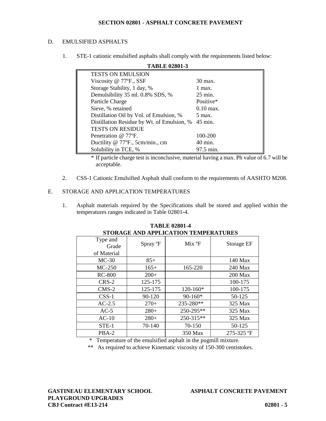## D. EMULSIFIED ASPHALTS

1. STE-1 cationic emulsified asphalts shall comply with the requirements listed below:

| <b>TABLE 02801-3</b>                       |                      |
|--------------------------------------------|----------------------|
| <b>TESTS ON EMULSION</b>                   |                      |
| Viscosity $@$ 77 ${}^{\circ}$ F., SSF      | 30 max.              |
| Storage Stability, 1 day, %                | $1$ max.             |
| Demulsibility 35 ml. 0.8% SDS, %           | $25 \text{ min}$ .   |
| Particle Charge                            | Positive*            |
| Sieve, % retained                          | $0.10 \text{ max}$ . |
| Distillation Oil by Vol. of Emulsion, %    | $5 \text{ max}$ .    |
| Distillation Residue by Wt. of Emulsion, % | $45$ min.            |
| <b>TESTS ON RESIDUE</b>                    |                      |
| Penetration @ 77°F.                        | 100-200              |
| Ductility @ 77°F., 5cm/min., cm            | $40 \text{ min.}$    |
| Solubility in TCE, %                       | 97.5 min.            |

\* If particle charge test is inconclusive, material having a max. Ph value of 6.7 will be acceptable.

2. CSS-1 Cationic Emulsified Asphalt shall conform to the requirements of AASHTO M208.

## E. STORAGE AND APPLICATION TEMPERATURES

1. Asphalt materials required by the Specifications shall be stored and applied within the temperatures ranges indicated in Table 02801-4.

| STOKAGE AND APPLICATION TEMPERATURES |                    |                |  |
|--------------------------------------|--------------------|----------------|--|
| Spray °F                             | Mix <sup>o</sup> F | Storage EF     |  |
|                                      |                    |                |  |
| $85+$                                |                    | 140 Max        |  |
| $165+$                               | 165-220            | 240 Max        |  |
| $200+$                               |                    | <b>200 Max</b> |  |
| 125-175                              |                    | 100-175        |  |
| 125-175                              | $120-160*$         | 100-175        |  |
| 90-120                               | $90 - 160*$        | 50-125         |  |
| $270+$                               | 235-280**          | 325 Max        |  |
| $280+$                               | 250-295**          | 325 Max        |  |
| $280+$                               | $250 - 315**$      | 325 Max        |  |
| 70-140                               | 70-150             | 50-125         |  |
|                                      | 350 Max            | $275 - 325$ °F |  |
|                                      |                    |                |  |

#### **TABLE 02801-4 STORAGE AND APPLICATION TEMPERATURES**

\* Temperature of the emulsified asphalt in the pugmill mixture.

\*\* As required to achieve Kinematic viscosity of 150-300 centistokes.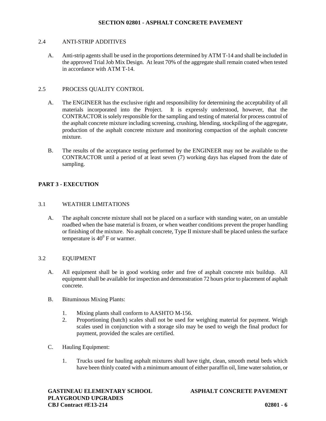#### 2.4 ANTI-STRIP ADDITIVES

A. Anti-strip agents shall be used in the proportions determined by ATM T-14 and shall be included in the approved Trial Job Mix Design. At least 70% of the aggregate shall remain coated when tested in accordance with ATM T-14.

## 2.5 PROCESS QUALITY CONTROL

- A. The ENGINEER has the exclusive right and responsibility for determining the acceptability of all materials incorporated into the Project. It is expressly understood, however, that the CONTRACTOR is solely responsible for the sampling and testing of material for process control of the asphalt concrete mixture including screening, crushing, blending, stockpiling of the aggregate, production of the asphalt concrete mixture and monitoring compaction of the asphalt concrete mixture.
- B. The results of the acceptance testing performed by the ENGINEER may not be available to the CONTRACTOR until a period of at least seven (7) working days has elapsed from the date of sampling.

## **PART 3 - EXECUTION**

#### 3.1 WEATHER LIMITATIONS

A. The asphalt concrete mixture shall not be placed on a surface with standing water, on an unstable roadbed when the base material is frozen, or when weather conditions prevent the proper handling or finishing of the mixture. No asphalt concrete, Type II mixture shall be placed unless the surface temperature is  $40^0$  F or warmer.

#### 3.2 EQUIPMENT

- A. All equipment shall be in good working order and free of asphalt concrete mix buildup. All equipment shall be available for inspection and demonstration 72 hours prior to placement of asphalt concrete.
- B. Bituminous Mixing Plants:
	- 1. Mixing plants shall conform to AASHTO M-156.
	- 2. Proportioning (batch) scales shall not be used for weighing material for payment. Weigh scales used in conjunction with a storage silo may be used to weigh the final product for payment, provided the scales are certified.
- C. Hauling Equipment:
	- 1. Trucks used for hauling asphalt mixtures shall have tight, clean, smooth metal beds which have been thinly coated with a minimum amount of either paraffin oil, lime water solution, or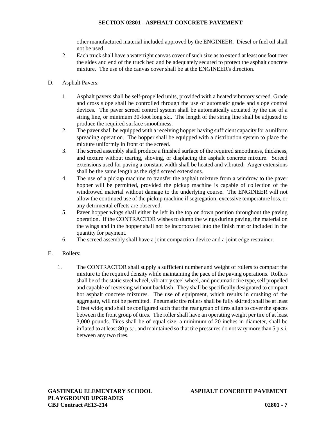other manufactured material included approved by the ENGINEER. Diesel or fuel oil shall not be used.

- 2. Each truck shall have a watertight canvas cover of such size as to extend at least one foot over the sides and end of the truck bed and be adequately secured to protect the asphalt concrete mixture. The use of the canvas cover shall be at the ENGINEER's direction.
- D. Asphalt Pavers:
	- 1. Asphalt pavers shall be self-propelled units, provided with a heated vibratory screed. Grade and cross slope shall be controlled through the use of automatic grade and slope control devices. The paver screed control system shall be automatically actuated by the use of a string line, or minimum 30-foot long ski. The length of the string line shall be adjusted to produce the required surface smoothness.
	- 2. The paver shall be equipped with a receiving hopper having sufficient capacity for a uniform spreading operation. The hopper shall be equipped with a distribution system to place the mixture uniformly in front of the screed.
	- 3. The screed assembly shall produce a finished surface of the required smoothness, thickness, and texture without tearing, shoving, or displacing the asphalt concrete mixture. Screed extensions used for paving a constant width shall be heated and vibrated. Auger extensions shall be the same length as the rigid screed extensions.
	- 4. The use of a pickup machine to transfer the asphalt mixture from a windrow to the paver hopper will be permitted, provided the pickup machine is capable of collection of the windrowed material without damage to the underlying course. The ENGINEER will not allow the continued use of the pickup machine if segregation, excessive temperature loss, or any detrimental effects are observed.
	- 5. Paver hopper wings shall either be left in the top or down position throughout the paving operation. If the CONTRACTOR wishes to dump the wings during paving, the material on the wings and in the hopper shall not be incorporated into the finish mat or included in the quantity for payment.
	- 6. The screed assembly shall have a joint compaction device and a joint edge restrainer.
- E. Rollers:
	- 1. The CONTRACTOR shall supply a sufficient number and weight of rollers to compact the mixture to the required density while maintaining the pace of the paving operations. Rollers shall be of the static steel wheel, vibratory steel wheel, and pneumatic tire type, self propelled and capable of reversing without backlash. They shall be specifically designated to compact hot asphalt concrete mixtures. The use of equipment, which results in crushing of the aggregate, will not be permitted. Pneumatic tire rollers shall be fully skirted; shall be at least 6 feet wide; and shall be configured such that the rear group of tires align to cover the spaces between the front group of tires. The roller shall have an operating weight per tire of at least 3,000 pounds. Tires shall be of equal size, a minimum of 20 inches in diameter, shall be inflated to at least 80 p.s.i. and maintained so that tire pressures do not vary more than 5 p.s.i. between any two tires.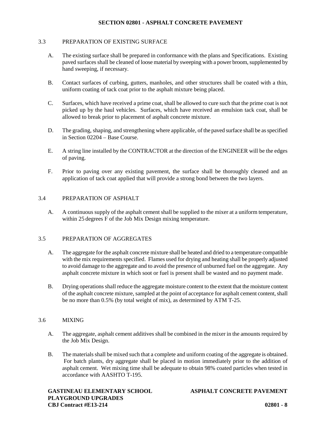#### 3.3 PREPARATION OF EXISTING SURFACE

- A. The existing surface shall be prepared in conformance with the plans and Specifications. Existing paved surfaces shall be cleaned of loose material by sweeping with a power broom, supplemented by hand sweeping, if necessary.
- B. Contact surfaces of curbing, gutters, manholes, and other structures shall be coated with a thin, uniform coating of tack coat prior to the asphalt mixture being placed.
- C. Surfaces, which have received a prime coat, shall be allowed to cure such that the prime coat is not picked up by the haul vehicles. Surfaces, which have received an emulsion tack coat, shall be allowed to break prior to placement of asphalt concrete mixture.
- D. The grading, shaping, and strengthening where applicable, of the paved surface shall be as specified in Section 02204 – Base Course.
- E. A string line installed by the CONTRACTOR at the direction of the ENGINEER will be the edges of paving.
- F. Prior to paving over any existing pavement, the surface shall be thoroughly cleaned and an application of tack coat applied that will provide a strong bond between the two layers.

#### 3.4 PREPARATION OF ASPHALT

A. A continuous supply of the asphalt cement shall be supplied to the mixer at a uniform temperature, within 25 degrees F of the Job Mix Design mixing temperature.

#### 3.5 PREPARATION OF AGGREGATES

- A. The aggregate for the asphalt concrete mixture shall be heated and dried to a temperature compatible with the mix requirements specified. Flames used for drying and heating shall be properly adjusted to avoid damage to the aggregate and to avoid the presence of unburned fuel on the aggregate. Any asphalt concrete mixture in which soot or fuel is present shall be wasted and no payment made.
- B. Drying operations shall reduce the aggregate moisture content to the extent that the moisture content of the asphalt concrete mixture, sampled at the point of acceptance for asphalt cement content, shall be no more than 0.5% (by total weight of mix), as determined by ATM T-25.

## 3.6 MIXING

- A. The aggregate, asphalt cement additives shall be combined in the mixer in the amounts required by the Job Mix Design.
- B. The materials shall be mixed such that a complete and uniform coating of the aggregate is obtained. For batch plants, dry aggregate shall be placed in motion immediately prior to the addition of asphalt cement. Wet mixing time shall be adequate to obtain 98% coated particles when tested in accordance with AASHTO T-195.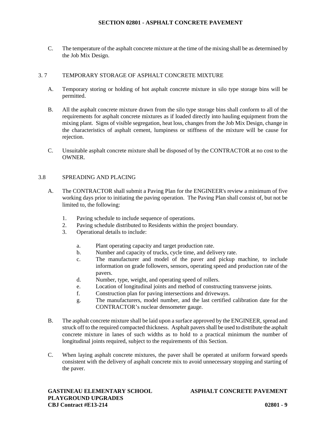C. The temperature of the asphalt concrete mixture at the time of the mixing shall be as determined by the Job Mix Design.

## 3. 7 TEMPORARY STORAGE OF ASPHALT CONCRETE MIXTURE

- A. Temporary storing or holding of hot asphalt concrete mixture in silo type storage bins will be permitted.
- B. All the asphalt concrete mixture drawn from the silo type storage bins shall conform to all of the requirements for asphalt concrete mixtures as if loaded directly into hauling equipment from the mixing plant. Signs of visible segregation, heat loss, changes from the Job Mix Design, change in the characteristics of asphalt cement, lumpiness or stiffness of the mixture will be cause for rejection.
- C. Unsuitable asphalt concrete mixture shall be disposed of by the CONTRACTOR at no cost to the OWNER.

#### 3.8 SPREADING AND PLACING

- A. The CONTRACTOR shall submit a Paving Plan for the ENGINEER's review a minimum of five working days prior to initiating the paving operation. The Paving Plan shall consist of, but not be limited to, the following:
	- 1. Paving schedule to include sequence of operations.
	- 2. Paving schedule distributed to Residents within the project boundary.
	- 3. Operational details to include:
		- a. Plant operating capacity and target production rate.
		- b. Number and capacity of trucks, cycle time, and delivery rate.
		- c. The manufacturer and model of the paver and pickup machine, to include information on grade followers, sensors, operating speed and production rate of the pavers.
		- d. Number, type, weight, and operating speed of rollers.
		- e. Location of longitudinal joints and method of constructing transverse joints.
		- f. Construction plan for paving intersections and driveways.
		- g. The manufacturers, model number, and the last certified calibration date for the CONTRACTOR's nuclear densometer gauge.
- B. The asphalt concrete mixture shall be laid upon a surface approved by the ENGINEER, spread and struck off to the required compacted thickness. Asphalt pavers shall be used to distribute the asphalt concrete mixture in lanes of such widths as to hold to a practical minimum the number of longitudinal joints required, subject to the requirements of this Section.
- C. When laying asphalt concrete mixtures, the paver shall be operated at uniform forward speeds consistent with the delivery of asphalt concrete mix to avoid unnecessary stopping and starting of the paver.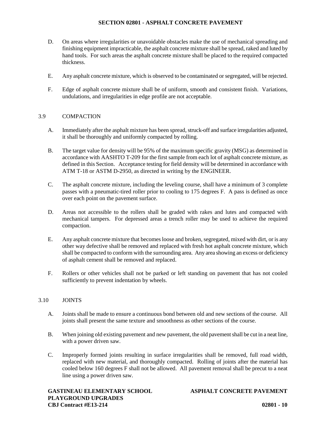- D. On areas where irregularities or unavoidable obstacles make the use of mechanical spreading and finishing equipment impracticable, the asphalt concrete mixture shall be spread, raked and luted by hand tools. For such areas the asphalt concrete mixture shall be placed to the required compacted thickness.
- E. Any asphalt concrete mixture, which is observed to be contaminated or segregated, will be rejected.
- F. Edge of asphalt concrete mixture shall be of uniform, smooth and consistent finish. Variations, undulations, and irregularities in edge profile are not acceptable.

## 3.9 COMPACTION

- A. Immediately after the asphalt mixture has been spread, struck-off and surface irregularities adjusted, it shall be thoroughly and uniformly compacted by rolling.
- B. The target value for density will be 95% of the maximum specific gravity (MSG) as determined in accordance with AASHTO T-209 for the first sample from each lot of asphalt concrete mixture, as defined in this Section. Acceptance testing for field density will be determined in accordance with ATM T-18 or ASTM D-2950, as directed in writing by the ENGINEER.
- C. The asphalt concrete mixture, including the leveling course, shall have a minimum of 3 complete passes with a pneumatic-tired roller prior to cooling to 175 degrees F. A pass is defined as once over each point on the pavement surface.
- D. Areas not accessible to the rollers shall be graded with rakes and lutes and compacted with mechanical tampers. For depressed areas a trench roller may be used to achieve the required compaction.
- E. Any asphalt concrete mixture that becomes loose and broken, segregated, mixed with dirt, or is any other way defective shall be removed and replaced with fresh hot asphalt concrete mixture, which shall be compacted to conform with the surrounding area. Any area showing an excess or deficiency of asphalt cement shall be removed and replaced.
- F. Rollers or other vehicles shall not be parked or left standing on pavement that has not cooled sufficiently to prevent indentation by wheels.

## 3.10 JOINTS

- A. Joints shall be made to ensure a continuous bond between old and new sections of the course. All joints shall present the same texture and smoothness as other sections of the course.
- B. When joining old existing pavement and new pavement, the old pavement shall be cut in a neat line, with a power driven saw.
- C. Improperly formed joints resulting in surface irregularities shall be removed, full road width, replaced with new material, and thoroughly compacted. Rolling of joints after the material has cooled below 160 degrees F shall not be allowed. All pavement removal shall be precut to a neat line using a power driven saw.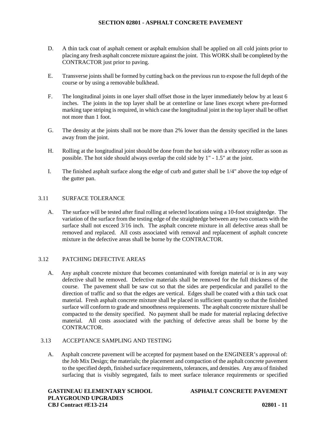- D. A thin tack coat of asphalt cement or asphalt emulsion shall be applied on all cold joints prior to placing any fresh asphalt concrete mixture against the joint. This WORK shall be completed by the CONTRACTOR just prior to paving.
- E. Transverse joints shall be formed by cutting back on the previous run to expose the full depth of the course or by using a removable bulkhead.
- F. The longitudinal joints in one layer shall offset those in the layer immediately below by at least 6 inches. The joints in the top layer shall be at centerline or lane lines except where pre-formed marking tape striping is required, in which case the longitudinal joint in the top layer shall be offset not more than 1 foot.
- G. The density at the joints shall not be more than 2% lower than the density specified in the lanes away from the joint.
- H. Rolling at the longitudinal joint should be done from the hot side with a vibratory roller as soon as possible. The hot side should always overlap the cold side by 1" -1.5" at the joint.
- I. The finished asphalt surface along the edge of curb and gutter shall be 1/4" above the top edge of the gutter pan.

## 3.11 SURFACE TOLERANCE

A. The surface will be tested after final rolling at selected locations using a 10-foot straightedge. The variation of the surface from the testing edge of the straightedge between any two contacts with the surface shall not exceed 3/16 inch. The asphalt concrete mixture in all defective areas shall be removed and replaced. All costs associated with removal and replacement of asphalt concrete mixture in the defective areas shall be borne by the CONTRACTOR.

## 3.12 PATCHING DEFECTIVE AREAS

A. Any asphalt concrete mixture that becomes contaminated with foreign material or is in any way defective shall be removed. Defective materials shall be removed for the full thickness of the course. The pavement shall be saw cut so that the sides are perpendicular and parallel to the direction of traffic and so that the edges are vertical. Edges shall be coated with a thin tack coat material. Fresh asphalt concrete mixture shall be placed in sufficient quantity so that the finished surface will conform to grade and smoothness requirements. The asphalt concrete mixture shall be compacted to the density specified. No payment shall be made for material replacing defective material. All costs associated with the patching of defective areas shall be borne by the CONTRACTOR.

## 3.13 ACCEPTANCE SAMPLING AND TESTING

A. Asphalt concrete pavement will be accepted for payment based on the ENGINEER's approval of: the Job Mix Design; the materials; the placement and compaction of the asphalt concrete pavement to the specified depth, finished surface requirements, tolerances, and densities. Any area of finished surfacing that is visibly segregated, fails to meet surface tolerance requirements or specified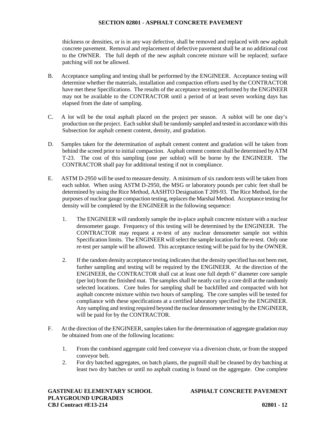thickness or densities, or is in any way defective, shall be removed and replaced with new asphalt concrete pavement. Removal and replacement of defective pavement shall be at no additional cost to the OWNER. The full depth of the new asphalt concrete mixture will be replaced; surface patching will not be allowed.

- B. Acceptance sampling and testing shall be performed by the ENGINEER. Acceptance testing will determine whether the materials, installation and compaction efforts used by the CONTRACTOR have met these Specifications. The results of the acceptance testing performed by the ENGINEER may not be available to the CONTRACTOR until a period of at least seven working days has elapsed from the date of sampling.
- C. A lot will be the total asphalt placed on the project per season. A sublot will be one day's production on the project. Each sublot shall be randomly sampled and tested in accordance with this Subsection for asphalt cement content, density, and gradation.
- D. Samples taken for the determination of asphalt cement content and gradation will be taken from behind the screed prior to initial compaction. Asphalt cement content shall be determined by ATM T-23. The cost of this sampling (one per sublot) will be borne by the ENGINEER. The CONTRACTOR shall pay for additional testing if not in compliance.
- E. ASTM D-2950 will be used to measure density. A minimum of six random tests will be taken from each sublot. When using ASTM D-2950, the MSG or laboratory pounds per cubic feet shall be determined by using the Rice Method, AASHTO Designation T 209-93. The Rice Method, for the purposes of nuclear gauge compaction testing, replaces the Marshal Method. Acceptance testing for density will be completed by the ENGINEER in the following sequence:
	- 1. The ENGINEER will randomly sample the in-place asphalt concrete mixture with a nuclear densometer gauge. Frequency of this testing will be determined by the ENGINEER. The CONTRACTOR may request a re-test of any nuclear densometer sample not within Specification limits. The ENGINEER will select the sample location for the re-test. Only one re-test per sample will be allowed. This acceptance testing will be paid for by the OWNER.
	- 2. If the random density acceptance testing indicates that the density specified has not been met, further sampling and testing will be required by the ENGINEER. At the direction of the ENGINEER, the CONTRACTOR shall cut at least one full depth 6" diameter core sample (per lot) from the finished mat. The samples shall be neatly cut by a core drill at the randomly selected locations. Core holes for sampling shall be backfilled and compacted with hot asphalt concrete mixture within two hours of sampling. The core samples will be tested for compliance with these specifications at a certified laboratory specified by the ENGINEER. Any sampling and testing required beyond the nuclear densometer testing by the ENGINEER, will be paid for by the CONTRACTOR.
- F. At the direction of the ENGINEER, samples taken for the determination of aggregate gradation may be obtained from one of the following locations:
	- 1. From the combined aggregate cold feed conveyor via a diversion chute, or from the stopped conveyor belt.
	- 2. For dry batched aggregates, on batch plants, the pugmill shall be cleaned by dry batching at least two dry batches or until no asphalt coating is found on the aggregate. One complete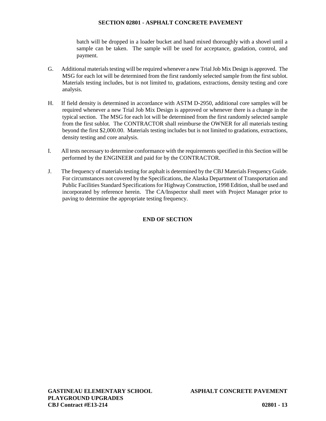batch will be dropped in a loader bucket and hand mixed thoroughly with a shovel until a sample can be taken. The sample will be used for acceptance, gradation, control, and payment.

- G. Additional materials testing will be required whenever a new Trial Job Mix Design is approved. The MSG for each lot will be determined from the first randomly selected sample from the first sublot. Materials testing includes, but is not limited to, gradations, extractions, density testing and core analysis.
- H. If field density is determined in accordance with ASTM D-2950, additional core samples will be required whenever a new Trial Job Mix Design is approved or whenever there is a change in the typical section. The MSG for each lot will be determined from the first randomly selected sample from the first sublot. The CONTRACTOR shall reimburse the OWNER for all materials testing beyond the first \$2,000.00. Materials testing includes but is not limited to gradations, extractions, density testing and core analysis.
- I. All tests necessary to determine conformance with the requirements specified in this Section will be performed by the ENGINEER and paid for by the CONTRACTOR.
- J. The frequency of materials testing for asphalt is determined by the CBJ Materials Frequency Guide. For circumstances not covered by the Specifications, the Alaska Department of Transportation and Public Facilities Standard Specifications for Highway Construction, 1998 Edition, shall be used and incorporated by reference herein. The CA/Inspector shall meet with Project Manager prior to paving to determine the appropriate testing frequency.

## **END OF SECTION**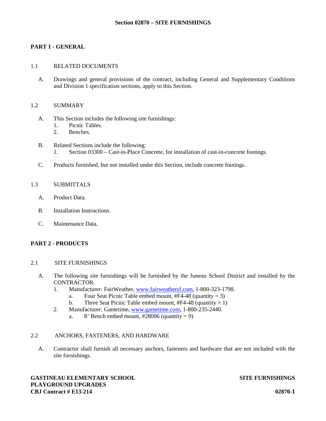## **PART 1 - GENERAL**

#### 1.1 RELATED DOCUMENTS

A. Drawings and general provisions of the contract, including General and Supplementary Conditions and Division 1 specification sections, apply to this Section.

#### 1.2 SUMMARY

- A. This Section includes the following site furnishings:
	- 1. Picnic Tables.<br>2. Benches.
	- Benches.
- B. Related Sections include the following: 1. Section 03300 – Cast-in-Place Concrete, for installation of cast-in-concrete footings.
- C. Products furnished, but not installed under this Section, include concrete footings.

### 1.3 SUBMITTALS

- A. Product Data.
- B. Installation Instructions.
- C. Maintenance Data.

## **PART 2 - PRODUCTS**

#### 2.1 SITE FURNISHINGS

- A. The following site furnishings will be furnished by the Juneau School District and installed by the CONTRACTOR.
	- 1. Manufacturer: FairWeather, www.fairweathersf.com, 1-800-323-1798.
		- a. Four Seat Picnic Table embed mount,  $#F4-48$  (quantity = 3)
		- b. Three Seat Picnic Table embed mount,  $#F4-48$  (quantity = 1)
	- 2. Manufacturer: Gametime, www.gametime.com, 1-800-235-2440.
		- a. 8' Bench embed mount,  $\text{\#28006}$  (quantity = 9)

#### 2.2 ANCHORS, FASTENERS, AND HARDWARE

A. Contractor shall furnish all necessary anchors, fasteners and hardware that are not included with the site furnishings.

**GASTINEAU ELEMENTARY SCHOOL SITE FURNISHINGS PLAYGROUND UPGRADES CBJ Contract # E13-214 02870-1**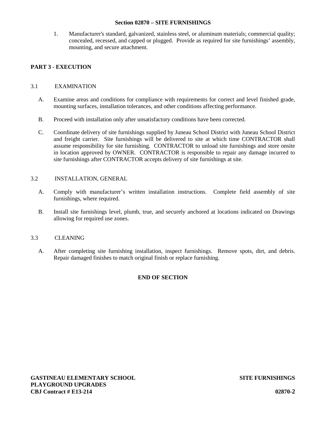#### **Section 02870 – SITE FURNISHINGS**

1. Manufacturer's standard, galvanized, stainless steel, or aluminum materials; commercial quality; concealed, recessed, and capped or plugged. Provide as required for site furnishings' assembly, mounting, and secure attachment.

## **PART 3 - EXECUTION**

## 3.1 EXAMINATION

- A. Examine areas and conditions for compliance with requirements for correct and level finished grade, mounting surfaces, installation tolerances, and other conditions affecting performance.
- B. Proceed with installation only after unsatisfactory conditions have been corrected.
- C. Coordinate delivery of site furnishings supplied by Juneau School District with Juneau School District and freight carrier. Site furnishings will be delivered to site at which time CONTRACTOR shall assume responsibility for site furnishing. CONTRACTOR to unload site furnishings and store onsite in location approved by OWNER. CONTRACTOR is responsible to repair any damage incurred to site furnishings after CONTRACTOR accepts delivery of site furnishings at site.

### 3.2 INSTALLATION, GENERAL

- A. Comply with manufacturer's written installation instructions. Complete field assembly of site furnishings, where required.
- B. Install site furnishings level, plumb, true, and securely anchored at locations indicated on Drawings allowing for required use zones.

## 3.3 CLEANING

A. After completing site furnishing installation, inspect furnishings. Remove spots, dirt, and debris. Repair damaged finishes to match original finish or replace furnishing.

## **END OF SECTION**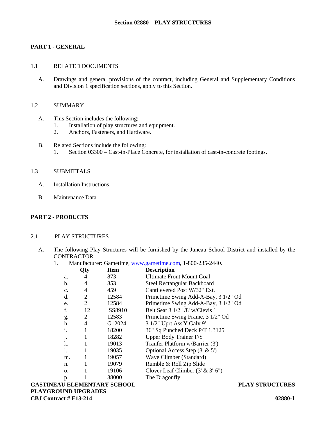## **PART 1 - GENERAL**

#### 1.1 RELATED DOCUMENTS

A. Drawings and general provisions of the contract, including General and Supplementary Conditions and Division 1 specification sections, apply to this Section.

#### 1.2 SUMMARY

- A. This Section includes the following:
	- 1. Installation of play structures and equipment.<br>2. Anchors. Fasteners, and Hardware.
	- Anchors, Fasteners, and Hardware.
- B. Related Sections include the following: 1. Section 03300 – Cast-in-Place Concrete, for installation of cast-in-concrete footings.

## 1.3 SUBMITTALS

- A. Installation Instructions.
- B. Maintenance Data.

## **PART 2 - PRODUCTS**

## 2.1 PLAY STRUCTURES

- A. The following Play Structures will be furnished by the Juneau School District and installed by the CONTRACTOR.
	- 1. Manufacturer: Gametime, www.gametime.com, 1-800-235-2440.

|                | Qty | Item   | <b>Description</b>                         |
|----------------|-----|--------|--------------------------------------------|
| a.             | 4   | 873    | <b>Ultimate Front Mount Goal</b>           |
| b.             | 4   | 853    | <b>Steel Rectangular Backboard</b>         |
| C <sub>1</sub> | 4   | 459    | Cantilevered Post W/32" Ext.               |
| d.             | 2   | 12584  | Primetime Swing Add-A-Bay, 3 1/2" Od       |
| e.             | 2   | 12584  | Primetime Swing Add-A-Bay, 3 1/2" Od       |
| f.             | 12  | SS8910 | Belt Seat $3 \frac{1}{2}$ " /8' w/Clevis 1 |
| g.             | 2   | 12583  | Primetime Swing Frame, 3 1/2" Od           |
| h.             | 4   | G12024 | 3 1/2" Uprt Ass'Y Galv 9"                  |
| i.             |     | 18200  | 36" Sq Punched Deck P/T 1.3125             |
| j.             |     | 18282  | Upper Body Trainer F/S                     |
| k.             |     | 19013  | Tranfer Platform w/Barrier (3')            |
| 1.             |     | 19035  | Optional Access Step $(3' \& 5')$          |
| m.             |     | 19057  | Wave Climber (Standard)                    |
| n.             |     | 19079  | Rumble & Roll Zip Slide                    |
| 0.             |     | 19106  | Clover Leaf Climber $(3' & 3'-6'')$        |
| p.             |     | 38000  | The Dragonfly                              |
|                |     |        | <b>DY 1 Y7 AM</b>                          |

**GASTINEAU ELEMENTARY SCHOOL PLAY STRUCTURES PLAYGROUND UPGRADES CBJ Contract # E13-214 02880-1**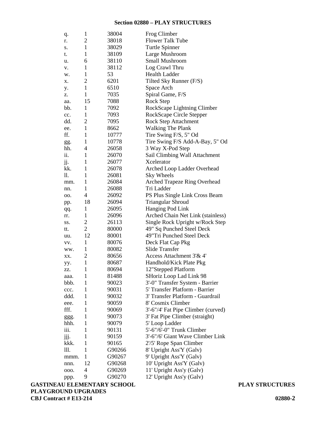#### **Section 02880 – PLAY STRUCTURES**

| q.   | $\mathbf{1}$   | 38004  | Frog Climber                        |
|------|----------------|--------|-------------------------------------|
| r.   | 2              | 38018  | <b>Flower Talk Tube</b>             |
| S.   | 1              | 38029  | Turtle Spinner                      |
| t.   | 1              | 38109  | Large Mushroom                      |
| u.   | 6              | 38110  | Small Mushroom                      |
| v.   | 1              | 38112  | Log Crawl Thru                      |
| w.   | 1              | 53     | <b>Health Ladder</b>                |
| х.   | $\overline{2}$ | 6201   | Tilted Sky Runner (F/S)             |
| y.   | $\mathbf{1}$   | 6510   | Space Arch                          |
| z.   | 1              | 7035   | Spiral Game, F/S                    |
| aa.  | 15             | 7088   | Rock Step                           |
| bb.  | $\mathbf{1}$   | 7092   | RockScape Lightning Climber         |
| cc.  | 1              | 7093   | RockScape Circle Stepper            |
| dd.  | 2              | 7095   | Rock Step Attachment                |
| ee.  | 1              | 8662   | Walking The Plank                   |
| ff.  | 1              | 10777  | Tire Swing F/S, 5" Od               |
| gg.  | 1              | 10778  | Tire Swing F/S Add-A-Bay, 5" Od     |
| hh.  | 4              | 26058  | 3 Way X-Pod Step                    |
| ii.  | 1              | 26070  | Sail Climbing Wall Attachment       |
| jj.  | 1              | 26077  | Xcelerator                          |
| kk.  | 1              | 26078  | Arched Loop Ladder Overhead         |
| 11.  | 1              | 26081  | Sky Wheels                          |
| mm.  | 1              | 26084  | <b>Arched Trapeze Ring Overhead</b> |
| nn.  | 1              | 26088  | Tri Ladder                          |
| OO.  | 4              | 26092  | PS Plus Single Link Cross Beam      |
| pp.  | 18             | 26094  | Triangular Shroud                   |
| qq.  | $\mathbf{1}$   | 26095  | Hanging Pod Link                    |
| rr.  | 1              | 26096  | Arched Chain Net Link (stainless)   |
| SS.  | 2              | 26113  | Single Rock Upright w/Rock Step     |
| tt.  | $\overline{2}$ | 80000  | 49" Sq Punched Steel Deck           |
| uu.  | 12             | 80001  | 49"Tri Punched Steel Deck           |
| VV.  | $\mathbf{1}$   | 80076  | Deck Flat Cap Pkg                   |
| ww.  | 1              | 80082  | <b>Slide Transfer</b>               |
| XX.  | 2              | 80656  | Access Attachment 3'& 4'            |
| yy.  | 1              | 80687  | Handhold/Kick Plate Pkg             |
| ZZ.  | $\mathbf{1}$   | 80694  | 12"Stepped Platform                 |
| aaa. | 1              | 81488  | SHoriz Loop Lad Link 98             |
| bbb. | 1              | 90023  | 3'-0" Transfer System - Barrier     |
| ccc. | 1              | 90031  | 5' Transfer Platform - Barrier      |
| ddd. | 1              | 90032  | 3' Transfer Platform - Guardrail    |
| eee. | 1              | 90059  | 8' Cosmix Climber                   |
| fff. | 1              | 90069  | 3'-6"/4' Fat Pipe Climber (curved)  |
| ggg. | 1              | 90073  | 3' Fat Pipe Climber (straight)      |
| hhh. | 1              | 90079  | 5' Loop Ladder                      |
| iii. | 1              | 90131  | 5'-6"/6'-0" Trunk Climber           |
| jjj. | 1              | 90159  | 3'-6"/6' Giant Wave Climber Link    |
| kkk. | 1              | 90165  | 2'/5' Rope Span Climber             |
| 111. | 1              | G90266 | 8' Upright Ass'Y (Galv)             |
| mmm. | 1              | G90267 | 9' Upright Ass'Y (Galv)             |
| nnn. | 12             | G90268 | 10' Upright Ass'Y (Galv)            |
| 000. | 4              | G90269 | 11' Upright Ass'y (Galv)            |
| ppp. | 9              | G90270 | 12' Upright Ass'y (Galv)            |

**GASTINEAU ELEMENTARY SCHOOL PLAY STRUCTURES PLAYGROUND UPGRADES CBJ Contract # E13-214 02880-2**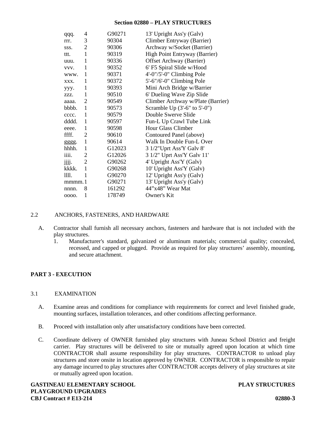## **Section 02880 – PLAY STRUCTURES**

| qqq.  | 4              | G90271 | 13' Upright Ass'y (Galv)          |
|-------|----------------|--------|-----------------------------------|
| rrr.  | 3              | 90304  | Climber Entryway (Barrier)        |
| SSS.  | $\overline{2}$ | 90306  | Archway w/Socket (Barrier)        |
| ttt.  | $\mathbf{1}$   | 90319  | High Point Entryway (Barrier)     |
| uuu.  | 1              | 90336  | Offset Archway (Barrier)          |
| VVV.  | 1              | 90352  | 6' F5 Spiral Slide w/Hood         |
| www.  | 1              | 90371  | $4'-0''/5'-0''$ Climbing Pole     |
| XXX.  | 1              | 90372  | 5'-6"/6'-0" Climbing Pole         |
| ууу.  | 1              | 90393  | Mini Arch Bridge w/Barrier        |
| ZZZ.  | 1              | 90510  | 6' Dueling Wave Zip Slide         |
| aaaa. | 2              | 90549  | Climber Archway w/Plate (Barrier) |
| bbbb. | -1             | 90573  | Scramble Up $(3'-6'')$ to $5'-0'$ |
| cccc. | 1              | 90579  | Double Swerve Slide               |
| dddd. | 1              | 90597  | Fun-L Up Crawl Tube Link          |
| eeee. | 1              | 90598  | Hour Glass Climber                |
| ffff. | $\overline{2}$ | 90610  | Contoured Panel (above)           |
| gggg. | 1              | 90614  | Walk In Double Fun-L Over         |
| hhhh. | 1              | G12023 | 3 1/2"Uprt Ass'Y Galv 8"          |
| iiii. | 2              | G12026 | 3 1/2" Uprt Ass'Y Galv 11'        |
| jjjj. | $\overline{2}$ | G90262 | 4' Upright Ass'Y (Galv)           |
| kkkk. | 1              | G90268 | 10' Upright Ass'Y (Galv)          |
| 1111. | 1              | G90270 | 12' Upright Ass'y (Galv)          |
| mmm.1 |                | G90271 | 13' Upright Ass'y (Galv)          |
| nnnn. | 8              | 161292 | 44"x48" Wear Mat                  |
| 0000. | 1              | 178749 | Owner's Kit                       |

## 2.2 ANCHORS, FASTENERS, AND HARDWARE

- A. Contractor shall furnish all necessary anchors, fasteners and hardware that is not included with the play structures.
	- 1. Manufacturer's standard, galvanized or aluminum materials; commercial quality; concealed, recessed, and capped or plugged. Provide as required for play structures' assembly, mounting, and secure attachment.

## **PART 3 - EXECUTION**

## 3.1 EXAMINATION

- A. Examine areas and conditions for compliance with requirements for correct and level finished grade, mounting surfaces, installation tolerances, and other conditions affecting performance.
- B. Proceed with installation only after unsatisfactory conditions have been corrected.
- C. Coordinate delivery of OWNER furnished play structures with Juneau School District and freight carrier. Play structures will be delivered to site or mutually agreed upon location at which time CONTRACTOR shall assume responsibility for play structures. CONTRACTOR to unload play structures and store onsite in location approved by OWNER. CONTRACTOR is responsible to repair any damage incurred to play structures after CONTRACTOR accepts delivery of play structures at site or mutually agreed upon location.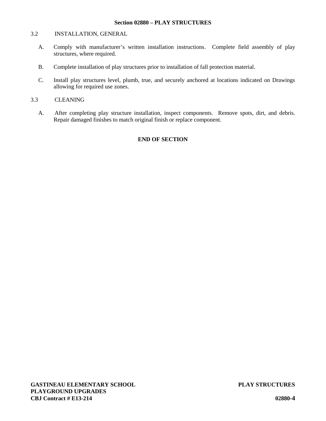#### **Section 02880 – PLAY STRUCTURES**

## 3.2 INSTALLATION, GENERAL

- A. Comply with manufacturer's written installation instructions. Complete field assembly of play structures, where required.
- B. Complete installation of play structures prior to installation of fall protection material.
- C. Install play structures level, plumb, true, and securely anchored at locations indicated on Drawings allowing for required use zones.

## 3.3 CLEANING

A. After completing play structure installation, inspect components. Remove spots, dirt, and debris. Repair damaged finishes to match original finish or replace component.

## **END OF SECTION**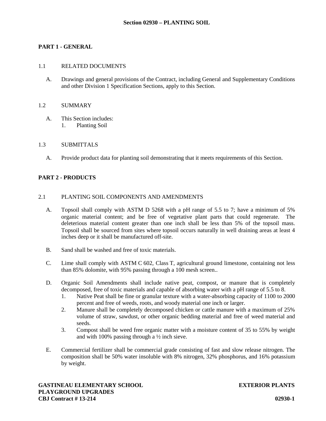## **PART 1 - GENERAL**

#### 1.1 RELATED DOCUMENTS

A. Drawings and general provisions of the Contract, including General and Supplementary Conditions and other Division 1 Specification Sections, apply to this Section.

#### 1.2 SUMMARY

A. This Section includes: 1. Planting Soil

#### 1.3 SUBMITTALS

A. Provide product data for planting soil demonstrating that it meets requirements of this Section.

#### **PART 2 - PRODUCTS**

#### 2.1 PLANTING SOIL COMPONENTS AND AMENDMENTS

- A. Topsoil shall comply with ASTM D 5268 with a pH range of 5.5 to 7; have a minimum of 5% organic material content; and be free of vegetative plant parts that could regenerate. The deleterious material content greater than one inch shall be less than 5% of the topsoil mass. Topsoil shall be sourced from sites where topsoil occurs naturally in well draining areas at least 4 inches deep or it shall be manufactured off-site.
- B. Sand shall be washed and free of toxic materials.
- C. Lime shall comply with ASTM C 602, Class T, agricultural ground limestone, containing not less than 85% dolomite, with 95% passing through a 100 mesh screen..
- D. Organic Soil Amendments shall include native peat, compost, or manure that is completely decomposed, free of toxic materials and capable of absorbing water with a pH range of 5.5 to 8.
	- 1. Native Peat shall be fine or granular texture with a water-absorbing capacity of 1100 to 2000 percent and free of weeds, roots, and woody material one inch or larger.
	- 2. Manure shall be completely decomposed chicken or cattle manure with a maximum of 25% volume of straw, sawdust, or other organic bedding material and free of weed material and seeds.
	- 3. Compost shall be weed free organic matter with a moisture content of 35 to 55% by weight and with 100% passing through a  $\frac{1}{2}$  inch sieve.
- E. Commercial fertilizer shall be commercial grade consisting of fast and slow release nitrogen. The composition shall be 50% water insoluble with 8% nitrogen, 32% phosphorus, and 16% potassium by weight.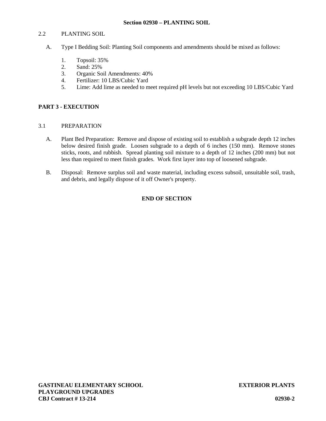## 2.2 PLANTING SOIL

- A. Type I Bedding Soil: Planting Soil components and amendments should be mixed as follows:
	- 1. Topsoil: 35%
	- 2. Sand: 25%
	- 3. Organic Soil Amendments: 40%
	- 4. Fertilizer: 10 LBS/Cubic Yard
	- 5. Lime: Add lime as needed to meet required pH levels but not exceeding 10 LBS/Cubic Yard

## **PART 3 - EXECUTION**

## 3.1 PREPARATION

- A. Plant Bed Preparation: Remove and dispose of existing soil to establish a subgrade depth 12 inches below desired finish grade. Loosen subgrade to a depth of 6 inches (150 mm). Remove stones sticks, roots, and rubbish. Spread planting soil mixture to a depth of 12 inches (200 mm) but not less than required to meet finish grades. Work first layer into top of loosened subgrade.
- B. Disposal: Remove surplus soil and waste material, including excess subsoil, unsuitable soil, trash, and debris, and legally dispose of it off Owner's property.

## **END OF SECTION**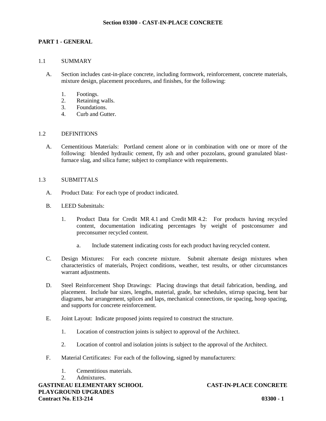## **PART 1 - GENERAL**

## 1.1 SUMMARY

- A. Section includes cast-in-place concrete, including formwork, reinforcement, concrete materials, mixture design, placement procedures, and finishes, for the following:
	- 1. Footings.
	- 2. Retaining walls.
	- 3. Foundations.
	- 4. Curb and Gutter.

#### 1.2 DEFINITIONS

A. Cementitious Materials: Portland cement alone or in combination with one or more of the following: blended hydraulic cement, fly ash and other pozzolans, ground granulated blastfurnace slag, and silica fume; subject to compliance with requirements.

#### 1.3 SUBMITTALS

- A. Product Data: For each type of product indicated.
- B. LEED Submittals:
	- 1. Product Data for Credit MR 4.1 and Credit MR 4.2: For products having recycled content, documentation indicating percentages by weight of postconsumer and preconsumer recycled content.
		- a. Include statement indicating costs for each product having recycled content.
- C. Design Mixtures: For each concrete mixture. Submit alternate design mixtures when characteristics of materials, Project conditions, weather, test results, or other circumstances warrant adjustments.
- D. Steel Reinforcement Shop Drawings: Placing drawings that detail fabrication, bending, and placement. Include bar sizes, lengths, material, grade, bar schedules, stirrup spacing, bent bar diagrams, bar arrangement, splices and laps, mechanical connections, tie spacing, hoop spacing, and supports for concrete reinforcement.
- E. Joint Layout: Indicate proposed joints required to construct the structure.
	- 1. Location of construction joints is subject to approval of the Architect.
	- 2. Location of control and isolation joints is subject to the approval of the Architect.
- F. Material Certificates: For each of the following, signed by manufacturers:
	- 1. Cementitious materials.
	- 2. Admixtures.

**GASTINEAU ELEMENTARY SCHOOL CAST-IN-PLACE CONCRETE PLAYGROUND UPGRADES Contract No. E13-214 03300 - 1**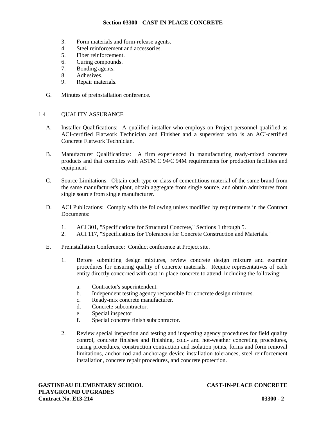- 3. Form materials and form-release agents.
- 4. Steel reinforcement and accessories.
- 5. Fiber reinforcement.
- 6. Curing compounds.
- 7. Bonding agents.
- 8. Adhesives.
- 9. Repair materials.
- G. Minutes of preinstallation conference.

## 1.4 QUALITY ASSURANCE

- A. Installer Qualifications: A qualified installer who employs on Project personnel qualified as ACI-certified Flatwork Technician and Finisher and a supervisor who is an ACI-certified Concrete Flatwork Technician.
- B. Manufacturer Qualifications: A firm experienced in manufacturing ready-mixed concrete products and that complies with ASTM C 94/C 94M requirements for production facilities and equipment.
- C. Source Limitations: Obtain each type or class of cementitious material of the same brand from the same manufacturer's plant, obtain aggregate from single source, and obtain admixtures from single source from single manufacturer.
- D. ACI Publications: Comply with the following unless modified by requirements in the Contract Documents:
	- 1. ACI 301, "Specifications for Structural Concrete," Sections 1 through 5.
	- 2. ACI 117, "Specifications for Tolerances for Concrete Construction and Materials."
- E. Preinstallation Conference: Conduct conference at Project site.
	- 1. Before submitting design mixtures, review concrete design mixture and examine procedures for ensuring quality of concrete materials. Require representatives of each entity directly concerned with cast-in-place concrete to attend, including the following:
		- a. Contractor's superintendent.
		- b. Independent testing agency responsible for concrete design mixtures.
		- c. Ready-mix concrete manufacturer.
		- d. Concrete subcontractor.
		- e. Special inspector.
		- f. Special concrete finish subcontractor.
	- 2. Review special inspection and testing and inspecting agency procedures for field quality control, concrete finishes and finishing, cold- and hot-weather concreting procedures, curing procedures, construction contraction and isolation joints, forms and form removal limitations, anchor rod and anchorage device installation tolerances, steel reinforcement installation, concrete repair procedures, and concrete protection.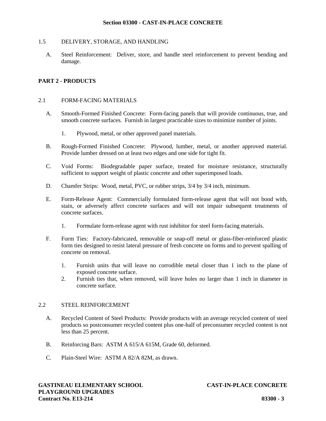## 1.5 DELIVERY, STORAGE, AND HANDLING

A. Steel Reinforcement: Deliver, store, and handle steel reinforcement to prevent bending and damage.

## **PART 2 - PRODUCTS**

#### 2.1 FORM-FACING MATERIALS

- A. Smooth-Formed Finished Concrete: Form-facing panels that will provide continuous, true, and smooth concrete surfaces. Furnish in largest practicable sizes to minimize number of joints.
	- 1. Plywood, metal, or other approved panel materials.
- B. Rough-Formed Finished Concrete: Plywood, lumber, metal, or another approved material. Provide lumber dressed on at least two edges and one side for tight fit.
- C. Void Forms: Biodegradable paper surface, treated for moisture resistance, structurally sufficient to support weight of plastic concrete and other superimposed loads.
- D. Chamfer Strips: Wood, metal, PVC, or rubber strips, 3/4 by 3/4 inch, minimum.
- E. Form-Release Agent: Commercially formulated form-release agent that will not bond with, stain, or adversely affect concrete surfaces and will not impair subsequent treatments of concrete surfaces.
	- 1. Formulate form-release agent with rust inhibitor for steel form-facing materials.
- F. Form Ties: Factory-fabricated, removable or snap-off metal or glass-fiber-reinforced plastic form ties designed to resist lateral pressure of fresh concrete on forms and to prevent spalling of concrete on removal.
	- 1. Furnish units that will leave no corrodible metal closer than 1 inch to the plane of exposed concrete surface.
	- 2. Furnish ties that, when removed, will leave holes no larger than 1 inch in diameter in concrete surface.

#### 2.2 STEEL REINFORCEMENT

- A. Recycled Content of Steel Products: Provide products with an average recycled content of steel products so postconsumer recycled content plus one-half of preconsumer recycled content is not less than 25 percent.
- B. Reinforcing Bars: ASTM A 615/A 615M, Grade 60, deformed.
- C. Plain-Steel Wire: ASTM A 82/A 82M, as drawn.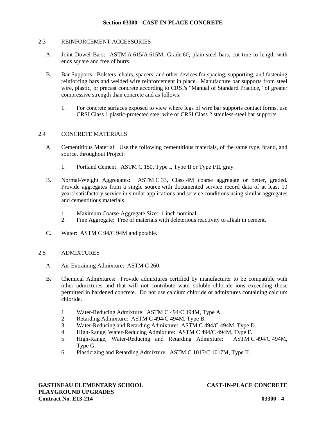#### 2.3 REINFORCEMENT ACCESSORIES

- A. Joint Dowel Bars: ASTM A 615/A 615M, Grade 60, plain-steel bars, cut true to length with ends square and free of burrs.
- B. Bar Supports: Bolsters, chairs, spacers, and other devices for spacing, supporting, and fastening reinforcing bars and welded wire reinforcement in place. Manufacture bar supports from steel wire, plastic, or precast concrete according to CRSI's "Manual of Standard Practice," of greater compressive strength than concrete and as follows:
	- 1. For concrete surfaces exposed to view where legs of wire bar supports contact forms, use CRSI Class 1 plastic-protected steel wire or CRSI Class 2 stainless-steel bar supports.

#### 2.4 CONCRETE MATERIALS

- A. Cementitious Material: Use the following cementitious materials, of the same type, brand, and source, throughout Project:
	- 1. Portland Cement: ASTM C 150, Type I, Type II or Type I/II, gray.
- B. Normal-Weight Aggregates: ASTM C 33, Class 4M coarse aggregate or better, graded. Provide aggregates from a single source with documented service record data of at least 10 years' satisfactory service in similar applications and service conditions using similar aggregates and cementitious materials.
	- 1. Maximum Coarse-Aggregate Size: 1 inch nominal.
	- 2. Fine Aggregate: Free of materials with deleterious reactivity to alkali in cement.
- C. Water: ASTM C 94/C 94M and potable.

## 2.5 ADMIXTURES

- A. Air-Entraining Admixture: ASTM C 260.
- B. Chemical Admixtures: Provide admixtures certified by manufacturer to be compatible with other admixtures and that will not contribute water-soluble chloride ions exceeding those permitted in hardened concrete. Do not use calcium chloride or admixtures containing calcium chloride.
	- 1. Water-Reducing Admixture: ASTM C 494/C 494M, Type A.
	- 2. Retarding Admixture: ASTM C 494/C 494M, Type B.
	- 3. Water-Reducing and Retarding Admixture: ASTM C 494/C 494M, Type D.
	- 4. High-Range, Water-Reducing Admixture: ASTM C 494/C 494M, Type F.
	- 5. High-Range, Water-Reducing and Retarding Admixture: ASTM C 494/C 494M, Type G.
	- 6. Plasticizing and Retarding Admixture: ASTM C 1017/C 1017M, Type II.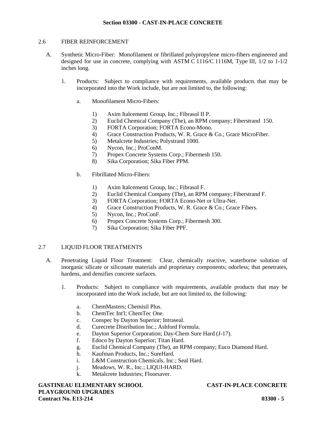## 2.6 FIBER REINFORCEMENT

- A. Synthetic Micro-Fiber: Monofilament or fibrillated polypropylene micro-fibers engineered and designed for use in concrete, complying with ASTM C 1116/C 1116M, Type III, 1/2 to 1-1/2 inches long.
	- 1. Products: Subject to compliance with requirements, available products that may be incorporated into the Work include, but are not limited to, the following:
		- a. Monofilament Micro-Fibers:
			- 1) Axim Italcementi Group, Inc.; Fibrasol II P.
			- 2) Euclid Chemical Company (The), an RPM company; Fiberstrand 150.
			- 3) FORTA Corporation; FORTA Econo-Mono.
			- 4) Grace Construction Products, W. R. Grace & Co.; Grace MicroFiber.
			- 5) Metalcrete Industries; Polystrand 1000.
			- 6) Nycon, Inc.; ProConM.
			- 7) Propex Concrete Systems Corp.; Fibermesh 150.
			- 8) Sika Corporation; Sika Fiber PPM.
		- b. Fibrillated Micro-Fibers:
			- 1) Axim Italcementi Group, Inc.; Fibrasol F.
			- 2) Euclid Chemical Company (The), an RPM company; Fiberstrand F.
			- 3) FORTA Corporation; FORTA Econo-Net or Ultra-Net.
			- 4) Grace Construction Products, W. R. Grace & Co.; Grace Fibers.
			- 5) Nycon, Inc.; ProConF.
			- 6) Propex Concrete Systems Corp.; Fibermesh 300.
			- 7) Sika Corporation; Sika Fiber PPF.

## 2.7 LIQUID FLOOR TREATMENTS

- A. Penetrating Liquid Floor Treatment: Clear, chemically reactive, waterborne solution of inorganic silicate or siliconate materials and proprietary components; odorless; that penetrates, hardens, and densifies concrete surfaces.
	- 1. Products: Subject to compliance with requirements, available products that may be incorporated into the Work include, but are not limited to, the following:
		- a. ChemMasters; Chemisil Plus.
		- b. ChemTec Int'l; ChemTec One.
		- c. Conspec by Dayton Superior; Intraseal.
		- d. Curecrete Distribution Inc.; Ashford Formula.
		- e. Dayton Superior Corporation; Day-Chem Sure Hard (J-17).
		- f. Edoco by Dayton Superior; Titan Hard.
		- g. Euclid Chemical Company (The), an RPM company; Euco Diamond Hard.
		- h. Kaufman Products, Inc.; SureHard.
		- i. L&M Construction Chemicals, Inc.; Seal Hard.
		- j. Meadows, W. R., Inc.; LIQUI-HARD.
		- k. Metalcrete Industries; Floorsaver.

**GASTINEAU ELEMENTARY SCHOOL CAST-IN-PLACE CONCRETE PLAYGROUND UPGRADES Contract No. E13-214 03300 - 5**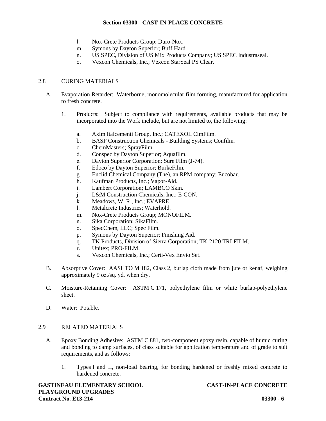- l. Nox-Crete Products Group; Duro-Nox.
- m. Symons by Dayton Superior; Buff Hard.
- n. US SPEC, Division of US Mix Products Company; US SPEC Industraseal.
- o. Vexcon Chemicals, Inc.; Vexcon StarSeal PS Clear.

## 2.8 CURING MATERIALS

- A. Evaporation Retarder: Waterborne, monomolecular film forming, manufactured for application to fresh concrete.
	- 1. Products: Subject to compliance with requirements, available products that may be incorporated into the Work include, but are not limited to, the following:
		- a. Axim Italcementi Group, Inc.; CATEXOL CimFilm.
		- b. BASF Construction Chemicals Building Systems; Confilm.
		- c. ChemMasters; SprayFilm.
		- d. Conspec by Dayton Superior; Aquafilm.
		- e. Dayton Superior Corporation; Sure Film (J-74).
		- f. Edoco by Dayton Superior; BurkeFilm.
		- g. Euclid Chemical Company (The), an RPM company; Eucobar.
		- h. Kaufman Products, Inc.; Vapor-Aid.
		- i. Lambert Corporation; LAMBCO Skin.
		- j. L&M Construction Chemicals, Inc.; E-CON.
		- k. Meadows, W. R., Inc.; EVAPRE.
		- l. Metalcrete Industries; Waterhold.
		- m. Nox-Crete Products Group; MONOFILM.
		- n. Sika Corporation; SikaFilm.
		- o. SpecChem, LLC; Spec Film.
		- p. Symons by Dayton Superior; Finishing Aid.
		- q. TK Products, Division of Sierra Corporation; TK-2120 TRI-FILM.
		- r. Unitex; PRO-FILM.
		- s. Vexcon Chemicals, Inc.; Certi-Vex Envio Set.
- B. Absorptive Cover: AASHTO M 182, Class 2, burlap cloth made from jute or kenaf, weighing approximately 9 oz./sq. yd. when dry.
- C. Moisture-Retaining Cover: ASTM C 171, polyethylene film or white burlap-polyethylene sheet.
- D. Water: Potable.

## 2.9 RELATED MATERIALS

- A. Epoxy Bonding Adhesive: ASTM C 881, two-component epoxy resin, capable of humid curing and bonding to damp surfaces, of class suitable for application temperature and of grade to suit requirements, and as follows:
	- 1. Types I and II, non-load bearing, for bonding hardened or freshly mixed concrete to hardened concrete.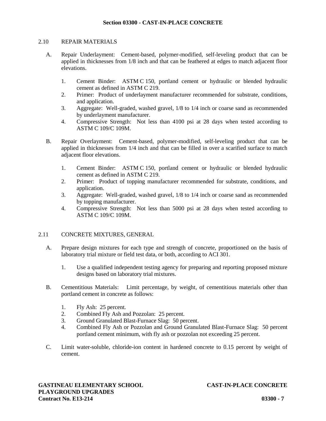#### 2.10 REPAIR MATERIALS

- A. Repair Underlayment: Cement-based, polymer-modified, self-leveling product that can be applied in thicknesses from 1/8 inch and that can be feathered at edges to match adjacent floor elevations.
	- 1. Cement Binder: ASTM C 150, portland cement or hydraulic or blended hydraulic cement as defined in ASTM C 219.
	- 2. Primer: Product of underlayment manufacturer recommended for substrate, conditions, and application.
	- 3. Aggregate: Well-graded, washed gravel, 1/8 to 1/4 inch or coarse sand as recommended by underlayment manufacturer.
	- 4. Compressive Strength: Not less than 4100 psi at 28 days when tested according to ASTM C 109/C 109M.
- B. Repair Overlayment: Cement-based, polymer-modified, self-leveling product that can be applied in thicknesses from 1/4 inch and that can be filled in over a scarified surface to match adjacent floor elevations.
	- 1. Cement Binder: ASTM C 150, portland cement or hydraulic or blended hydraulic cement as defined in ASTM C 219.
	- 2. Primer: Product of topping manufacturer recommended for substrate, conditions, and application.
	- 3. Aggregate: Well-graded, washed gravel, 1/8 to 1/4 inch or coarse sand as recommended by topping manufacturer.
	- 4. Compressive Strength: Not less than 5000 psiat 28 days when tested according to ASTM C 109/C 109M.

# 2.11 CONCRETE MIXTURES, GENERAL

- A. Prepare design mixtures for each type and strength of concrete, proportioned on the basis of laboratory trial mixture or field test data, or both, according to ACI 301.
	- 1. Use a qualified independent testing agency for preparing and reporting proposed mixture designs based on laboratory trial mixtures.
- B. Cementitious Materials: Limit percentage, by weight, of cementitious materials other than portland cement in concrete as follows:
	- 1. Fly Ash: 25 percent.
	- 2. Combined Fly Ash and Pozzolan: 25 percent.
	- 3. Ground Granulated Blast-Furnace Slag: 50 percent.
	- 4. Combined Fly Ash or Pozzolan and Ground Granulated Blast-Furnace Slag: 50 percent portland cement minimum, with fly ash or pozzolan not exceeding 25 percent.
- C. Limit water-soluble, chloride-ion content in hardened concrete to 0.15 percent by weight of cement.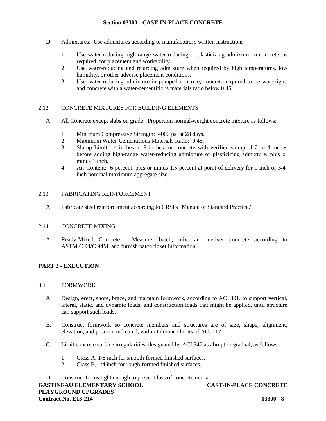- D. Admixtures: Use admixtures according to manufacturer's written instructions.
	- 1. Use water-reducing high-range water-reducing or plasticizing admixture in concrete, as required, for placement and workability.
	- 2. Use water-reducing and retarding admixture when required by high temperatures, low humidity, or other adverse placement conditions.
	- 3. Use water-reducing admixture in pumped concrete, concrete required to be watertight, and concrete with a water-cementitious materials ratio below 0.45.

#### 2.12 CONCRETE MIXTURES FOR BUILDING ELEMENTS

- A. All Concrete except slabs on grade: Proportion normal-weight concrete mixture as follows:
	- 1. Minimum Compressive Strength: 4000 psi at 28 days.
	- 2. Maximum Water-Cementitious Materials Ratio: 0.45.
	- 3. Slump Limit: 4 inches or 8 inches for concrete with verified slump of 2 to 4 inches before adding high-range water-reducing admixture or plasticizing admixture, plus or minus 1 inch.
	- 4. Air Content: 6 percent, plus or minus 1.5 percent at point of delivery for 1-inch or 3/4 inch nominal maximum aggregate size.

#### 2.13 FABRICATING REINFORCEMENT

A. Fabricate steel reinforcement according to CRSI's "Manual of Standard Practice."

#### 2.14 CONCRETE MIXING

A. Ready-Mixed Concrete: Measure, batch, mix, and deliver concrete according to ASTM C 94/C 94M, and furnish batch ticket information.

# **PART 3 - EXECUTION**

#### 3.1 FORMWORK

- A. Design, erect, shore, brace, and maintain formwork, according to ACI 301, to support vertical, lateral, static, and dynamic loads, and construction loads that might be applied, until structure can support such loads.
- B. Construct formwork so concrete members and structures are of size, shape, alignment, elevation, and position indicated, within tolerance limits of ACI 117.
- C. Limit concrete surface irregularities, designated by ACI 347 as abrupt or gradual, as follows:
	- 1. Class A, 1/8 inch for smooth-formed finished surfaces.
	- 2. Class B, 1/4 inch for rough-formed finished surfaces.

D. Construct forms tight enough to prevent loss of concrete mortar.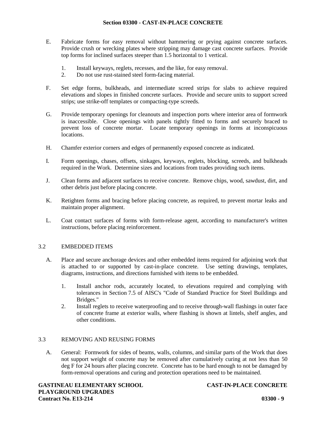- E. Fabricate forms for easy removal without hammering or prying against concrete surfaces. Provide crush or wrecking plates where stripping may damage cast concrete surfaces. Provide top forms for inclined surfaces steeper than 1.5 horizontal to 1 vertical.
	- 1. Install keyways, reglets, recesses, and the like, for easy removal.
	- 2. Do not use rust-stained steel form-facing material.
- F. Set edge forms, bulkheads, and intermediate screed strips for slabs to achieve required elevations and slopes in finished concrete surfaces. Provide and secure units to support screed strips; use strike-off templates or compacting-type screeds.
- G. Provide temporary openings for cleanouts and inspection ports where interior area of formwork is inaccessible. Close openings with panels tightly fitted to forms and securely braced to prevent loss of concrete mortar. Locate temporary openings in forms at inconspicuous locations.
- H. Chamfer exterior corners and edges of permanently exposed concrete as indicated.
- I. Form openings, chases, offsets, sinkages, keyways, reglets, blocking, screeds, and bulkheads required in the Work. Determine sizes and locations from trades providing such items.
- J. Clean forms and adjacent surfaces to receive concrete. Remove chips, wood, sawdust, dirt, and other debris just before placing concrete.
- K. Retighten forms and bracing before placing concrete, as required, to prevent mortar leaks and maintain proper alignment.
- L. Coat contact surfaces of forms with form-release agent, according to manufacturer's written instructions, before placing reinforcement.

# 3.2 EMBEDDED ITEMS

- A. Place and secure anchorage devices and other embedded items required for adjoining work that is attached to or supported by cast-in-place concrete. Use setting drawings, templates, diagrams, instructions, and directions furnished with items to be embedded.
	- 1. Install anchor rods, accurately located, to elevations required and complying with tolerances in Section 7.5 of AISC's "Code of Standard Practice for Steel Buildings and Bridges."
	- 2. Install reglets to receive waterproofing and to receive through-wall flashings in outer face of concrete frame at exterior walls, where flashing is shown at lintels, shelf angles, and other conditions.

# 3.3 REMOVING AND REUSING FORMS

A. General: Formwork for sides of beams, walls, columns, and similar parts of the Work that does not support weight of concrete may be removed after cumulatively curing at not less than 50 deg F for 24 hours after placing concrete. Concrete has to be hard enough to not be damaged by form-removal operations and curing and protection operations need to be maintained.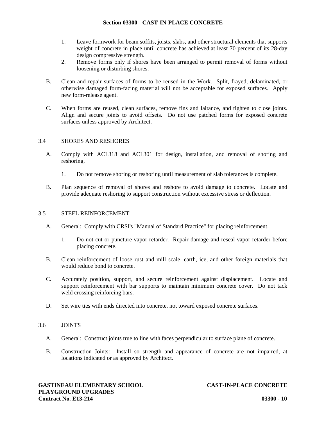- 1. Leave formwork for beam soffits, joists, slabs, and other structural elements that supports weight of concrete in place until concrete has achieved at least 70 percent of its 28-day design compressive strength.
- 2. Remove forms only if shores have been arranged to permit removal of forms without loosening or disturbing shores.
- B. Clean and repair surfaces of forms to be reused in the Work. Split, frayed, delaminated, or otherwise damaged form-facing material will not be acceptable for exposed surfaces. Apply new form-release agent.
- C. When forms are reused, clean surfaces, remove fins and laitance, and tighten to close joints. Align and secure joints to avoid offsets. Do not use patched forms for exposed concrete surfaces unless approved by Architect.

# 3.4 SHORES AND RESHORES

- A. Comply with ACI 318 and ACI 301 for design, installation, and removal of shoring and reshoring.
	- 1. Do not remove shoring or reshoring until measurement of slab tolerances is complete.
- B. Plan sequence of removal of shores and reshore to avoid damage to concrete. Locate and provide adequate reshoring to support construction without excessive stress or deflection.

#### 3.5 STEEL REINFORCEMENT

- A. General: Comply with CRSI's "Manual of Standard Practice" for placing reinforcement.
	- 1. Do not cut or puncture vapor retarder. Repair damage and reseal vapor retarder before placing concrete.
- B. Clean reinforcement of loose rust and mill scale, earth, ice, and other foreign materials that would reduce bond to concrete.
- C. Accurately position, support, and secure reinforcement against displacement. Locate and support reinforcement with bar supports to maintain minimum concrete cover. Do not tack weld crossing reinforcing bars.
- D. Set wire ties with ends directed into concrete, not toward exposed concrete surfaces.

# 3.6 JOINTS

- A. General: Construct joints true to line with faces perpendicular to surface plane of concrete.
- B. Construction Joints: Install so strength and appearance of concrete are not impaired, at locations indicated or as approved by Architect.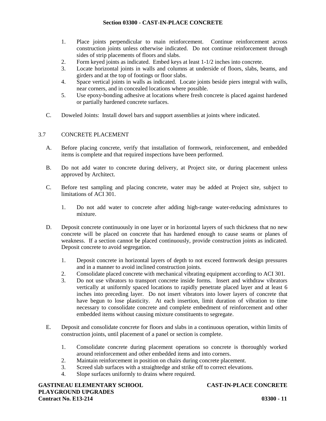- 1. Place joints perpendicular to main reinforcement. Continue reinforcement across construction joints unless otherwise indicated. Do not continue reinforcement through sides of strip placements of floors and slabs.
- 2. Form keyed joints as indicated. Embed keys at least 1-1/2 inches into concrete.
- 3. Locate horizontal joints in walls and columns at underside of floors, slabs, beams, and girders and at the top of footings or floor slabs.
- 4. Space vertical joints in walls as indicated. Locate joints beside piers integral with walls, near corners, and in concealed locations where possible.
- 5. Use epoxy-bonding adhesive at locations where fresh concrete is placed against hardened or partially hardened concrete surfaces.
- C. Doweled Joints: Install dowel bars and support assemblies at joints where indicated.

# 3.7 CONCRETE PLACEMENT

- A. Before placing concrete, verify that installation of formwork, reinforcement, and embedded items is complete and that required inspections have been performed.
- B. Do not add water to concrete during delivery, at Project site, or during placement unless approved by Architect.
- C. Before test sampling and placing concrete, water may be added at Project site, subject to limitations of ACI 301.
	- 1. Do not add water to concrete after adding high-range water-reducing admixtures to mixture.
- D. Deposit concrete continuously in one layer or in horizontal layers of such thickness that no new concrete will be placed on concrete that has hardened enough to cause seams or planes of weakness. If a section cannot be placed continuously, provide construction joints as indicated. Deposit concrete to avoid segregation.
	- 1. Deposit concrete in horizontal layers of depth to not exceed formwork design pressures and in a manner to avoid inclined construction joints.
	- 2. Consolidate placed concrete with mechanical vibrating equipment according to ACI 301.
	- 3. Do not use vibrators to transport concrete inside forms. Insert and withdraw vibrators vertically at uniformly spaced locations to rapidly penetrate placed layer and at least 6 inches into preceding layer. Do not insert vibrators into lower layers of concrete that have begun to lose plasticity. At each insertion, limit duration of vibration to time necessary to consolidate concrete and complete embedment of reinforcement and other embedded items without causing mixture constituents to segregate.
- E. Deposit and consolidate concrete for floors and slabs in a continuous operation, within limits of construction joints, until placement of a panel or section is complete.
	- 1. Consolidate concrete during placement operations so concrete is thoroughly worked around reinforcement and other embedded items and into corners.
	- 2. Maintain reinforcement in position on chairs during concrete placement.
	- 3. Screed slab surfaces with a straightedge and strike off to correct elevations.
	- 4. Slope surfaces uniformly to drains where required.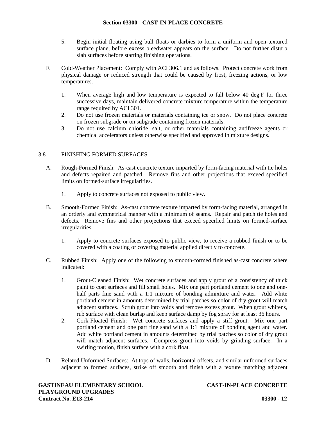- 5. Begin initial floating using bull floats or darbies to form a uniform and open-textured surface plane, before excess bleedwater appears on the surface. Do not further disturb slab surfaces before starting finishing operations.
- F. Cold-Weather Placement: Comply with ACI 306.1 and as follows. Protect concrete work from physical damage or reduced strength that could be caused by frost, freezing actions, or low temperatures.
	- 1. When average high and low temperature is expected to fall below 40 deg F for three successive days, maintain delivered concrete mixture temperature within the temperature range required by ACI 301.
	- 2. Do not use frozen materials or materials containing ice or snow. Do not place concrete on frozen subgrade or on subgrade containing frozen materials.
	- 3. Do not use calcium chloride, salt, or other materials containing antifreeze agents or chemical accelerators unless otherwise specified and approved in mixture designs.

# 3.8 FINISHING FORMED SURFACES

- A. Rough-Formed Finish: As-cast concrete texture imparted by form-facing material with tie holes and defects repaired and patched. Remove fins and other projections that exceed specified limits on formed-surface irregularities.
	- 1. Apply to concrete surfaces not exposed to public view.
- B. Smooth-Formed Finish: As-cast concrete texture imparted by form-facing material, arranged in an orderly and symmetrical manner with a minimum of seams. Repair and patch tie holes and defects. Remove fins and other projections that exceed specified limits on formed-surface irregularities.
	- 1. Apply to concrete surfaces exposed to public view, to receive a rubbed finish orto be covered with a coating or covering material applied directly to concrete.
- C. Rubbed Finish: Apply one of the following to smooth-formed finished as-cast concrete where indicated:
	- 1. Grout-Cleaned Finish: Wet concrete surfaces and apply grout of a consistency of thick paint to coat surfaces and fill small holes. Mix one part portland cement to one and one half parts fine sand with a 1:1 mixture of bonding admixture and water. Add white portland cement in amounts determined by trial patches so color of dry grout will match adjacent surfaces. Scrub grout into voids and remove excess grout. When grout whitens, rub surface with clean burlap and keep surface damp by fog spray for at least 36 hours.
	- 2. Cork-Floated Finish: Wet concrete surfaces and apply a stiff grout. Mix one part portland cement and one part fine sand with a 1:1 mixture of bonding agent and water. Add white portland cement in amounts determined by trial patches so color of dry grout will match adjacent surfaces. Compress grout into voids by grinding surface. In a swirling motion, finish surface with a cork float.
- D. Related Unformed Surfaces: At tops of walls, horizontal offsets, and similar unformed surfaces adjacent to formed surfaces, strike off smooth and finish with a texture matching adjacent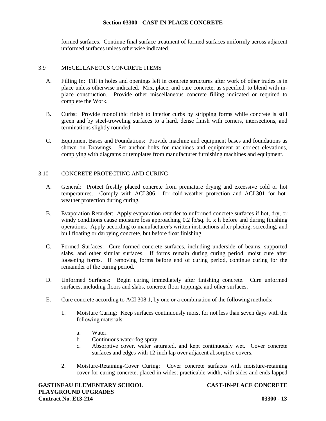formed surfaces. Continue final surface treatment of formed surfaces uniformly across adjacent unformed surfaces unless otherwise indicated.

#### 3.9 MISCELLANEOUS CONCRETE ITEMS

- A. Filling In: Fill in holes and openings left in concrete structures after work of other trades is in place unless otherwise indicated. Mix, place, and cure concrete, as specified, to blend with in place construction. Provide other miscellaneous concrete filling indicated or required to complete the Work.
- B. Curbs: Provide monolithic finish to interior curbs by stripping forms while concrete is still green and by steel-troweling surfaces to a hard, dense finish with corners, intersections, and terminations slightly rounded.
- C. Equipment Bases and Foundations: Provide machine and equipment bases and foundations as shown on Drawings. Set anchor bolts for machines and equipment at correct elevations, complying with diagrams or templates from manufacturer furnishing machines and equipment.

#### 3.10 CONCRETE PROTECTING AND CURING

- A. General: Protect freshly placed concrete from premature drying and excessive cold or hot temperatures. Comply with ACI 306.1 for cold-weather protection and ACI 301 for hot weather protection during curing.
- B. Evaporation Retarder: Apply evaporation retarder to unformed concrete surfaces if hot, dry, or windy conditions cause moisture loss approaching 0.2 lb/sq. ft. x h before and during finishing operations. Apply according to manufacturer's written instructions after placing, screeding, and bull floating or darbying concrete, but before float finishing.
- C. Formed Surfaces: Cure formed concrete surfaces, including underside of beams, supported slabs, and other similar surfaces. If forms remain during curing period, moist cure after loosening forms. If removing forms before end of curing period, continue curing for the remainder of the curing period.
- D. Unformed Surfaces: Begin curing immediately after finishing concrete. Cure unformed surfaces, including floors and slabs, concrete floor toppings, and other surfaces.
- E. Cure concrete according to ACI 308.1, by one or a combination of the following methods:
	- 1. Moisture Curing: Keep surfaces continuously moist for not less than seven days with the following materials:
		- a. Water.
		- b. Continuous water-fog spray.
		- c. Absorptive cover, water saturated, and kept continuously wet. Cover concrete surfaces and edges with 12-inch lap over adjacent absorptive covers.
	- 2. Moisture-Retaining-Cover Curing: Cover concrete surfaces with moisture-retaining cover for curing concrete, placed in widest practicable width, with sides and ends lapped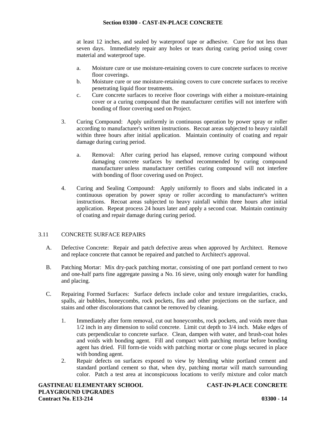at least 12 inches, and sealed by waterproof tape or adhesive. Cure for not less than seven days. Immediately repair any holes or tears during curing period using cover material and waterproof tape.

- a. Moisture cure or use moisture-retaining covers to cure concrete surfaces to receive floor coverings.
- b. Moisture cure or use moisture-retaining covers to cure concrete surfaces to receive penetrating liquid floor treatments.
- c. Cure concrete surfaces to receive floor coverings with either a moisture-retaining cover or a curing compound that the manufacturer certifies will not interfere with bonding of floor covering used on Project.
- 3. Curing Compound: Apply uniformly in continuous operation by power spray or roller according to manufacturer's written instructions. Recoat areas subjected to heavy rainfall within three hours after initial application. Maintain continuity of coating and repair damage during curing period.
	- a. Removal: After curing period has elapsed, remove curing compound without damaging concrete surfaces by method recommended by curing compound manufacturer unless manufacturer certifies curing compound will not interfere with bonding of floor covering used on Project.
- 4. Curing and Sealing Compound: Apply uniformly to floors and slabs indicated in a continuous operation by power spray or roller according to manufacturer's written instructions. Recoat areas subjected to heavy rainfall within three hours after initial application. Repeat process 24 hours later and apply a second coat. Maintain continuity of coating and repair damage during curing period.

# 3.11 CONCRETE SURFACE REPAIRS

- A. Defective Concrete: Repair and patch defective areas when approved by Architect. Remove and replace concrete that cannot be repaired and patched to Architect's approval.
- B. Patching Mortar: Mix dry-pack patching mortar, consisting of one part portland cement to two and one-half parts fine aggregate passing a No. 16 sieve, using only enough water for handling and placing.
- C. Repairing Formed Surfaces: Surface defects include color and texture irregularities, cracks, spalls, air bubbles, honeycombs, rock pockets, fins and other projections on the surface, and stains and other discolorations that cannot be removed by cleaning.
	- 1. Immediately after form removal, cut out honeycombs, rock pockets, and voids more than 1/2 inch in any dimension to solid concrete. Limit cut depth to 3/4 inch. Make edges of cuts perpendicular to concrete surface. Clean, dampen with water, and brush-coat holes and voids with bonding agent. Fill and compact with patching mortar before bonding agent has dried. Fill form-tie voids with patching mortar or cone plugs secured in place with bonding agent.
	- 2. Repair defects on surfaces exposed to view by blending white portland cement and standard portland cement so that, when dry, patching mortar will match surrounding color. Patch a test area at inconspicuous locations to verify mixture and color match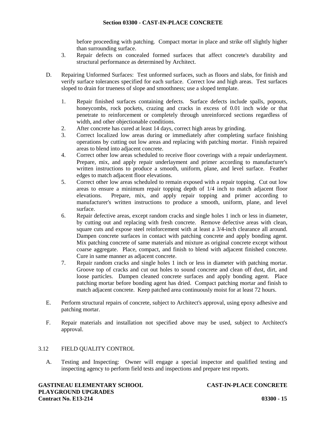before proceeding with patching. Compact mortar in place and strike off slightly higher than surrounding surface.

- 3. Repair defects on concealed formed surfaces that affect concrete's durability and structural performance as determined by Architect.
- D. Repairing Unformed Surfaces: Test unformed surfaces, such as floors and slabs, for finish and verify surface tolerances specified for each surface. Correct low and high areas. Test surfaces sloped to drain for trueness of slope and smoothness; use a sloped template.
	- 1. Repair finished surfaces containing defects. Surface defects include spalls, popouts, honeycombs, rock pockets, crazing and cracks in excess of 0.01 inch wide or that penetrate to reinforcement or completely through unreinforced sections regardless of width, and other objectionable conditions.
	- 2. After concrete has cured at least 14 days, correct high areas by grinding.
	- 3. Correct localized low areas during or immediately after completing surface finishing operations by cutting out low areas and replacing with patching mortar. Finish repaired areas to blend into adjacent concrete.
	- 4. Correct other low areas scheduled to receive floor coverings with a repair underlayment. Prepare, mix, and apply repair underlayment and primer according to manufacturer's written instructions to produce a smooth, uniform, plane, and level surface. Feather edges to match adjacent floor elevations.
	- 5. Correct other low areas scheduled to remain exposed with a repair topping. Cut out low areas to ensure a minimum repair topping depth of 1/4 inch to match adjacent floor elevations. Prepare, mix, and apply repair topping and primer according to manufacturer's written instructions to produce a smooth, uniform, plane, and level surface.
	- 6. Repair defective areas, except random cracks and single holes 1 inch or less in diameter, by cutting out and replacing with fresh concrete. Remove defective areas with clean, square cuts and expose steel reinforcement with at least a 3/4-inch clearance all around. Dampen concrete surfaces in contact with patching concrete and apply bonding agent. Mix patching concrete of same materials and mixture as original concrete except without coarse aggregate. Place, compact, and finish to blend with adjacent finished concrete. Cure in same manner as adjacent concrete.
	- 7. Repair random cracks and single holes 1 inch or less in diameter with patching mortar. Groove top of cracks and cut out holes to sound concrete and clean off dust, dirt, and loose particles. Dampen cleaned concrete surfaces and apply bonding agent. Place patching mortar before bonding agent has dried. Compact patching mortar and finish to match adjacent concrete. Keep patched area continuously moist for at least 72 hours.
- E. Perform structural repairs of concrete, subject to Architect's approval, using epoxy adhesive and patching mortar.
- F. Repair materials and installation not specified above may be used, subject to Architect's approval.

# 3.12 FIELD QUALITY CONTROL

A. Testing and Inspecting: Owner will engage a special inspector and qualified testing and inspecting agency to perform field tests and inspections and prepare test reports.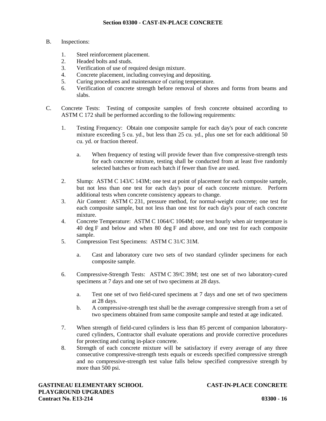- B. Inspections:
	- 1. Steel reinforcement placement.
	- 2. Headed bolts and studs.
	- 3. Verification of use of required design mixture.
	- 4. Concrete placement, including conveying and depositing.
	- 5. Curing procedures and maintenance of curing temperature.
	- 6. Verification of concrete strength before removal of shores and forms from beams and slabs.
- C. Concrete Tests: Testing of composite samples of fresh concrete obtained according to ASTM C 172 shall be performed according to the following requirements:
	- 1. Testing Frequency: Obtain one composite sample for each day's pour of each concrete mixture exceeding 5 cu. yd., but less than 25 cu. yd., plus one set for each additional 50 cu. yd. or fraction thereof.
		- a. When frequency of testing will provide fewer than five compressive-strength tests for each concrete mixture, testing shall be conducted from at least five randomly selected batches or from each batch if fewer than five are used.
	- 2. Slump: ASTM C 143/C 143M; one test at point of placement for each composite sample, but not less than one test for each day's pour of each concrete mixture. Perform additional tests when concrete consistency appears to change.
	- 3. Air Content: ASTM C 231, pressure method, for normal-weight concrete; one test for each composite sample, but not less than one test for each day's pour of each concrete mixture.
	- 4. Concrete Temperature: ASTM C 1064/C 1064M; one test hourly when air temperature is 40 deg F and below and when 80 deg F and above, and one test for each composite sample.
	- 5. Compression Test Specimens: ASTM C 31/C 31M.
		- a. Cast and laboratory cure two sets of two standard cylinder specimens for each composite sample.
	- 6. Compressive-Strength Tests: ASTM C 39/C 39M; test one set of two laboratory-cured specimens at 7 days and one set of two specimens at 28 days.
		- a. Test one set of two field-cured specimens at 7 days and one set of two specimens at 28 days.
		- b. A compressive-strength test shall be the average compressive strength from a set of two specimens obtained from same composite sample and tested at age indicated.
	- 7. When strength of field-cured cylinders is less than 85 percent of companion laboratory cured cylinders, Contractor shall evaluate operations and provide corrective procedures for protecting and curing in-place concrete.
	- 8. Strength of each concrete mixture will be satisfactory if every average of any three consecutive compressive-strength tests equals or exceeds specified compressive strength and no compressive-strength test value falls below specified compressive strength by more than 500 psi.